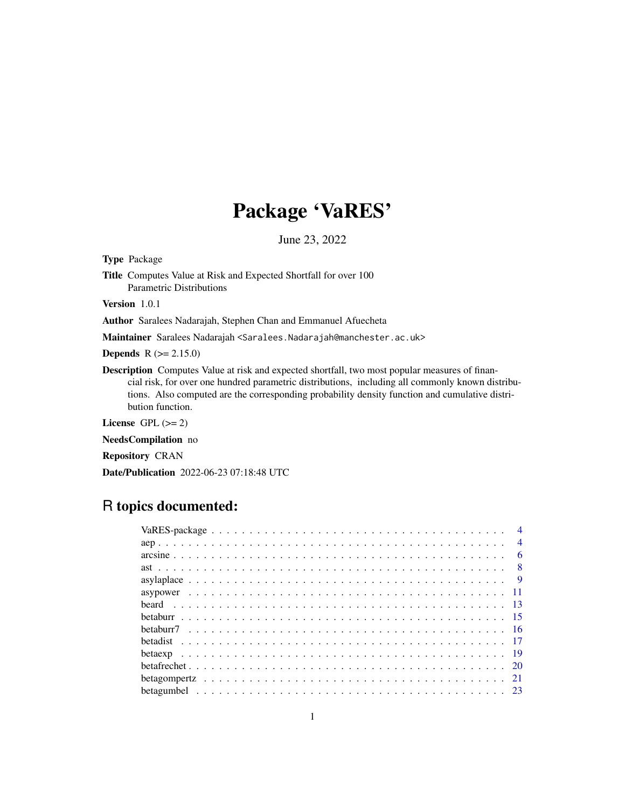# Package 'VaRES'

June 23, 2022

Type Package

Title Computes Value at Risk and Expected Shortfall for over 100 Parametric Distributions

Version 1.0.1

Author Saralees Nadarajah, Stephen Chan and Emmanuel Afuecheta

Maintainer Saralees Nadarajah <Saralees.Nadarajah@manchester.ac.uk>

**Depends**  $R$  ( $>= 2.15.0$ )

Description Computes Value at risk and expected shortfall, two most popular measures of financial risk, for over one hundred parametric distributions, including all commonly known distributions. Also computed are the corresponding probability density function and cumulative distribution function.

License GPL  $(>= 2)$ 

NeedsCompilation no

Repository CRAN

Date/Publication 2022-06-23 07:18:48 UTC

# R topics documented:

| $\overline{4}$ |  |
|----------------|--|
|                |  |
|                |  |
|                |  |
|                |  |
|                |  |
|                |  |
|                |  |
|                |  |
|                |  |
|                |  |
|                |  |
|                |  |
|                |  |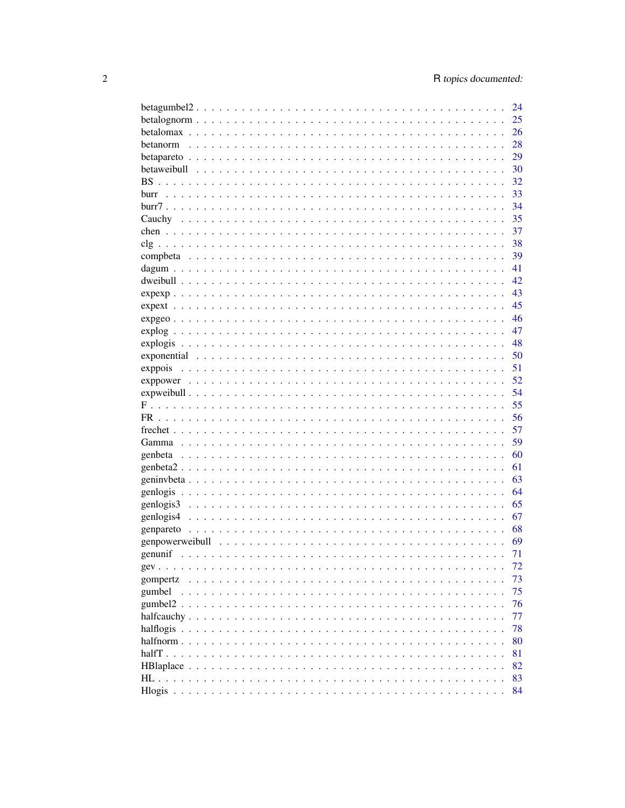|                                                                                                                        | 24 |
|------------------------------------------------------------------------------------------------------------------------|----|
|                                                                                                                        | 25 |
|                                                                                                                        | 26 |
|                                                                                                                        | 28 |
|                                                                                                                        | 29 |
|                                                                                                                        | 30 |
|                                                                                                                        | 32 |
| burr<br>a dia kaominina mpikambana amin'ny fivondronan-kaominin'i Nouvelle-Aquitaine, ao amin'ny faritr'i Nouvelle-Aqu | 33 |
|                                                                                                                        | 34 |
|                                                                                                                        | 35 |
|                                                                                                                        | 37 |
|                                                                                                                        |    |
|                                                                                                                        | 38 |
|                                                                                                                        | 39 |
|                                                                                                                        | 41 |
|                                                                                                                        | 42 |
|                                                                                                                        | 43 |
|                                                                                                                        | 45 |
|                                                                                                                        | 46 |
|                                                                                                                        | 47 |
|                                                                                                                        | 48 |
|                                                                                                                        | 50 |
| exppois                                                                                                                | 51 |
|                                                                                                                        | 52 |
|                                                                                                                        | 54 |
|                                                                                                                        | 55 |
|                                                                                                                        | 56 |
|                                                                                                                        |    |
|                                                                                                                        | 57 |
|                                                                                                                        | 59 |
|                                                                                                                        | 60 |
|                                                                                                                        | 61 |
|                                                                                                                        | 63 |
|                                                                                                                        | 64 |
|                                                                                                                        | 65 |
|                                                                                                                        | 67 |
|                                                                                                                        | 68 |
|                                                                                                                        | 69 |
|                                                                                                                        | 71 |
|                                                                                                                        | 72 |
| gompertz                                                                                                               | 73 |
| gumbel                                                                                                                 | 75 |
|                                                                                                                        | 76 |
|                                                                                                                        | 77 |
|                                                                                                                        | 78 |
|                                                                                                                        | 80 |
|                                                                                                                        |    |
|                                                                                                                        | 81 |
|                                                                                                                        | 82 |
|                                                                                                                        | 83 |
|                                                                                                                        | 84 |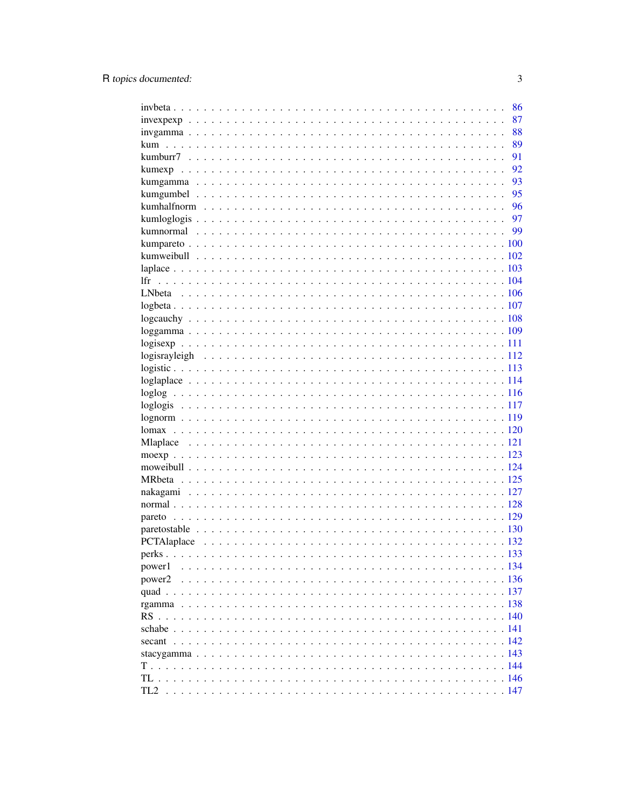|        | 86   |
|--------|------|
|        | 87   |
|        | 88   |
| kum    | 89   |
|        | 91   |
|        | 92   |
|        | 93   |
|        | 95   |
|        | - 96 |
|        |      |
|        |      |
|        |      |
|        |      |
|        |      |
| 1fr    |      |
|        |      |
|        |      |
|        |      |
|        |      |
|        |      |
|        |      |
|        |      |
|        |      |
|        |      |
|        |      |
|        |      |
|        |      |
|        |      |
|        |      |
|        |      |
|        |      |
|        |      |
|        |      |
|        |      |
|        |      |
|        |      |
|        |      |
|        |      |
| power1 |      |
| power2 |      |
|        |      |
|        |      |
|        |      |
|        |      |
|        |      |
|        |      |
|        |      |
|        |      |
|        |      |
| TL2    |      |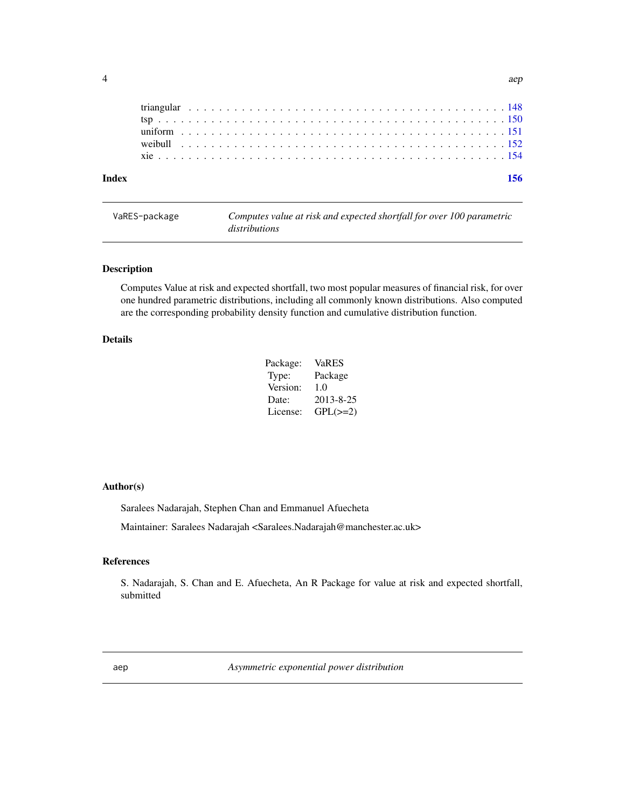<span id="page-3-0"></span>

| Index |  |  |  |  |  |  |  |  |  |  |  |  |  |  |  |  |  |  |  |  |  |  | 156 |  |
|-------|--|--|--|--|--|--|--|--|--|--|--|--|--|--|--|--|--|--|--|--|--|--|-----|--|
|       |  |  |  |  |  |  |  |  |  |  |  |  |  |  |  |  |  |  |  |  |  |  |     |  |
|       |  |  |  |  |  |  |  |  |  |  |  |  |  |  |  |  |  |  |  |  |  |  |     |  |
|       |  |  |  |  |  |  |  |  |  |  |  |  |  |  |  |  |  |  |  |  |  |  |     |  |
|       |  |  |  |  |  |  |  |  |  |  |  |  |  |  |  |  |  |  |  |  |  |  |     |  |
|       |  |  |  |  |  |  |  |  |  |  |  |  |  |  |  |  |  |  |  |  |  |  |     |  |

| VaRES-package | Computes value at risk and expected shortfall for over 100 parametric |
|---------------|-----------------------------------------------------------------------|
|               | distributions                                                         |

Computes Value at risk and expected shortfall, two most popular measures of financial risk, for over one hundred parametric distributions, including all commonly known distributions. Also computed are the corresponding probability density function and cumulative distribution function.

## Details

| Package: | VaRES         |
|----------|---------------|
| Type:    | Package       |
| Version: | 1.0           |
| Date:    | 2013-8-25     |
| License: | $GPL(\geq=2)$ |

#### Author(s)

Saralees Nadarajah, Stephen Chan and Emmanuel Afuecheta

Maintainer: Saralees Nadarajah <Saralees.Nadarajah@manchester.ac.uk>

## References

S. Nadarajah, S. Chan and E. Afuecheta, An R Package for value at risk and expected shortfall, submitted

aep *Asymmetric exponential power distribution*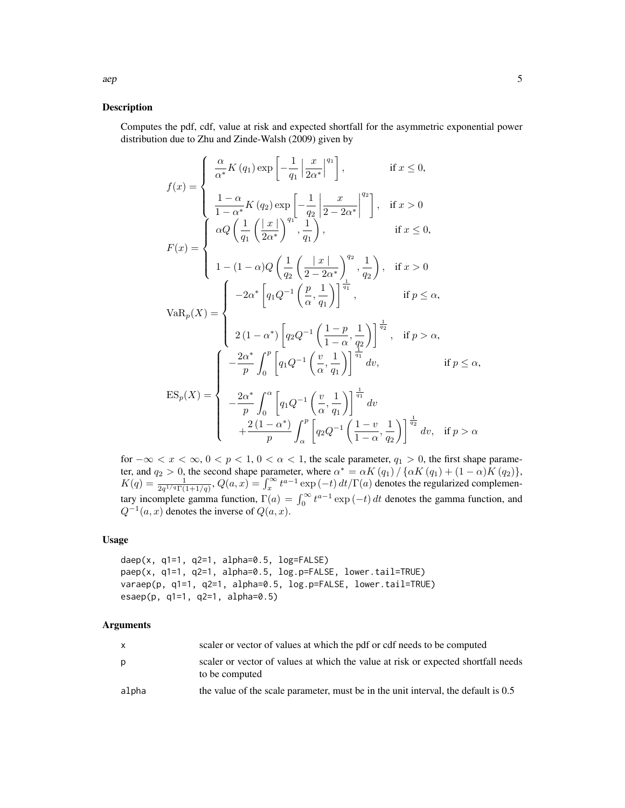Computes the pdf, cdf, value at risk and expected shortfall for the asymmetric exponential power distribution due to Zhu and Zinde-Walsh (2009) given by

$$
f(x) = \begin{cases} \frac{\alpha}{\alpha^*} K(q_1) \exp\left[-\frac{1}{q_1} \left|\frac{x}{2\alpha^*}\right|^{q_1}\right], & \text{if } x \le 0, \\ \frac{1-\alpha}{1-\alpha^*} K(q_2) \exp\left[-\frac{1}{q_2} \left|\frac{x}{2-2\alpha^*}\right|^{q_2}\right], & \text{if } x > 0 \\ \alpha Q \left(\frac{1}{q_1} \left(\frac{x}{2\alpha^*}\right)^{q_1}, \frac{1}{q_1}\right), & \text{if } x \le 0, \\ 1-(1-\alpha)Q \left(\frac{1}{q_2} \left(\frac{x}{2-2\alpha^*}\right)^{q_2}, \frac{1}{q_2}\right), & \text{if } x > 0 \end{cases}
$$

$$
VaR_p(X) = \begin{cases} -2\alpha^* \left[q_1Q^{-1}\left(\frac{p}{\alpha}, \frac{1}{q_1}\right)\right]^{\frac{1}{q_1}}, & \text{if } p \le \alpha, \\ 2(1-\alpha^*) \left[q_2Q^{-1}\left(\frac{1-p}{1-\alpha}, \frac{1}{q_2}\right)\right]^{\frac{1}{q_2}}, & \text{if } p > \alpha, \\ 2(1-\alpha^*) \left[q_2Q^{-1}\left(\frac{1-p}{\alpha}, \frac{1}{q_1}\right)\right]^{\frac{1}{q_1}} \end{cases}, & \text{if } p > \alpha, \\ ES_p(X) = \begin{cases} -\frac{2\alpha^*}{p} \int_0^p \left[q_1Q^{-1}\left(\frac{v}{\alpha}, \frac{1}{q_1}\right)\right]^{\frac{1}{q_1}} dv, & \text{if } p \le \alpha, \\ -\frac{2\alpha^*}{p} \int_0^{\alpha} \left[q_1Q^{-1}\left(\frac{v}{\alpha}, \frac{1}{q_1}\right)\right]^{\frac{1}{q_1}} dv \\ +\frac{2(1-\alpha^*)}{p} \int_0^p \left[q_2Q^{-1}\left(\frac{1-v}{1-\alpha}, \frac{1}{q_2}\right)\right]^{\frac{1}{q_2}} dv, & \text{if } p > \alpha \end{cases}
$$

for  $-\infty < x < \infty$ ,  $0 < p < 1$ ,  $0 < \alpha < 1$ , the scale parameter,  $q_1 > 0$ , the first shape parameter, and  $q_2 > 0$ , the second shape parameter, where  $\alpha^* = \alpha K (q_1) / \{ \alpha K (q_1) + (1 - \alpha) K (q_2) \},$  $K(q) = \frac{1}{2q^{1/q}\Gamma(1+1/q)}, Q(a, x) = \int_x^{\infty} t^{a-1} \exp(-t) dt / \Gamma(a)$  denotes the regularized complementary incomplete gamma function,  $\Gamma(a) = \int_0^\infty t^{a-1} \exp(-t) dt$  denotes the gamma function, and  $Q^{-1}(a, x)$  denotes the inverse of  $Q(a, x)$ .

 $q_2$ 

α

#### Usage

```
daep(x, q1=1, q2=1, alpha=0.5, log=FALSE)
paep(x, q1=1, q2=1, alpha=0.5, log.p=FALSE, lower.tail=TRUE)
varaep(p, q1=1, q2=1, alpha=0.5, log.p=FALSE, lower.tail=TRUE)
esaep(p, q1=1, q2=1, alpha=0.5)
```
p

|       | scaler or vector of values at which the pdf or cdf needs to be computed                             |
|-------|-----------------------------------------------------------------------------------------------------|
| p     | scaler or vector of values at which the value at risk or expected shortfall needs<br>to be computed |
| alpha | the value of the scale parameter, must be in the unit interval, the default is 0.5                  |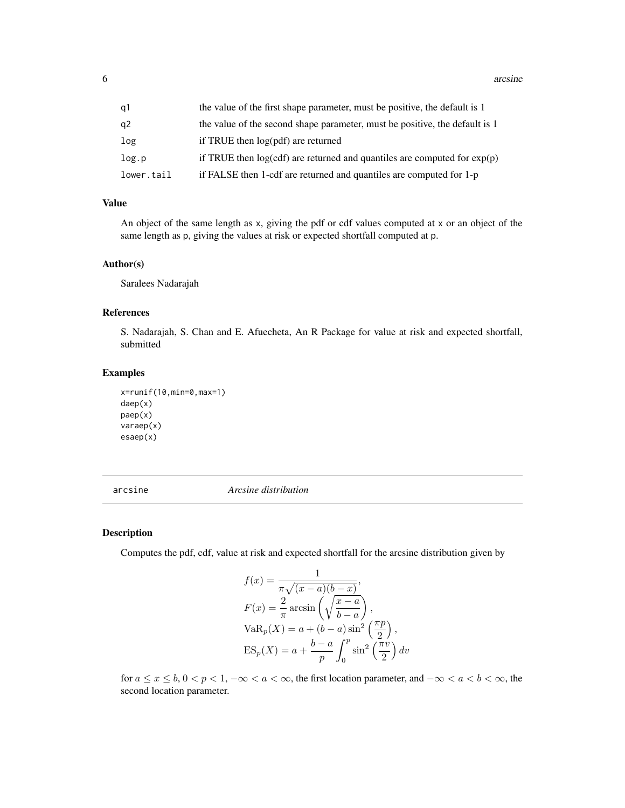<span id="page-5-0"></span>6 arcsine and the contract of the contract of the contract of the contract of the contract of the contract of the contract of the contract of the contract of the contract of the contract of the contract of the contract of

| q1         | the value of the first shape parameter, must be positive, the default is 1   |
|------------|------------------------------------------------------------------------------|
| q2         | the value of the second shape parameter, must be positive, the default is 1  |
| log        | if TRUE then log(pdf) are returned                                           |
| log.p      | if TRUE then $log(cdf)$ are returned and quantiles are computed for $exp(p)$ |
| lower.tail | if FALSE then 1-cdf are returned and quantiles are computed for 1-p          |

## Value

An object of the same length as x, giving the pdf or cdf values computed at x or an object of the same length as p, giving the values at risk or expected shortfall computed at p.

#### Author(s)

Saralees Nadarajah

#### References

S. Nadarajah, S. Chan and E. Afuecheta, An R Package for value at risk and expected shortfall, submitted

### Examples

```
x=runif(10,min=0,max=1)
daep(x)
paep(x)
varaep(x)
esaep(x)
```
arcsine *Arcsine distribution*

## Description

Computes the pdf, cdf, value at risk and expected shortfall for the arcsine distribution given by

$$
f(x) = \frac{1}{\pi\sqrt{(x-a)(b-x)}},
$$
  
\n
$$
F(x) = \frac{2}{\pi}\arcsin\left(\sqrt{\frac{x-a}{b-a}}\right),
$$
  
\n
$$
VaR_p(X) = a + (b-a)\sin^2\left(\frac{\pi p}{2}\right),
$$
  
\n
$$
ES_p(X) = a + \frac{b-a}{p}\int_0^p \sin^2\left(\frac{\pi v}{2}\right)dv
$$

for  $a \le x \le b$ ,  $0 < p < 1$ ,  $-\infty < a < \infty$ , the first location parameter, and  $-\infty < a < b < \infty$ , the second location parameter.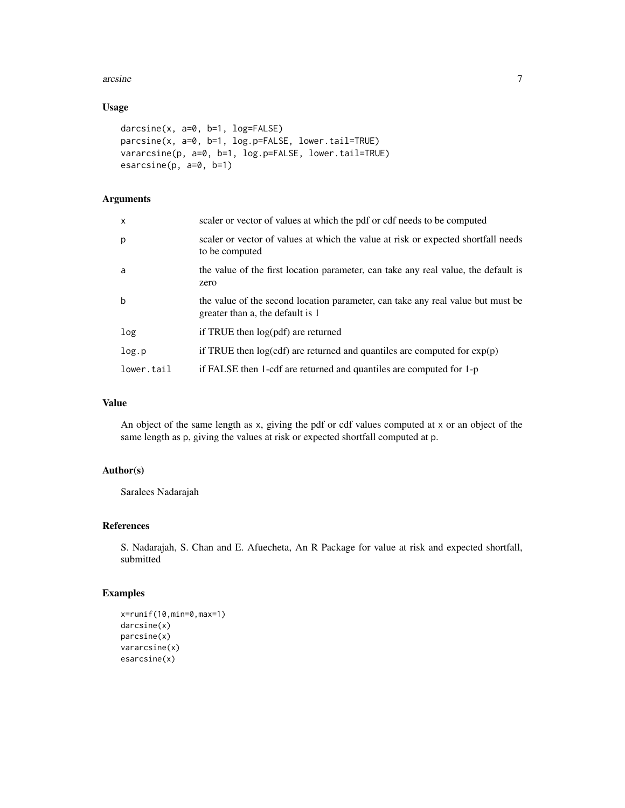#### arcsine 7

## Usage

```
darcsine(x, a=0, b=1, log=FALSE)
parcsine(x, a=0, b=1, log.p=FALSE, lower.tail=TRUE)
vararcsine(p, a=0, b=1, log.p=FALSE, lower.tail=TRUE)
esarcsine(p, a=0, b=1)
```
#### Arguments

| $\mathsf{x}$ | scaler or vector of values at which the pdf or cdf needs to be computed                                             |
|--------------|---------------------------------------------------------------------------------------------------------------------|
| p            | scaler or vector of values at which the value at risk or expected shortfall needs<br>to be computed                 |
| a            | the value of the first location parameter, can take any real value, the default is<br>zero                          |
| $\mathbf b$  | the value of the second location parameter, can take any real value but must be<br>greater than a, the default is 1 |
| log          | if TRUE then $log(pdf)$ are returned                                                                                |
| log.p        | if TRUE then $log(cdf)$ are returned and quantiles are computed for $exp(p)$                                        |
| lower.tail   | if FALSE then 1-cdf are returned and quantiles are computed for 1-p                                                 |

## Value

An object of the same length as x, giving the pdf or cdf values computed at x or an object of the same length as p, giving the values at risk or expected shortfall computed at p.

## Author(s)

Saralees Nadarajah

## References

S. Nadarajah, S. Chan and E. Afuecheta, An R Package for value at risk and expected shortfall, submitted

## Examples

```
x=runif(10,min=0,max=1)
darcsine(x)
parcsine(x)
vararcsine(x)
esarcsine(x)
```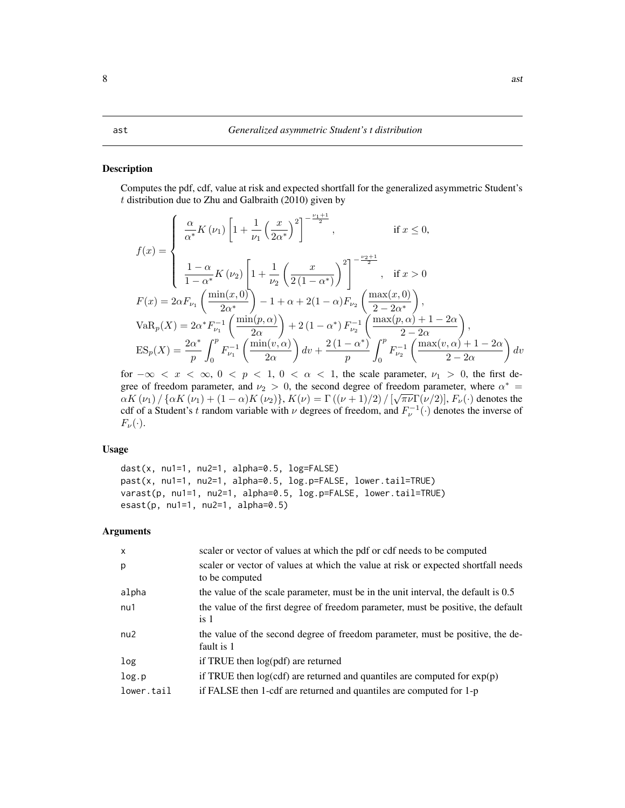<span id="page-7-0"></span>Computes the pdf, cdf, value at risk and expected shortfall for the generalized asymmetric Student's  $t$  distribution due to Zhu and Galbraith (2010) given by

$$
f(x) = \begin{cases} \frac{\alpha}{\alpha^{*}} K(\nu_{1}) \left[ 1 + \frac{1}{\nu_{1}} \left( \frac{x}{2\alpha^{*}} \right)^{2} \right]^{-\frac{\nu_{1}+1}{2}}, & \text{if } x \leq 0, \\ \frac{1-\alpha}{1-\alpha^{*}} K(\nu_{2}) \left[ 1 + \frac{1}{\nu_{2}} \left( \frac{x}{2(1-\alpha^{*})} \right)^{2} \right]^{-\frac{\nu_{2}+1}{2}}, & \text{if } x > 0 \end{cases}
$$

$$
F(x) = 2\alpha F_{\nu_{1}} \left( \frac{\min(x,0)}{2\alpha^{*}} \right) - 1 + \alpha + 2(1-\alpha) F_{\nu_{2}} \left( \frac{\max(x,0)}{2-2\alpha^{*}} \right),
$$

$$
VaR_{p}(X) = 2\alpha^{*} F_{\nu_{1}}^{-1} \left( \frac{\min(p,\alpha)}{2\alpha} \right) + 2(1-\alpha^{*}) F_{\nu_{2}}^{-1} \left( \frac{\max(p,\alpha)+1-2\alpha}{2-2\alpha} \right),
$$

$$
ES_{p}(X) = \frac{2\alpha^{*}}{p} \int_{0}^{p} F_{\nu_{1}}^{-1} \left( \frac{\min(v,\alpha)}{2\alpha} \right) dv + \frac{2(1-\alpha^{*})}{p} \int_{0}^{p} F_{\nu_{2}}^{-1} \left( \frac{\max(v,\alpha)+1-2\alpha}{2-2\alpha} \right) dv
$$

for  $-\infty < x < \infty$ ,  $0 < p < 1$ ,  $0 < \alpha < 1$ , the scale parameter,  $\nu_1 > 0$ , the first degree of freedom parameter, and  $\nu_2 > 0$ , the second degree of freedom parameter, where  $\alpha^* = \nabla(\alpha) \nabla(\alpha) \cdot \nabla(\alpha) \cdot \nabla(\alpha) \cdot \nabla(\alpha)$  $\alpha K\left(\nu_1\right)/\left\{\alpha K\left(\nu_1\right)+(1-\alpha)K\left(\nu_2\right)\right\}$ ,  $K(\nu)=\Gamma\left((\nu+1)/2\right)/\left[\sqrt{\pi\nu}\Gamma(\nu/2)\right]$ ,  $F_{\nu}(\cdot)$  denotes the cdf of a Student's t random variable with  $\nu$  degrees of freedom, and  $F_{\nu}^{-1}(\cdot)$  denotes the inverse of  $F_{\nu}(\cdot).$ 

#### Usage

dast(x, nu1=1, nu2=1, alpha=0.5, log=FALSE) past(x, nu1=1, nu2=1, alpha=0.5, log.p=FALSE, lower.tail=TRUE) varast(p, nu1=1, nu2=1, alpha=0.5, log.p=FALSE, lower.tail=TRUE) esast(p, nu1=1, nu2=1, alpha=0.5)

| $\mathsf{x}$ | scaler or vector of values at which the pdf or cdf needs to be computed                             |
|--------------|-----------------------------------------------------------------------------------------------------|
| p            | scaler or vector of values at which the value at risk or expected shortfall needs<br>to be computed |
| alpha        | the value of the scale parameter, must be in the unit interval, the default is 0.5                  |
| nu1          | the value of the first degree of freedom parameter, must be positive, the default<br>is 1           |
| nu2          | the value of the second degree of freedom parameter, must be positive, the de-<br>fault is 1        |
| log          | if TRUE then log(pdf) are returned                                                                  |
| log.p        | if TRUE then $log(cdf)$ are returned and quantiles are computed for $exp(p)$                        |
| lower.tail   | if FALSE then 1-cdf are returned and quantiles are computed for 1-p                                 |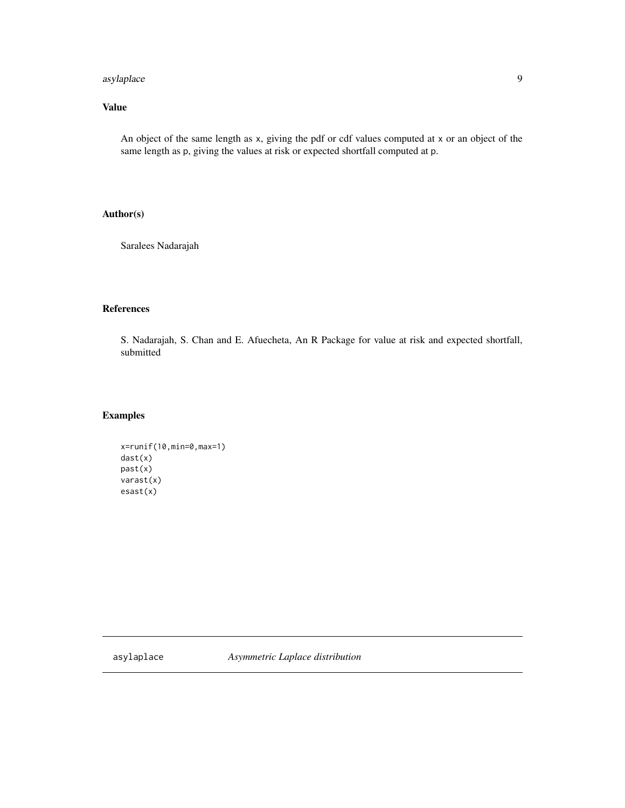## <span id="page-8-0"></span>asylaplace 9

## Value

An object of the same length as x, giving the pdf or cdf values computed at x or an object of the same length as p, giving the values at risk or expected shortfall computed at p.

## Author(s)

Saralees Nadarajah

## References

S. Nadarajah, S. Chan and E. Afuecheta, An R Package for value at risk and expected shortfall, submitted

## Examples

```
x=runif(10,min=0,max=1)
dast(x)
past(x)
varast(x)
esast(x)
```
asylaplace *Asymmetric Laplace distribution*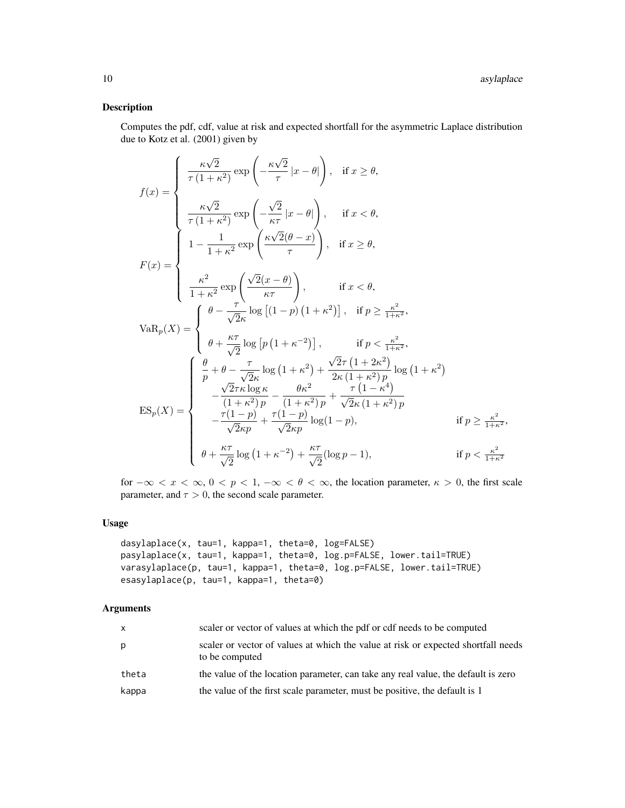Computes the pdf, cdf, value at risk and expected shortfall for the asymmetric Laplace distribution due to Kotz et al. (2001) given by

$$
f(x) = \begin{cases} \frac{\kappa\sqrt{2}}{\tau(1+\kappa^2)} \exp\left(-\frac{\kappa\sqrt{2}}{\tau}|x-\theta|\right), & \text{if } x \geq \theta, \\ \frac{\kappa\sqrt{2}}{\tau(1+\kappa^2)} \exp\left(-\frac{\sqrt{2}}{\kappa\tau}|x-\theta|\right), & \text{if } x < \theta, \\ 1 - \frac{1}{1+\kappa^2} \exp\left(\frac{\kappa\sqrt{2}(\theta-x)}{\tau}\right), & \text{if } x \geq \theta, \\ \frac{\kappa^2}{1+\kappa^2} \exp\left(\frac{\sqrt{2}(x-\theta)}{\kappa\tau}\right), & \text{if } x < \theta, \\ \frac{\kappa^2}{1+\kappa^2} \exp\left(\frac{\sqrt{2}(x-\theta)}{\kappa\tau}\right), & \text{if } x < \theta, \\ \theta - \frac{\tau}{\sqrt{2}\kappa} \log\left[(1-p)(1+\kappa^2)\right], & \text{if } p \geq \frac{\kappa^2}{1+\kappa^2}, \\ \theta + \frac{\kappa\tau}{\sqrt{2}} \log\left[p(1+\kappa^{-2})\right], & \text{if } p < \frac{\kappa^2}{1+\kappa^2}, \\ \frac{\theta}{p} + \theta - \frac{\tau}{\sqrt{2}\kappa} \log\left(1+\kappa^2\right) + \frac{\sqrt{2}\tau(1+2\kappa^2)}{2\kappa(1+\kappa^2)p} \log\left(1+\kappa^2\right) \\ - \frac{\sqrt{2}\tau\kappa \log \kappa}{(1+\kappa^2)p} - \frac{\theta\kappa^2}{(1+\kappa^2)p} + \frac{\tau(1-\kappa^4)}{\sqrt{2}\kappa(1+\kappa^2)p} \\ - \frac{\tau(1-p)}{\sqrt{2}\kappa p} + \frac{\tau(1-p)}{\sqrt{2}\kappa p} \log(1-p), & \text{if } p \geq \frac{\kappa^2}{1+\kappa^2}, \\ \theta + \frac{\kappa\tau}{\sqrt{2}} \log\left(1+\kappa^{-2}\right) + \frac{\kappa\tau}{\sqrt{2}} (\log p-1), & \text{if } p < \frac{\kappa^2}{1+\kappa^2} \end{cases}
$$

for  $-\infty < x < \infty$ ,  $0 < p < 1$ ,  $-\infty < \theta < \infty$ , the location parameter,  $\kappa > 0$ , the first scale parameter, and  $\tau > 0$ , the second scale parameter.

## Usage

```
dasylaplace(x, tau=1, kappa=1, theta=0, log=FALSE)
pasylaplace(x, tau=1, kappa=1, theta=0, log.p=FALSE, lower.tail=TRUE)
varasylaplace(p, tau=1, kappa=1, theta=0, log.p=FALSE, lower.tail=TRUE)
esasylaplace(p, tau=1, kappa=1, theta=0)
```

| X     | scaler or vector of values at which the pdf or cdf needs to be computed                             |
|-------|-----------------------------------------------------------------------------------------------------|
| p     | scaler or vector of values at which the value at risk or expected shortfall needs<br>to be computed |
| theta | the value of the location parameter, can take any real value, the default is zero                   |
| kappa | the value of the first scale parameter, must be positive, the default is 1                          |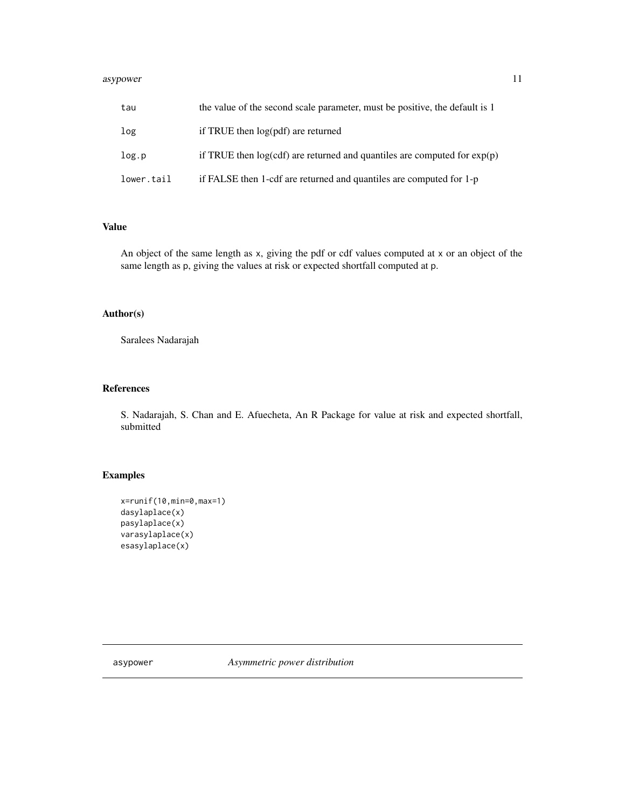#### <span id="page-10-0"></span>asypower and the state of the state of the state of the state of the state of the state of the state of the state of the state of the state of the state of the state of the state of the state of the state of the state of t

| tau        | the value of the second scale parameter, must be positive, the default is 1 |
|------------|-----------------------------------------------------------------------------|
| log        | if TRUE then log(pdf) are returned                                          |
| log.p      | if TRUE then $log(cd)$ are returned and quantiles are computed for $exp(p)$ |
| lower.tail | if FALSE then 1-cdf are returned and quantiles are computed for 1-p         |

## Value

An object of the same length as x, giving the pdf or cdf values computed at x or an object of the same length as p, giving the values at risk or expected shortfall computed at p.

## Author(s)

Saralees Nadarajah

## References

S. Nadarajah, S. Chan and E. Afuecheta, An R Package for value at risk and expected shortfall, submitted

## Examples

```
x=runif(10,min=0,max=1)
dasylaplace(x)
pasylaplace(x)
varasylaplace(x)
esasylaplace(x)
```
asypower *Asymmetric power distribution*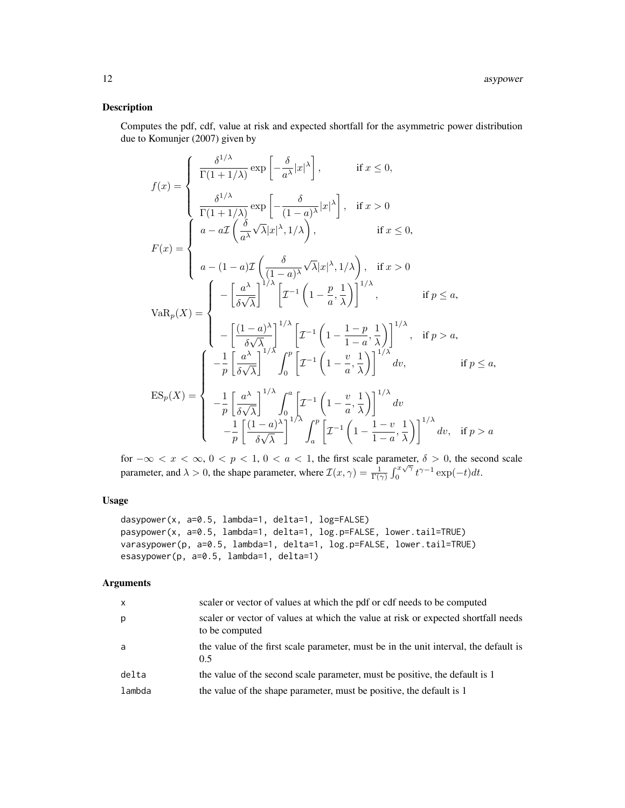Computes the pdf, cdf, value at risk and expected shortfall for the asymmetric power distribution due to Komunjer (2007) given by

$$
f(x) = \begin{cases} \frac{\delta^{1/\lambda}}{\Gamma(1+1/\lambda)} \exp\left[-\frac{\delta}{a^{\lambda}}|x|^{\lambda}\right], & \text{if } x \leq 0, \\ \frac{\delta^{1/\lambda}}{\Gamma(1+1/\lambda)} \exp\left[-\frac{\delta}{(1-a)^{\lambda}}|x|^{\lambda}\right], & \text{if } x > 0 \end{cases}
$$
  

$$
F(x) = \begin{cases} a - a\mathcal{I}\left(\frac{\delta}{a^{\lambda}}\sqrt{\lambda}|x|^{\lambda}, 1/\lambda\right), & \text{if } x \leq 0, \\ a - (1-a)\mathcal{I}\left(\frac{\delta}{(1-a)^{\lambda}}\sqrt{\lambda}|x|^{\lambda}, 1/\lambda\right), & \text{if } x > 0 \end{cases}
$$
  

$$
VaR_p(X) = \begin{cases} -\left[\frac{a^{\lambda}}{b\sqrt{\lambda}}\right]^{1/\lambda} \left[\mathcal{I}^{-1}\left(1-\frac{p}{a},\frac{1}{\lambda}\right)\right]^{1/\lambda}, & \text{if } p \leq a, \\ -\left[\frac{(1-a)^{\lambda}}{b\sqrt{\lambda}}\right]^{1/\lambda} \left[\mathcal{I}^{-1}\left(1-\frac{1-p}{1-a},\frac{1}{\lambda}\right)\right]^{1/\lambda}, & \text{if } p > a, \\ -\frac{1}{p} \left[\frac{a^{\lambda}}{b\sqrt{\lambda}}\right]^{1/\lambda} \int_0^p \left[\mathcal{I}^{-1}\left(1-\frac{v}{a},\frac{1}{\lambda}\right)\right]^{1/\lambda} dv, & \text{if } p \leq a, \\ -\frac{1}{p} \left[\frac{a^{\lambda}}{b\sqrt{\lambda}}\right]^{1/\lambda} \int_0^a \left[\mathcal{I}^{-1}\left(1-\frac{v}{a},\frac{1}{\lambda}\right)\right]^{1/\lambda} dv, & \text{if } p \leq a, \\ -\frac{1}{p} \left[\frac{a^{\lambda}}{b\sqrt{\lambda}}\right]^{1/\lambda} \int_0^p \left[\mathcal{I}^{-1}\left(1-\frac{v}{a},\frac{1}{\lambda}\right)\right]^{1/\lambda} dv, & \text{if } p > a \end{cases}
$$

for  $-\infty < x < \infty$ ,  $0 < p < 1$ ,  $0 < a < 1$ , the first scale parameter,  $\delta > 0$ , the second scale parameter, and  $\lambda > 0$ , the shape parameter, where  $\mathcal{I}(x, \gamma) = \frac{1}{\Gamma(\gamma)} \int_0^{\gamma} \int_0^{\gamma/\gamma}$  $\int_0^{x\sqrt{\gamma}} t^{\gamma-1} \exp(-t) dt$ .

#### Usage

```
dasypower(x, a=0.5, lambda=1, delta=1, log=FALSE)
pasypower(x, a=0.5, lambda=1, delta=1, log.p=FALSE, lower.tail=TRUE)
varasypower(p, a=0.5, lambda=1, delta=1, log.p=FALSE, lower.tail=TRUE)
esasypower(p, a=0.5, lambda=1, delta=1)
```

| x      | scaler or vector of values at which the pdf or cdf needs to be computed                             |
|--------|-----------------------------------------------------------------------------------------------------|
| р      | scaler or vector of values at which the value at risk or expected shortfall needs<br>to be computed |
| a      | the value of the first scale parameter, must be in the unit interval, the default is<br>0.5         |
| delta  | the value of the second scale parameter, must be positive, the default is 1                         |
| lambda | the value of the shape parameter, must be positive, the default is 1                                |
|        |                                                                                                     |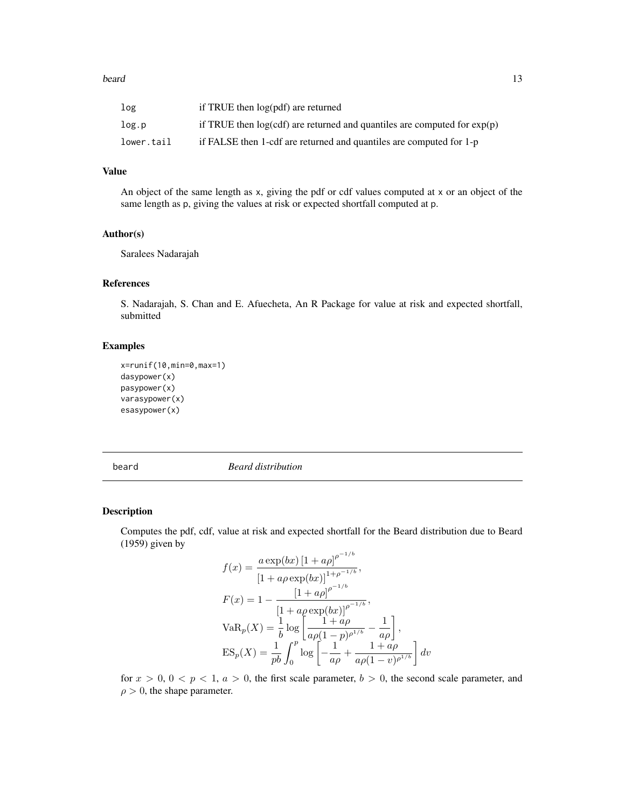#### <span id="page-12-0"></span>beard 13

| log        | if TRUE then log(pdf) are returned                                           |
|------------|------------------------------------------------------------------------------|
| log.p      | if TRUE then $log(cdf)$ are returned and quantiles are computed for $exp(p)$ |
| lower.tail | if FALSE then 1-cdf are returned and quantiles are computed for 1-p          |

#### Value

An object of the same length as x, giving the pdf or cdf values computed at x or an object of the same length as p, giving the values at risk or expected shortfall computed at p.

#### Author(s)

Saralees Nadarajah

## References

S. Nadarajah, S. Chan and E. Afuecheta, An R Package for value at risk and expected shortfall, submitted

## Examples

```
x=runif(10,min=0,max=1)
dasypower(x)
pasypower(x)
varasypower(x)
esasypower(x)
```
beard *Beard distribution*

#### Description

Computes the pdf, cdf, value at risk and expected shortfall for the Beard distribution due to Beard (1959) given by  $-1/b$ 

$$
f(x) = \frac{a \exp(bx) [1 + a\rho]^{p^{-1/b}}}{[1 + a\rho \exp(bx)]^{1+\rho^{-1/b}}},
$$
  
\n
$$
F(x) = 1 - \frac{[1 + a\rho]^{p^{-1/b}}}{[1 + a\rho \exp(bx)]^{\rho^{-1/b}}},
$$
  
\n
$$
VaR_p(X) = \frac{1}{b} \log \left[ \frac{1 + a\rho}{a\rho(1 - p)^{\rho^{1/b}}} - \frac{1}{a\rho} \right],
$$
  
\n
$$
ES_p(X) = \frac{1}{pb} \int_0^p \log \left[ -\frac{1}{a\rho} + \frac{1 + a\rho}{a\rho(1 - v)^{\rho^{1/b}}} \right] dv
$$

for  $x > 0$ ,  $0 < p < 1$ ,  $a > 0$ , the first scale parameter,  $b > 0$ , the second scale parameter, and  $\rho > 0$ , the shape parameter.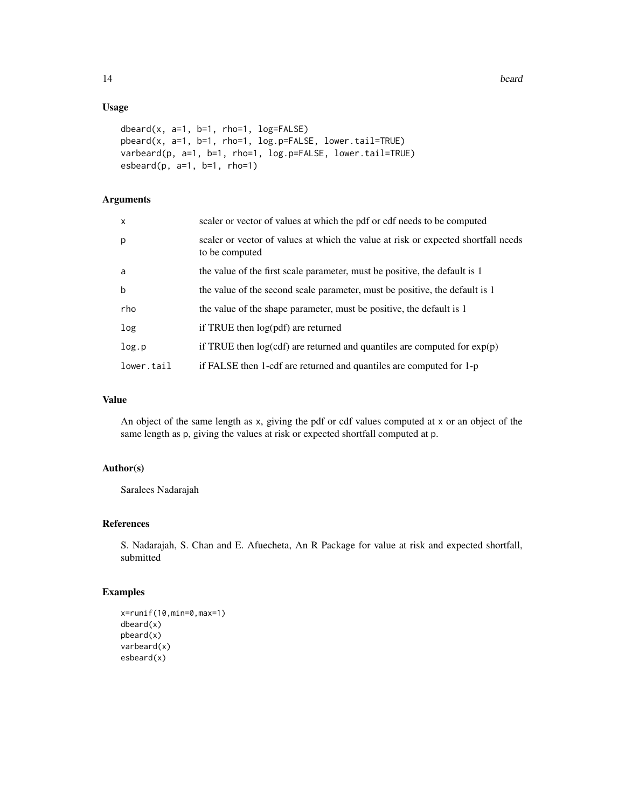## Usage

```
dbeard(x, a=1, b=1, rho=1, log=FALSE)
pbeard(x, a=1, b=1, rho=1, log.p=FALSE, lower.tail=TRUE)
varbeard(p, a=1, b=1, rho=1, log.p=FALSE, lower.tail=TRUE)
esbeard(p, a=1, b=1, rho=1)
```
## Arguments

| $\mathsf{x}$ | scaler or vector of values at which the pdf or cdf needs to be computed                             |
|--------------|-----------------------------------------------------------------------------------------------------|
| p            | scaler or vector of values at which the value at risk or expected shortfall needs<br>to be computed |
| a            | the value of the first scale parameter, must be positive, the default is 1                          |
| $\mathbf b$  | the value of the second scale parameter, must be positive, the default is 1                         |
| rho          | the value of the shape parameter, must be positive, the default is 1                                |
| log          | if TRUE then $log(pdf)$ are returned                                                                |
| log.p        | if TRUE then $log(cdf)$ are returned and quantiles are computed for $exp(p)$                        |
| lower.tail   | if FALSE then 1-cdf are returned and quantiles are computed for 1-p                                 |

## Value

An object of the same length as x, giving the pdf or cdf values computed at x or an object of the same length as p, giving the values at risk or expected shortfall computed at p.

#### Author(s)

Saralees Nadarajah

## References

S. Nadarajah, S. Chan and E. Afuecheta, An R Package for value at risk and expected shortfall, submitted

## Examples

```
x=runif(10,min=0,max=1)
dbeard(x)
pbeard(x)
varbeard(x)
esbeard(x)
```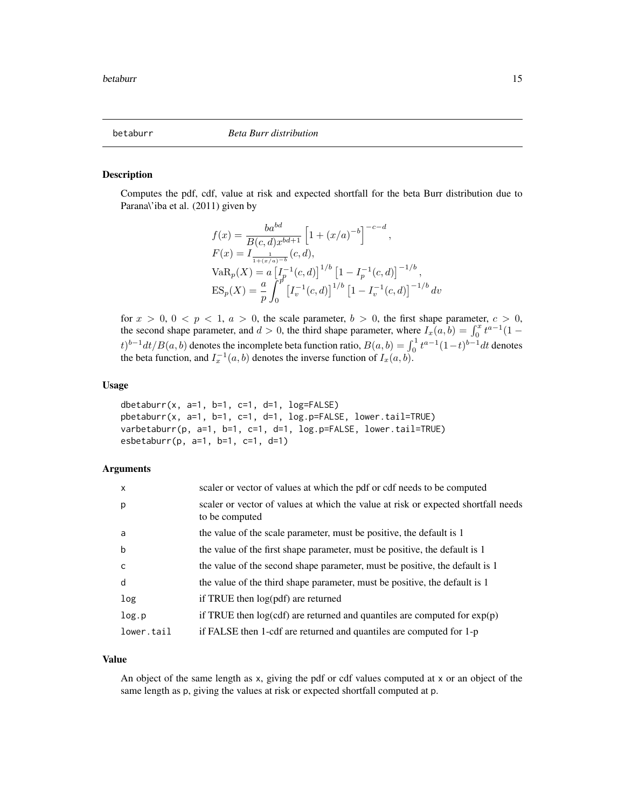<span id="page-14-0"></span>

Computes the pdf, cdf, value at risk and expected shortfall for the beta Burr distribution due to Parana\'iba et al. (2011) given by

$$
f(x) = \frac{ba^{bd}}{B(c, d)x^{bd+1}} \left[ 1 + (x/a)^{-b} \right]^{-c-d},
$$
  
\n
$$
F(x) = I_{\frac{1}{1 + (x/a)^{-b}}}(c, d),
$$
  
\n
$$
VaR_p(X) = a \left[ I_p^{-1}(c, d) \right]^{1/b} \left[ 1 - I_p^{-1}(c, d) \right]^{-1/b},
$$
  
\n
$$
ES_p(X) = \frac{a}{p} \int_0^p \left[ I_v^{-1}(c, d) \right]^{1/b} \left[ 1 - I_v^{-1}(c, d) \right]^{-1/b} dv
$$

for  $x > 0$ ,  $0 < p < 1$ ,  $a > 0$ , the scale parameter,  $b > 0$ , the first shape parameter,  $c > 0$ , the second shape parameter, and  $d > 0$ , the third shape parameter, where  $I_x(a, b) = \int_0^x t^{a-1} (1-t)^a dt$  $(t)^{b-1}dt/B(a, b)$  denotes the incomplete beta function ratio,  $B(a, b) = \int_0^1 t^{a-1}(1-t)^{b-1}dt$  denotes the beta function, and  $I_x^{-1}(a, b)$  denotes the inverse function of  $I_x(a, b)$ .

#### Usage

```
dbetaburr(x, a=1, b=1, c=1, d=1, log=FALSE)
pbetaburr(x, a=1, b=1, c=1, d=1, log.p=FALSE, lower.tail=TRUE)
varbetaburr(p, a=1, b=1, c=1, d=1, log.p=FALSE, lower.tail=TRUE)
esbetaburr(p, a=1, b=1, c=1, d=1)
```
#### Arguments

| $\mathsf{x}$ | scaler or vector of values at which the pdf or cdf needs to be computed                             |
|--------------|-----------------------------------------------------------------------------------------------------|
| p            | scaler or vector of values at which the value at risk or expected shortfall needs<br>to be computed |
| a            | the value of the scale parameter, must be positive, the default is 1                                |
| $\mathsf b$  | the value of the first shape parameter, must be positive, the default is 1                          |
| C            | the value of the second shape parameter, must be positive, the default is 1                         |
| d            | the value of the third shape parameter, must be positive, the default is 1                          |
| log          | if TRUE then $log(pdf)$ are returned                                                                |
| log.p        | if TRUE then $log(cdf)$ are returned and quantiles are computed for $exp(p)$                        |
| lower.tail   | if FALSE then 1-cdf are returned and quantiles are computed for 1-p                                 |

#### Value

An object of the same length as x, giving the pdf or cdf values computed at x or an object of the same length as p, giving the values at risk or expected shortfall computed at p.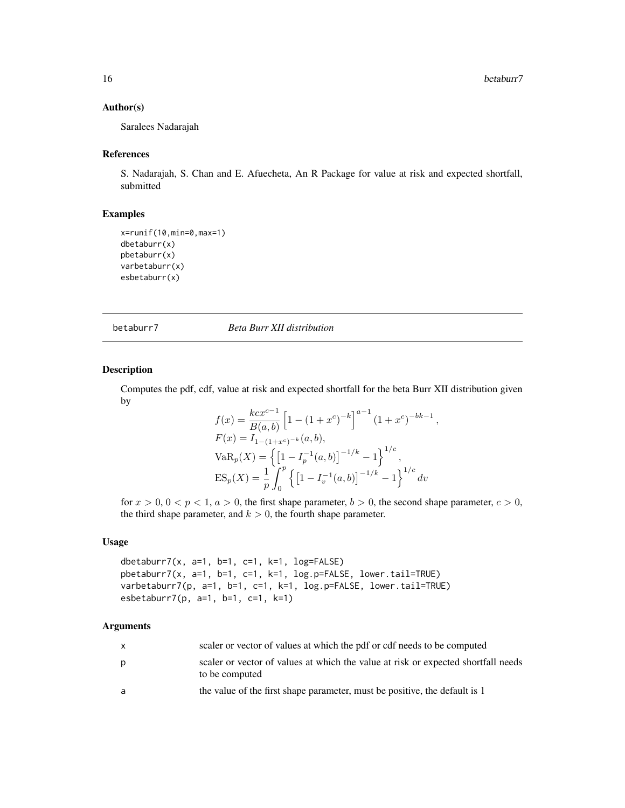#### <span id="page-15-0"></span>Author(s)

Saralees Nadarajah

#### References

S. Nadarajah, S. Chan and E. Afuecheta, An R Package for value at risk and expected shortfall, submitted

## Examples

```
x=runif(10,min=0,max=1)
dbetaburr(x)
pbetaburr(x)
varbetaburr(x)
esbetaburr(x)
```
betaburr7 *Beta Burr XII distribution*

## Description

Computes the pdf, cdf, value at risk and expected shortfall for the beta Burr XII distribution given by

$$
f(x) = \frac{kcx^{c-1}}{B(a,b)} \left[ 1 - (1+x^c)^{-k} \right]^{a-1} (1+x^c)^{-bk-1}
$$
  
\n
$$
F(x) = I_{1-(1+x^c)^{-k}}(a,b),
$$
  
\n
$$
VaR_p(X) = \left\{ \left[ 1 - I_p^{-1}(a,b) \right]^{-1/k} - 1 \right\}^{1/c},
$$
  
\n
$$
ES_p(X) = \frac{1}{p} \int_0^p \left\{ \left[ 1 - I_v^{-1}(a,b) \right]^{-1/k} - 1 \right\}^{1/c} dv
$$

,

for  $x > 0$ ,  $0 < p < 1$ ,  $a > 0$ , the first shape parameter,  $b > 0$ , the second shape parameter,  $c > 0$ , the third shape parameter, and  $k > 0$ , the fourth shape parameter.

#### Usage

dbetaburr7(x,  $a=1$ ,  $b=1$ ,  $c=1$ ,  $k=1$ ,  $log=FALSE$ ) pbetaburr7(x, a=1, b=1, c=1, k=1, log.p=FALSE, lower.tail=TRUE) varbetaburr7(p, a=1, b=1, c=1, k=1, log.p=FALSE, lower.tail=TRUE) esbetaburr7(p, a=1, b=1, c=1, k=1)

| $\mathsf{x}$ | scaler or vector of values at which the pdf or cdf needs to be computed                             |
|--------------|-----------------------------------------------------------------------------------------------------|
| p            | scaler or vector of values at which the value at risk or expected shortfall needs<br>to be computed |
| a            | the value of the first shape parameter, must be positive, the default is 1                          |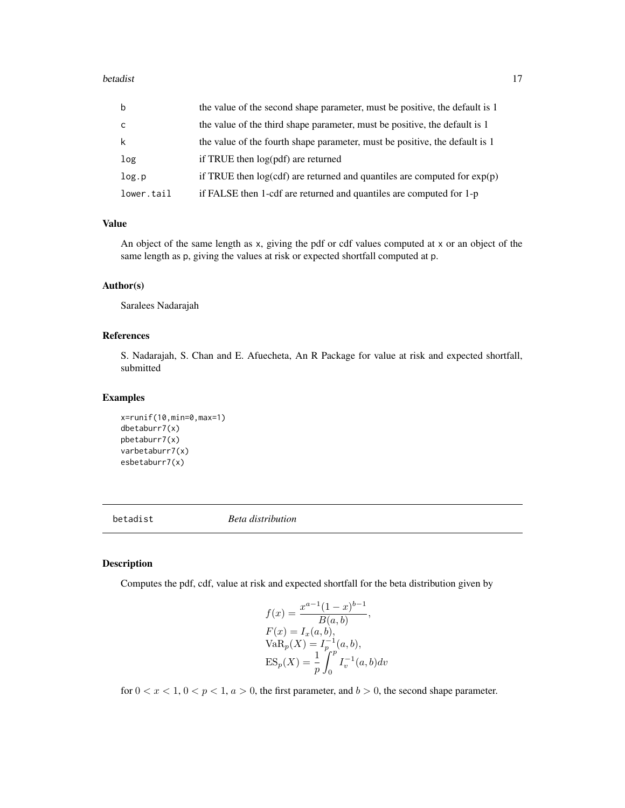#### <span id="page-16-0"></span>betadist 17

| b          | the value of the second shape parameter, must be positive, the default is 1 |
|------------|-----------------------------------------------------------------------------|
| C          | the value of the third shape parameter, must be positive, the default is 1  |
| k          | the value of the fourth shape parameter, must be positive, the default is 1 |
| log        | if TRUE then log(pdf) are returned                                          |
| log.p      | if TRUE then $log(cd)$ are returned and quantiles are computed for $exp(p)$ |
| lower.tail | if FALSE then 1-cdf are returned and quantiles are computed for 1-p         |

## Value

An object of the same length as x, giving the pdf or cdf values computed at x or an object of the same length as p, giving the values at risk or expected shortfall computed at p.

## Author(s)

Saralees Nadarajah

## References

S. Nadarajah, S. Chan and E. Afuecheta, An R Package for value at risk and expected shortfall, submitted

## Examples

```
x=runif(10,min=0,max=1)
dbetaburr7(x)
pbetaburr7(x)
varbetaburr7(x)
esbetaburr7(x)
```
betadist *Beta distribution*

## Description

Computes the pdf, cdf, value at risk and expected shortfall for the beta distribution given by

$$
f(x) = \frac{x^{a-1}(1-x)^{b-1}}{B(a,b)},
$$
  
\n
$$
F(x) = I_x(a,b),
$$
  
\n
$$
VaR_p(X) = I_p^{-1}(a,b),
$$
  
\n
$$
ES_p(X) = \frac{1}{p} \int_0^p I_v^{-1}(a,b)dv
$$

for  $0 < x < 1$ ,  $0 < p < 1$ ,  $a > 0$ , the first parameter, and  $b > 0$ , the second shape parameter.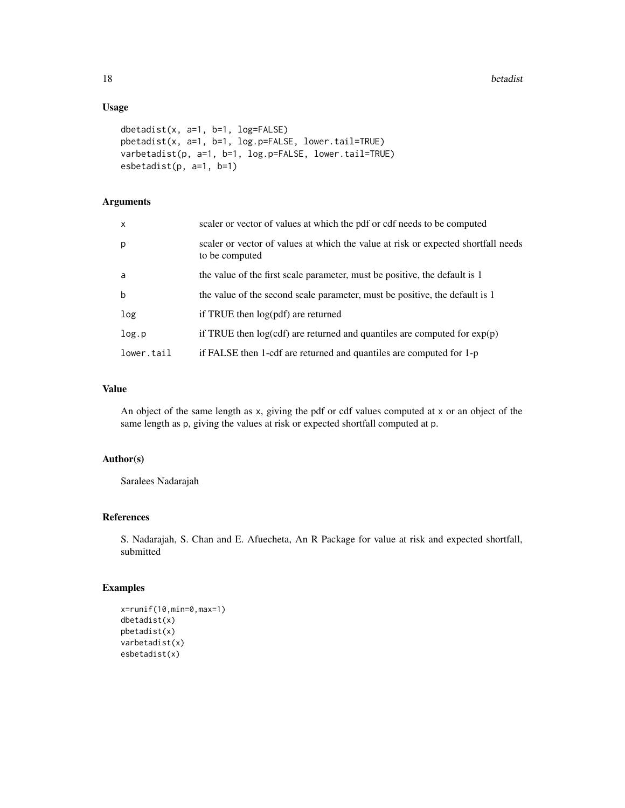## Usage

```
dbetadist(x, a=1, b=1, log=FALSE)
pbetadist(x, a=1, b=1, log.p=FALSE, lower.tail=TRUE)
varbetadist(p, a=1, b=1, log.p=FALSE, lower.tail=TRUE)
esbetadist(p, a=1, b=1)
```
## Arguments

| $\mathsf{x}$ | scaler or vector of values at which the pdf or cdf needs to be computed                             |
|--------------|-----------------------------------------------------------------------------------------------------|
| p            | scaler or vector of values at which the value at risk or expected shortfall needs<br>to be computed |
| a            | the value of the first scale parameter, must be positive, the default is 1                          |
| $\mathbf b$  | the value of the second scale parameter, must be positive, the default is 1                         |
| log          | if TRUE then $log(pdf)$ are returned                                                                |
| log.p        | if TRUE then $log(cdf)$ are returned and quantiles are computed for $exp(p)$                        |
| lower.tail   | if FALSE then 1-cdf are returned and quantiles are computed for 1-p                                 |

## Value

An object of the same length as x, giving the pdf or cdf values computed at x or an object of the same length as p, giving the values at risk or expected shortfall computed at p.

#### Author(s)

Saralees Nadarajah

## References

S. Nadarajah, S. Chan and E. Afuecheta, An R Package for value at risk and expected shortfall, submitted

## Examples

```
x=runif(10,min=0,max=1)
dbetadist(x)
pbetadist(x)
varbetadist(x)
esbetadist(x)
```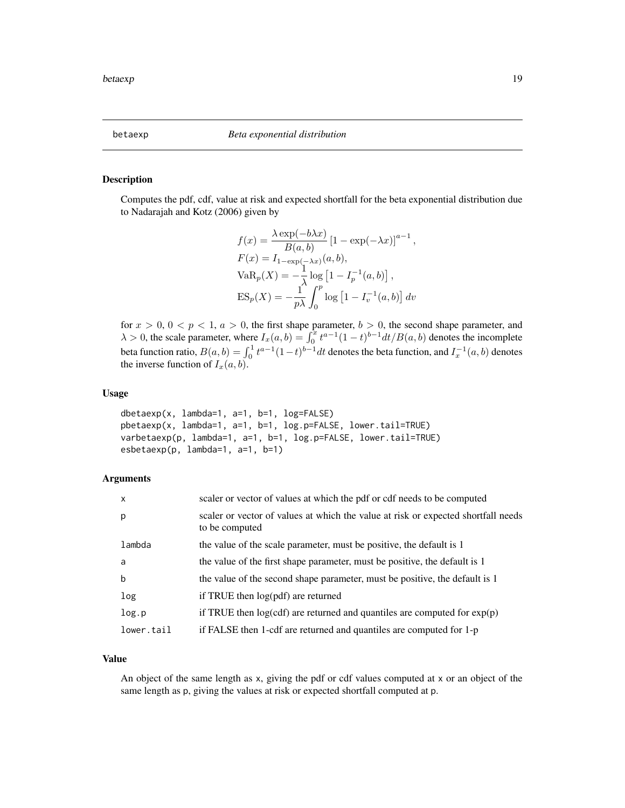<span id="page-18-0"></span>

Computes the pdf, cdf, value at risk and expected shortfall for the beta exponential distribution due to Nadarajah and Kotz (2006) given by

$$
f(x) = \frac{\lambda \exp(-b\lambda x)}{B(a, b)} \left[1 - \exp(-\lambda x)\right]^{a-1},
$$
  
\n
$$
F(x) = I_{1-\exp(-\lambda x)}(a, b),
$$
  
\n
$$
VaR_p(X) = -\frac{1}{\lambda} \log \left[1 - I_p^{-1}(a, b)\right],
$$
  
\n
$$
ES_p(X) = -\frac{1}{p\lambda} \int_0^p \log \left[1 - I_v^{-1}(a, b)\right] dv
$$

for  $x > 0$ ,  $0 < p < 1$ ,  $a > 0$ , the first shape parameter,  $b > 0$ , the second shape parameter, and  $\lambda > 0$ , the scale parameter, where  $I_x(a, b) = \int_0^x t^{a-1} (1-t)^{b-1} dt / B(a, b)$  denotes the incomplete beta function ratio,  $B(a, b) = \int_0^1 t^{a-1} (1-t)^{b-1} dt$  denotes the beta function, and  $I_x^{-1}(a, b)$  denotes the inverse function of  $I_x(a, b)$ .

#### Usage

```
dbetaexp(x, lambda=1, a=1, b=1, log=FALSE)
pbetaexp(x, lambda=1, a=1, b=1, log.p=FALSE, lower.tail=TRUE)
varbetaexp(p, lambda=1, a=1, b=1, log.p=FALSE, lower.tail=TRUE)
esbetaexp(p, lambda=1, a=1, b=1)
```
#### Arguments

| $\mathsf{x}$ | scaler or vector of values at which the pdf or cdf needs to be computed                             |
|--------------|-----------------------------------------------------------------------------------------------------|
| p            | scaler or vector of values at which the value at risk or expected shortfall needs<br>to be computed |
| lambda       | the value of the scale parameter, must be positive, the default is 1                                |
| a            | the value of the first shape parameter, must be positive, the default is 1                          |
| b            | the value of the second shape parameter, must be positive, the default is 1                         |
| log          | if TRUE then log(pdf) are returned                                                                  |
| log.p        | if TRUE then $log(cdf)$ are returned and quantiles are computed for $exp(p)$                        |
| lower.tail   | if FALSE then 1-cdf are returned and quantiles are computed for 1-p                                 |

## Value

An object of the same length as x, giving the pdf or cdf values computed at x or an object of the same length as p, giving the values at risk or expected shortfall computed at p.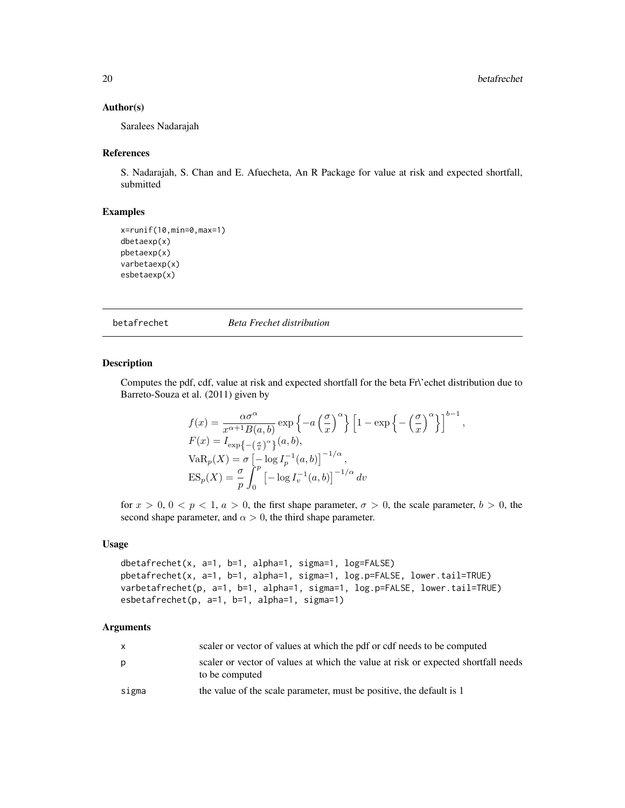#### <span id="page-19-0"></span>Author(s)

Saralees Nadarajah

#### References

S. Nadarajah, S. Chan and E. Afuecheta, An R Package for value at risk and expected shortfall, submitted

#### Examples

```
x=runif(10,min=0,max=1)
dbetaexp(x)
pbetaexp(x)
varbetaexp(x)
esbetaexp(x)
```
betafrechet *Beta Frechet distribution*

#### Description

Computes the pdf, cdf, value at risk and expected shortfall for the beta Fr\'echet distribution due to Barreto-Souza et al. (2011) given by

$$
f(x) = \frac{\alpha \sigma^{\alpha}}{x^{\alpha+1} B(a, b)} \exp \left\{-a \left(\frac{\sigma}{x}\right)^{\alpha}\right\} \left[1 - \exp \left\{-\left(\frac{\sigma}{x}\right)^{\alpha}\right\}\right]^{b-1},
$$
  
\n
$$
F(x) = I_{\exp\left\{-\left(\frac{\sigma}{x}\right)^{\alpha}\right\}}(a, b),
$$
  
\n
$$
VaR_p(X) = \sigma \left[-\log I_p^{-1}(a, b)\right]^{-1/\alpha},
$$
  
\n
$$
ES_p(X) = \frac{\sigma}{p} \int_0^p \left[-\log I_v^{-1}(a, b)\right]^{-1/\alpha} dv
$$

for  $x > 0$ ,  $0 < p < 1$ ,  $a > 0$ , the first shape parameter,  $\sigma > 0$ , the scale parameter,  $b > 0$ , the second shape parameter, and  $\alpha > 0$ , the third shape parameter.

#### Usage

```
dbetafrechet(x, a=1, b=1, alpha=1, sigma=1, log=FALSE)
pbetafrechet(x, a=1, b=1, alpha=1, sigma=1, log.p=FALSE, lower.tail=TRUE)
varbetafrechet(p, a=1, b=1, alpha=1, sigma=1, log.p=FALSE, lower.tail=TRUE)
esbetafrechet(p, a=1, b=1, alpha=1, sigma=1)
```

| X     | scaler or vector of values at which the pdf or cdf needs to be computed                             |
|-------|-----------------------------------------------------------------------------------------------------|
| p     | scaler or vector of values at which the value at risk or expected shortfall needs<br>to be computed |
| sigma | the value of the scale parameter, must be positive, the default is 1                                |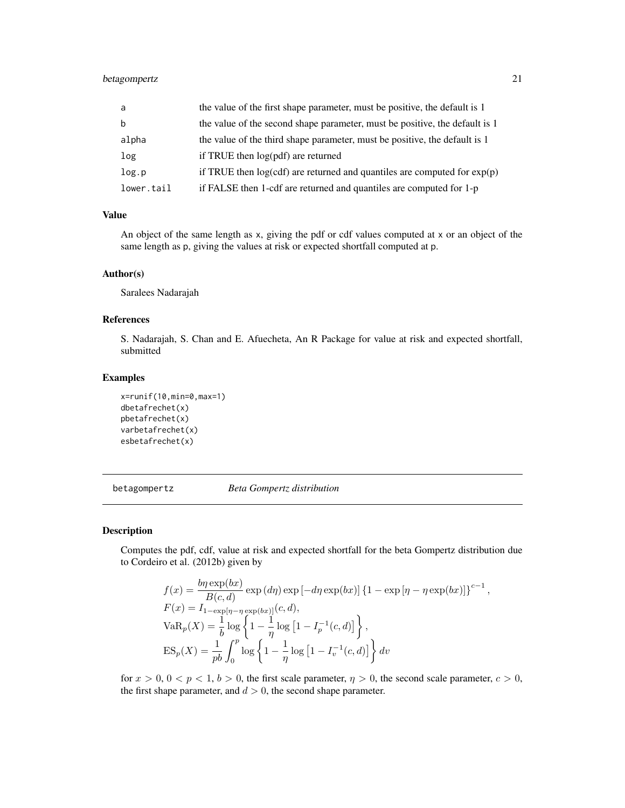## <span id="page-20-0"></span>betagompertz 21

| a          | the value of the first shape parameter, must be positive, the default is 1  |
|------------|-----------------------------------------------------------------------------|
| b          | the value of the second shape parameter, must be positive, the default is 1 |
| alpha      | the value of the third shape parameter, must be positive, the default is 1  |
| log        | if TRUE then log(pdf) are returned                                          |
| log.p      | if TRUE then $log(cd)$ are returned and quantiles are computed for $exp(p)$ |
| lower.tail | if FALSE then 1-cdf are returned and quantiles are computed for 1-p         |

#### Value

An object of the same length as x, giving the pdf or cdf values computed at x or an object of the same length as p, giving the values at risk or expected shortfall computed at p.

#### Author(s)

Saralees Nadarajah

## References

S. Nadarajah, S. Chan and E. Afuecheta, An R Package for value at risk and expected shortfall, submitted

#### Examples

```
x=runif(10,min=0,max=1)
dbetafrechet(x)
pbetafrechet(x)
varbetafrechet(x)
esbetafrechet(x)
```
betagompertz *Beta Gompertz distribution*

#### Description

Computes the pdf, cdf, value at risk and expected shortfall for the beta Gompertz distribution due to Cordeiro et al. (2012b) given by

$$
f(x) = \frac{b\eta \exp(bx)}{B(c,d)} \exp(d\eta) \exp[-d\eta \exp(bx)] \left\{1 - \exp[\eta - \eta \exp(bx)]\right\}^{c-1},
$$
  
\n
$$
F(x) = I_{1-\exp[\eta - \eta \exp(bx)]}(c,d),
$$
  
\n
$$
VaR_p(X) = \frac{1}{b} \log \left\{1 - \frac{1}{\eta} \log\left[1 - I_p^{-1}(c,d)\right]\right\},
$$
  
\n
$$
ES_p(X) = \frac{1}{pb} \int_0^p \log \left\{1 - \frac{1}{\eta} \log\left[1 - I_v^{-1}(c,d)\right]\right\} dv
$$

for  $x > 0$ ,  $0 < p < 1$ ,  $b > 0$ , the first scale parameter,  $\eta > 0$ , the second scale parameter,  $c > 0$ , the first shape parameter, and  $d > 0$ , the second shape parameter.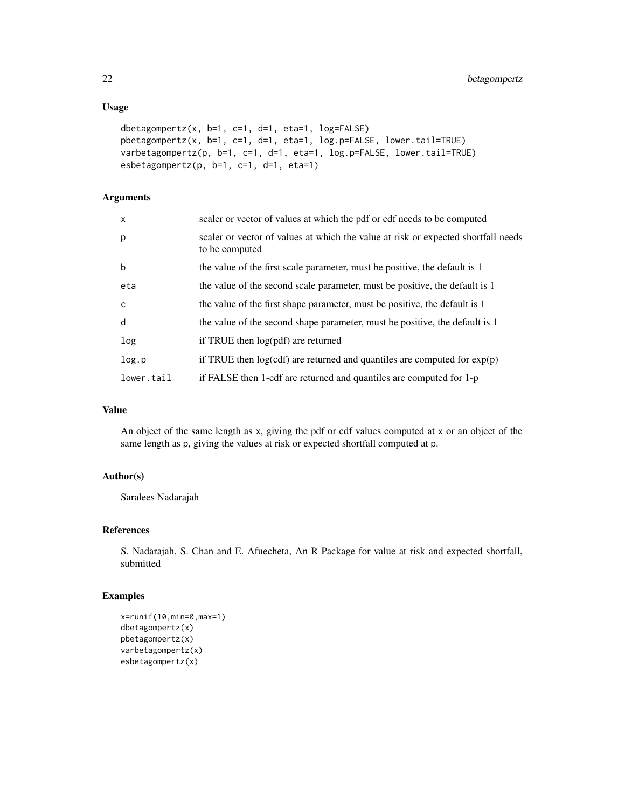## Usage

```
dbetagompertz(x, b=1, c=1, d=1, eta=1, log=FALSE)
pbetagompertz(x, b=1, c=1, d=1, eta=1, log.p=FALSE, lower.tail=TRUE)
varbetagompertz(p, b=1, c=1, d=1, eta=1, log.p=FALSE, lower.tail=TRUE)
esbetagompertz(p, b=1, c=1, d=1, eta=1)
```
## Arguments

| $\mathsf{x}$ | scaler or vector of values at which the pdf or cdf needs to be computed                             |
|--------------|-----------------------------------------------------------------------------------------------------|
| p            | scaler or vector of values at which the value at risk or expected shortfall needs<br>to be computed |
| $\mathsf b$  | the value of the first scale parameter, must be positive, the default is 1                          |
| eta          | the value of the second scale parameter, must be positive, the default is 1                         |
| $\mathsf{C}$ | the value of the first shape parameter, must be positive, the default is 1                          |
| d            | the value of the second shape parameter, must be positive, the default is 1                         |
| log          | if TRUE then $log(pdf)$ are returned                                                                |
| log.p        | if TRUE then $log(cdf)$ are returned and quantiles are computed for $exp(p)$                        |
| lower.tail   | if FALSE then 1-cdf are returned and quantiles are computed for 1-p                                 |

## Value

An object of the same length as x, giving the pdf or cdf values computed at x or an object of the same length as p, giving the values at risk or expected shortfall computed at p.

## Author(s)

Saralees Nadarajah

#### References

S. Nadarajah, S. Chan and E. Afuecheta, An R Package for value at risk and expected shortfall, submitted

## Examples

```
x=runif(10,min=0,max=1)
dbetagompertz(x)
pbetagompertz(x)
varbetagompertz(x)
esbetagompertz(x)
```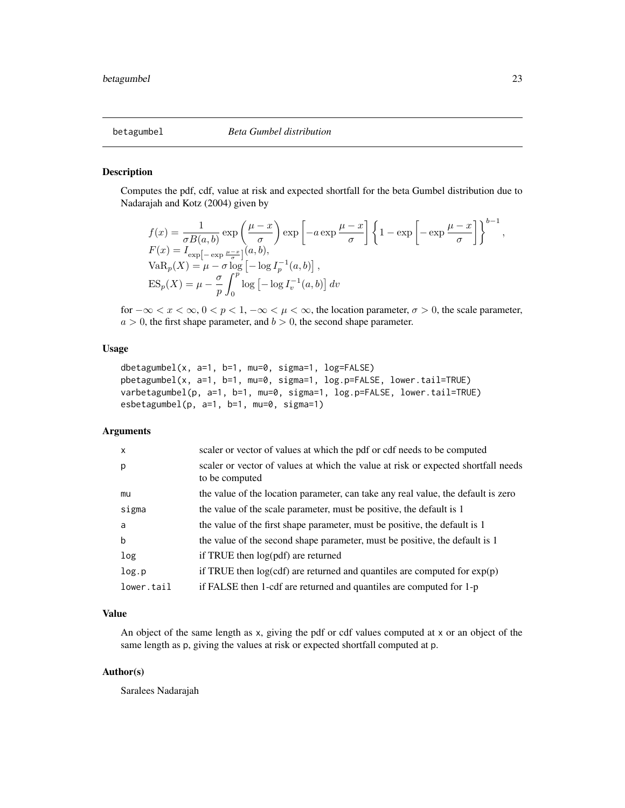<span id="page-22-0"></span>

Computes the pdf, cdf, value at risk and expected shortfall for the beta Gumbel distribution due to Nadarajah and Kotz (2004) given by

$$
f(x) = \frac{1}{\sigma B(a, b)} \exp\left(\frac{\mu - x}{\sigma}\right) \exp\left[-a \exp\frac{\mu - x}{\sigma}\right] \left\{1 - \exp\left[-\exp\frac{\mu - x}{\sigma}\right]\right\}^{b-1},
$$
  
\n
$$
F(x) = I_{\exp\left[-\exp\frac{\mu - x}{\sigma}\right]}(a, b),
$$
  
\n
$$
VaR_p(X) = \mu - \sigma \log\left[-\log I_p^{-1}(a, b)\right],
$$
  
\n
$$
ES_p(X) = \mu - \frac{\sigma}{p} \int_0^p \log\left[-\log I_v^{-1}(a, b)\right] dv
$$

for  $-\infty < x < \infty$ ,  $0 < p < 1$ ,  $-\infty < \mu < \infty$ , the location parameter,  $\sigma > 0$ , the scale parameter,  $a > 0$ , the first shape parameter, and  $b > 0$ , the second shape parameter.

## Usage

```
dbetagumbel(x, a=1, b=1, mu=0, sigma=1, log=FALSE)
pbetagumbel(x, a=1, b=1, mu=0, sigma=1, log.p=FALSE, lower.tail=TRUE)
varbetagumbel(p, a=1, b=1, mu=0, sigma=1, log.p=FALSE, lower.tail=TRUE)
esbetagumbel(p, a=1, b=1, mu=0, sigma=1)
```
## Arguments

| $\mathsf{x}$ | scaler or vector of values at which the pdf or cdf needs to be computed                             |
|--------------|-----------------------------------------------------------------------------------------------------|
| p            | scaler or vector of values at which the value at risk or expected shortfall needs<br>to be computed |
| mu           | the value of the location parameter, can take any real value, the default is zero                   |
| sigma        | the value of the scale parameter, must be positive, the default is 1                                |
| a            | the value of the first shape parameter, must be positive, the default is 1                          |
| $\mathbf b$  | the value of the second shape parameter, must be positive, the default is 1                         |
| log          | if TRUE then $log(pdf)$ are returned                                                                |
| log.p        | if TRUE then $log(cdf)$ are returned and quantiles are computed for $exp(p)$                        |
| lower.tail   | if FALSE then 1-cdf are returned and quantiles are computed for 1-p                                 |

#### Value

An object of the same length as x, giving the pdf or cdf values computed at x or an object of the same length as p, giving the values at risk or expected shortfall computed at p.

#### Author(s)

Saralees Nadarajah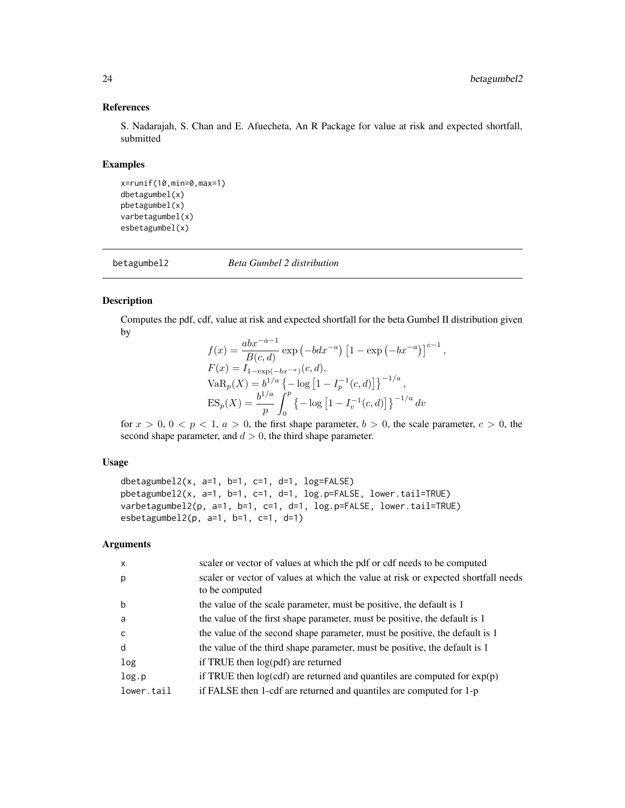## References

S. Nadarajah, S. Chan and E. Afuecheta, An R Package for value at risk and expected shortfall, submitted

### Examples

```
x=runif(10,min=0,max=1)
dbetagumbel(x)
pbetagumbel(x)
varbetagumbel(x)
esbetagumbel(x)
```
betagumbel2 *Beta Gumbel 2 distribution*

#### Description

Computes the pdf, cdf, value at risk and expected shortfall for the beta Gumbel II distribution given by

$$
f(x) = \frac{abx^{-a-1}}{B(c,d)} \exp(-bdx^{-a}) \left[1 - \exp(-bx^{-a})\right]^{c-1},
$$
  
\n
$$
F(x) = I_{1-\exp(-bx^{-a})}(c,d),
$$
  
\n
$$
VaR_p(X) = b^{1/a} \{-\log\left[1 - I_p^{-1}(c,d)\right]\}^{-1/a},
$$
  
\n
$$
ES_p(X) = \frac{b^{1/a}}{p} \int_0^p \{-\log\left[1 - I_v^{-1}(c,d)\right]\}^{-1/a} dv
$$

for  $x > 0$ ,  $0 < p < 1$ ,  $a > 0$ , the first shape parameter,  $b > 0$ , the scale parameter,  $c > 0$ , the second shape parameter, and  $d > 0$ , the third shape parameter.

## Usage

```
dbetagumbel2(x, a=1, b=1, c=1, d=1, log=FALSE)
pbetagumbel2(x, a=1, b=1, c=1, d=1, log.p=FALSE, lower.tail=TRUE)
varbetagumbel2(p, a=1, b=1, c=1, d=1, log.p=FALSE, lower.tail=TRUE)
esbetagumbel2(p, a=1, b=1, c=1, d=1)
```

| $\mathsf{x}$ | scaler or vector of values at which the pdf or cdf needs to be computed           |
|--------------|-----------------------------------------------------------------------------------|
| p            | scaler or vector of values at which the value at risk or expected shortfall needs |
|              | to be computed                                                                    |
| b            | the value of the scale parameter, must be positive, the default is 1              |
| a            | the value of the first shape parameter, must be positive, the default is 1        |
| C            | the value of the second shape parameter, must be positive, the default is 1       |
| d            | the value of the third shape parameter, must be positive, the default is 1        |
| log          | if TRUE then $log(pdf)$ are returned                                              |
| log.p        | if TRUE then $log(cdf)$ are returned and quantiles are computed for $exp(p)$      |
| lower.tail   | if FALSE then 1-cdf are returned and quantiles are computed for 1-p               |
|              |                                                                                   |

<span id="page-23-0"></span>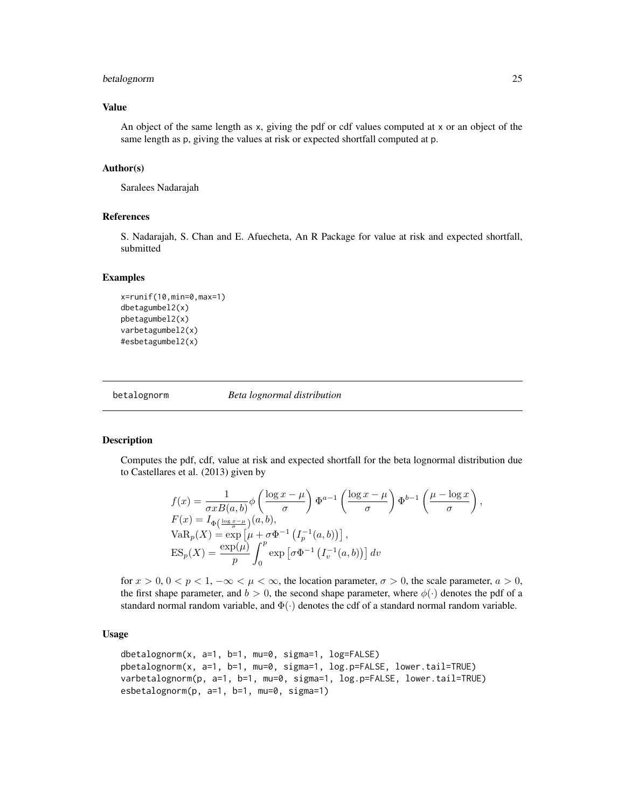## <span id="page-24-0"></span>betalognorm 25

#### Value

An object of the same length as x, giving the pdf or cdf values computed at x or an object of the same length as p, giving the values at risk or expected shortfall computed at p.

## Author(s)

Saralees Nadarajah

#### References

S. Nadarajah, S. Chan and E. Afuecheta, An R Package for value at risk and expected shortfall, submitted

#### Examples

```
x=runif(10,min=0,max=1)
dbetagumbel2(x)
pbetagumbel2(x)
varbetagumbel2(x)
#esbetagumbel2(x)
```
betalognorm *Beta lognormal distribution*

#### Description

Computes the pdf, cdf, value at risk and expected shortfall for the beta lognormal distribution due to Castellares et al. (2013) given by

$$
f(x) = \frac{1}{\sigma x B(a, b)} \phi \left( \frac{\log x - \mu}{\sigma} \right) \Phi^{a-1} \left( \frac{\log x - \mu}{\sigma} \right) \Phi^{b-1} \left( \frac{\mu - \log x}{\sigma} \right),
$$
  
\n
$$
F(x) = I_{\Phi \left( \frac{\log x - \mu}{\sigma} \right)}(a, b),
$$
  
\n
$$
VaR_p(X) = \exp \left[ \mu + \sigma \Phi^{-1} \left( I_p^{-1}(a, b) \right) \right],
$$
  
\n
$$
ES_p(X) = \frac{\exp(\mu)}{p} \int_0^p \exp \left[ \sigma \Phi^{-1} \left( I_v^{-1}(a, b) \right) \right] dv
$$

for  $x > 0$ ,  $0 < p < 1$ ,  $-\infty < \mu < \infty$ , the location parameter,  $\sigma > 0$ , the scale parameter,  $a > 0$ , the first shape parameter, and  $b > 0$ , the second shape parameter, where  $\phi(\cdot)$  denotes the pdf of a standard normal random variable, and  $\Phi(\cdot)$  denotes the cdf of a standard normal random variable.

#### Usage

```
dbetalognorm(x, a=1, b=1, mu=0, sigma=1, log=FALSE)
pbetalognorm(x, a=1, b=1, mu=0, sigma=1, log.p=FALSE, lower.tail=TRUE)
varbetalognorm(p, a=1, b=1, mu=0, sigma=1, log.p=FALSE, lower.tail=TRUE)
esbetalognorm(p, a=1, b=1, mu=0, sigma=1)
```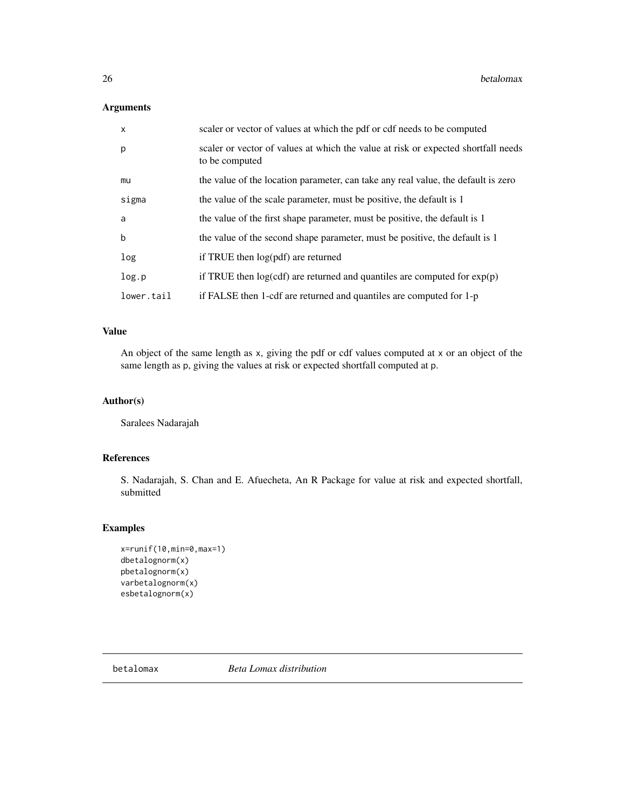## <span id="page-25-0"></span>Arguments

| $\mathsf{x}$ | scaler or vector of values at which the pdf or cdf needs to be computed                             |
|--------------|-----------------------------------------------------------------------------------------------------|
| p            | scaler or vector of values at which the value at risk or expected shortfall needs<br>to be computed |
| mu           | the value of the location parameter, can take any real value, the default is zero                   |
| sigma        | the value of the scale parameter, must be positive, the default is 1                                |
| a            | the value of the first shape parameter, must be positive, the default is 1                          |
| $\mathbf b$  | the value of the second shape parameter, must be positive, the default is 1                         |
| log          | if TRUE then log(pdf) are returned                                                                  |
| log.p        | if TRUE then $log(cdf)$ are returned and quantiles are computed for $exp(p)$                        |
| lower.tail   | if FALSE then 1-cdf are returned and quantiles are computed for 1-p                                 |

## Value

An object of the same length as x, giving the pdf or cdf values computed at x or an object of the same length as p, giving the values at risk or expected shortfall computed at p.

## Author(s)

Saralees Nadarajah

## References

S. Nadarajah, S. Chan and E. Afuecheta, An R Package for value at risk and expected shortfall, submitted

## Examples

```
x=runif(10,min=0,max=1)
dbetalognorm(x)
pbetalognorm(x)
varbetalognorm(x)
esbetalognorm(x)
```
betalomax *Beta Lomax distribution*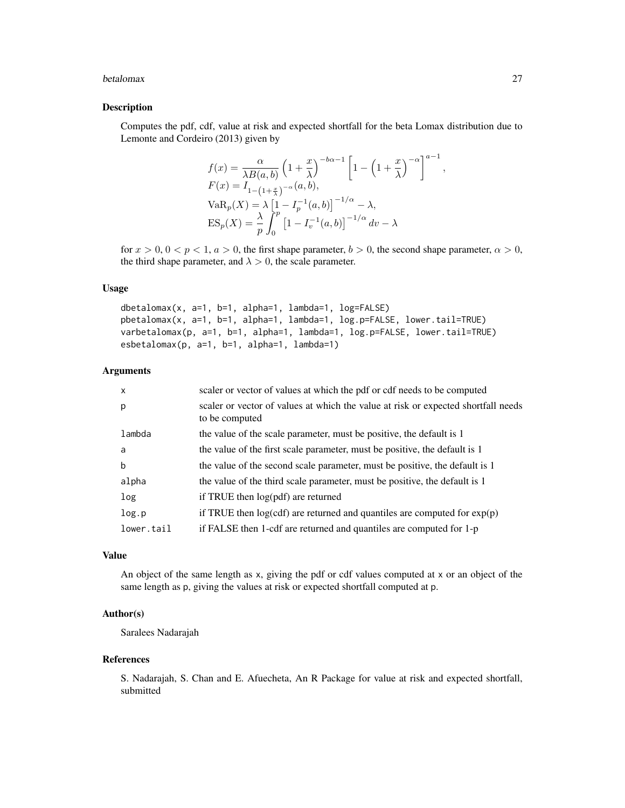#### betalomax 27

## Description

Computes the pdf, cdf, value at risk and expected shortfall for the beta Lomax distribution due to Lemonte and Cordeiro (2013) given by

$$
f(x) = \frac{\alpha}{\lambda B(a,b)} \left(1 + \frac{x}{\lambda}\right)^{-b\alpha - 1} \left[1 - \left(1 + \frac{x}{\lambda}\right)^{-\alpha}\right]^{a-1},
$$
  
\n
$$
F(x) = I_{1-(1+\frac{x}{\lambda})^{-\alpha}}(a,b),
$$
  
\n
$$
VaR_p(X) = \lambda \left[1 - I_p^{-1}(a,b)\right]^{-1/\alpha} - \lambda,
$$
  
\n
$$
ES_p(X) = \frac{\lambda}{p} \int_0^p \left[1 - I_v^{-1}(a,b)\right]^{-1/\alpha} dv - \lambda
$$

for  $x > 0$ ,  $0 < p < 1$ ,  $a > 0$ , the first shape parameter,  $b > 0$ , the second shape parameter,  $\alpha > 0$ , the third shape parameter, and  $\lambda > 0$ , the scale parameter.

#### Usage

dbetalomax(x, a=1, b=1, alpha=1, lambda=1, log=FALSE) pbetalomax(x, a=1, b=1, alpha=1, lambda=1, log.p=FALSE, lower.tail=TRUE) varbetalomax(p, a=1, b=1, alpha=1, lambda=1, log.p=FALSE, lower.tail=TRUE) esbetalomax(p, a=1, b=1, alpha=1, lambda=1)

#### Arguments

| $\mathsf{x}$ | scaler or vector of values at which the pdf or cdf needs to be computed                             |
|--------------|-----------------------------------------------------------------------------------------------------|
| p            | scaler or vector of values at which the value at risk or expected shortfall needs<br>to be computed |
| lambda       | the value of the scale parameter, must be positive, the default is 1                                |
| a            | the value of the first scale parameter, must be positive, the default is 1                          |
| b            | the value of the second scale parameter, must be positive, the default is 1                         |
| alpha        | the value of the third scale parameter, must be positive, the default is 1                          |
| log          | if TRUE then $log(pdf)$ are returned                                                                |
| log.p        | if TRUE then $log(cdf)$ are returned and quantiles are computed for $exp(p)$                        |
| lower.tail   | if FALSE then 1-cdf are returned and quantiles are computed for 1-p                                 |
|              |                                                                                                     |

#### Value

An object of the same length as x, giving the pdf or cdf values computed at x or an object of the same length as p, giving the values at risk or expected shortfall computed at p.

#### Author(s)

Saralees Nadarajah

#### References

S. Nadarajah, S. Chan and E. Afuecheta, An R Package for value at risk and expected shortfall, submitted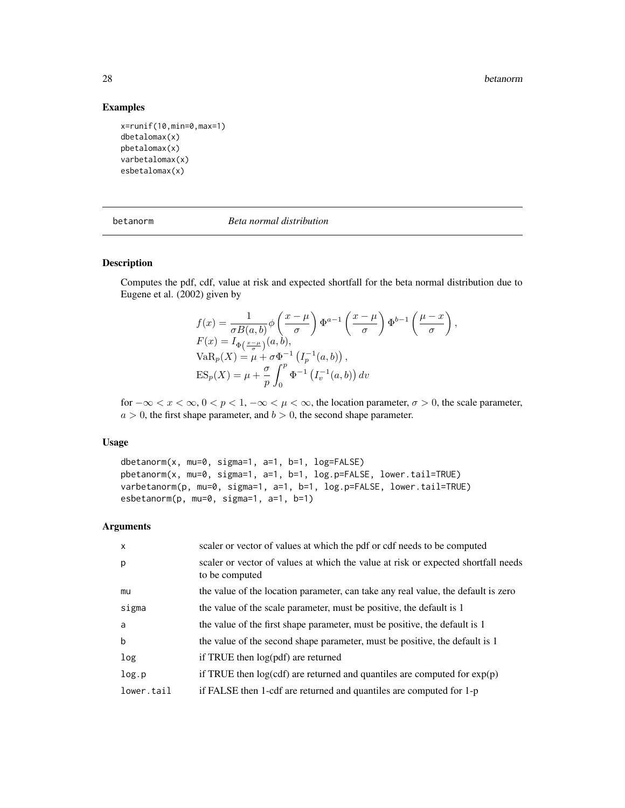#### 28 betanorm and the contract of the contract of the contract of the contract of the contract of the contract of the contract of the contract of the contract of the contract of the contract of the contract of the contract o

## Examples

```
x=runif(10,min=0,max=1)
dbetalomax(x)
pbetalomax(x)
varbetalomax(x)
esbetalomax(x)
```

| betanorm |  |
|----------|--|
|          |  |

betanorm *Beta normal distribution*

## Description

Computes the pdf, cdf, value at risk and expected shortfall for the beta normal distribution due to Eugene et al. (2002) given by

$$
f(x) = \frac{1}{\sigma B(a,b)} \phi\left(\frac{x-\mu}{\sigma}\right) \Phi^{a-1}\left(\frac{x-\mu}{\sigma}\right) \Phi^{b-1}\left(\frac{\mu-x}{\sigma}\right),
$$
  
\n
$$
F(x) = I_{\Phi\left(\frac{x-\mu}{\sigma}\right)}(a,b),
$$
  
\n
$$
VaR_p(X) = \mu + \sigma \Phi^{-1}\left(I_p^{-1}(a,b)\right),
$$
  
\n
$$
ES_p(X) = \mu + \frac{\sigma}{p} \int_0^p \Phi^{-1}\left(I_v^{-1}(a,b)\right) dv
$$

for  $-\infty < x < \infty$ ,  $0 < p < 1$ ,  $-\infty < \mu < \infty$ , the location parameter,  $\sigma > 0$ , the scale parameter,  $a > 0$ , the first shape parameter, and  $b > 0$ , the second shape parameter.

## Usage

dbetanorm(x, mu=0, sigma=1, a=1, b=1, log=FALSE) pbetanorm(x, mu=0, sigma=1, a=1, b=1, log.p=FALSE, lower.tail=TRUE) varbetanorm(p, mu=0, sigma=1, a=1, b=1, log.p=FALSE, lower.tail=TRUE) esbetanorm(p, mu=0, sigma=1, a=1, b=1)

| $\mathsf{x}$ | scaler or vector of values at which the pdf or cdf needs to be computed                             |
|--------------|-----------------------------------------------------------------------------------------------------|
| p            | scaler or vector of values at which the value at risk or expected shortfall needs<br>to be computed |
| mu           | the value of the location parameter, can take any real value, the default is zero                   |
| sigma        | the value of the scale parameter, must be positive, the default is 1                                |
| a            | the value of the first shape parameter, must be positive, the default is 1                          |
| b            | the value of the second shape parameter, must be positive, the default is 1                         |
| log          | if TRUE then $log(pdf)$ are returned                                                                |
| log.p        | if TRUE then $log(cdf)$ are returned and quantiles are computed for $exp(p)$                        |
| lower.tail   | if FALSE then 1-cdf are returned and quantiles are computed for 1-p                                 |

<span id="page-27-0"></span>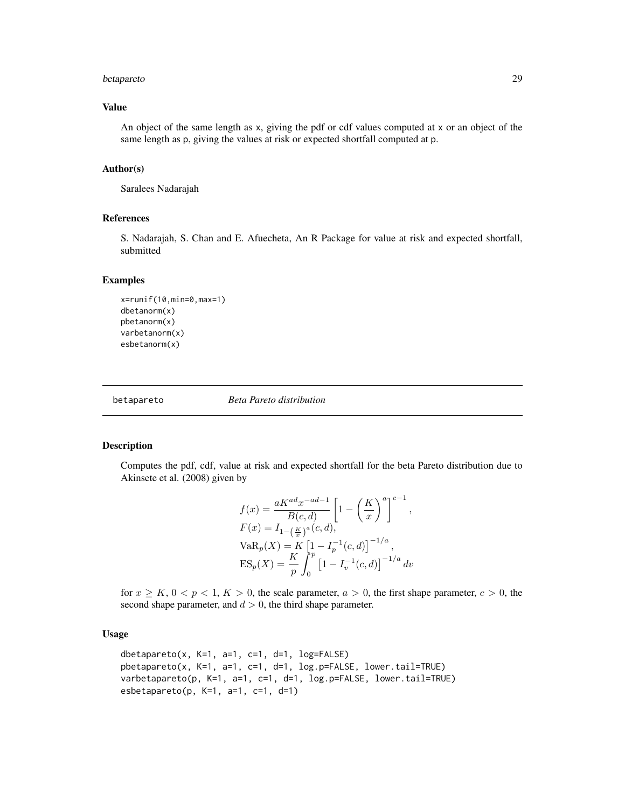## <span id="page-28-0"></span>betapareto 29

#### Value

An object of the same length as x, giving the pdf or cdf values computed at x or an object of the same length as p, giving the values at risk or expected shortfall computed at p.

#### Author(s)

Saralees Nadarajah

## References

S. Nadarajah, S. Chan and E. Afuecheta, An R Package for value at risk and expected shortfall, submitted

#### Examples

```
x=runif(10,min=0,max=1)
dbetanorm(x)
pbetanorm(x)
varbetanorm(x)
esbetanorm(x)
```
betapareto *Beta Pareto distribution*

#### Description

Computes the pdf, cdf, value at risk and expected shortfall for the beta Pareto distribution due to Akinsete et al. (2008) given by

$$
f(x) = \frac{aK^{ad}x^{-ad-1}}{B(c,d)} \left[ 1 - \left(\frac{K}{x}\right)^a \right]^{c-1},
$$
  
\n
$$
F(x) = I_{1-(\frac{K}{x})^a}(c,d),
$$
  
\n
$$
VaR_p(X) = K \left[ 1 - I_p^{-1}(c,d) \right]^{-1/a},
$$
  
\n
$$
ES_p(X) = \frac{K}{p} \int_0^p \left[ 1 - I_v^{-1}(c,d) \right]^{-1/a} dv
$$

for  $x \geq K$ ,  $0 \lt p \lt 1$ ,  $K > 0$ , the scale parameter,  $a > 0$ , the first shape parameter,  $c > 0$ , the second shape parameter, and  $d > 0$ , the third shape parameter.

## Usage

```
dbetapareto(x, K=1, a=1, c=1, d=1, log=FALSE)
pbetapareto(x, K=1, a=1, c=1, d=1, log.p=FALSE, lower.tail=TRUE)
varbetapareto(p, K=1, a=1, c=1, d=1, log.p=FALSE, lower.tail=TRUE)
esbetapareto(p, K=1, a=1, c=1, d=1)
```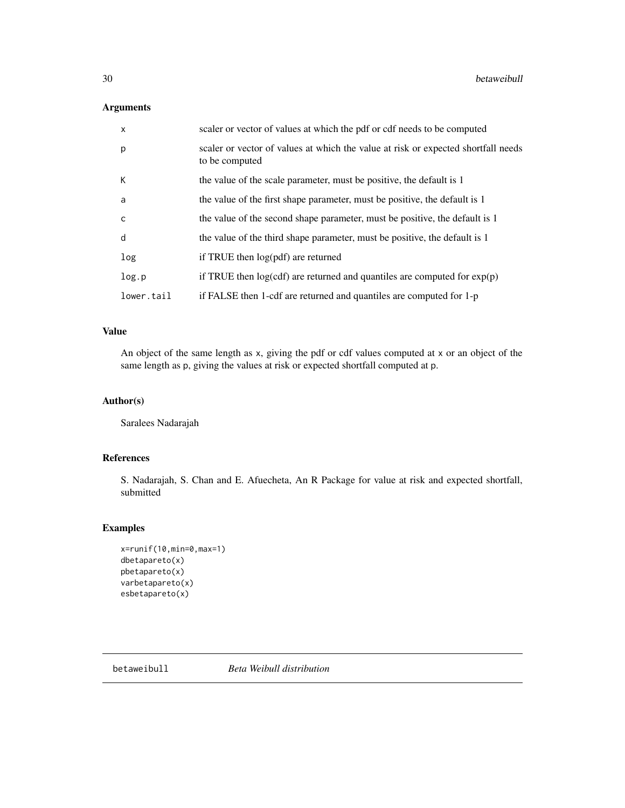## <span id="page-29-0"></span>Arguments

| $\mathsf{x}$ | scaler or vector of values at which the pdf or cdf needs to be computed                             |
|--------------|-----------------------------------------------------------------------------------------------------|
| p            | scaler or vector of values at which the value at risk or expected shortfall needs<br>to be computed |
| К            | the value of the scale parameter, must be positive, the default is 1                                |
| a            | the value of the first shape parameter, must be positive, the default is 1                          |
| $\mathsf{C}$ | the value of the second shape parameter, must be positive, the default is 1                         |
| d            | the value of the third shape parameter, must be positive, the default is 1                          |
| log          | if TRUE then $log(pdf)$ are returned                                                                |
| log.p        | if TRUE then $log(cd)$ are returned and quantiles are computed for $exp(p)$                         |
| lower.tail   | if FALSE then 1-cdf are returned and quantiles are computed for 1-p                                 |

## Value

An object of the same length as x, giving the pdf or cdf values computed at x or an object of the same length as p, giving the values at risk or expected shortfall computed at p.

## Author(s)

Saralees Nadarajah

## References

S. Nadarajah, S. Chan and E. Afuecheta, An R Package for value at risk and expected shortfall, submitted

## Examples

```
x=runif(10,min=0,max=1)
dbetapareto(x)
pbetapareto(x)
varbetapareto(x)
esbetapareto(x)
```
betaweibull *Beta Weibull distribution*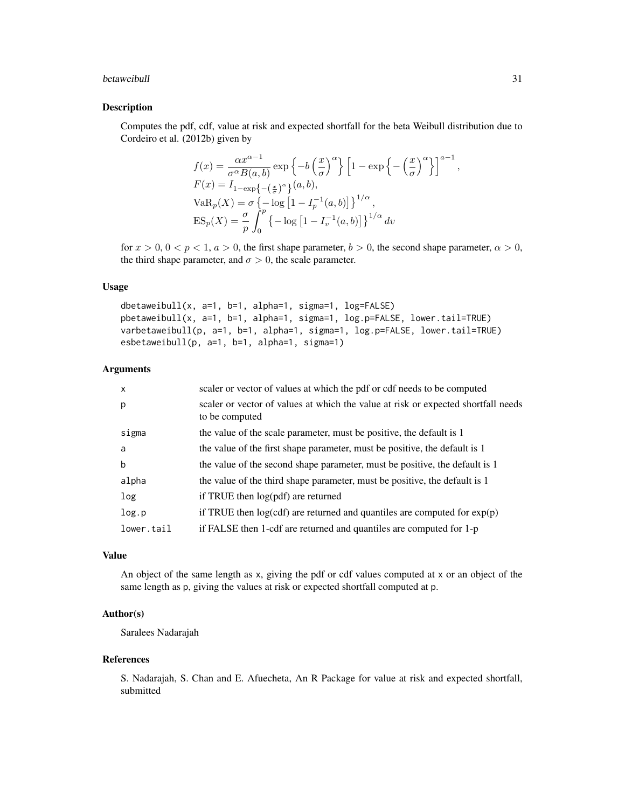#### betaweibull 31

## Description

Computes the pdf, cdf, value at risk and expected shortfall for the beta Weibull distribution due to Cordeiro et al. (2012b) given by

$$
f(x) = \frac{\alpha x^{\alpha - 1}}{\sigma^{\alpha} B(a, b)} \exp\left\{-b\left(\frac{x}{\sigma}\right)^{\alpha}\right\} \left[1 - \exp\left\{-\left(\frac{x}{\sigma}\right)^{\alpha}\right\}\right]^{a - 1},
$$
  
\n
$$
F(x) = I_{1 - \exp\left\{-\left(\frac{x}{\sigma}\right)^{\alpha}\right\}}(a, b),
$$
  
\n
$$
VaR_p(X) = \sigma \left\{-\log\left[1 - I_p^{-1}(a, b)\right]\right\}^{1/\alpha},
$$
  
\n
$$
ES_p(X) = \frac{\sigma}{p} \int_0^p \left\{-\log\left[1 - I_v^{-1}(a, b)\right]\right\}^{1/\alpha} dv
$$

for  $x > 0$ ,  $0 < p < 1$ ,  $a > 0$ , the first shape parameter,  $b > 0$ , the second shape parameter,  $\alpha > 0$ , the third shape parameter, and  $\sigma > 0$ , the scale parameter.

## Usage

dbetaweibull(x, a=1, b=1, alpha=1, sigma=1, log=FALSE) pbetaweibull(x, a=1, b=1, alpha=1, sigma=1, log.p=FALSE, lower.tail=TRUE) varbetaweibull(p, a=1, b=1, alpha=1, sigma=1, log.p=FALSE, lower.tail=TRUE) esbetaweibull(p, a=1, b=1, alpha=1, sigma=1)

## Arguments

| $\mathsf{x}$ | scaler or vector of values at which the pdf or cdf needs to be computed                             |
|--------------|-----------------------------------------------------------------------------------------------------|
| p            | scaler or vector of values at which the value at risk or expected shortfall needs<br>to be computed |
| sigma        | the value of the scale parameter, must be positive, the default is 1                                |
| a            | the value of the first shape parameter, must be positive, the default is 1                          |
| b            | the value of the second shape parameter, must be positive, the default is 1                         |
| alpha        | the value of the third shape parameter, must be positive, the default is 1                          |
| log          | if TRUE then $log(pdf)$ are returned                                                                |
| log.p        | if TRUE then $log(cdf)$ are returned and quantiles are computed for $exp(p)$                        |
| lower.tail   | if FALSE then 1-cdf are returned and quantiles are computed for 1-p                                 |
|              |                                                                                                     |

#### Value

An object of the same length as x, giving the pdf or cdf values computed at x or an object of the same length as p, giving the values at risk or expected shortfall computed at p.

#### Author(s)

Saralees Nadarajah

#### References

S. Nadarajah, S. Chan and E. Afuecheta, An R Package for value at risk and expected shortfall, submitted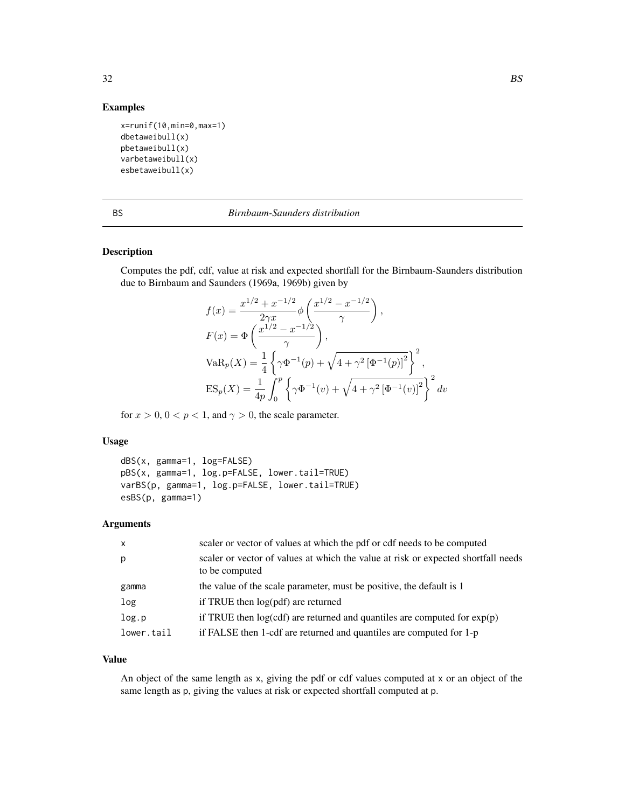## Examples

```
x=runif(10,min=0,max=1)
dbetaweibull(x)
pbetaweibull(x)
varbetaweibull(x)
esbetaweibull(x)
```

|         | ×      |
|---------|--------|
| ۰,<br>I | ٦<br>٠ |

#### BS *Birnbaum-Saunders distribution*

## Description

Computes the pdf, cdf, value at risk and expected shortfall for the Birnbaum-Saunders distribution due to Birnbaum and Saunders (1969a, 1969b) given by

$$
f(x) = \frac{x^{1/2} + x^{-1/2}}{2\gamma x} \phi\left(\frac{x^{1/2} - x^{-1/2}}{\gamma}\right),
$$
  
\n
$$
F(x) = \Phi\left(\frac{x^{1/2} - x^{-1/2}}{\gamma}\right),
$$
  
\n
$$
VaR_p(X) = \frac{1}{4}\left\{\gamma\Phi^{-1}(p) + \sqrt{4 + \gamma^2 \left[\Phi^{-1}(p)\right]^2}\right\}^2,
$$
  
\n
$$
ES_p(X) = \frac{1}{4p} \int_0^p \left\{\gamma\Phi^{-1}(v) + \sqrt{4 + \gamma^2 \left[\Phi^{-1}(v)\right]^2}\right\}^2 dv
$$

for  $x > 0$ ,  $0 < p < 1$ , and  $\gamma > 0$ , the scale parameter.

#### Usage

```
dBS(x, gamma=1, log=FALSE)
pBS(x, gamma=1, log.p=FALSE, lower.tail=TRUE)
varBS(p, gamma=1, log.p=FALSE, lower.tail=TRUE)
esBS(p, gamma=1)
```
## Arguments

| $\mathsf{x}$ | scaler or vector of values at which the pdf or cdf needs to be computed                             |
|--------------|-----------------------------------------------------------------------------------------------------|
| p            | scaler or vector of values at which the value at risk or expected shortfall needs<br>to be computed |
| gamma        | the value of the scale parameter, must be positive, the default is 1                                |
| log          | if TRUE then log(pdf) are returned                                                                  |
| log.p        | if TRUE then $log(cd)$ are returned and quantiles are computed for $exp(p)$                         |
| lower.tail   | if FALSE then 1-cdf are returned and quantiles are computed for 1-p                                 |

#### Value

An object of the same length as x, giving the pdf or cdf values computed at x or an object of the same length as p, giving the values at risk or expected shortfall computed at p.

<span id="page-31-0"></span>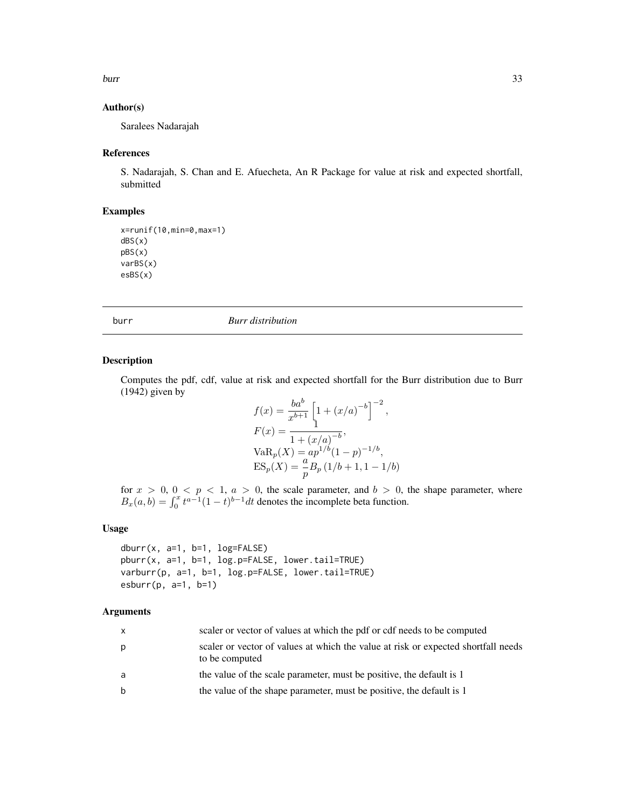<span id="page-32-0"></span>burr 33

#### Author(s)

Saralees Nadarajah

#### References

S. Nadarajah, S. Chan and E. Afuecheta, An R Package for value at risk and expected shortfall, submitted

#### Examples

x=runif(10,min=0,max=1) dBS(x) pBS(x) varBS(x) esBS(x)

burr *Burr distribution*

#### Description

Computes the pdf, cdf, value at risk and expected shortfall for the Burr distribution due to Burr (1942) given by

$$
f(x) = \frac{ba^b}{x^{b+1}} \left[ 1 + (x/a)^{-b} \right]^{-2},
$$
  
\n
$$
F(x) = \frac{1 + (x/a)^{-b}}{1 + (x/a)^{-b}},
$$
  
\n
$$
VaR_p(X) = ap^{1/b}(1-p)^{-1/b},
$$
  
\n
$$
ES_p(X) = \frac{a}{p}B_p(1/b + 1, 1 - 1/b)
$$

for  $x > 0$ ,  $0 < p < 1$ ,  $a > 0$ , the scale parameter, and  $b > 0$ , the shape parameter, where  $B_x(a, b) = \int_0^x t^{a-1} (1-t)^{b-1} dt$  denotes the incomplete beta function.

## Usage

```
dburr(x, a=1, b=1, log=FALSE)
pburr(x, a=1, b=1, log.p=FALSE, lower.tail=TRUE)
varburr(p, a=1, b=1, log.p=FALSE, lower.tail=TRUE)
esburr(p, a=1, b=1)
```

| $\mathsf{X}$ | scaler or vector of values at which the pdf or cdf needs to be computed                             |
|--------------|-----------------------------------------------------------------------------------------------------|
| р            | scaler or vector of values at which the value at risk or expected shortfall needs<br>to be computed |
| a            | the value of the scale parameter, must be positive, the default is 1                                |
| b            | the value of the shape parameter, must be positive, the default is 1                                |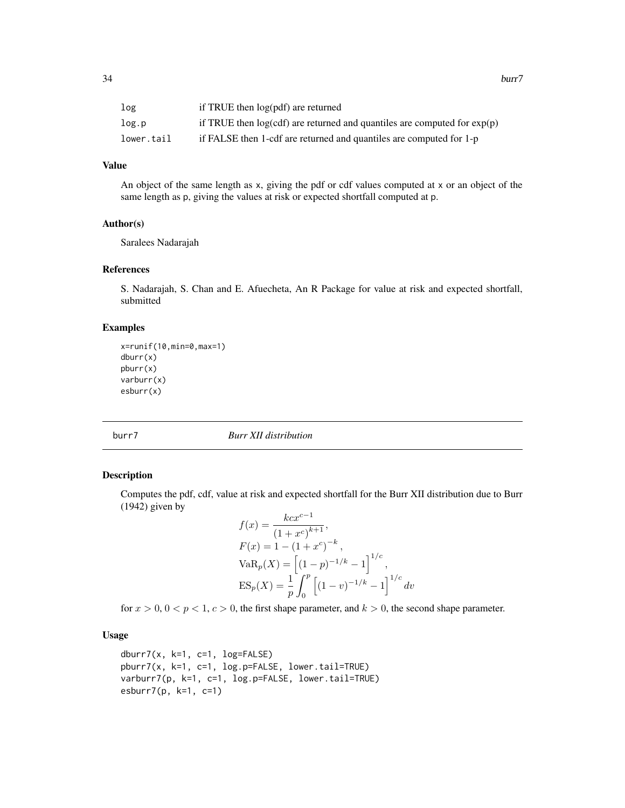<span id="page-33-0"></span>

| log        | if TRUE then log(pdf) are returned                                           |
|------------|------------------------------------------------------------------------------|
| log.p      | if TRUE then $log(cdf)$ are returned and quantiles are computed for $exp(p)$ |
| lower.tail | if FALSE then 1-cdf are returned and quantiles are computed for 1-p          |

#### Value

An object of the same length as x, giving the pdf or cdf values computed at x or an object of the same length as p, giving the values at risk or expected shortfall computed at p.

## Author(s)

Saralees Nadarajah

#### References

S. Nadarajah, S. Chan and E. Afuecheta, An R Package for value at risk and expected shortfall, submitted

#### Examples

```
x=runif(10,min=0,max=1)
dburr(x)
pburr(x)
varburr(x)
esburr(x)
```
burr7 *Burr XII distribution*

#### Description

Computes the pdf, cdf, value at risk and expected shortfall for the Burr XII distribution due to Burr (1942) given by

$$
f(x) = \frac{kcx^{c-1}}{(1+x^c)^{k+1}},
$$
  
\n
$$
F(x) = 1 - (1+x^c)^{-k},
$$
  
\n
$$
VaR_p(X) = \left[ (1-p)^{-1/k} - 1 \right]^{1/c},
$$
  
\n
$$
ES_p(X) = \frac{1}{p} \int_0^p \left[ (1-v)^{-1/k} - 1 \right]^{1/c} dv
$$

for  $x > 0$ ,  $0 < p < 1$ ,  $c > 0$ , the first shape parameter, and  $k > 0$ , the second shape parameter.

## Usage

dburr $7(x, k=1, c=1, log=FALSE)$ pburr7(x, k=1, c=1, log.p=FALSE, lower.tail=TRUE) varburr7(p, k=1, c=1, log.p=FALSE, lower.tail=TRUE) esburr7(p, k=1, c=1)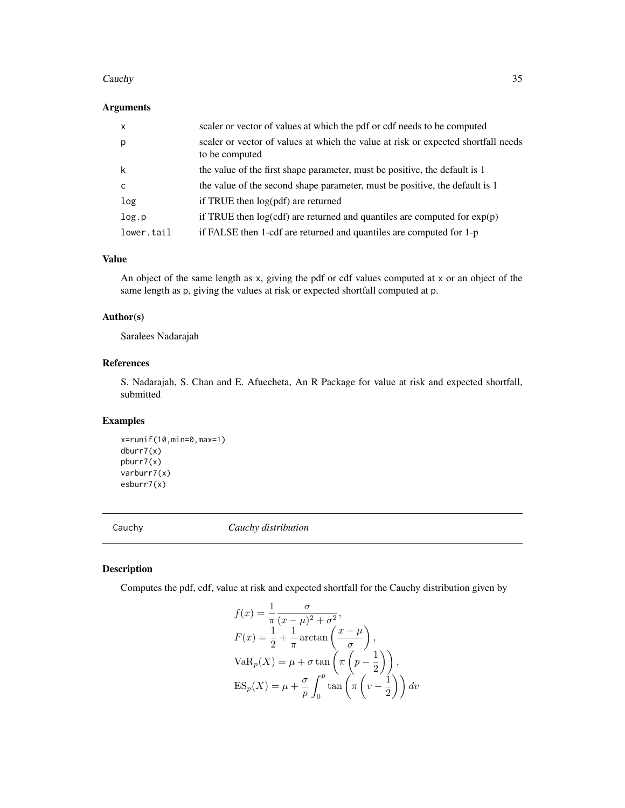#### <span id="page-34-0"></span>Cauchy 35

## Arguments

| $\mathsf{x}$ | scaler or vector of values at which the pdf or cdf needs to be computed                             |
|--------------|-----------------------------------------------------------------------------------------------------|
| p            | scaler or vector of values at which the value at risk or expected shortfall needs<br>to be computed |
| k            | the value of the first shape parameter, must be positive, the default is 1                          |
| C            | the value of the second shape parameter, must be positive, the default is 1                         |
| log          | if TRUE then log(pdf) are returned                                                                  |
| log.p        | if TRUE then $log(cdf)$ are returned and quantiles are computed for $exp(p)$                        |
| lower.tail   | if FALSE then 1-cdf are returned and quantiles are computed for 1-p                                 |

## Value

An object of the same length as x, giving the pdf or cdf values computed at x or an object of the same length as p, giving the values at risk or expected shortfall computed at p.

#### Author(s)

Saralees Nadarajah

#### References

S. Nadarajah, S. Chan and E. Afuecheta, An R Package for value at risk and expected shortfall, submitted

## Examples

```
x=runif(10,min=0,max=1)
dburr7(x)
pburr7(x)
varburr7(x)
esburr7(x)
```
Cauchy *Cauchy distribution*

## Description

Computes the pdf, cdf, value at risk and expected shortfall for the Cauchy distribution given by

$$
f(x) = \frac{1}{\pi} \frac{\sigma}{(x - \mu)^2 + \sigma^2},
$$
  
\n
$$
F(x) = \frac{1}{2} + \frac{1}{\pi} \arctan\left(\frac{x - \mu}{\sigma}\right),
$$
  
\n
$$
VaR_p(X) = \mu + \sigma \tan\left(\pi \left(p - \frac{1}{2}\right)\right),
$$
  
\n
$$
ES_p(X) = \mu + \frac{\sigma}{p} \int_0^p \tan\left(\pi \left(v - \frac{1}{2}\right)\right) dv
$$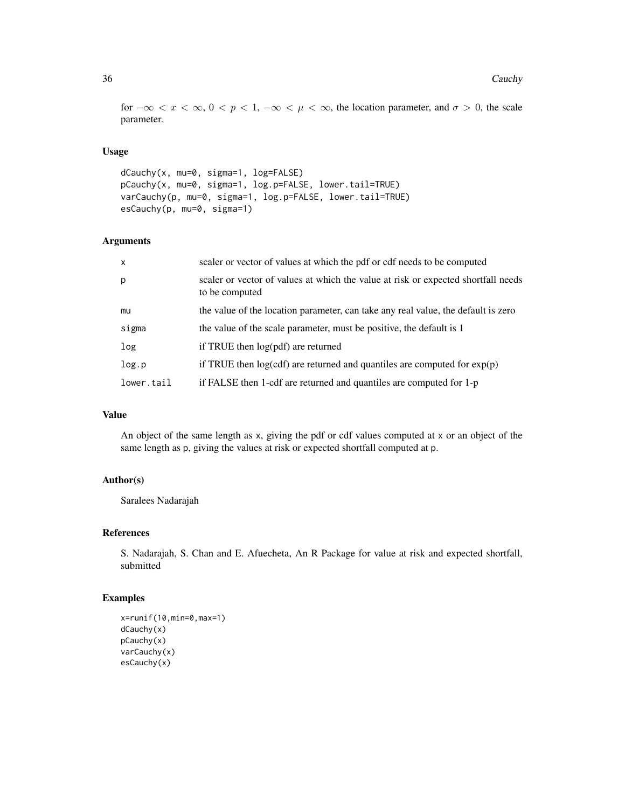for  $-\infty < x < \infty$ ,  $0 < p < 1$ ,  $-\infty < \mu < \infty$ , the location parameter, and  $\sigma > 0$ , the scale parameter.

## Usage

```
dCauchy(x, mu=0, sigma=1, log=FALSE)
pCauchy(x, mu=0, sigma=1, log.p=FALSE, lower.tail=TRUE)
varCauchy(p, mu=0, sigma=1, log.p=FALSE, lower.tail=TRUE)
esCauchy(p, mu=0, sigma=1)
```
## Arguments

| $\mathsf{x}$ | scaler or vector of values at which the pdf or cdf needs to be computed                             |
|--------------|-----------------------------------------------------------------------------------------------------|
| p            | scaler or vector of values at which the value at risk or expected shortfall needs<br>to be computed |
| mu           | the value of the location parameter, can take any real value, the default is zero                   |
| sigma        | the value of the scale parameter, must be positive, the default is 1                                |
| log          | if TRUE then $log(pdf)$ are returned                                                                |
| log.p        | if TRUE then $log(cdf)$ are returned and quantiles are computed for $exp(p)$                        |
| lower.tail   | if FALSE then 1-cdf are returned and quantiles are computed for 1-p                                 |

## Value

An object of the same length as x, giving the pdf or cdf values computed at x or an object of the same length as p, giving the values at risk or expected shortfall computed at p.

## Author(s)

Saralees Nadarajah

## References

S. Nadarajah, S. Chan and E. Afuecheta, An R Package for value at risk and expected shortfall, submitted

#### Examples

```
x=runif(10,min=0,max=1)
dCauchy(x)
pCauchy(x)
varCauchy(x)
esCauchy(x)
```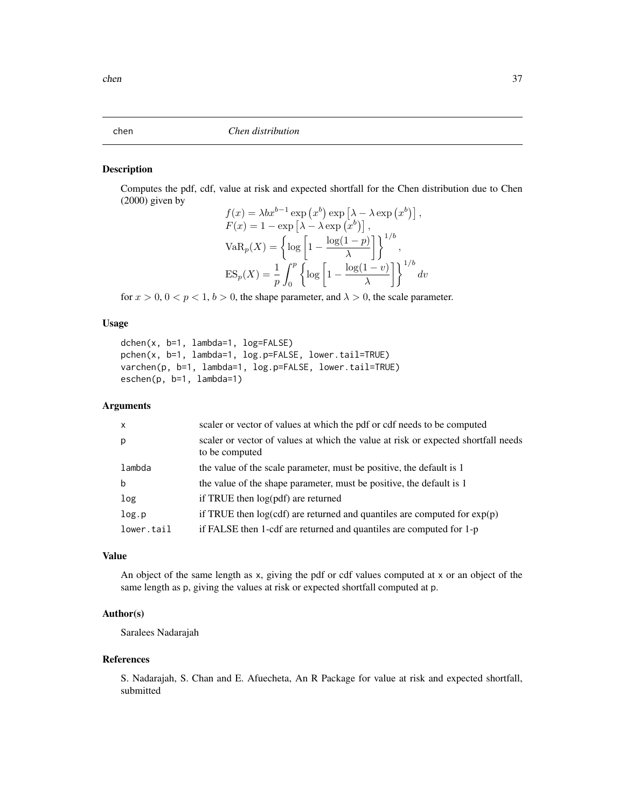Computes the pdf, cdf, value at risk and expected shortfall for the Chen distribution due to Chen (2000) given by

$$
f(x) = \lambda bx^{b-1} \exp (x^b) \exp \left[\lambda - \lambda \exp (x^b)\right],
$$
  
\n
$$
F(x) = 1 - \exp \left[\lambda - \lambda \exp (x^b)\right],
$$
  
\n
$$
VaR_p(X) = \left\{\log \left[1 - \frac{\log(1-p)}{\lambda}\right]\right\}^{1/b},
$$
  
\n
$$
ES_p(X) = \frac{1}{p} \int_0^p \left\{\log \left[1 - \frac{\log(1-v)}{\lambda}\right]\right\}^{1/b} dv
$$

for  $x > 0$ ,  $0 < p < 1$ ,  $b > 0$ , the shape parameter, and  $\lambda > 0$ , the scale parameter.

# Usage

```
dchen(x, b=1, lambda=1, log=FALSE)
pchen(x, b=1, lambda=1, log.p=FALSE, lower.tail=TRUE)
varchen(p, b=1, lambda=1, log.p=FALSE, lower.tail=TRUE)
eschen(p, b=1, lambda=1)
```
### Arguments

| $\mathsf{x}$ | scaler or vector of values at which the pdf or cdf needs to be computed                             |
|--------------|-----------------------------------------------------------------------------------------------------|
| p            | scaler or vector of values at which the value at risk or expected shortfall needs<br>to be computed |
| lambda       | the value of the scale parameter, must be positive, the default is 1                                |
| b            | the value of the shape parameter, must be positive, the default is 1                                |
| log          | if TRUE then $log(pdf)$ are returned                                                                |
| log.p        | if TRUE then $log(cdf)$ are returned and quantiles are computed for $exp(p)$                        |
| lower.tail   | if FALSE then 1-cdf are returned and quantiles are computed for 1-p                                 |

# Value

An object of the same length as x, giving the pdf or cdf values computed at x or an object of the same length as p, giving the values at risk or expected shortfall computed at p.

# Author(s)

Saralees Nadarajah

### References

S. Nadarajah, S. Chan and E. Afuecheta, An R Package for value at risk and expected shortfall, submitted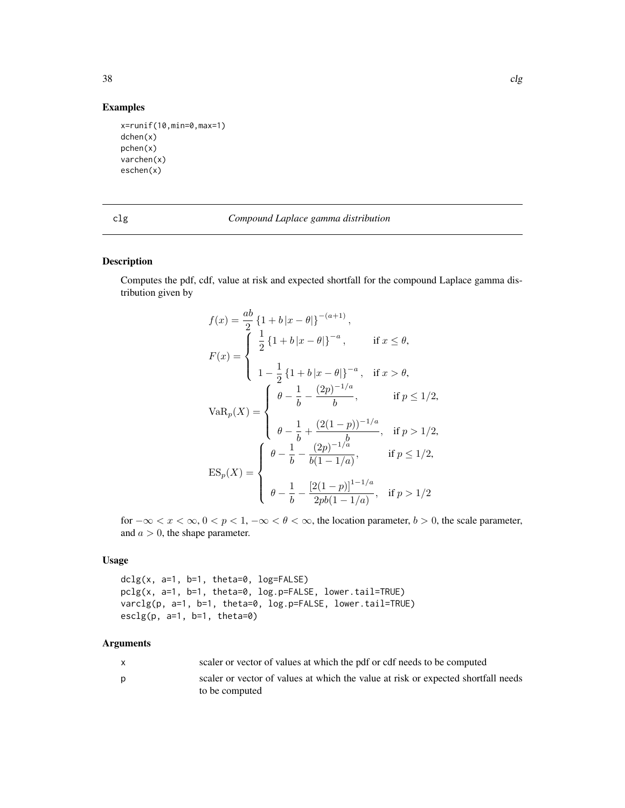# Examples

```
x=runif(10,min=0,max=1)
dchen(x)
pchen(x)
varchen(x)
eschen(x)
```
# clg *Compound Laplace gamma distribution*

### Description

Computes the pdf, cdf, value at risk and expected shortfall for the compound Laplace gamma distribution given by

$$
f(x) = \frac{ab}{2} \{1 + b |x - \theta|\}^{-(a+1)},
$$
  
\n
$$
F(x) = \begin{cases} \frac{1}{2} \{1 + b |x - \theta|\}^{-a}, & \text{if } x \le \theta, \\ 1 - \frac{1}{2} \{1 + b |x - \theta|\}^{-a}, & \text{if } x > \theta, \end{cases}
$$
  
\n
$$
VaR_p(X) = \begin{cases} \theta - \frac{1}{b} - \frac{(2p)^{-1/a}}{b}, & \text{if } p \le 1/2, \\ \theta - \frac{1}{b} + \frac{(2(1-p))^{-1/a}}{b}, & \text{if } p > 1/2, \\ \theta - \frac{1}{b} - \frac{(2p)^{-1/a}}{b(1-1/a)}, & \text{if } p \le 1/2, \end{cases}
$$
  
\n
$$
ES_p(X) = \begin{cases} \theta - \frac{1}{b} - \frac{(2p)^{-1/a}}{b(1-1/a)}, & \text{if } p \le 1/2, \\ \theta - \frac{1}{b} - \frac{[2(1-p)]^{1-1/a}}{2pb(1-1/a)}, & \text{if } p > 1/2 \end{cases}
$$

for  $-\infty < x < \infty$ ,  $0 < p < 1$ ,  $-\infty < \theta < \infty$ , the location parameter,  $b > 0$ , the scale parameter, and  $a > 0$ , the shape parameter.

### Usage

 $dclg(x, a=1, b=1, theta=0, log=FALSE)$ pclg(x, a=1, b=1, theta=0, log.p=FALSE, lower.tail=TRUE) varclg(p, a=1, b=1, theta=0, log.p=FALSE, lower.tail=TRUE)  $\text{esclg}(p, a=1, b=1, \text{theta=0})$ 

| X | scaler or vector of values at which the pdf or cdf needs to be computed           |
|---|-----------------------------------------------------------------------------------|
| D | scaler or vector of values at which the value at risk or expected shortfall needs |
|   | to be computed                                                                    |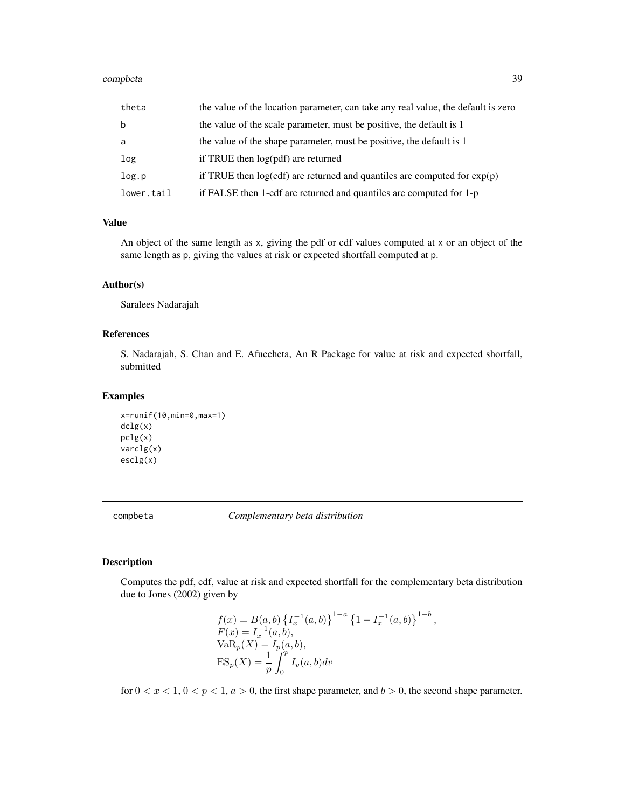#### completa 39

| theta       | the value of the location parameter, can take any real value, the default is zero |
|-------------|-----------------------------------------------------------------------------------|
| $\mathbf b$ | the value of the scale parameter, must be positive, the default is 1              |
| a           | the value of the shape parameter, must be positive, the default is 1              |
| log         | if TRUE then log(pdf) are returned                                                |
| log.p       | if TRUE then $log(cdf)$ are returned and quantiles are computed for $exp(p)$      |
| lower.tail  | if FALSE then 1-cdf are returned and quantiles are computed for 1-p               |

# Value

An object of the same length as x, giving the pdf or cdf values computed at x or an object of the same length as p, giving the values at risk or expected shortfall computed at p.

### Author(s)

Saralees Nadarajah

### References

S. Nadarajah, S. Chan and E. Afuecheta, An R Package for value at risk and expected shortfall, submitted

#### Examples

```
x=runif(10,min=0,max=1)
dclg(x)
pclg(x)
varclg(x)
esclg(x)
```
compbeta *Complementary beta distribution*

### Description

Computes the pdf, cdf, value at risk and expected shortfall for the complementary beta distribution due to Jones (2002) given by

$$
f(x) = B(a, b) \{I_x^{-1}(a, b)\}^{1-a} \{1 - I_x^{-1}(a, b)\}^{1-b},
$$
  
\n
$$
F(x) = I_x^{-1}(a, b),
$$
  
\n
$$
VaR_p(X) = I_p(a, b),
$$
  
\n
$$
ES_p(X) = \frac{1}{p} \int_0^p I_v(a, b) dv
$$

for  $0 < x < 1$ ,  $0 < p < 1$ ,  $a > 0$ , the first shape parameter, and  $b > 0$ , the second shape parameter.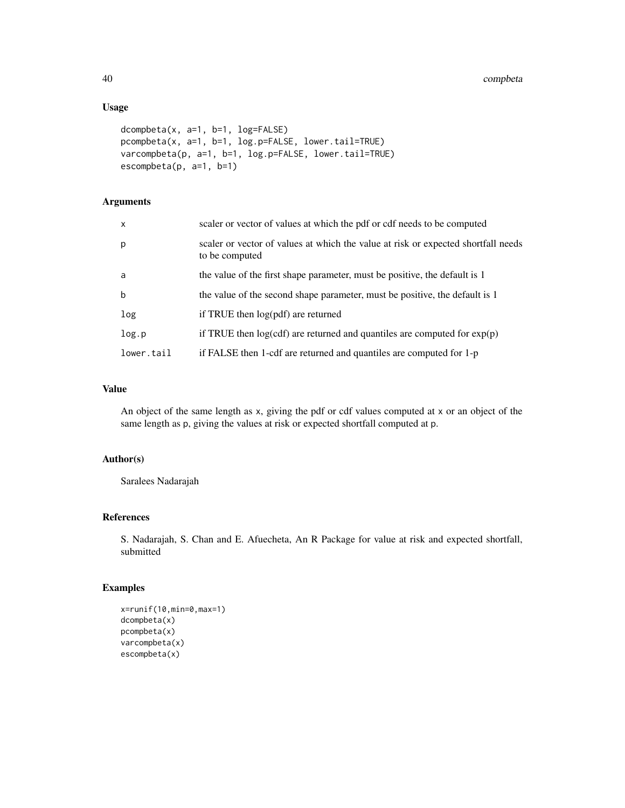# Usage

```
dcompbeta(x, a=1, b=1, log=FALSE)
pcompbeta(x, a=1, b=1, log.p=FALSE, lower.tail=TRUE)
varcompbeta(p, a=1, b=1, log.p=FALSE, lower.tail=TRUE)
escompbeta(p, a=1, b=1)
```
# Arguments

| $\mathsf{x}$ | scaler or vector of values at which the pdf or cdf needs to be computed                             |
|--------------|-----------------------------------------------------------------------------------------------------|
| p            | scaler or vector of values at which the value at risk or expected shortfall needs<br>to be computed |
| a            | the value of the first shape parameter, must be positive, the default is 1                          |
| $\mathbf b$  | the value of the second shape parameter, must be positive, the default is 1                         |
| log          | if TRUE then $log(pdf)$ are returned                                                                |
| log.p        | if TRUE then $log(cd)$ are returned and quantiles are computed for $exp(p)$                         |
| lower.tail   | if FALSE then 1-cdf are returned and quantiles are computed for 1-p                                 |

# Value

An object of the same length as x, giving the pdf or cdf values computed at x or an object of the same length as p, giving the values at risk or expected shortfall computed at p.

### Author(s)

Saralees Nadarajah

# References

S. Nadarajah, S. Chan and E. Afuecheta, An R Package for value at risk and expected shortfall, submitted

```
x=runif(10,min=0,max=1)
dcompbeta(x)
pcompbeta(x)
varcompbeta(x)
escompbeta(x)
```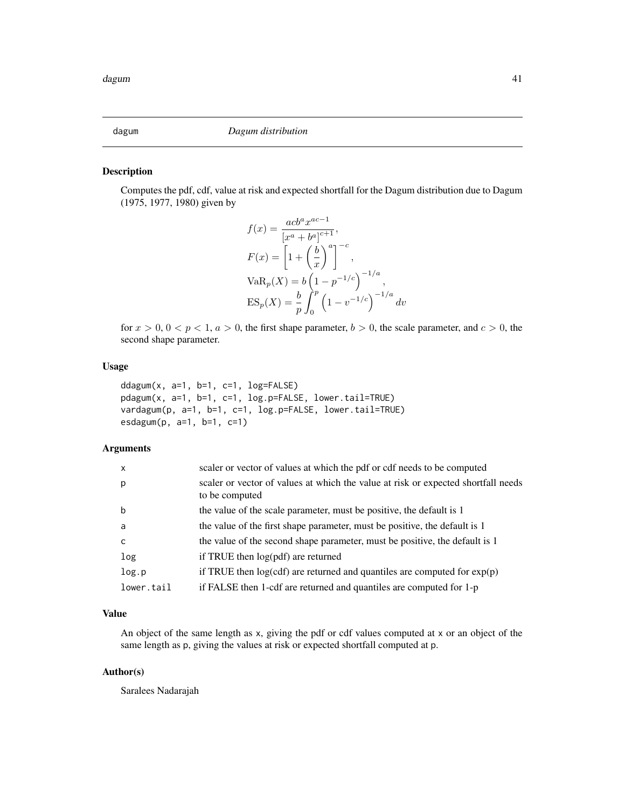Computes the pdf, cdf, value at risk and expected shortfall for the Dagum distribution due to Dagum (1975, 1977, 1980) given by

$$
f(x) = \frac{acb^{a}x^{ac-1}}{[x^{a} + b^{a}]^{c+1}},
$$
  
\n
$$
F(x) = \left[1 + \left(\frac{b}{x}\right)^{a}\right]^{-c},
$$
  
\n
$$
VaR_{p}(X) = b\left(1 - p^{-1/c}\right)^{-1/a},
$$
  
\n
$$
ES_{p}(X) = \frac{b}{p} \int_{0}^{p} \left(1 - v^{-1/c}\right)^{-1/a} dv
$$

for  $x > 0$ ,  $0 < p < 1$ ,  $a > 0$ , the first shape parameter,  $b > 0$ , the scale parameter, and  $c > 0$ , the second shape parameter.

### Usage

```
ddagum(x, a=1, b=1, c=1, log=FALSE)pdagum(x, a=1, b=1, c=1, log.p=FALSE, lower.tail=TRUE)
vardagum(p, a=1, b=1, c=1, log.p=FALSE, lower.tail=TRUE)
esdagum(p, a=1, b=1, c=1)
```
# Arguments

| $\mathsf{x}$ | scaler or vector of values at which the pdf or cdf needs to be computed                             |
|--------------|-----------------------------------------------------------------------------------------------------|
| p            | scaler or vector of values at which the value at risk or expected shortfall needs<br>to be computed |
| b            | the value of the scale parameter, must be positive, the default is 1                                |
| a            | the value of the first shape parameter, must be positive, the default is 1                          |
| $\mathsf{C}$ | the value of the second shape parameter, must be positive, the default is 1                         |
| log          | if TRUE then log(pdf) are returned                                                                  |
| log.p        | if TRUE then $log(cdf)$ are returned and quantiles are computed for $exp(p)$                        |
| lower.tail   | if FALSE then 1-cdf are returned and quantiles are computed for 1-p                                 |

#### Value

An object of the same length as x, giving the pdf or cdf values computed at x or an object of the same length as p, giving the values at risk or expected shortfall computed at p.

### Author(s)

Saralees Nadarajah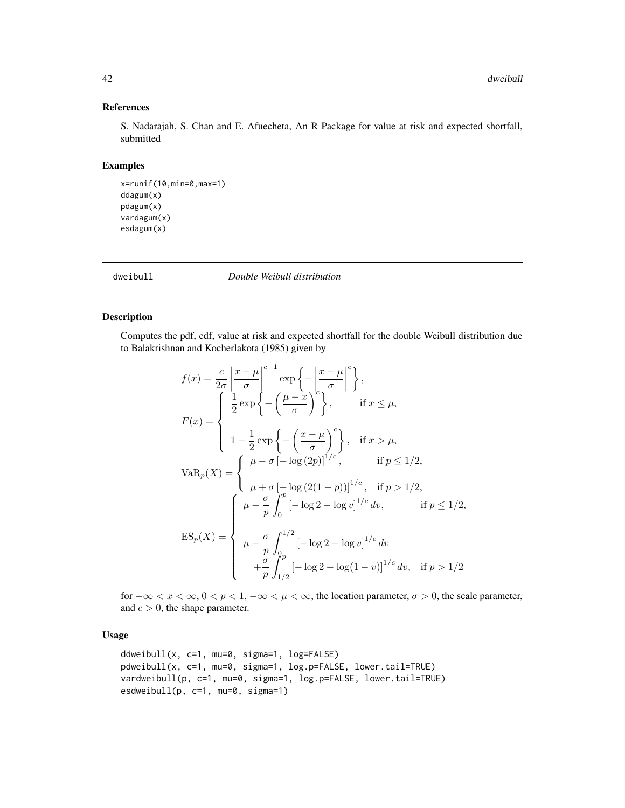# References

S. Nadarajah, S. Chan and E. Afuecheta, An R Package for value at risk and expected shortfall, submitted

### Examples

```
x=runif(10,min=0,max=1)
ddagum(x)
pdagum(x)
vardagum(x)
esdagum(x)
```
dweibull *Double Weibull distribution*

#### Description

Computes the pdf, cdf, value at risk and expected shortfall for the double Weibull distribution due to Balakrishnan and Kocherlakota (1985) given by

$$
f(x) = \frac{c}{2\sigma} \left| \frac{x-\mu}{\sigma} \right|^{c-1} \exp\left\{-\left(\frac{x-\mu}{\sigma}\right)^c\right\},
$$
  
\n
$$
F(x) = \begin{cases} \frac{1}{2} \exp\left\{-\left(\frac{\mu-x}{\sigma}\right)^c\right\}, & \text{if } x \le \mu, \\ 1 - \frac{1}{2} \exp\left\{-\left(\frac{x-\mu}{\sigma}\right)^c\right\}, & \text{if } x > \mu, \end{cases}
$$
  
\n
$$
VaR_p(X) = \begin{cases} \mu - \sigma \left[-\log(2p)\right]^{1/c}, & \text{if } p \le 1/2, \\ \mu + \sigma \left[-\log(2(1-p))\right]^{1/c}, & \text{if } p > 1/2, \\ \mu - \frac{\sigma}{p} \int_0^p \left[-\log 2 - \log v\right]^{1/c} dv, & \text{if } p \le 1/2, \end{cases}
$$
  
\n
$$
ES_p(X) = \begin{cases} \mu - \frac{\sigma}{p} \int_0^{1/2} \left[-\log 2 - \log v\right]^{1/c} dv \\ \mu - \frac{\sigma}{p} \int_{0^p}^p \left[-\log 2 - \log(1-v)\right]^{1/c} dv, & \text{if } p > 1/2 \end{cases}
$$

for  $-\infty < x < \infty$ ,  $0 < p < 1$ ,  $-\infty < \mu < \infty$ , the location parameter,  $\sigma > 0$ , the scale parameter, and  $c > 0$ , the shape parameter.

# Usage

```
ddweibull(x, c=1, mu=0, sigma=1, log=FALSE)
pdweibull(x, c=1, mu=0, sigma=1, log.p=FALSE, lower.tail=TRUE)
vardweibull(p, c=1, mu=0, sigma=1, log.p=FALSE, lower.tail=TRUE)
esdweibull(p, c=1, mu=0, sigma=1)
```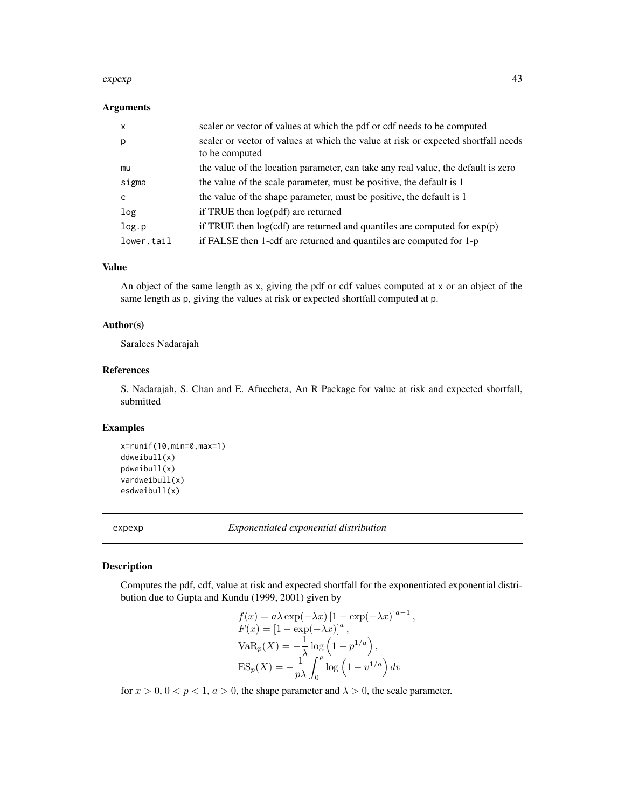#### expexp and the set of the set of the set of the set of the set of the set of the set of the set of the set of the set of the set of the set of the set of the set of the set of the set of the set of the set of the set of th

### Arguments

| x          | scaler or vector of values at which the pdf or cdf needs to be computed                             |
|------------|-----------------------------------------------------------------------------------------------------|
| p          | scaler or vector of values at which the value at risk or expected shortfall needs<br>to be computed |
| mu         | the value of the location parameter, can take any real value, the default is zero                   |
| sigma      | the value of the scale parameter, must be positive, the default is 1                                |
| c          | the value of the shape parameter, must be positive, the default is 1                                |
| log        | if TRUE then $log(pdf)$ are returned                                                                |
| log.p      | if TRUE then $log(cd)$ are returned and quantiles are computed for $exp(p)$                         |
| lower.tail | if FALSE then 1-cdf are returned and quantiles are computed for 1-p                                 |

### Value

An object of the same length as x, giving the pdf or cdf values computed at x or an object of the same length as p, giving the values at risk or expected shortfall computed at p.

### Author(s)

Saralees Nadarajah

# References

S. Nadarajah, S. Chan and E. Afuecheta, An R Package for value at risk and expected shortfall, submitted

# Examples

```
x=runif(10,min=0,max=1)
ddweibull(x)
pdweibull(x)
vardweibull(x)
esdweibull(x)
```
expexp *Exponentiated exponential distribution*

# Description

Computes the pdf, cdf, value at risk and expected shortfall for the exponentiated exponential distribution due to Gupta and Kundu (1999, 2001) given by

$$
f(x) = a\lambda \exp(-\lambda x) [1 - \exp(-\lambda x)]^{a-1},
$$
  
\n
$$
F(x) = [1 - \exp(-\lambda x)]^{a},
$$
  
\n
$$
VaR_p(X) = -\frac{1}{\lambda} \log (1 - p^{1/a}),
$$
  
\n
$$
ES_p(X) = -\frac{1}{p\lambda} \int_0^p \log (1 - v^{1/a}) dv
$$

for  $x > 0$ ,  $0 < p < 1$ ,  $a > 0$ , the shape parameter and  $\lambda > 0$ , the scale parameter.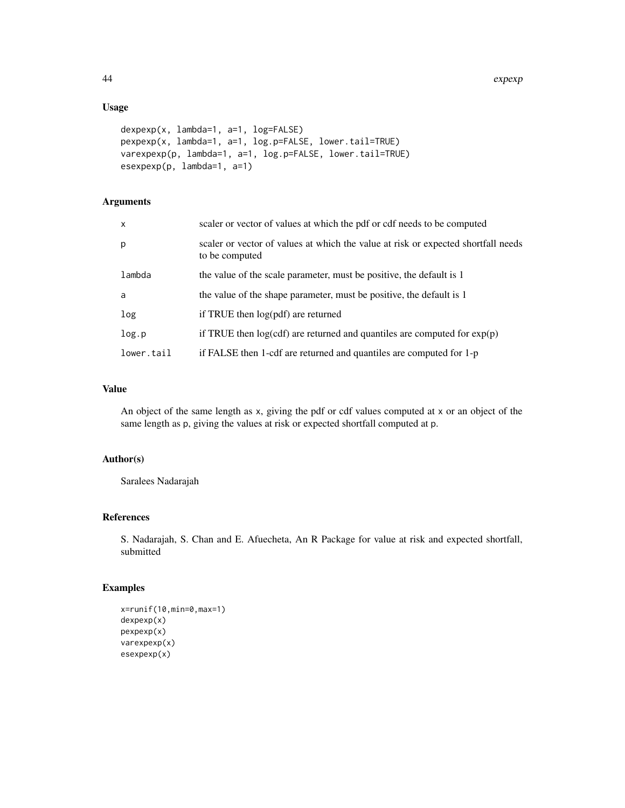# Usage

```
dexpexp(x, lambda=1, a=1, log=FALSE)
pexpexp(x, lambda=1, a=1, log.p=FALSE, lower.tail=TRUE)
varexpexp(p, lambda=1, a=1, log.p=FALSE, lower.tail=TRUE)
esexpexp(p, lambda=1, a=1)
```
# Arguments

| x          | scaler or vector of values at which the pdf or cdf needs to be computed                             |
|------------|-----------------------------------------------------------------------------------------------------|
| p          | scaler or vector of values at which the value at risk or expected shortfall needs<br>to be computed |
| lambda     | the value of the scale parameter, must be positive, the default is 1                                |
| a          | the value of the shape parameter, must be positive, the default is 1                                |
| log        | if TRUE then $log(pdf)$ are returned                                                                |
| log.p      | if TRUE then $log(cdf)$ are returned and quantiles are computed for $exp(p)$                        |
| lower.tail | if FALSE then 1-cdf are returned and quantiles are computed for $1-p$                               |

# Value

An object of the same length as x, giving the pdf or cdf values computed at x or an object of the same length as p, giving the values at risk or expected shortfall computed at p.

# Author(s)

Saralees Nadarajah

# References

S. Nadarajah, S. Chan and E. Afuecheta, An R Package for value at risk and expected shortfall, submitted

```
x=runif(10,min=0,max=1)
dexpexp(x)
pexpexp(x)
varexpexp(x)
esexpexp(x)
```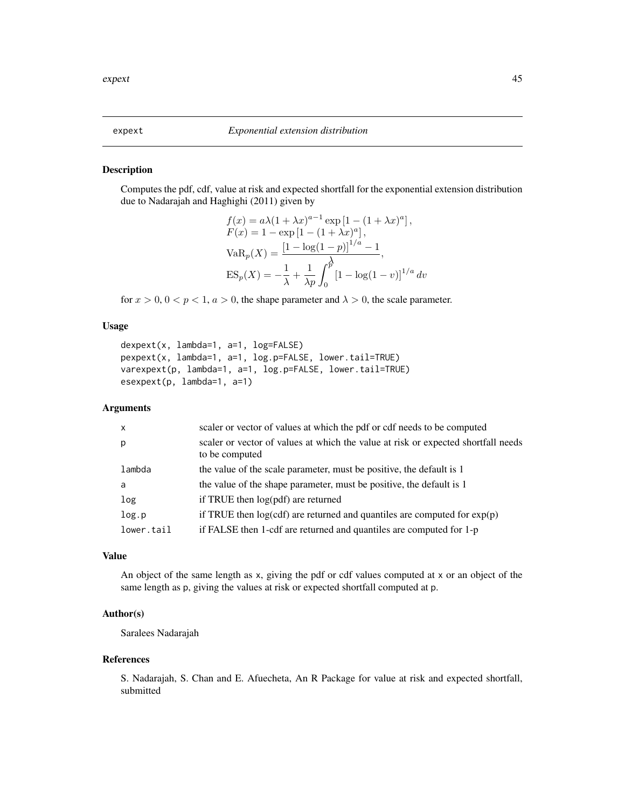Computes the pdf, cdf, value at risk and expected shortfall for the exponential extension distribution due to Nadarajah and Haghighi (2011) given by

$$
f(x) = a\lambda (1 + \lambda x)^{a-1} \exp [1 - (1 + \lambda x)^a],
$$
  
\n
$$
F(x) = 1 - \exp [1 - (1 + \lambda x)^a],
$$
  
\n
$$
VaR_p(X) = \frac{[1 - \log(1 - p)]^{1/a} - 1}{\lambda p},
$$
  
\n
$$
ES_p(X) = -\frac{1}{\lambda} + \frac{1}{\lambda p} \int_0^p [1 - \log(1 - v)]^{1/a} dv
$$

for  $x > 0$ ,  $0 < p < 1$ ,  $a > 0$ , the shape parameter and  $\lambda > 0$ , the scale parameter.

# Usage

```
dexpext(x, lambda=1, a=1, log=FALSE)
pexpext(x, lambda=1, a=1, log.p=FALSE, lower.tail=TRUE)
varexpext(p, lambda=1, a=1, log.p=FALSE, lower.tail=TRUE)
esexpext(p, lambda=1, a=1)
```
### Arguments

| $\mathsf{x}$ | scaler or vector of values at which the pdf or cdf needs to be computed                             |
|--------------|-----------------------------------------------------------------------------------------------------|
| p            | scaler or vector of values at which the value at risk or expected shortfall needs<br>to be computed |
| lambda       | the value of the scale parameter, must be positive, the default is 1                                |
| a            | the value of the shape parameter, must be positive, the default is 1                                |
| log          | if TRUE then log(pdf) are returned                                                                  |
| log.p        | if TRUE then $log(cdf)$ are returned and quantiles are computed for $exp(p)$                        |
| lower.tail   | if FALSE then 1-cdf are returned and quantiles are computed for 1-p                                 |
|              |                                                                                                     |

# Value

An object of the same length as x, giving the pdf or cdf values computed at x or an object of the same length as p, giving the values at risk or expected shortfall computed at p.

### Author(s)

Saralees Nadarajah

#### References

S. Nadarajah, S. Chan and E. Afuecheta, An R Package for value at risk and expected shortfall, submitted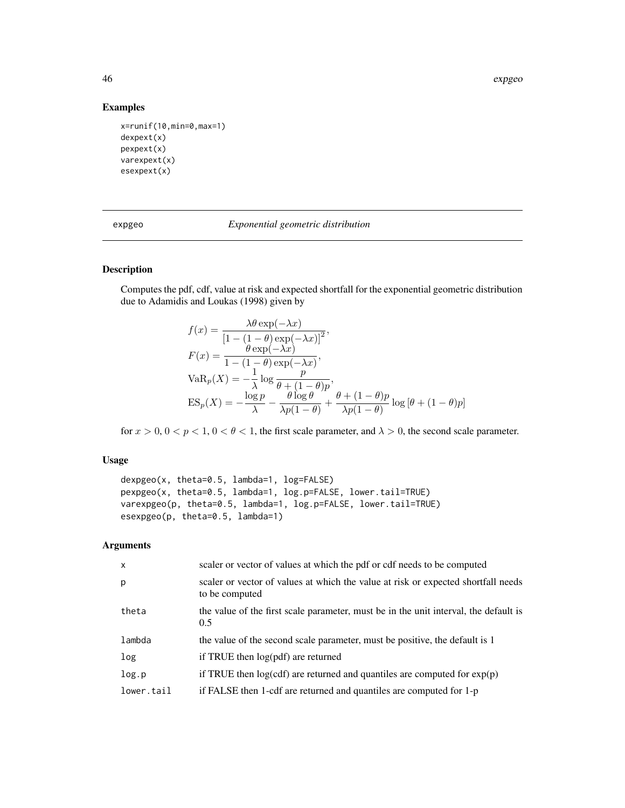46 expgeo

# Examples

```
x=runif(10,min=0,max=1)
dexpext(x)
pexpext(x)
varexpext(x)
esexpext(x)
```
expgeo *Exponential geometric distribution*

# Description

Computes the pdf, cdf, value at risk and expected shortfall for the exponential geometric distribution due to Adamidis and Loukas (1998) given by

$$
f(x) = \frac{\lambda \theta \exp(-\lambda x)}{\left[1 - (1 - \theta) \exp(-\lambda x)\right]^2},
$$
  
\n
$$
F(x) = \frac{\theta \exp(-\lambda x)}{1 - (1 - \theta) \exp(-\lambda x)},
$$
  
\n
$$
VaR_p(X) = -\frac{1}{\lambda} \log \frac{p}{\theta + (1 - \theta)p},
$$
  
\n
$$
ES_p(X) = -\frac{\log p}{\lambda} - \frac{\theta \log \theta}{\lambda p(1 - \theta)} + \frac{\theta + (1 - \theta)p}{\lambda p(1 - \theta)} \log \left[\theta + (1 - \theta)p\right]
$$

for  $x > 0$ ,  $0 < p < 1$ ,  $0 < \theta < 1$ , the first scale parameter, and  $\lambda > 0$ , the second scale parameter.

# Usage

```
dexpgeo(x, theta=0.5, lambda=1, log=FALSE)
pexpgeo(x, theta=0.5, lambda=1, log.p=FALSE, lower.tail=TRUE)
varexpgeo(p, theta=0.5, lambda=1, log.p=FALSE, lower.tail=TRUE)
esexpgeo(p, theta=0.5, lambda=1)
```

| $\mathsf{x}$ | scaler or vector of values at which the pdf or cdf needs to be computed                             |
|--------------|-----------------------------------------------------------------------------------------------------|
| p            | scaler or vector of values at which the value at risk or expected shortfall needs<br>to be computed |
| theta        | the value of the first scale parameter, must be in the unit interval, the default is<br>0.5         |
| lambda       | the value of the second scale parameter, must be positive, the default is 1                         |
| log          | if TRUE then log(pdf) are returned                                                                  |
| log.p        | if TRUE then $log(cdf)$ are returned and quantiles are computed for $exp(p)$                        |
| lower.tail   | if FALSE then 1-cdf are returned and quantiles are computed for 1-p                                 |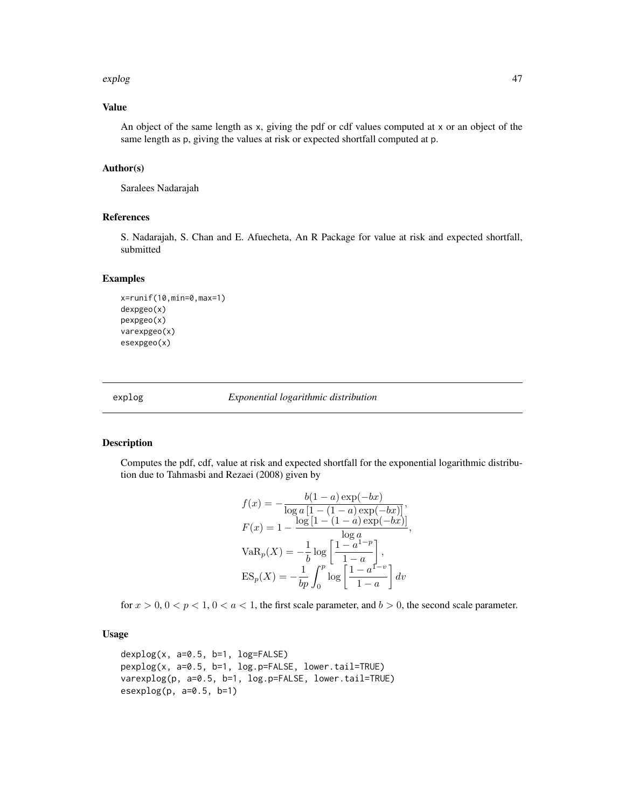#### explog that the explorer control of the explorer control of the explorer control of the explorer control of the explorer control of the explorer control of the explorer control of the explorer control of the explorer contr

# Value

An object of the same length as x, giving the pdf or cdf values computed at x or an object of the same length as p, giving the values at risk or expected shortfall computed at p.

# Author(s)

Saralees Nadarajah

### References

S. Nadarajah, S. Chan and E. Afuecheta, An R Package for value at risk and expected shortfall, submitted

#### Examples

```
x=runif(10,min=0,max=1)
dexpgeo(x)
pexpgeo(x)
varexpgeo(x)
esexpgeo(x)
```
explog *Exponential logarithmic distribution*

# Description

Computes the pdf, cdf, value at risk and expected shortfall for the exponential logarithmic distribution due to Tahmasbi and Rezaei (2008) given by

$$
f(x) = -\frac{b(1-a)\exp(-bx)}{\log a [1 - (1-a)\exp(-bx)]},
$$
  
\n
$$
F(x) = 1 - \frac{\log [1 - (1-a)\exp(-bx)]}{\log a},
$$
  
\n
$$
VaR_p(X) = -\frac{1}{b} \log \left[ \frac{1 - a^{1-p}}{1 - a} \right],
$$
  
\n
$$
ES_p(X) = -\frac{1}{bp} \int_0^p \log \left[ \frac{1 - a^{1-p}}{1 - a} \right] dv
$$

for  $x > 0$ ,  $0 < p < 1$ ,  $0 < a < 1$ , the first scale parameter, and  $b > 0$ , the second scale parameter.

# Usage

```
dexplog(x, a=0.5, b=1, log=FALSE)pexplog(x, a=0.5, b=1, log.p=FALSE, lower.tail=TRUE)
varexplog(p, a=0.5, b=1, log.p=FALSE, lower.tail=TRUE)
esexplog(p, a=0.5, b=1)
```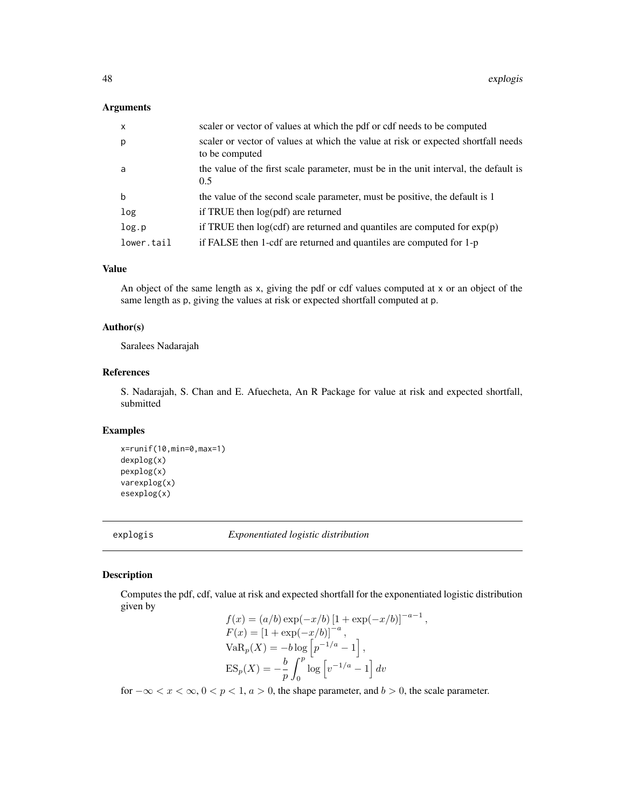### Arguments

| scaler or vector of values at which the pdf or cdf needs to be computed                             |
|-----------------------------------------------------------------------------------------------------|
| scaler or vector of values at which the value at risk or expected shortfall needs<br>to be computed |
| the value of the first scale parameter, must be in the unit interval, the default is<br>0.5         |
| the value of the second scale parameter, must be positive, the default is 1                         |
| if TRUE then $log(pdf)$ are returned                                                                |
| if TRUE then $log(cdf)$ are returned and quantiles are computed for $exp(p)$                        |
| if FALSE then 1-cdf are returned and quantiles are computed for 1-p                                 |
|                                                                                                     |

# Value

An object of the same length as x, giving the pdf or cdf values computed at x or an object of the same length as p, giving the values at risk or expected shortfall computed at p.

### Author(s)

Saralees Nadarajah

### References

S. Nadarajah, S. Chan and E. Afuecheta, An R Package for value at risk and expected shortfall, submitted

### Examples

```
x=runif(10,min=0,max=1)
dexplog(x)
pexplog(x)
varexplog(x)
esexplog(x)
```
explogis *Exponentiated logistic distribution*

# Description

Computes the pdf, cdf, value at risk and expected shortfall for the exponentiated logistic distribution given by

$$
f(x) = (a/b) \exp(-x/b) [1 + \exp(-x/b)]^{-a-1},
$$
  
\n
$$
F(x) = [1 + \exp(-x/b)]^{-a},
$$
  
\n
$$
VaR_p(X) = -b \log [p^{-1/a} - 1],
$$
  
\n
$$
ES_p(X) = -\frac{b}{p} \int_0^p \log [v^{-1/a} - 1] dv
$$

for  $-\infty < x < \infty$ ,  $0 < p < 1$ ,  $a > 0$ , the shape parameter, and  $b > 0$ , the scale parameter.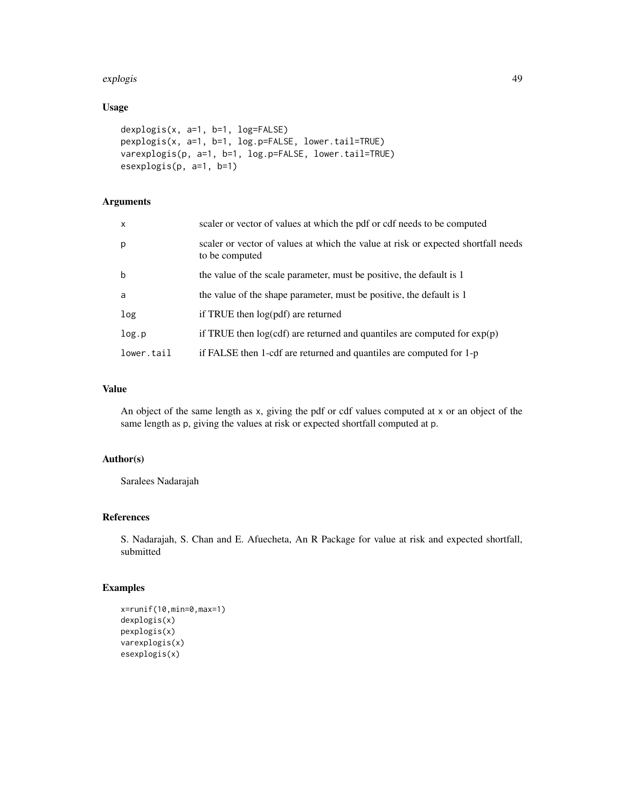#### explogis 49

# Usage

```
dexplogis(x, a=1, b=1, log=FALSE)
pexplogis(x, a=1, b=1, log.p=FALSE, lower.tail=TRUE)
varexplogis(p, a=1, b=1, log.p=FALSE, lower.tail=TRUE)
esexplogis(p, a=1, b=1)
```
# Arguments

| $\mathsf{x}$ | scaler or vector of values at which the pdf or cdf needs to be computed                             |
|--------------|-----------------------------------------------------------------------------------------------------|
| p            | scaler or vector of values at which the value at risk or expected shortfall needs<br>to be computed |
| b            | the value of the scale parameter, must be positive, the default is 1                                |
| a            | the value of the shape parameter, must be positive, the default is 1                                |
| log          | if TRUE then log(pdf) are returned                                                                  |
| log.p        | if TRUE then $log(cdf)$ are returned and quantiles are computed for $exp(p)$                        |
| lower.tail   | if FALSE then 1-cdf are returned and quantiles are computed for 1-p                                 |

# Value

An object of the same length as x, giving the pdf or cdf values computed at x or an object of the same length as p, giving the values at risk or expected shortfall computed at p.

### Author(s)

Saralees Nadarajah

# References

S. Nadarajah, S. Chan and E. Afuecheta, An R Package for value at risk and expected shortfall, submitted

```
x=runif(10,min=0,max=1)
dexplogis(x)
pexplogis(x)
varexplogis(x)
esexplogis(x)
```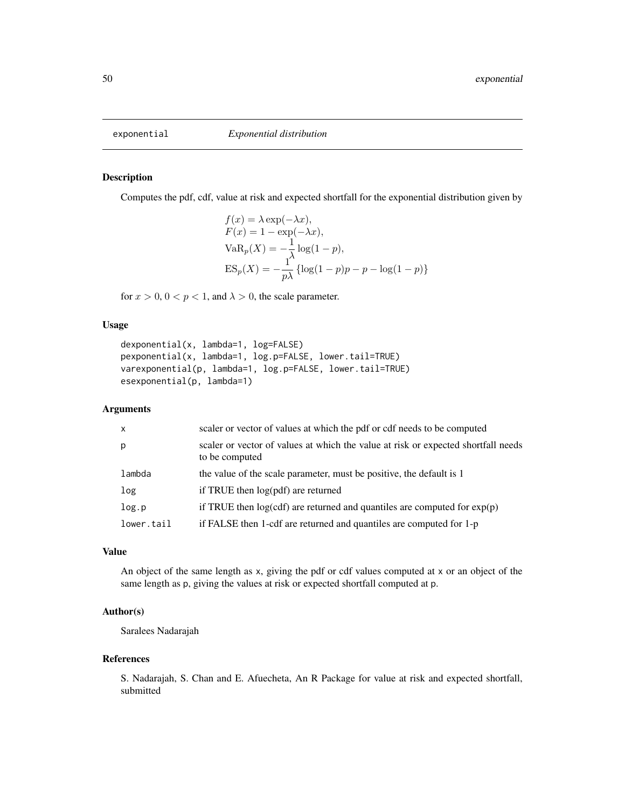Computes the pdf, cdf, value at risk and expected shortfall for the exponential distribution given by

$$
f(x) = \lambda \exp(-\lambda x),
$$
  
\n
$$
F(x) = 1 - \exp(-\lambda x),
$$
  
\n
$$
VaR_p(X) = -\frac{1}{\lambda} \log(1 - p),
$$
  
\n
$$
ES_p(X) = -\frac{1}{p\lambda} \{\log(1 - p)p - p - \log(1 - p)\}\
$$

for  $x > 0$ ,  $0 < p < 1$ , and  $\lambda > 0$ , the scale parameter.

# Usage

```
dexponential(x, lambda=1, log=FALSE)
pexponential(x, lambda=1, log.p=FALSE, lower.tail=TRUE)
varexponential(p, lambda=1, log.p=FALSE, lower.tail=TRUE)
esexponential(p, lambda=1)
```
# Arguments

| $\mathsf{x}$ | scaler or vector of values at which the pdf or cdf needs to be computed                             |
|--------------|-----------------------------------------------------------------------------------------------------|
| p            | scaler or vector of values at which the value at risk or expected shortfall needs<br>to be computed |
| lambda       | the value of the scale parameter, must be positive, the default is 1                                |
| log          | if TRUE then $log(pdf)$ are returned                                                                |
| log.p        | if TRUE then $log(cdf)$ are returned and quantiles are computed for $exp(p)$                        |
| lower.tail   | if FALSE then 1-cdf are returned and quantiles are computed for 1-p                                 |

#### Value

An object of the same length as x, giving the pdf or cdf values computed at x or an object of the same length as p, giving the values at risk or expected shortfall computed at p.

# Author(s)

Saralees Nadarajah

#### References

S. Nadarajah, S. Chan and E. Afuecheta, An R Package for value at risk and expected shortfall, submitted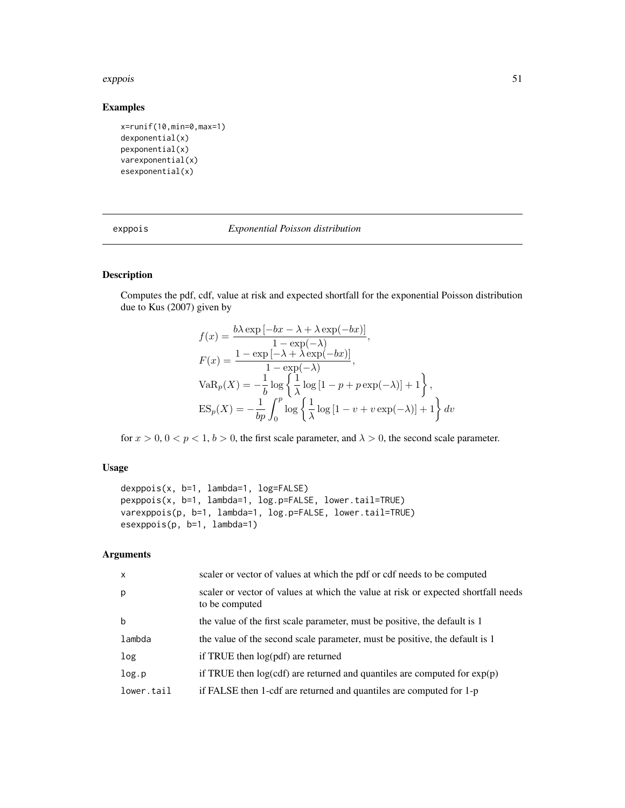#### exppois 51

# Examples

```
x=runif(10,min=0,max=1)
dexponential(x)
pexponential(x)
varexponential(x)
esexponential(x)
```

| exppois |  |  |
|---------|--|--|

### exppois *Exponential Poisson distribution*

# Description

Computes the pdf, cdf, value at risk and expected shortfall for the exponential Poisson distribution due to Kus (2007) given by

$$
f(x) = \frac{b\lambda \exp[-bx - \lambda + \lambda \exp(-bx)]}{1 - \exp(-\lambda)},
$$
  
\n
$$
F(x) = \frac{1 - \exp[-\lambda + \lambda \exp(-bx)]}{1 - \exp(-\lambda)},
$$
  
\n
$$
VaR_p(X) = -\frac{1}{b} \log \left\{ \frac{1}{\lambda} \log[1 - p + p \exp(-\lambda)] + 1 \right\},
$$
  
\n
$$
ES_p(X) = -\frac{1}{bp} \int_0^p \log \left\{ \frac{1}{\lambda} \log[1 - v + v \exp(-\lambda)] + 1 \right\} dv
$$

for  $x > 0$ ,  $0 < p < 1$ ,  $b > 0$ , the first scale parameter, and  $\lambda > 0$ , the second scale parameter.

### Usage

```
dexppois(x, b=1, lambda=1, log=FALSE)
pexppois(x, b=1, lambda=1, log.p=FALSE, lower.tail=TRUE)
varexppois(p, b=1, lambda=1, log.p=FALSE, lower.tail=TRUE)
esexppois(p, b=1, lambda=1)
```

| $\mathsf{x}$ | scaler or vector of values at which the pdf or cdf needs to be computed                             |
|--------------|-----------------------------------------------------------------------------------------------------|
| p            | scaler or vector of values at which the value at risk or expected shortfall needs<br>to be computed |
| $\mathbf b$  | the value of the first scale parameter, must be positive, the default is 1                          |
| lambda       | the value of the second scale parameter, must be positive, the default is 1                         |
| log          | if TRUE then $log(pdf)$ are returned                                                                |
| log.p        | if TRUE then $log(cdf)$ are returned and quantiles are computed for $exp(p)$                        |
| lower.tail   | if FALSE then 1-cdf are returned and quantiles are computed for 1-p                                 |
|              |                                                                                                     |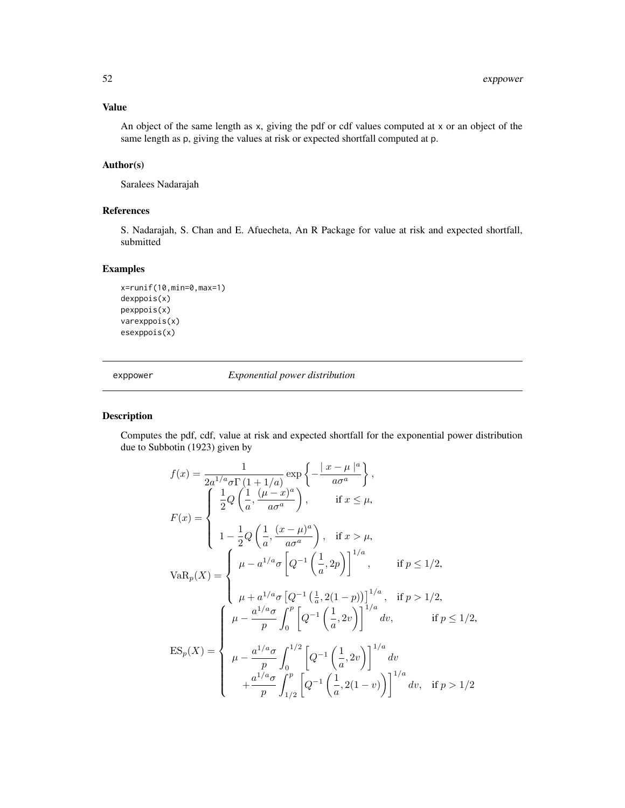# Value

An object of the same length as x, giving the pdf or cdf values computed at x or an object of the same length as p, giving the values at risk or expected shortfall computed at p.

# Author(s)

Saralees Nadarajah

# References

S. Nadarajah, S. Chan and E. Afuecheta, An R Package for value at risk and expected shortfall, submitted

# Examples

```
x=runif(10,min=0,max=1)
dexppois(x)
pexppois(x)
varexppois(x)
esexppois(x)
```
exppower *Exponential power distribution*

# Description

Computes the pdf, cdf, value at risk and expected shortfall for the exponential power distribution due to Subbotin (1923) given by

$$
f(x) = \frac{1}{2a^{1/a}\sigma\Gamma(1+1/a)} \exp\left\{-\frac{|x-\mu|^a}{a\sigma^a}\right\},
$$
  
\n
$$
F(x) = \begin{cases} \frac{1}{2}Q\left(\frac{1}{a}, \frac{(\mu-x)^a}{a\sigma^a}\right), & \text{if } x \le \mu, \\ 1 - \frac{1}{2}Q\left(\frac{1}{a}, \frac{(x-\mu)^a}{a\sigma^a}\right), & \text{if } x > \mu, \end{cases}
$$
  
\n
$$
VaR_p(X) = \begin{cases} \mu - a^{1/a}\sigma\left[Q^{-1}\left(\frac{1}{a}, 2p\right)\right]^{1/a}, & \text{if } p \le 1/2, \\ \mu + a^{1/a}\sigma\left[Q^{-1}\left(\frac{1}{a}, 2(1-p)\right)\right]^{1/a}, & \text{if } p > 1/2, \\ \mu + a^{1/a}\sigma\left[Q^{-1}\left(\frac{1}{a}, 2(1-p)\right)\right]^{1/a}, & \text{if } p > 1/2, \\ \mu - \frac{a^{1/a}\sigma}{p} \int_0^p \left[Q^{-1}\left(\frac{1}{a}, 2v\right)\right]^{1/a} dv, & \text{if } p \le 1/2, \\ \mu - \frac{a^{1/a}\sigma}{p} \int_0^{1/2} \left[Q^{-1}\left(\frac{1}{a}, 2v\right)\right]^{1/a} dv \\ + \frac{a^{1/a}\sigma}{p} \int_{1/2}^p \left[Q^{-1}\left(\frac{1}{a}, 2(1-v)\right)\right]^{1/a} dv, & \text{if } p > 1/2 \end{cases}
$$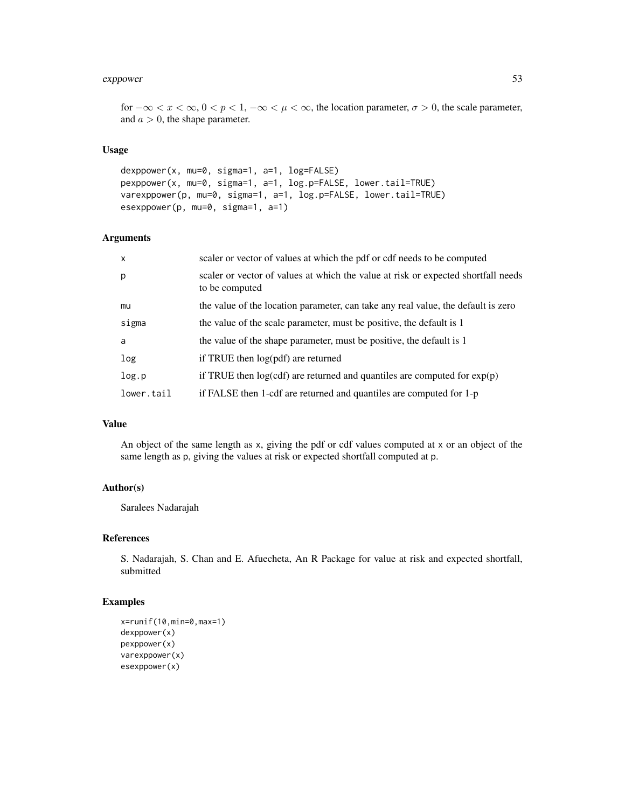#### expower 53

for  $-\infty < x < \infty$ ,  $0 < p < 1$ ,  $-\infty < \mu < \infty$ , the location parameter,  $\sigma > 0$ , the scale parameter, and  $a > 0$ , the shape parameter.

### Usage

```
dexppower(x, mu=0, sigma=1, a=1, log=FALSE)
pexppower(x, mu=0, sigma=1, a=1, log.p=FALSE, lower.tail=TRUE)
varexppower(p, mu=0, sigma=1, a=1, log.p=FALSE, lower.tail=TRUE)
esexppower(p, mu=0, sigma=1, a=1)
```
### Arguments

| $\mathsf{x}$ | scaler or vector of values at which the pdf or cdf needs to be computed                             |
|--------------|-----------------------------------------------------------------------------------------------------|
| p            | scaler or vector of values at which the value at risk or expected shortfall needs<br>to be computed |
| mu           | the value of the location parameter, can take any real value, the default is zero                   |
| sigma        | the value of the scale parameter, must be positive, the default is 1                                |
| a            | the value of the shape parameter, must be positive, the default is 1                                |
| log          | if TRUE then log(pdf) are returned                                                                  |
| log.p        | if TRUE then $log(cdf)$ are returned and quantiles are computed for $exp(p)$                        |
| lower.tail   | if FALSE then 1-cdf are returned and quantiles are computed for 1-p                                 |
|              |                                                                                                     |

# Value

An object of the same length as x, giving the pdf or cdf values computed at x or an object of the same length as p, giving the values at risk or expected shortfall computed at p.

# Author(s)

Saralees Nadarajah

# References

S. Nadarajah, S. Chan and E. Afuecheta, An R Package for value at risk and expected shortfall, submitted

```
x=runif(10,min=0,max=1)
dexppower(x)
pexppower(x)
varexppower(x)
esexppower(x)
```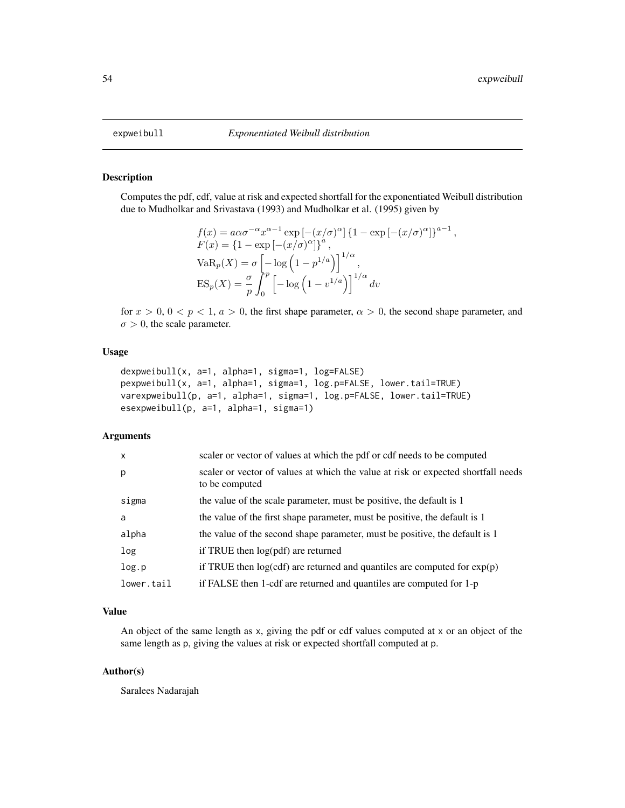Computes the pdf, cdf, value at risk and expected shortfall for the exponentiated Weibull distribution due to Mudholkar and Srivastava (1993) and Mudholkar et al. (1995) given by

$$
f(x) = a\alpha\sigma^{-\alpha}x^{\alpha-1}\exp\left[-(x/\sigma)^{\alpha}\right]\left\{1 - \exp\left[-(x/\sigma)^{\alpha}\right]\right\}^{a-1},
$$
  
\n
$$
F(x) = \left\{1 - \exp\left[-(x/\sigma)^{\alpha}\right]\right\}^{a},
$$
  
\n
$$
VaR_p(X) = \sigma\left[-\log\left(1 - p^{1/a}\right)\right]^{1/\alpha},
$$
  
\n
$$
ES_p(X) = \frac{\sigma}{p}\int_0^p \left[-\log\left(1 - v^{1/a}\right)\right]^{1/\alpha} dv
$$

for  $x > 0$ ,  $0 < p < 1$ ,  $a > 0$ , the first shape parameter,  $\alpha > 0$ , the second shape parameter, and  $\sigma > 0$ , the scale parameter.

#### Usage

```
dexpweibull(x, a=1, alpha=1, sigma=1, log=FALSE)
pexpweibull(x, a=1, alpha=1, sigma=1, log.p=FALSE, lower.tail=TRUE)
varexpweibull(p, a=1, alpha=1, sigma=1, log.p=FALSE, lower.tail=TRUE)
esexpweibull(p, a=1, alpha=1, sigma=1)
```
### Arguments

| $\mathsf{x}$ | scaler or vector of values at which the pdf or cdf needs to be computed                             |
|--------------|-----------------------------------------------------------------------------------------------------|
| p            | scaler or vector of values at which the value at risk or expected shortfall needs<br>to be computed |
| sigma        | the value of the scale parameter, must be positive, the default is 1                                |
| a            | the value of the first shape parameter, must be positive, the default is 1                          |
| alpha        | the value of the second shape parameter, must be positive, the default is 1                         |
| log          | if TRUE then $log(pdf)$ are returned                                                                |
| log.p        | if TRUE then $log(cdf)$ are returned and quantiles are computed for $exp(p)$                        |
| lower.tail   | if FALSE then 1-cdf are returned and quantiles are computed for 1-p                                 |

# Value

An object of the same length as x, giving the pdf or cdf values computed at x or an object of the same length as p, giving the values at risk or expected shortfall computed at p.

### Author(s)

Saralees Nadarajah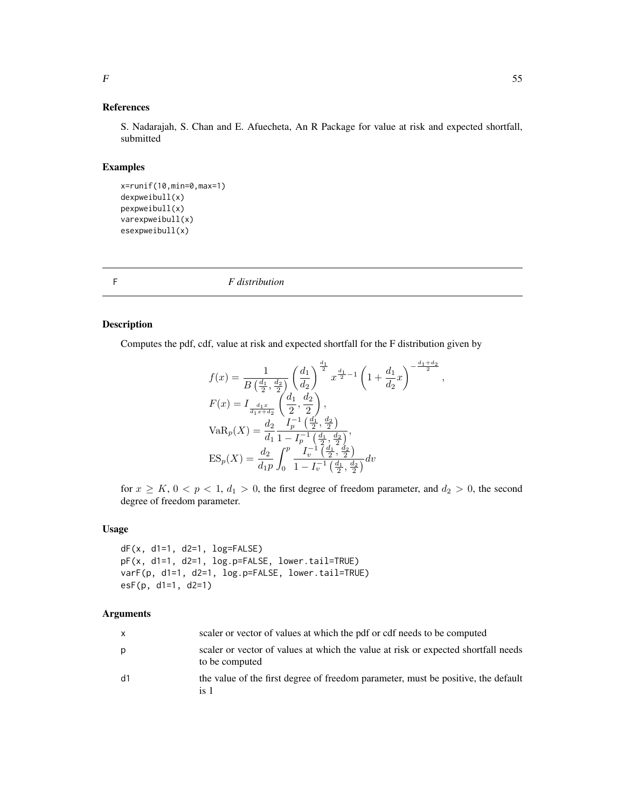#### References

S. Nadarajah, S. Chan and E. Afuecheta, An R Package for value at risk and expected shortfall, submitted

# Examples

```
x=runif(10,min=0,max=1)
dexpweibull(x)
pexpweibull(x)
varexpweibull(x)
esexpweibull(x)
```
F *F distribution*

### Description

Computes the pdf, cdf, value at risk and expected shortfall for the F distribution given by

$$
f(x) = \frac{1}{B\left(\frac{d_1}{2}, \frac{d_2}{2}\right)} \left(\frac{d_1}{d_2}\right)^{\frac{d_1}{2}} x^{\frac{d_1}{2} - 1} \left(1 + \frac{d_1}{d_2}x\right)^{-\frac{d_1 + d_2}{2}}
$$
  
\n
$$
F(x) = I_{\frac{d_1 x}{d_1 x + d_2}} \left(\frac{d_1}{2}, \frac{d_2}{2}\right),
$$
  
\n
$$
VaR_p(X) = \frac{d_2}{d_1} \frac{I_p^{-1}\left(\frac{d_1}{2}, \frac{d_2}{2}\right)}{1 - I_p^{-1}\left(\frac{d_1}{2}, \frac{d_2}{2}\right)},
$$
  
\n
$$
ES_p(X) = \frac{d_2}{d_1 p} \int_0^p \frac{I_p^{-1}\left(\frac{d_1}{2}, \frac{d_2}{2}\right)}{1 - I_p^{-1}\left(\frac{d_1}{2}, \frac{d_2}{2}\right)} dv
$$

,

for  $x \geq K$ ,  $0 < p < 1$ ,  $d_1 > 0$ , the first degree of freedom parameter, and  $d_2 > 0$ , the second degree of freedom parameter.

# Usage

```
dF(x, d1=1, d2=1, log=FALSE)
pF(x, d1=1, d2=1, log.p=FALSE, lower.tail=TRUE)
varF(p, d1=1, d2=1, log.p=FALSE, lower.tail=TRUE)
esF(p, d1=1, d2=1)
```

| $\mathsf{x}$ | scaler or vector of values at which the pdf or cdf needs to be computed                             |
|--------------|-----------------------------------------------------------------------------------------------------|
| p            | scaler or vector of values at which the value at risk or expected shortfall needs<br>to be computed |
| d1           | the value of the first degree of freedom parameter, must be positive, the default<br>is 1           |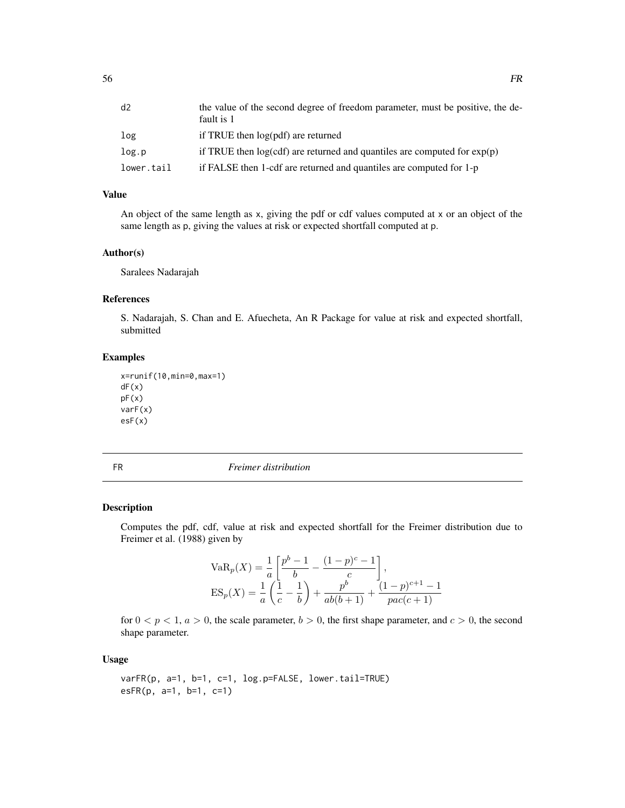| d2         | the value of the second degree of freedom parameter, must be positive, the de-<br>fault is 1 |
|------------|----------------------------------------------------------------------------------------------|
| log        | if TRUE then log(pdf) are returned                                                           |
| log.p      | if TRUE then $log(cdf)$ are returned and quantiles are computed for $exp(p)$                 |
| lower.tail | if FALSE then 1-cdf are returned and quantiles are computed for 1-p                          |

# Value

An object of the same length as x, giving the pdf or cdf values computed at x or an object of the same length as p, giving the values at risk or expected shortfall computed at p.

#### Author(s)

Saralees Nadarajah

### References

S. Nadarajah, S. Chan and E. Afuecheta, An R Package for value at risk and expected shortfall, submitted

### Examples

```
x=runif(10,min=0,max=1)
dF(x)
pF(x)varF(x)
esF(x)
```

FR *Freimer distribution*

### Description

Computes the pdf, cdf, value at risk and expected shortfall for the Freimer distribution due to Freimer et al. (1988) given by

$$
VaRp(X) = \frac{1}{a} \left[ \frac{p^{b} - 1}{b} - \frac{(1 - p)^{c} - 1}{c} \right],
$$
  
\n
$$
ES_{p}(X) = \frac{1}{a} \left( \frac{1}{c} - \frac{1}{b} \right) + \frac{p^{b}}{ab(b+1)} + \frac{(1 - p)^{c+1} - 1}{pac(c+1)}
$$

for  $0 < p < 1$ ,  $a > 0$ , the scale parameter,  $b > 0$ , the first shape parameter, and  $c > 0$ , the second shape parameter.

#### Usage

```
varFR(p, a=1, b=1, c=1, log.p=FALSE, lower.tail=TRUE)
esFR(p, a=1, b=1, c=1)
```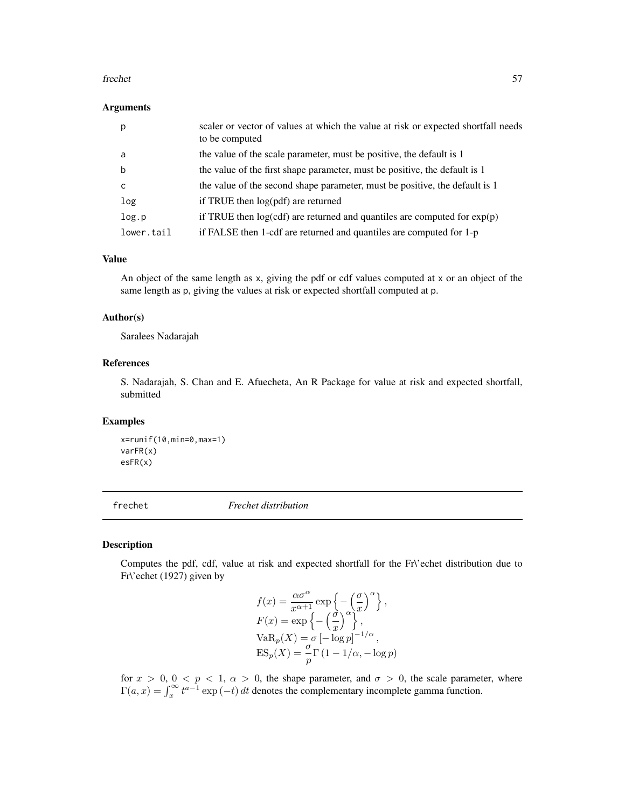#### frechet 57

#### Arguments

| p          | scaler or vector of values at which the value at risk or expected shortfall needs<br>to be computed |
|------------|-----------------------------------------------------------------------------------------------------|
| a          | the value of the scale parameter, must be positive, the default is 1                                |
| b          | the value of the first shape parameter, must be positive, the default is 1                          |
| с          | the value of the second shape parameter, must be positive, the default is 1                         |
| log        | if TRUE then $log(pdf)$ are returned                                                                |
| log.p      | if TRUE then $log(cdf)$ are returned and quantiles are computed for $exp(p)$                        |
| lower.tail | if FALSE then 1-cdf are returned and quantiles are computed for 1-p                                 |

### Value

An object of the same length as x, giving the pdf or cdf values computed at x or an object of the same length as p, giving the values at risk or expected shortfall computed at p.

#### Author(s)

Saralees Nadarajah

### References

S. Nadarajah, S. Chan and E. Afuecheta, An R Package for value at risk and expected shortfall, submitted

# Examples

```
x=runif(10,min=0,max=1)
varFR(x)
esFR(x)
```
frechet *Frechet distribution*

### Description

Computes the pdf, cdf, value at risk and expected shortfall for the Fr\'echet distribution due to Fr\'echet (1927) given by

$$
f(x) = \frac{\alpha \sigma^{\alpha}}{x^{\alpha+1}} \exp \left\{-\left(\frac{\sigma}{x}\right)^{\alpha}\right\},
$$
  
\n
$$
F(x) = \exp \left\{-\left(\frac{\sigma}{x}\right)^{\alpha}\right\},
$$
  
\n
$$
VaR_p(X) = \sigma [-\log p]^{-1/\alpha},
$$
  
\n
$$
ES_p(X) = \frac{\sigma}{p} \Gamma(1 - 1/\alpha, -\log p)
$$

for  $x > 0$ ,  $0 < p < 1$ ,  $\alpha > 0$ , the shape parameter, and  $\sigma > 0$ , the scale parameter, where  $\Gamma(a, x) = \int_x^{\infty} t^{a-1} \exp(-t) dt$  denotes the complementary incomplete gamma function.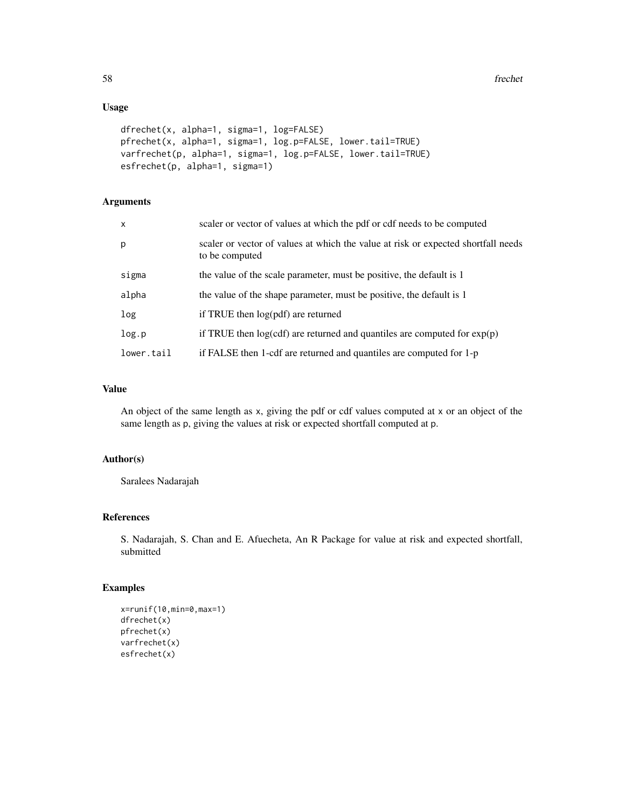# Usage

```
dfrechet(x, alpha=1, sigma=1, log=FALSE)
pfrechet(x, alpha=1, sigma=1, log.p=FALSE, lower.tail=TRUE)
varfrechet(p, alpha=1, sigma=1, log.p=FALSE, lower.tail=TRUE)
esfrechet(p, alpha=1, sigma=1)
```
# Arguments

| $\mathsf{x}$ | scaler or vector of values at which the pdf or cdf needs to be computed                             |
|--------------|-----------------------------------------------------------------------------------------------------|
| p            | scaler or vector of values at which the value at risk or expected shortfall needs<br>to be computed |
| sigma        | the value of the scale parameter, must be positive, the default is 1                                |
| alpha        | the value of the shape parameter, must be positive, the default is 1                                |
| log          | if TRUE then log(pdf) are returned                                                                  |
| log.p        | if TRUE then $log(cdf)$ are returned and quantiles are computed for $exp(p)$                        |
| lower.tail   | if FALSE then 1-cdf are returned and quantiles are computed for 1-p                                 |

# Value

An object of the same length as x, giving the pdf or cdf values computed at x or an object of the same length as p, giving the values at risk or expected shortfall computed at p.

### Author(s)

Saralees Nadarajah

# References

S. Nadarajah, S. Chan and E. Afuecheta, An R Package for value at risk and expected shortfall, submitted

```
x=runif(10,min=0,max=1)
dfrechet(x)
pfrechet(x)
varfrechet(x)
esfrechet(x)
```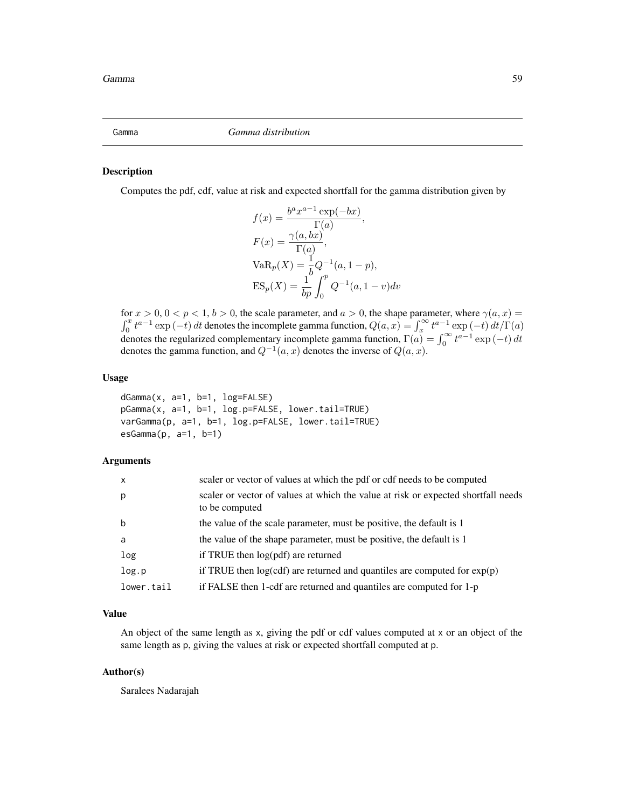Computes the pdf, cdf, value at risk and expected shortfall for the gamma distribution given by

$$
f(x) = \frac{b^a x^{a-1} \exp(-bx)}{\Gamma(a)},
$$
  
\n
$$
F(x) = \frac{\gamma(a, bx)}{\Gamma(a)},
$$
  
\n
$$
VaR_p(X) = \frac{1}{b}Q^{-1}(a, 1-p),
$$
  
\n
$$
ES_p(X) = \frac{1}{bp} \int_0^p Q^{-1}(a, 1 - v) dv
$$

for  $x > 0$ ,  $0 < p < 1$ ,  $b > 0$ , the scale parameter, and  $a > 0$ , the shape parameter, where  $\gamma(a, x) =$  $\int_0^x t^{a-1} \exp(-t) dt$  denotes the incomplete gamma function,  $Q(a, x) = \int_x^\infty t^{a-1} \exp(-t) dt / \Gamma(a)$ denotes the regularized complementary incomplete gamma function,  $\Gamma(a) = \int_0^\infty t^{a-1} \exp(-t) dt$ denotes the gamma function, and  $Q^{-1}(a, x)$  denotes the inverse of  $Q(a, x)$ .

# Usage

dGamma(x, a=1, b=1, log=FALSE) pGamma(x, a=1, b=1, log.p=FALSE, lower.tail=TRUE) varGamma(p, a=1, b=1, log.p=FALSE, lower.tail=TRUE) esGamma(p, a=1, b=1)

### Arguments

| $\mathsf{x}$ | scaler or vector of values at which the pdf or cdf needs to be computed                             |
|--------------|-----------------------------------------------------------------------------------------------------|
| p            | scaler or vector of values at which the value at risk or expected shortfall needs<br>to be computed |
| b            | the value of the scale parameter, must be positive, the default is 1                                |
| a            | the value of the shape parameter, must be positive, the default is 1                                |
| log          | if TRUE then $log(pdf)$ are returned                                                                |
| log.p        | if TRUE then $log(cdf)$ are returned and quantiles are computed for $exp(p)$                        |
| lower.tail   | if FALSE then 1-cdf are returned and quantiles are computed for 1-p                                 |

### Value

An object of the same length as x, giving the pdf or cdf values computed at x or an object of the same length as p, giving the values at risk or expected shortfall computed at p.

# Author(s)

Saralees Nadarajah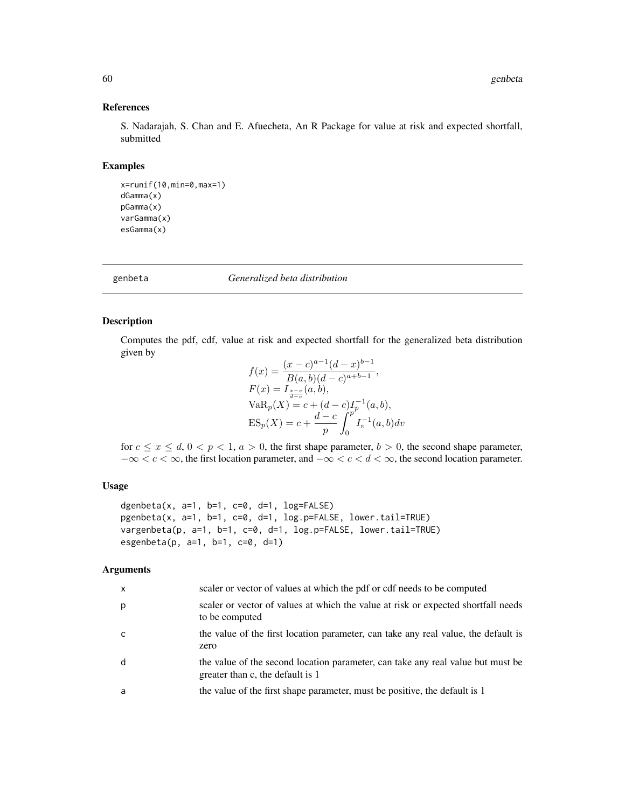# References

S. Nadarajah, S. Chan and E. Afuecheta, An R Package for value at risk and expected shortfall, submitted

### Examples

```
x=runif(10,min=0,max=1)
dGamma(x)
pGamma(x)
varGamma(x)
esGamma(x)
```
genbeta *Generalized beta distribution*

# Description

Computes the pdf, cdf, value at risk and expected shortfall for the generalized beta distribution given by

$$
f(x) = \frac{(x - c)^{a-1} (d - x)^{b-1}}{B(a, b)(d - c)^{a+b-1}},
$$
  
\n
$$
F(x) = I_{\frac{x-c}{d-c}}(a, b),
$$
  
\n
$$
VaR_p(X) = c + (d - c)I_p^{-1}(a, b),
$$
  
\n
$$
ES_p(X) = c + \frac{d - c}{p} \int_0^p I_v^{-1}(a, b) dv
$$

for  $c \le x \le d$ ,  $0 < p < 1$ ,  $a > 0$ , the first shape parameter,  $b > 0$ , the second shape parameter,  $-\infty < c < \infty$ , the first location parameter, and  $-\infty < c < d < \infty$ , the second location parameter.

### Usage

```
dgenbeta(x, a=1, b=1, c=0, d=1, log=FALSE)
pgenbeta(x, a=1, b=1, c=0, d=1, log.p=FALSE, lower.tail=TRUE)
vargenbeta(p, a=1, b=1, c=0, d=1, log.p=FALSE, lower.tail=TRUE)
esgenbeta(p, a=1, b=1, c=0, d=1)
```

| X | scaler or vector of values at which the pdf or cdf needs to be computed                                             |
|---|---------------------------------------------------------------------------------------------------------------------|
| p | scaler or vector of values at which the value at risk or expected shortfall needs<br>to be computed                 |
| C | the value of the first location parameter, can take any real value, the default is<br>zero                          |
| d | the value of the second location parameter, can take any real value but must be<br>greater than c, the default is 1 |
| a | the value of the first shape parameter, must be positive, the default is 1                                          |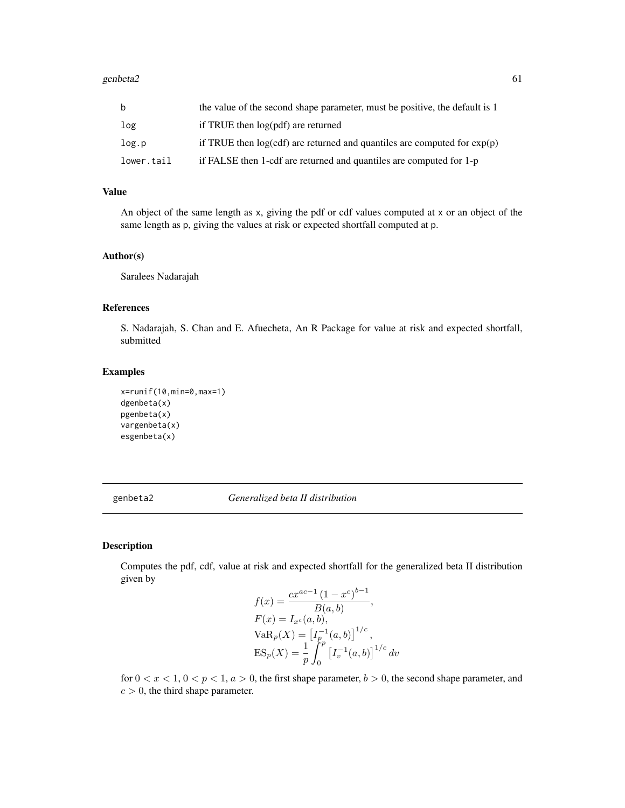| b          | the value of the second shape parameter, must be positive, the default is 1  |
|------------|------------------------------------------------------------------------------|
| log        | if TRUE then log(pdf) are returned                                           |
| log.p      | if TRUE then $log(cdf)$ are returned and quantiles are computed for $exp(p)$ |
| lower.tail | if FALSE then 1-cdf are returned and quantiles are computed for 1-p          |

# Value

An object of the same length as x, giving the pdf or cdf values computed at x or an object of the same length as p, giving the values at risk or expected shortfall computed at p.

#### Author(s)

Saralees Nadarajah

# References

S. Nadarajah, S. Chan and E. Afuecheta, An R Package for value at risk and expected shortfall, submitted

### Examples

```
x=runif(10,min=0,max=1)
dgenbeta(x)
pgenbeta(x)
vargenbeta(x)
esgenbeta(x)
```
genbeta2 *Generalized beta II distribution*

# Description

Computes the pdf, cdf, value at risk and expected shortfall for the generalized beta II distribution given by  $\bar{b}-1$ 

$$
f(x) = \frac{cx^{ac-1} (1 - x^c)^{b-1}}{B(a, b)},
$$
  
\n
$$
F(x) = I_{x^c}(a, b),
$$
  
\n
$$
VaR_p(X) = [I_p^{-1}(a, b)]^{1/c},
$$
  
\n
$$
ES_p(X) = \frac{1}{p} \int_0^p [I_v^{-1}(a, b)]^{1/c} dv
$$

for  $0 < x < 1$ ,  $0 < p < 1$ ,  $a > 0$ , the first shape parameter,  $b > 0$ , the second shape parameter, and  $c > 0$ , the third shape parameter.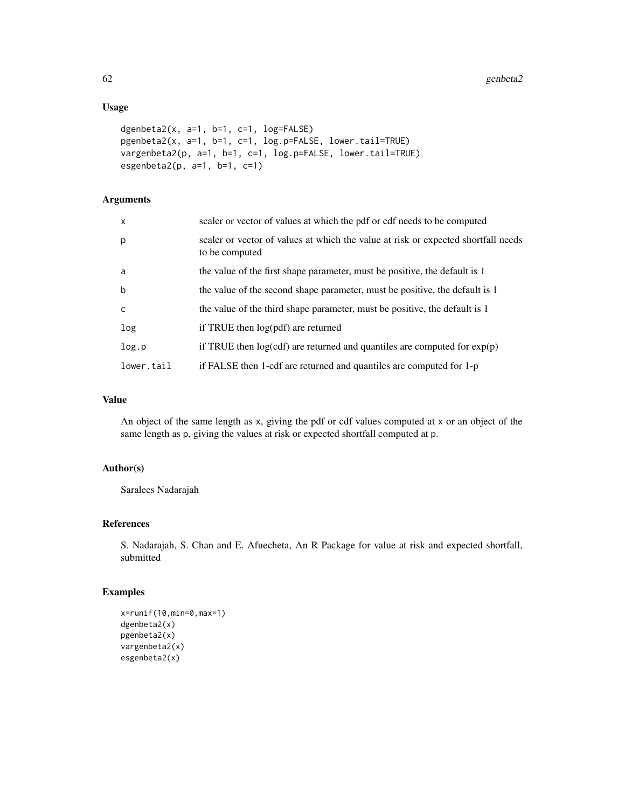# Usage

```
dgenbeta2(x, a=1, b=1, c=1, log=FALSE)
pgenbeta2(x, a=1, b=1, c=1, log.p=FALSE, lower.tail=TRUE)
vargenbeta2(p, a=1, b=1, c=1, log.p=FALSE, lower.tail=TRUE)
esgenbeta2(p, a=1, b=1, c=1)
```
# Arguments

| $\mathsf{x}$ | scaler or vector of values at which the pdf or cdf needs to be computed                             |
|--------------|-----------------------------------------------------------------------------------------------------|
| p            | scaler or vector of values at which the value at risk or expected shortfall needs<br>to be computed |
| a            | the value of the first shape parameter, must be positive, the default is 1                          |
| $\mathbf b$  | the value of the second shape parameter, must be positive, the default is 1                         |
| $\mathsf{C}$ | the value of the third shape parameter, must be positive, the default is 1                          |
| log          | if TRUE then log(pdf) are returned                                                                  |
| log.p        | if TRUE then $log(cdf)$ are returned and quantiles are computed for $exp(p)$                        |
| lower.tail   | if FALSE then 1-cdf are returned and quantiles are computed for 1-p                                 |

# Value

An object of the same length as x, giving the pdf or cdf values computed at x or an object of the same length as p, giving the values at risk or expected shortfall computed at p.

### Author(s)

Saralees Nadarajah

# References

S. Nadarajah, S. Chan and E. Afuecheta, An R Package for value at risk and expected shortfall, submitted

```
x=runif(10,min=0,max=1)
dgenbeta2(x)
pgenbeta2(x)
vargenbeta2(x)
esgenbeta2(x)
```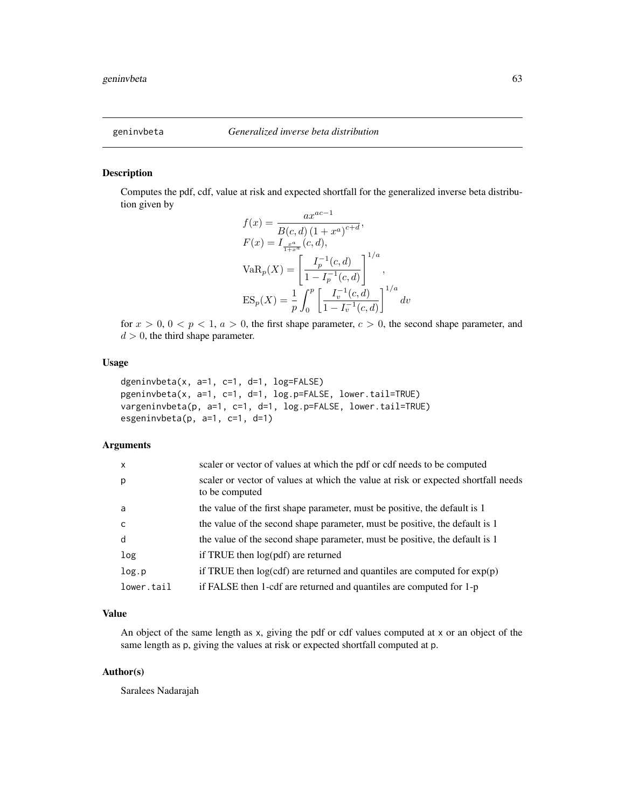Computes the pdf, cdf, value at risk and expected shortfall for the generalized inverse beta distribution given by

$$
f(x) = \frac{ax^{ac-1}}{B(c,d) (1+x^a)^{c+d}},
$$
  
\n
$$
F(x) = I_{\frac{ax}{1+x^a}}(c,d),
$$
  
\n
$$
VaR_p(X) = \left[\frac{I_p^{-1}(c,d)}{1-I_p^{-1}(c,d)}\right]^{1/a},
$$
  
\n
$$
ES_p(X) = \frac{1}{p} \int_0^p \left[\frac{I_v^{-1}(c,d)}{1-I_v^{-1}(c,d)}\right]^{1/a} dv
$$

for  $x > 0$ ,  $0 < p < 1$ ,  $a > 0$ , the first shape parameter,  $c > 0$ , the second shape parameter, and  $d > 0$ , the third shape parameter.

### Usage

```
dgeninvbeta(x, a=1, c=1, d=1, log=FALSE)
pgeninvbeta(x, a=1, c=1, d=1, log.p=FALSE, lower.tail=TRUE)
vargeninvbeta(p, a=1, c=1, d=1, log.p=FALSE, lower.tail=TRUE)
esgeninvbeta(p, a=1, c=1, d=1)
```
# Arguments

| $\mathsf{x}$ | scaler or vector of values at which the pdf or cdf needs to be computed                             |
|--------------|-----------------------------------------------------------------------------------------------------|
| p            | scaler or vector of values at which the value at risk or expected shortfall needs<br>to be computed |
| a            | the value of the first shape parameter, must be positive, the default is 1                          |
| C            | the value of the second shape parameter, must be positive, the default is 1                         |
| d            | the value of the second shape parameter, must be positive, the default is 1                         |
| log          | if TRUE then $log(pdf)$ are returned                                                                |
| log.p        | if TRUE then $log(cdf)$ are returned and quantiles are computed for $exp(p)$                        |
| lower.tail   | if FALSE then 1-cdf are returned and quantiles are computed for 1-p                                 |

### Value

An object of the same length as x, giving the pdf or cdf values computed at x or an object of the same length as p, giving the values at risk or expected shortfall computed at p.

### Author(s)

Saralees Nadarajah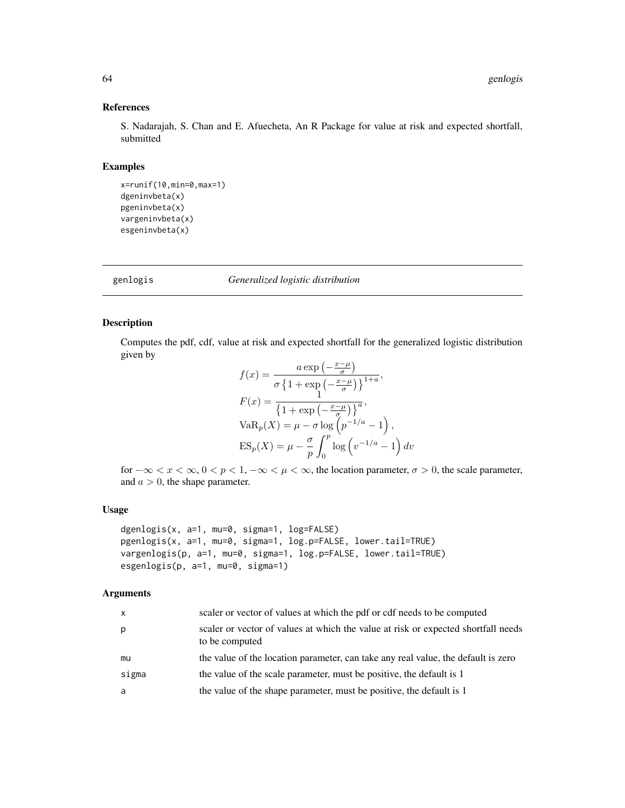#### References

S. Nadarajah, S. Chan and E. Afuecheta, An R Package for value at risk and expected shortfall, submitted

### Examples

```
x=runif(10,min=0,max=1)
dgeninvbeta(x)
pgeninvbeta(x)
vargeninvbeta(x)
esgeninvbeta(x)
```
genlogis *Generalized logistic distribution*

### Description

Computes the pdf, cdf, value at risk and expected shortfall for the generalized logistic distribution given by

$$
f(x) = \frac{a \exp\left(-\frac{x-\mu}{\sigma}\right)}{\sigma \left\{1 + \exp\left(-\frac{x-\mu}{\sigma}\right)\right\}^{1+a}},
$$
  
\n
$$
F(x) = \frac{1}{\left\{1 + \exp\left(-\frac{x-\mu}{\sigma}\right)\right\}^{a}},
$$
  
\n
$$
VaR_p(X) = \mu - \sigma \log \left(p^{-1/a} - 1\right),
$$
  
\n
$$
ES_p(X) = \mu - \frac{\sigma}{p} \int_0^p \log \left(v^{-1/a} - 1\right) dv
$$

for  $-\infty < x < \infty$ ,  $0 < p < 1$ ,  $-\infty < \mu < \infty$ , the location parameter,  $\sigma > 0$ , the scale parameter, and  $a > 0$ , the shape parameter.

### Usage

```
dgenlogis(x, a=1, mu=0, sigma=1, log=FALSE)
pgenlogis(x, a=1, mu=0, sigma=1, log.p=FALSE, lower.tail=TRUE)
vargenlogis(p, a=1, mu=0, sigma=1, log.p=FALSE, lower.tail=TRUE)
esgenlogis(p, a=1, mu=0, sigma=1)
```

| X     | scaler or vector of values at which the pdf or cdf needs to be computed                             |
|-------|-----------------------------------------------------------------------------------------------------|
| p     | scaler or vector of values at which the value at risk or expected shortfall needs<br>to be computed |
| mu    | the value of the location parameter, can take any real value, the default is zero                   |
| sigma | the value of the scale parameter, must be positive, the default is 1                                |
| a     | the value of the shape parameter, must be positive, the default is 1                                |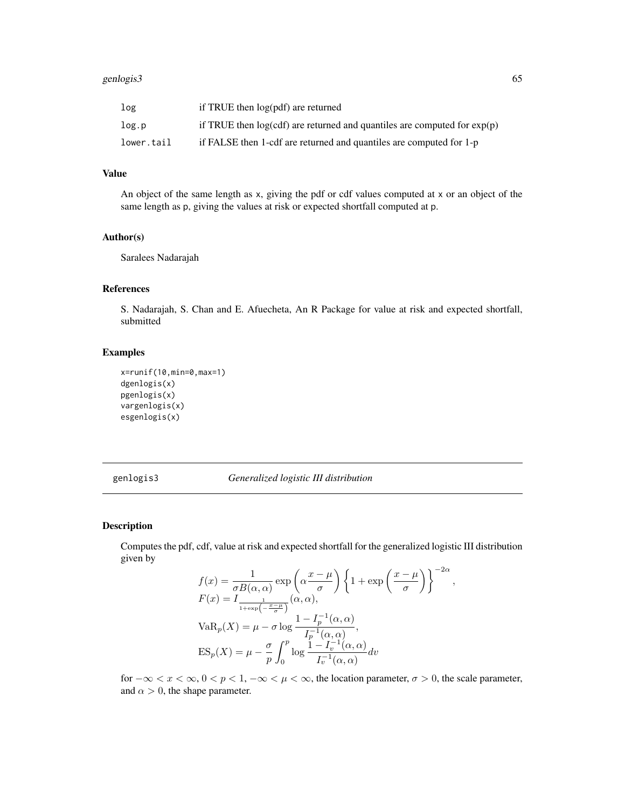#### genlogis3 65

| log        | if TRUE then log(pdf) are returned                                           |
|------------|------------------------------------------------------------------------------|
| log.p      | if TRUE then $log(cdf)$ are returned and quantiles are computed for $exp(p)$ |
| lower.tail | if FALSE then 1-cdf are returned and quantiles are computed for 1-p          |

# Value

An object of the same length as x, giving the pdf or cdf values computed at x or an object of the same length as p, giving the values at risk or expected shortfall computed at p.

# Author(s)

Saralees Nadarajah

### References

S. Nadarajah, S. Chan and E. Afuecheta, An R Package for value at risk and expected shortfall, submitted

# Examples

```
x=runif(10,min=0,max=1)
dgenlogis(x)
pgenlogis(x)
vargenlogis(x)
esgenlogis(x)
```
### genlogis3 *Generalized logistic III distribution*

# Description

Computes the pdf, cdf, value at risk and expected shortfall for the generalized logistic III distribution given by

$$
f(x) = \frac{1}{\sigma B(\alpha, \alpha)} \exp\left(\alpha \frac{x - \mu}{\sigma}\right) \left\{1 + \exp\left(\frac{x - \mu}{\sigma}\right)\right\}^{-2\alpha},
$$
  
\n
$$
F(x) = I_{\frac{1}{1 + \exp\left(-\frac{x - \mu}{\sigma}\right)}}(\alpha, \alpha),
$$
  
\n
$$
VaR_p(X) = \mu - \sigma \log \frac{1 - I_p^{-1}(\alpha, \alpha)}{I_p^{-1}(\alpha, \alpha)},
$$
  
\n
$$
ES_p(X) = \mu - \frac{\sigma}{p} \int_0^p \log \frac{1 - I_v^{-1}(\alpha, \alpha)}{I_v^{-1}(\alpha, \alpha)} dv
$$

for  $-\infty < x < \infty$ ,  $0 < p < 1$ ,  $-\infty < \mu < \infty$ , the location parameter,  $\sigma > 0$ , the scale parameter, and  $\alpha > 0$ , the shape parameter.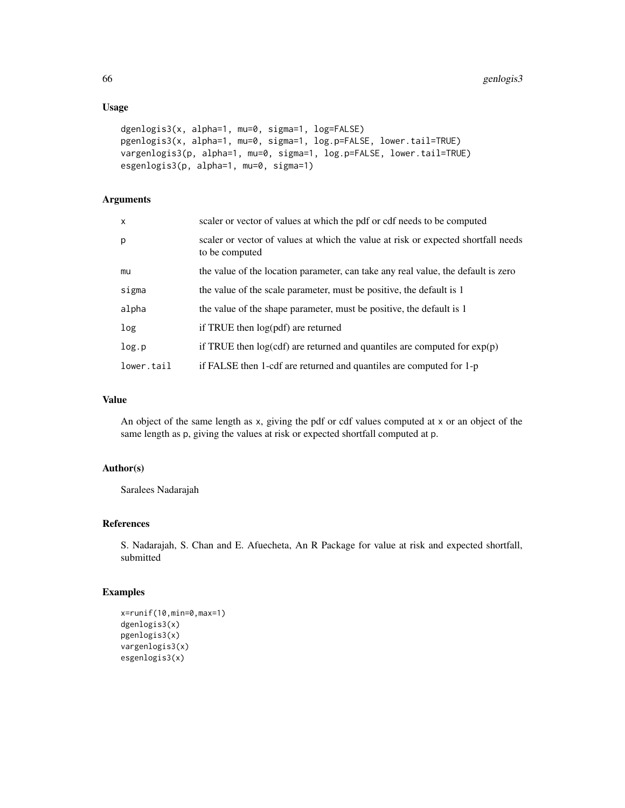# Usage

```
dgenlogis3(x, alpha=1, mu=0, sigma=1, log=FALSE)
pgenlogis3(x, alpha=1, mu=0, sigma=1, log.p=FALSE, lower.tail=TRUE)
vargenlogis3(p, alpha=1, mu=0, sigma=1, log.p=FALSE, lower.tail=TRUE)
esgenlogis3(p, alpha=1, mu=0, sigma=1)
```
### Arguments

| $\mathsf{x}$ | scaler or vector of values at which the pdf or cdf needs to be computed                             |
|--------------|-----------------------------------------------------------------------------------------------------|
| p            | scaler or vector of values at which the value at risk or expected shortfall needs<br>to be computed |
| mu           | the value of the location parameter, can take any real value, the default is zero                   |
| sigma        | the value of the scale parameter, must be positive, the default is 1                                |
| alpha        | the value of the shape parameter, must be positive, the default is 1                                |
| log          | if TRUE then $log(pdf)$ are returned                                                                |
| log.p        | if TRUE then $log(cdf)$ are returned and quantiles are computed for $exp(p)$                        |
| lower.tail   | if FALSE then 1-cdf are returned and quantiles are computed for 1-p                                 |

# Value

An object of the same length as x, giving the pdf or cdf values computed at x or an object of the same length as p, giving the values at risk or expected shortfall computed at p.

### Author(s)

Saralees Nadarajah

# References

S. Nadarajah, S. Chan and E. Afuecheta, An R Package for value at risk and expected shortfall, submitted

```
x=runif(10,min=0,max=1)
dgenlogis3(x)
pgenlogis3(x)
vargenlogis3(x)
esgenlogis3(x)
```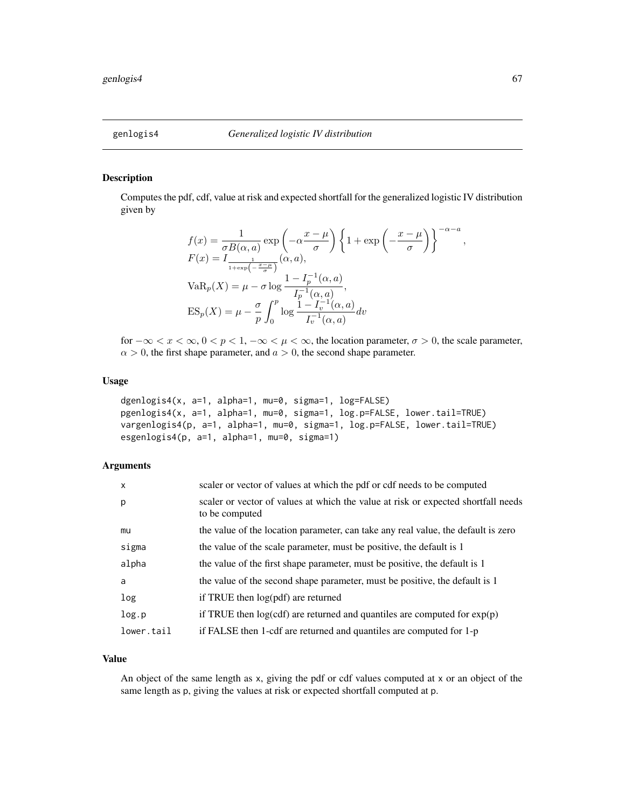Computes the pdf, cdf, value at risk and expected shortfall for the generalized logistic IV distribution given by

$$
f(x) = \frac{1}{\sigma B(\alpha, a)} \exp\left(-\alpha \frac{x - \mu}{\sigma}\right) \left\{1 + \exp\left(-\frac{x - \mu}{\sigma}\right)\right\}^{-\alpha - a},
$$
  
\n
$$
F(x) = I_{\frac{1}{1 + \exp\left(-\frac{x - \mu}{\sigma}\right)}}(\alpha, a),
$$
  
\n
$$
VaR_p(X) = \mu - \sigma \log \frac{1 - I_p^{-1}(\alpha, a)}{I_p^{-1}(\alpha, a)},
$$
  
\n
$$
ES_p(X) = \mu - \frac{\sigma}{p} \int_0^p \log \frac{1 - I_v^{-1}(\alpha, a)}{I_v^{-1}(\alpha, a)} dv
$$

for  $-\infty < x < \infty$ ,  $0 < p < 1$ ,  $-\infty < \mu < \infty$ , the location parameter,  $\sigma > 0$ , the scale parameter,  $\alpha > 0$ , the first shape parameter, and  $a > 0$ , the second shape parameter.

### Usage

```
dgenlogis4(x, a=1, alpha=1, mu=0, sigma=1, log=FALSE)
pgenlogis4(x, a=1, alpha=1, mu=0, sigma=1, log.p=FALSE, lower.tail=TRUE)
vargenlogis4(p, a=1, alpha=1, mu=0, sigma=1, log.p=FALSE, lower.tail=TRUE)
esgenlogis4(p, a=1, alpha=1, mu=0, sigma=1)
```
### Arguments

| $\mathsf{x}$ | scaler or vector of values at which the pdf or cdf needs to be computed                             |
|--------------|-----------------------------------------------------------------------------------------------------|
| p            | scaler or vector of values at which the value at risk or expected shortfall needs<br>to be computed |
| mu           | the value of the location parameter, can take any real value, the default is zero                   |
| sigma        | the value of the scale parameter, must be positive, the default is 1                                |
| alpha        | the value of the first shape parameter, must be positive, the default is 1                          |
| a            | the value of the second shape parameter, must be positive, the default is 1                         |
| log          | if TRUE then log(pdf) are returned                                                                  |
| log.p        | if TRUE then $log(cd)$ are returned and quantiles are computed for $exp(p)$                         |
| lower.tail   | if FALSE then 1-cdf are returned and quantiles are computed for 1-p                                 |

### Value

An object of the same length as x, giving the pdf or cdf values computed at x or an object of the same length as p, giving the values at risk or expected shortfall computed at p.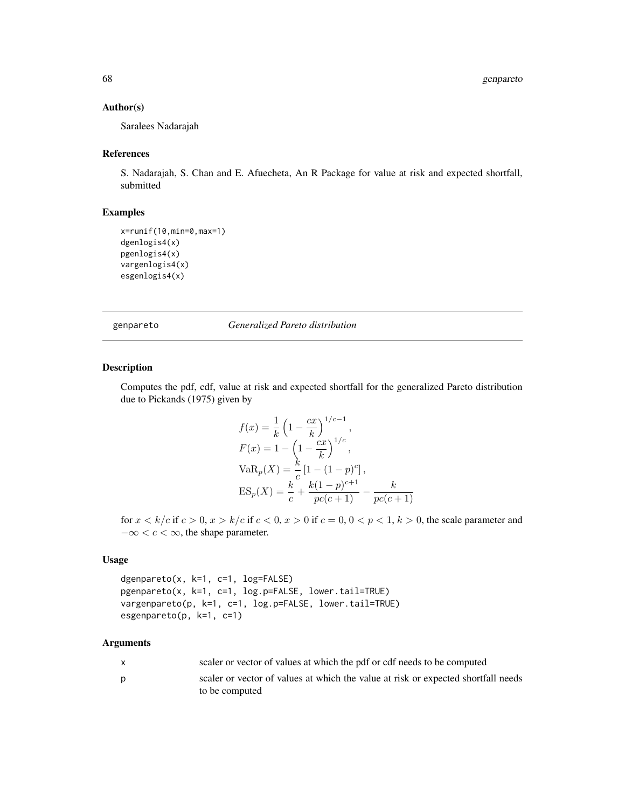### Author(s)

Saralees Nadarajah

### References

S. Nadarajah, S. Chan and E. Afuecheta, An R Package for value at risk and expected shortfall, submitted

# Examples

```
x=runif(10,min=0,max=1)
dgenlogis4(x)
pgenlogis4(x)
vargenlogis4(x)
esgenlogis4(x)
```
genpareto *Generalized Pareto distribution*

### Description

Computes the pdf, cdf, value at risk and expected shortfall for the generalized Pareto distribution due to Pickands (1975) given by

$$
f(x) = \frac{1}{k} \left( 1 - \frac{cx}{k} \right)^{1/c - 1},
$$
  
\n
$$
F(x) = 1 - \left( 1 - \frac{cx}{k} \right)^{1/c},
$$
  
\n
$$
VaR_p(X) = \frac{k}{c} \left[ 1 - (1 - p)^c \right],
$$
  
\n
$$
ES_p(X) = \frac{k}{c} + \frac{k(1 - p)^{c + 1}}{pc(c + 1)} - \frac{k}{pc(c + 1)}
$$

for  $x < k/c$  if  $c > 0$ ,  $x > k/c$  if  $c < 0$ ,  $x > 0$  if  $c = 0$ ,  $0 < p < 1$ ,  $k > 0$ , the scale parameter and  $-\infty < c < \infty$ , the shape parameter.

### Usage

dgenpareto(x, k=1, c=1, log=FALSE) pgenpareto(x, k=1, c=1, log.p=FALSE, lower.tail=TRUE) vargenpareto(p, k=1, c=1, log.p=FALSE, lower.tail=TRUE) esgenpareto(p, k=1, c=1)

| X | scaler or vector of values at which the pdf or cdf needs to be computed           |
|---|-----------------------------------------------------------------------------------|
| D | scaler or vector of values at which the value at risk or expected shortfall needs |
|   | to be computed                                                                    |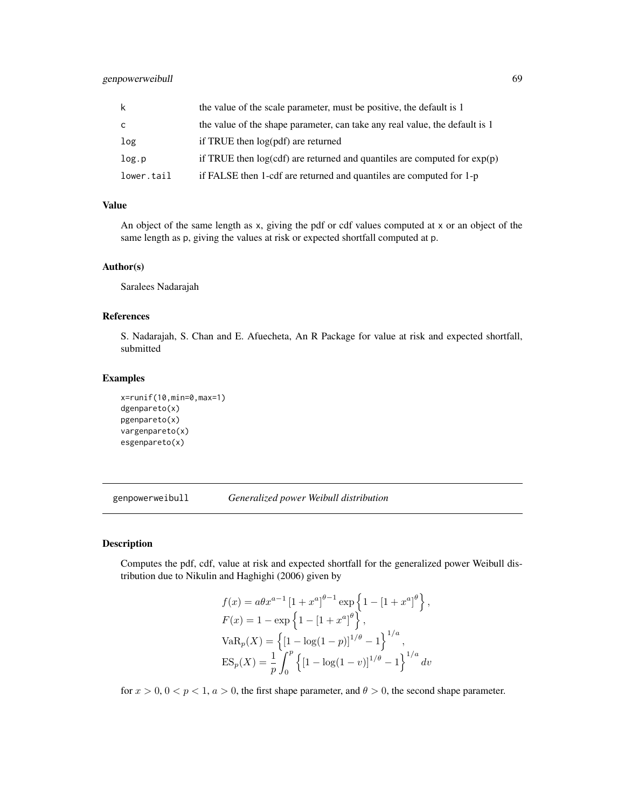| k          | the value of the scale parameter, must be positive, the default is 1         |
|------------|------------------------------------------------------------------------------|
| C          | the value of the shape parameter, can take any real value, the default is 1  |
| log        | if TRUE then log(pdf) are returned                                           |
| log.p      | if TRUE then $log(cdf)$ are returned and quantiles are computed for $exp(p)$ |
| lower.tail | if FALSE then 1-cdf are returned and quantiles are computed for 1-p          |

# Value

An object of the same length as x, giving the pdf or cdf values computed at x or an object of the same length as p, giving the values at risk or expected shortfall computed at p.

### Author(s)

Saralees Nadarajah

### References

S. Nadarajah, S. Chan and E. Afuecheta, An R Package for value at risk and expected shortfall, submitted

### Examples

```
x=runif(10,min=0,max=1)
dgenpareto(x)
pgenpareto(x)
vargenpareto(x)
esgenpareto(x)
```
genpowerweibull *Generalized power Weibull distribution*

### Description

Computes the pdf, cdf, value at risk and expected shortfall for the generalized power Weibull distribution due to Nikulin and Haghighi (2006) given by

$$
f(x) = a\theta x^{a-1} [1 + x^a]^{\theta-1} \exp\left\{1 - [1 + x^a]^{\theta}\right\},
$$
  
\n
$$
F(x) = 1 - \exp\left\{1 - [1 + x^a]^{\theta}\right\},
$$
  
\n
$$
VaR_p(X) = \left\{[1 - \log(1 - p)]^{1/\theta} - 1\right\}^{1/a},
$$
  
\n
$$
ES_p(X) = \frac{1}{p} \int_0^p \left\{[1 - \log(1 - v)]^{1/\theta} - 1\right\}^{1/a} dv
$$

for  $x > 0$ ,  $0 < p < 1$ ,  $a > 0$ , the first shape parameter, and  $\theta > 0$ , the second shape parameter.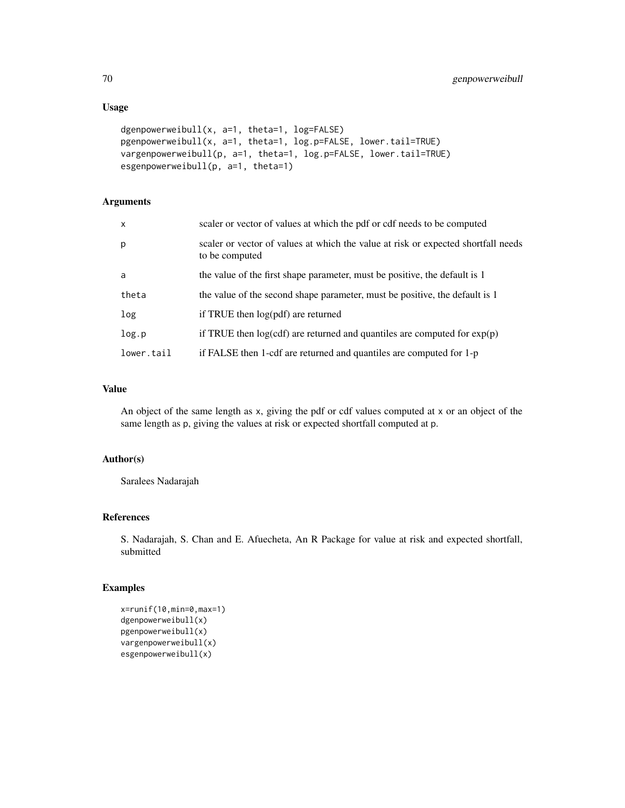# Usage

```
dgenpowerweibull(x, a=1, theta=1, log=FALSE)
pgenpowerweibull(x, a=1, theta=1, log.p=FALSE, lower.tail=TRUE)
vargenpowerweibull(p, a=1, theta=1, log.p=FALSE, lower.tail=TRUE)
esgenpowerweibull(p, a=1, theta=1)
```
# Arguments

| $\mathsf{x}$ | scaler or vector of values at which the pdf or cdf needs to be computed                             |
|--------------|-----------------------------------------------------------------------------------------------------|
| p            | scaler or vector of values at which the value at risk or expected shortfall needs<br>to be computed |
| a            | the value of the first shape parameter, must be positive, the default is 1                          |
| theta        | the value of the second shape parameter, must be positive, the default is 1                         |
| log          | if TRUE then log(pdf) are returned                                                                  |
| log.p        | if TRUE then $log(cdf)$ are returned and quantiles are computed for $exp(p)$                        |
| lower.tail   | if FALSE then 1-cdf are returned and quantiles are computed for 1-p                                 |

# Value

An object of the same length as x, giving the pdf or cdf values computed at x or an object of the same length as p, giving the values at risk or expected shortfall computed at p.

# Author(s)

Saralees Nadarajah

# References

S. Nadarajah, S. Chan and E. Afuecheta, An R Package for value at risk and expected shortfall, submitted

```
x=runif(10,min=0,max=1)
dgenpowerweibull(x)
pgenpowerweibull(x)
vargenpowerweibull(x)
esgenpowerweibull(x)
```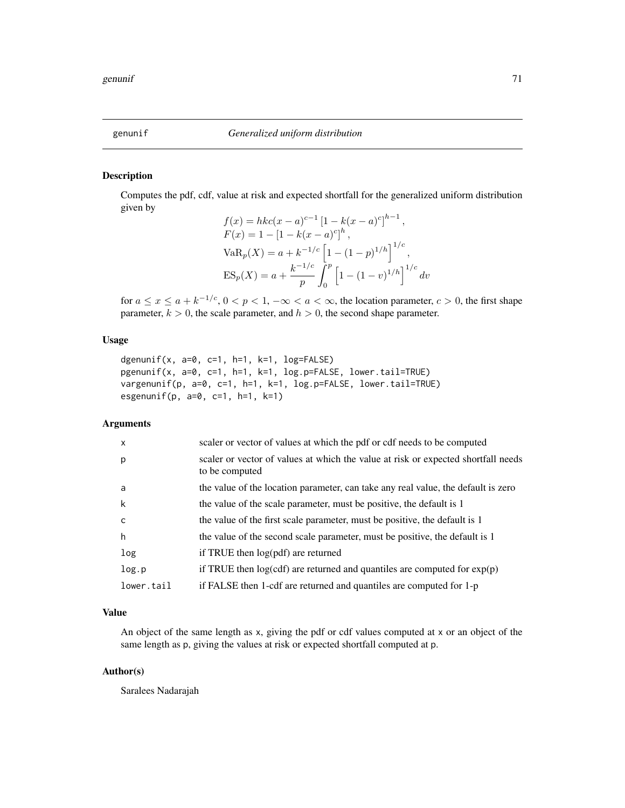Computes the pdf, cdf, value at risk and expected shortfall for the generalized uniform distribution given by

$$
f(x) = hkc(x - a)^{c-1} [1 - k(x - a)^{c}]^{h-1},
$$
  
\n
$$
F(x) = 1 - [1 - k(x - a)^{c}]^{h},
$$
  
\n
$$
VaRp(X) = a + k^{-1/c} [1 - (1 - p)^{1/h}]^{1/c},
$$
  
\n
$$
ESp(X) = a + \frac{k^{-1/c}}{p} \int_{0}^{p} [1 - (1 - v)^{1/h}]^{1/c} dv
$$

for  $a \le x \le a + k^{-1/c}$ ,  $0 < p < 1$ ,  $-\infty < a < \infty$ , the location parameter,  $c > 0$ , the first shape parameter,  $k > 0$ , the scale parameter, and  $h > 0$ , the second shape parameter.

### Usage

```
dgenunif(x, a=0, c=1, h=1, k=1, log=FALSE)
pgenunif(x, a=0, c=1, h=1, k=1, log.p=FALSE, lower.tail=TRUE)
vargenunif(p, a=0, c=1, h=1, k=1, log.p=FALSE, lower.tail=TRUE)
esgenunif(p, a=0, c=1, h=1, k=1)
```
# Arguments

| $\mathsf{X}$ | scaler or vector of values at which the pdf or cdf needs to be computed                             |
|--------------|-----------------------------------------------------------------------------------------------------|
| p            | scaler or vector of values at which the value at risk or expected shortfall needs<br>to be computed |
| a            | the value of the location parameter, can take any real value, the default is zero                   |
| k            | the value of the scale parameter, must be positive, the default is 1                                |
| <sub>c</sub> | the value of the first scale parameter, must be positive, the default is 1                          |
| h            | the value of the second scale parameter, must be positive, the default is 1                         |
| log          | if TRUE then log(pdf) are returned                                                                  |
| log.p        | if TRUE then $log(cdf)$ are returned and quantiles are computed for $exp(p)$                        |
| lower.tail   | if FALSE then 1-cdf are returned and quantiles are computed for 1-p                                 |

# Value

An object of the same length as x, giving the pdf or cdf values computed at x or an object of the same length as p, giving the values at risk or expected shortfall computed at p.

### Author(s)

Saralees Nadarajah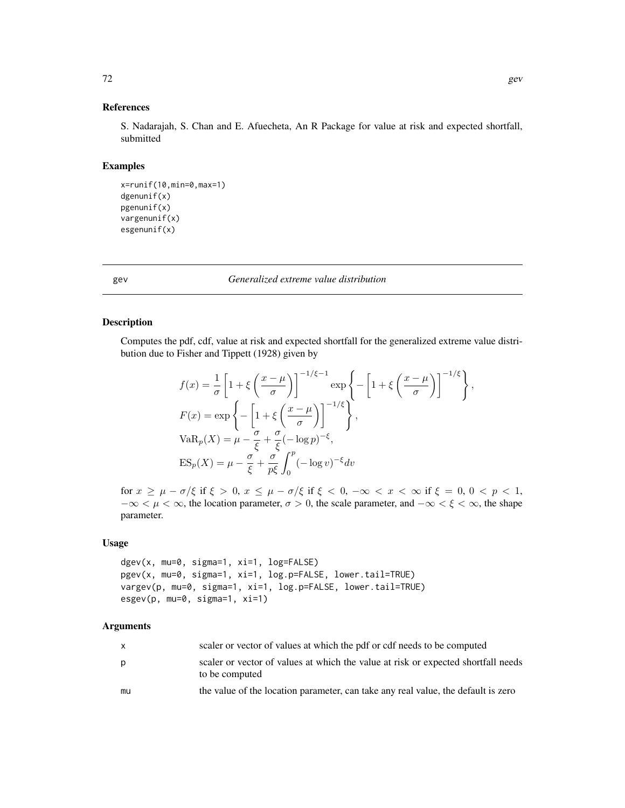#### References

S. Nadarajah, S. Chan and E. Afuecheta, An R Package for value at risk and expected shortfall, submitted

#### Examples

```
x=runif(10,min=0,max=1)
dgenunif(x)
pgenunif(x)
vargenunif(x)
esgenunif(x)
```
gev *Generalized extreme value distribution*

### Description

Computes the pdf, cdf, value at risk and expected shortfall for the generalized extreme value distribution due to Fisher and Tippett (1928) given by

$$
f(x) = \frac{1}{\sigma} \left[ 1 + \xi \left( \frac{x - \mu}{\sigma} \right) \right]^{-1/\xi - 1} \exp \left\{ - \left[ 1 + \xi \left( \frac{x - \mu}{\sigma} \right) \right]^{-1/\xi} \right\},
$$
  
\n
$$
F(x) = \exp \left\{ - \left[ 1 + \xi \left( \frac{x - \mu}{\sigma} \right) \right]^{-1/\xi} \right\},
$$
  
\n
$$
VaR_p(X) = \mu - \frac{\sigma}{\xi} + \frac{\sigma}{\xi} (-\log p)^{-\xi},
$$
  
\n
$$
ES_p(X) = \mu - \frac{\sigma}{\xi} + \frac{\sigma}{p\xi} \int_0^p (-\log v)^{-\xi} dv
$$

for  $x \ge \mu - \sigma/\xi$  if  $\xi > 0$ ,  $x \le \mu - \sigma/\xi$  if  $\xi < 0$ ,  $-\infty < x < \infty$  if  $\xi = 0$ ,  $0 < p < 1$ ,  $-\infty < \mu < \infty$ , the location parameter,  $\sigma > 0$ , the scale parameter, and  $-\infty < \xi < \infty$ , the shape parameter.

### Usage

```
dgev(x, mu=0, sigma=1, xi=1, log=FALSE)
pgev(x, mu=0, sigma=1, xi=1, log.p=FALSE, lower.tail=TRUE)
vargev(p, mu=0, sigma=1, xi=1, log.p=FALSE, lower.tail=TRUE)
esgev(p, mu=0, sigma=1, xi=1)
```

| X  | scaler or vector of values at which the pdf or cdf needs to be computed                             |
|----|-----------------------------------------------------------------------------------------------------|
| p  | scaler or vector of values at which the value at risk or expected shortfall needs<br>to be computed |
| mu | the value of the location parameter, can take any real value, the default is zero                   |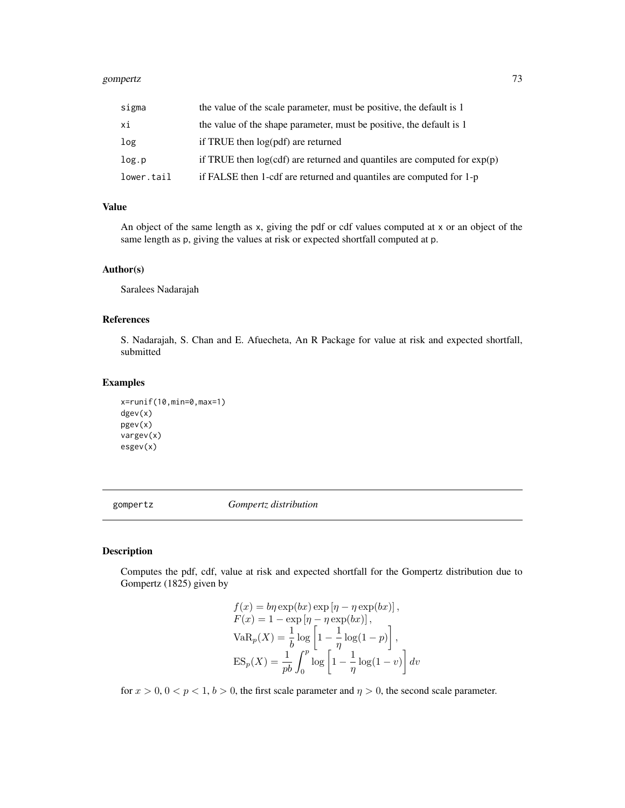#### gompertz that the set of the set of the set of the set of the set of the set of the set of the set of the set of the set of the set of the set of the set of the set of the set of the set of the set of the set of the set of

| sigma      | the value of the scale parameter, must be positive, the default is 1        |
|------------|-----------------------------------------------------------------------------|
| хi         | the value of the shape parameter, must be positive, the default is 1        |
| log        | if TRUE then log(pdf) are returned                                          |
| log.p      | if TRUE then $log(cd)$ are returned and quantiles are computed for $exp(p)$ |
| lower.tail | if FALSE then 1-cdf are returned and quantiles are computed for 1-p         |

## Value

An object of the same length as x, giving the pdf or cdf values computed at x or an object of the same length as p, giving the values at risk or expected shortfall computed at p.

## Author(s)

Saralees Nadarajah

# References

S. Nadarajah, S. Chan and E. Afuecheta, An R Package for value at risk and expected shortfall, submitted

## Examples

```
x=runif(10,min=0,max=1)
dgev(x)
pgev(x)
vargev(x)
esgev(x)
```
gompertz *Gompertz distribution*

## Description

Computes the pdf, cdf, value at risk and expected shortfall for the Gompertz distribution due to Gompertz (1825) given by

$$
f(x) = b\eta \exp(bx) \exp[\eta - \eta \exp(bx)],
$$
  
\n
$$
F(x) = 1 - \exp[\eta - \eta \exp(bx)],
$$
  
\n
$$
VaR_p(X) = \frac{1}{b} \log \left[1 - \frac{1}{\eta} \log(1 - p)\right],
$$
  
\n
$$
ES_p(X) = \frac{1}{pb} \int_0^p \log \left[1 - \frac{1}{\eta} \log(1 - v)\right] dv
$$

for  $x > 0$ ,  $0 < p < 1$ ,  $b > 0$ , the first scale parameter and  $\eta > 0$ , the second scale parameter.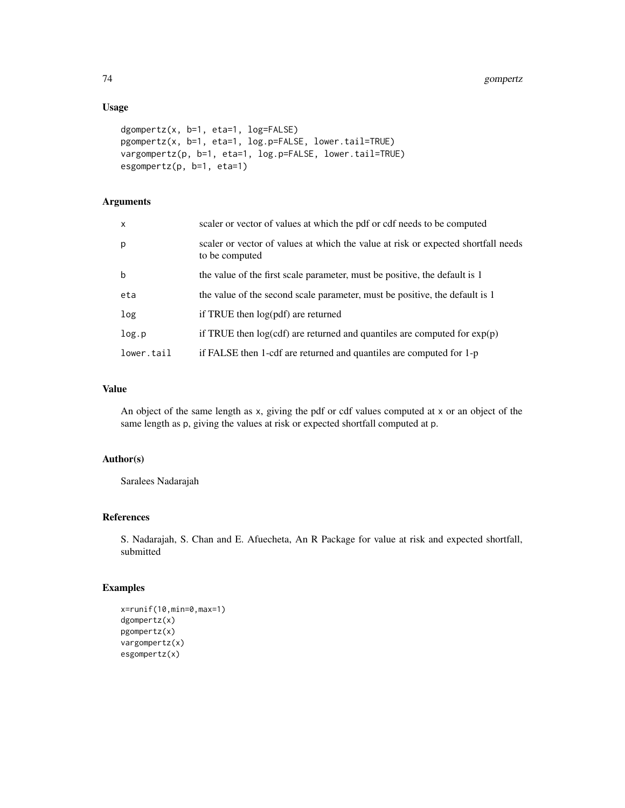# Usage

```
dgompertz(x, b=1, eta=1, log=FALSE)
pgompertz(x, b=1, eta=1, log.p=FALSE, lower.tail=TRUE)
vargompertz(p, b=1, eta=1, log.p=FALSE, lower.tail=TRUE)
esgompertz(p, b=1, eta=1)
```
# Arguments

| $\mathsf{x}$ | scaler or vector of values at which the pdf or cdf needs to be computed                             |
|--------------|-----------------------------------------------------------------------------------------------------|
| p            | scaler or vector of values at which the value at risk or expected shortfall needs<br>to be computed |
| $\mathbf b$  | the value of the first scale parameter, must be positive, the default is 1                          |
| eta          | the value of the second scale parameter, must be positive, the default is 1                         |
| log          | if TRUE then $log(pdf)$ are returned                                                                |
| log.p        | if TRUE then $log(cdf)$ are returned and quantiles are computed for $exp(p)$                        |
| lower.tail   | if FALSE then 1-cdf are returned and quantiles are computed for 1-p                                 |

# Value

An object of the same length as x, giving the pdf or cdf values computed at x or an object of the same length as p, giving the values at risk or expected shortfall computed at p.

# Author(s)

Saralees Nadarajah

## References

S. Nadarajah, S. Chan and E. Afuecheta, An R Package for value at risk and expected shortfall, submitted

## Examples

```
x=runif(10,min=0,max=1)
dgompertz(x)
pgompertz(x)
vargompertz(x)
esgompertz(x)
```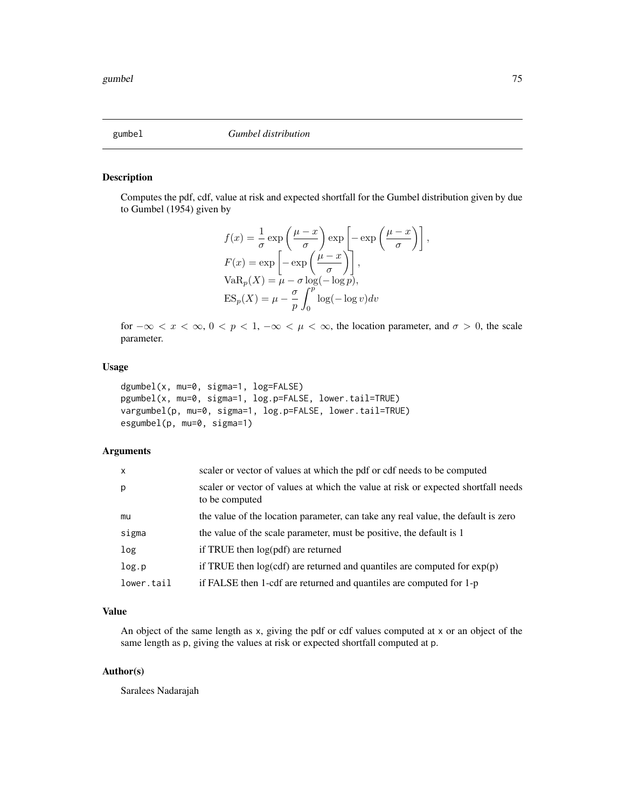## Description

Computes the pdf, cdf, value at risk and expected shortfall for the Gumbel distribution given by due to Gumbel (1954) given by

$$
f(x) = \frac{1}{\sigma} \exp\left(\frac{\mu - x}{\sigma}\right) \exp\left[-\exp\left(\frac{\mu - x}{\sigma}\right)\right]
$$

$$
F(x) = \exp\left[-\exp\left(\frac{\mu - x}{\sigma}\right)\right],
$$

$$
VaR_p(X) = \mu - \sigma \log(-\log p),
$$

$$
ES_p(X) = \mu - \frac{\sigma}{p} \int_0^p \log(-\log v) dv
$$

for  $-\infty < x < \infty$ ,  $0 < p < 1$ ,  $-\infty < \mu < \infty$ , the location parameter, and  $\sigma > 0$ , the scale parameter.

## Usage

```
dgumbel(x, mu=0, sigma=1, log=FALSE)
pgumbel(x, mu=0, sigma=1, log.p=FALSE, lower.tail=TRUE)
vargumbel(p, mu=0, sigma=1, log.p=FALSE, lower.tail=TRUE)
esgumbel(p, mu=0, sigma=1)
```
## Arguments

| $\mathsf{x}$ | scaler or vector of values at which the pdf or cdf needs to be computed                             |
|--------------|-----------------------------------------------------------------------------------------------------|
| p            | scaler or vector of values at which the value at risk or expected shortfall needs<br>to be computed |
| mu           | the value of the location parameter, can take any real value, the default is zero                   |
| sigma        | the value of the scale parameter, must be positive, the default is 1                                |
| log          | if TRUE then log(pdf) are returned                                                                  |
| log.p        | if TRUE then $log(cd)$ are returned and quantiles are computed for $exp(p)$                         |
| lower.tail   | if FALSE then 1-cdf are returned and quantiles are computed for 1-p                                 |

# Value

An object of the same length as x, giving the pdf or cdf values computed at x or an object of the same length as p, giving the values at risk or expected shortfall computed at p.

## Author(s)

Saralees Nadarajah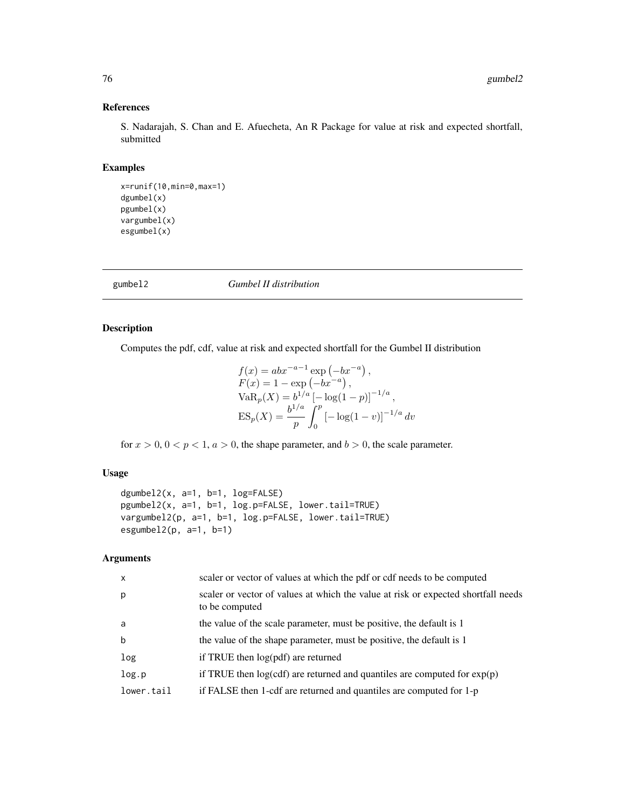# References

S. Nadarajah, S. Chan and E. Afuecheta, An R Package for value at risk and expected shortfall, submitted

## Examples

```
x=runif(10,min=0,max=1)
dgumbel(x)
pgumbel(x)
vargumbel(x)
esgumbel(x)
```
gumbel2 *Gumbel II distribution*

# Description

Computes the pdf, cdf, value at risk and expected shortfall for the Gumbel II distribution

$$
f(x) = abx^{-a-1} \exp(-bx^{-a}),
$$
  
\n
$$
F(x) = 1 - \exp(-bx^{-a}),
$$
  
\n
$$
VaR_p(X) = b^{1/a} [-\log(1-p)]^{-1/a},
$$
  
\n
$$
ES_p(X) = \frac{b^{1/a}}{p} \int_0^p [-\log(1-v)]^{-1/a} dv
$$

for  $x > 0$ ,  $0 < p < 1$ ,  $a > 0$ , the shape parameter, and  $b > 0$ , the scale parameter.

# Usage

```
dgumbel2(x, a=1, b=1, log=FALSE)
pgumbel2(x, a=1, b=1, log.p=FALSE, lower.tail=TRUE)
vargumbel2(p, a=1, b=1, log.p=FALSE, lower.tail=TRUE)
esgumbel2(p, a=1, b=1)
```
## Arguments

| $\mathsf{x}$ | scaler or vector of values at which the pdf or cdf needs to be computed                             |
|--------------|-----------------------------------------------------------------------------------------------------|
| p            | scaler or vector of values at which the value at risk or expected shortfall needs<br>to be computed |
| a            | the value of the scale parameter, must be positive, the default is 1                                |
| b            | the value of the shape parameter, must be positive, the default is 1                                |
| log          | if TRUE then $log(pdf)$ are returned                                                                |
| log.p        | if TRUE then $log(cdf)$ are returned and quantiles are computed for $exp(p)$                        |
| lower.tail   | if FALSE then 1-cdf are returned and quantiles are computed for 1-p                                 |
|              |                                                                                                     |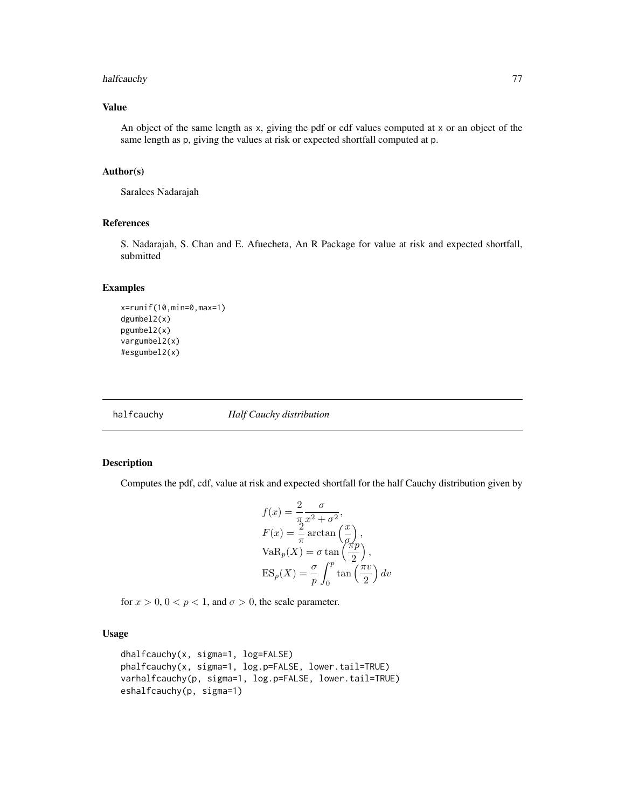# halfcauchy 77

## Value

An object of the same length as x, giving the pdf or cdf values computed at x or an object of the same length as p, giving the values at risk or expected shortfall computed at p.

#### Author(s)

Saralees Nadarajah

# References

S. Nadarajah, S. Chan and E. Afuecheta, An R Package for value at risk and expected shortfall, submitted

## Examples

```
x=runif(10,min=0,max=1)
dgumbel2(x)
pgumbel2(x)
vargumbel2(x)
#esgumbel2(x)
```
halfcauchy *Half Cauchy distribution*

## Description

Computes the pdf, cdf, value at risk and expected shortfall for the half Cauchy distribution given by

$$
f(x) = \frac{2}{\pi} \frac{\sigma}{x^2 + \sigma^2},
$$
  
\n
$$
F(x) = \frac{2}{\pi} \arctan\left(\frac{x}{\sigma}\right),
$$
  
\n
$$
VaR_p(X) = \sigma \tan\left(\frac{\pi p}{2}\right),
$$
  
\n
$$
ES_p(X) = \frac{\sigma}{p} \int_0^p \tan\left(\frac{\pi v}{2}\right) dv
$$

for  $x > 0$ ,  $0 < p < 1$ , and  $\sigma > 0$ , the scale parameter.

# Usage

```
dhalfcauchy(x, sigma=1, log=FALSE)
phalfcauchy(x, sigma=1, log.p=FALSE, lower.tail=TRUE)
varhalfcauchy(p, sigma=1, log.p=FALSE, lower.tail=TRUE)
eshalfcauchy(p, sigma=1)
```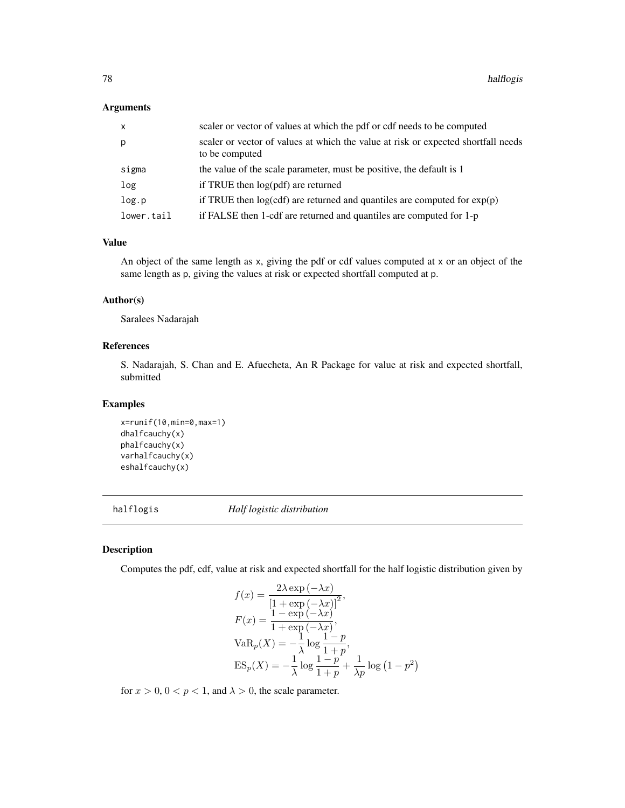## Arguments

| X          | scaler or vector of values at which the pdf or cdf needs to be computed                             |
|------------|-----------------------------------------------------------------------------------------------------|
| р          | scaler or vector of values at which the value at risk or expected shortfall needs<br>to be computed |
| sigma      | the value of the scale parameter, must be positive, the default is 1                                |
| log        | if TRUE then $log(pdf)$ are returned                                                                |
| log.p      | if TRUE then $log(cd)$ are returned and quantiles are computed for $exp(p)$                         |
| lower.tail | if FALSE then 1-cdf are returned and quantiles are computed for 1-p                                 |

## Value

An object of the same length as x, giving the pdf or cdf values computed at x or an object of the same length as p, giving the values at risk or expected shortfall computed at p.

## Author(s)

Saralees Nadarajah

## References

S. Nadarajah, S. Chan and E. Afuecheta, An R Package for value at risk and expected shortfall, submitted

## Examples

```
x=runif(10,min=0,max=1)
dhalfcauchy(x)
phalfcauchy(x)
varhalfcauchy(x)
eshalfcauchy(x)
```
halflogis *Half logistic distribution*

# Description

Computes the pdf, cdf, value at risk and expected shortfall for the half logistic distribution given by

$$
f(x) = \frac{2\lambda \exp(-\lambda x)}{\left[1 + \exp(-\lambda x)\right]^2},
$$
  
\n
$$
F(x) = \frac{1 - \exp(-\lambda x)}{1 + \exp(-\lambda x)},
$$
  
\n
$$
VaR_p(X) = -\frac{1}{\lambda} \log \frac{1 - p}{1 + p},
$$
  
\n
$$
ES_p(X) = -\frac{1}{\lambda} \log \frac{1 - p}{1 + p} + \frac{1}{\lambda p} \log (1 - p^2)
$$

for  $x > 0$ ,  $0 < p < 1$ , and  $\lambda > 0$ , the scale parameter.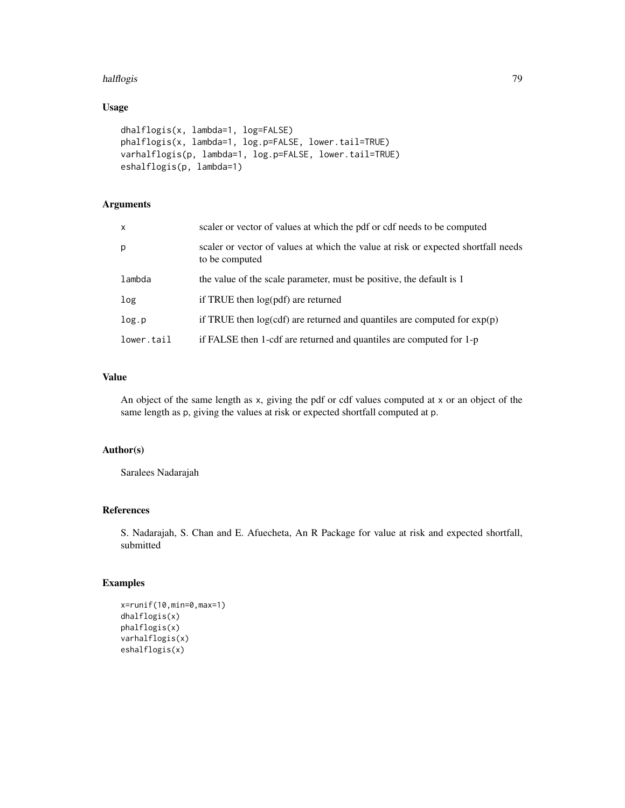#### halflogis 79

# Usage

```
dhalflogis(x, lambda=1, log=FALSE)
phalflogis(x, lambda=1, log.p=FALSE, lower.tail=TRUE)
varhalflogis(p, lambda=1, log.p=FALSE, lower.tail=TRUE)
eshalflogis(p, lambda=1)
```
# Arguments

| $\mathsf{x}$ | scaler or vector of values at which the pdf or cdf needs to be computed                             |
|--------------|-----------------------------------------------------------------------------------------------------|
| p            | scaler or vector of values at which the value at risk or expected shortfall needs<br>to be computed |
| lambda       | the value of the scale parameter, must be positive, the default is 1                                |
| log          | if TRUE then log(pdf) are returned                                                                  |
| log.p        | if TRUE then $log(cdf)$ are returned and quantiles are computed for $exp(p)$                        |
| lower.tail   | if FALSE then 1-cdf are returned and quantiles are computed for 1-p                                 |

## Value

An object of the same length as x, giving the pdf or cdf values computed at x or an object of the same length as p, giving the values at risk or expected shortfall computed at p.

# Author(s)

Saralees Nadarajah

## References

S. Nadarajah, S. Chan and E. Afuecheta, An R Package for value at risk and expected shortfall, submitted

# Examples

```
x=runif(10,min=0,max=1)
dhalflogis(x)
phalflogis(x)
varhalflogis(x)
eshalflogis(x)
```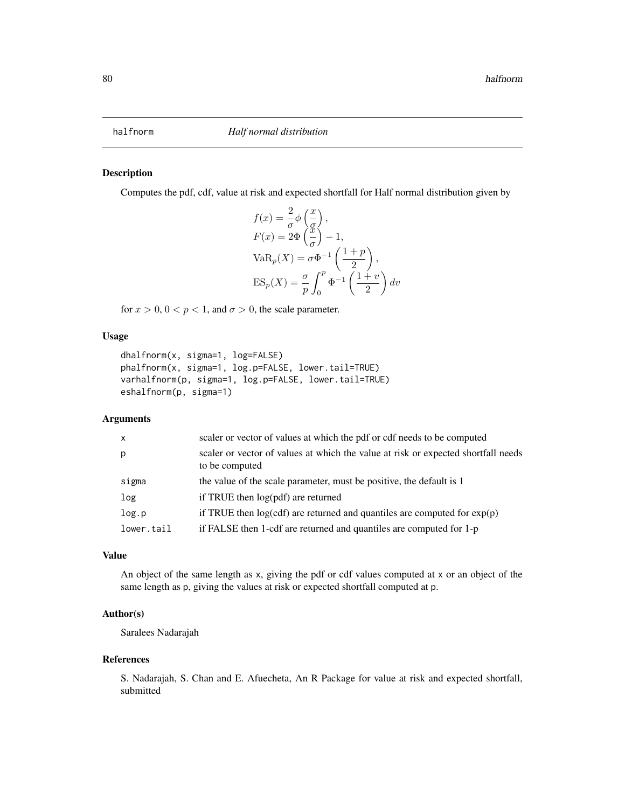# Description

Computes the pdf, cdf, value at risk and expected shortfall for Half normal distribution given by

$$
f(x) = \frac{2}{\sigma} \phi \left(\frac{x}{g}\right),
$$
  
\n
$$
F(x) = 2\Phi \left(\frac{x}{g}\right) - 1,
$$
  
\n
$$
VaR_p(X) = \sigma \Phi^{-1} \left(\frac{1+p}{2}\right),
$$
  
\n
$$
ES_p(X) = \frac{\sigma}{p} \int_0^p \Phi^{-1} \left(\frac{1+v}{2}\right) dv
$$

for  $x > 0$ ,  $0 < p < 1$ , and  $\sigma > 0$ , the scale parameter.

## Usage

```
dhalfnorm(x, sigma=1, log=FALSE)
phalfnorm(x, sigma=1, log.p=FALSE, lower.tail=TRUE)
varhalfnorm(p, sigma=1, log.p=FALSE, lower.tail=TRUE)
eshalfnorm(p, sigma=1)
```
# Arguments

| $\mathsf{x}$ | scaler or vector of values at which the pdf or cdf needs to be computed                             |
|--------------|-----------------------------------------------------------------------------------------------------|
| p            | scaler or vector of values at which the value at risk or expected shortfall needs<br>to be computed |
| sigma        | the value of the scale parameter, must be positive, the default is 1                                |
| log          | if TRUE then log(pdf) are returned                                                                  |
| log.p        | if TRUE then $log(cdf)$ are returned and quantiles are computed for $exp(p)$                        |
| lower.tail   | if FALSE then 1-cdf are returned and quantiles are computed for 1-p                                 |

## Value

An object of the same length as x, giving the pdf or cdf values computed at x or an object of the same length as p, giving the values at risk or expected shortfall computed at p.

## Author(s)

Saralees Nadarajah

#### References

S. Nadarajah, S. Chan and E. Afuecheta, An R Package for value at risk and expected shortfall, submitted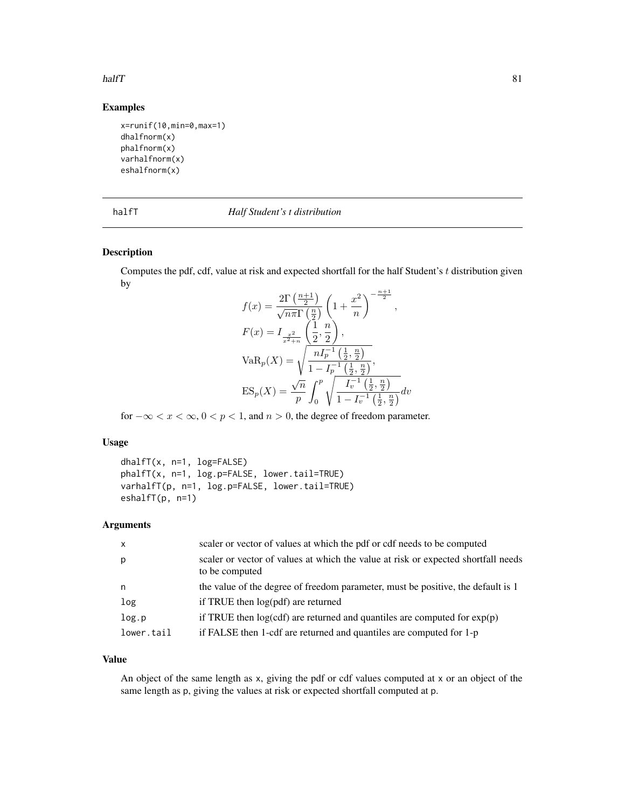#### halfT 81

# Examples

```
x=runif(10,min=0,max=1)
dhalfnorm(x)
phalfnorm(x)
varhalfnorm(x)
eshalfnorm(x)
```
#### halfT *Half Student's t distribution*

# Description

Computes the pdf, cdf, value at risk and expected shortfall for the half Student's t distribution given by  $n+1$ 

$$
f(x) = \frac{2\Gamma\left(\frac{n+1}{2}\right)}{\sqrt{n\pi}\Gamma\left(\frac{n}{2}\right)} \left(1 + \frac{x^2}{n}\right)^{-\frac{n+1}{2}},
$$
  
\n
$$
F(x) = I_{\frac{x^2}{x^2+n}} \left(\frac{1}{2}, \frac{n}{2}\right),
$$
  
\n
$$
VaR_p(X) = \sqrt{\frac{nI_p^{-1}\left(\frac{1}{2}, \frac{n}{2}\right)}{1 - I_p^{-1}\left(\frac{1}{2}, \frac{n}{2}\right)}},
$$
  
\n
$$
ES_p(X) = \frac{\sqrt{n}}{p} \int_0^p \sqrt{\frac{I_v^{-1}\left(\frac{1}{2}, \frac{n}{2}\right)}{1 - I_v^{-1}\left(\frac{1}{2}, \frac{n}{2}\right)}} dv
$$

for  $-\infty < x < \infty$ ,  $0 < p < 1$ , and  $n > 0$ , the degree of freedom parameter.

## Usage

```
dhalfT(x, n=1, log=FALSE)
phalfT(x, n=1, log.p=FALSE, lower.tail=TRUE)
varhalfT(p, n=1, log.p=FALSE, lower.tail=TRUE)
eshalfT(p, n=1)
```
## Arguments

| $\mathsf{x}$ | scaler or vector of values at which the pdf or cdf needs to be computed                             |
|--------------|-----------------------------------------------------------------------------------------------------|
| p            | scaler or vector of values at which the value at risk or expected shortfall needs<br>to be computed |
| n            | the value of the degree of freedom parameter, must be positive, the default is 1                    |
| log          | if TRUE then log(pdf) are returned                                                                  |
| log.p        | if TRUE then $log(cdf)$ are returned and quantiles are computed for $exp(p)$                        |
| lower.tail   | if FALSE then 1-cdf are returned and quantiles are computed for 1-p                                 |

## Value

An object of the same length as x, giving the pdf or cdf values computed at x or an object of the same length as p, giving the values at risk or expected shortfall computed at p.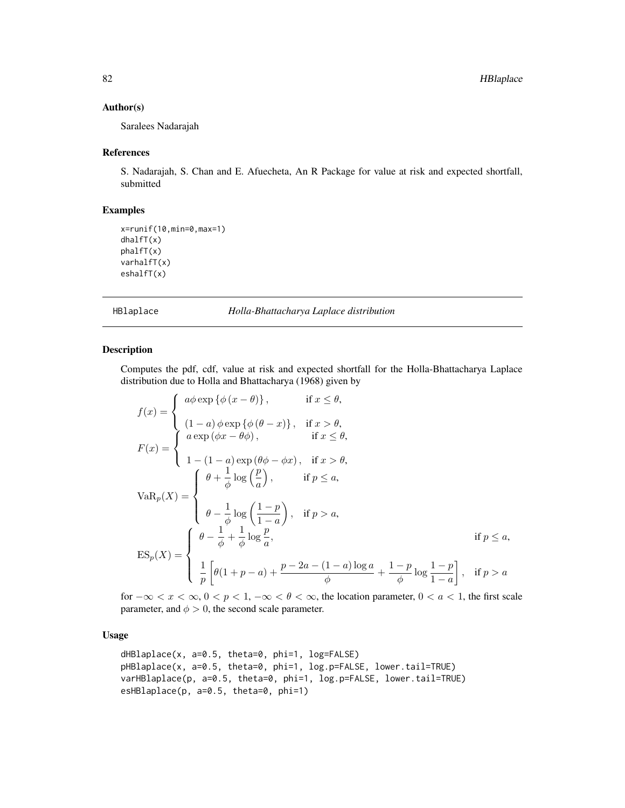#### Author(s)

Saralees Nadarajah

#### References

S. Nadarajah, S. Chan and E. Afuecheta, An R Package for value at risk and expected shortfall, submitted

#### Examples

```
x=runif(10,min=0,max=1)
dhalfT(x)
phalfT(x)
varhalfT(x)
eshalfT(x)
```
HBlaplace *Holla-Bhattacharya Laplace distribution*

## Description

Computes the pdf, cdf, value at risk and expected shortfall for the Holla-Bhattacharya Laplace distribution due to Holla and Bhattacharya (1968) given by

$$
f(x) = \begin{cases} a\phi \exp \{\phi (x - \theta)\}, & \text{if } x \leq \theta, \\ (1 - a)\phi \exp \{\phi (\theta - x)\}, & \text{if } x > \theta, \\ a \exp (\phi x - \theta \phi), & \text{if } x \leq \theta, \\ 1 - (1 - a) \exp (\theta \phi - \phi x), & \text{if } x > \theta, \\ 1 - (1 - a) \exp (\theta \phi - \phi x), & \text{if } p \leq a, \end{cases}
$$

$$
VaR_p(X) = \begin{cases} \theta - \frac{1}{\phi} \log \left(\frac{1 - p}{1 - a}\right), & \text{if } p > a, \\ \theta - \frac{1}{\phi} \log \left(\frac{1 - p}{1 - a}\right), & \text{if } p > a, \\ \frac{1}{p} \left[\theta(1 + p - a) + \frac{p - 2a - (1 - a) \log a}{\phi} + \frac{1 - p}{\phi} \log \frac{1 - p}{1 - a}\right], & \text{if } p > a \end{cases}
$$

for  $-\infty < x < \infty$ ,  $0 < p < 1$ ,  $-\infty < \theta < \infty$ , the location parameter,  $0 < a < 1$ , the first scale parameter, and  $\phi > 0$ , the second scale parameter.

## Usage

```
dHBlaplace(x, a=0.5, theta=0, phi=1, log=FALSE)
pHBlaplace(x, a=0.5, theta=0, phi=1, log.p=FALSE, lower.tail=TRUE)
varHBlaplace(p, a=0.5, theta=0, phi=1, log.p=FALSE, lower.tail=TRUE)
esHBlaplace(p, a=0.5, theta=0, phi=1)
```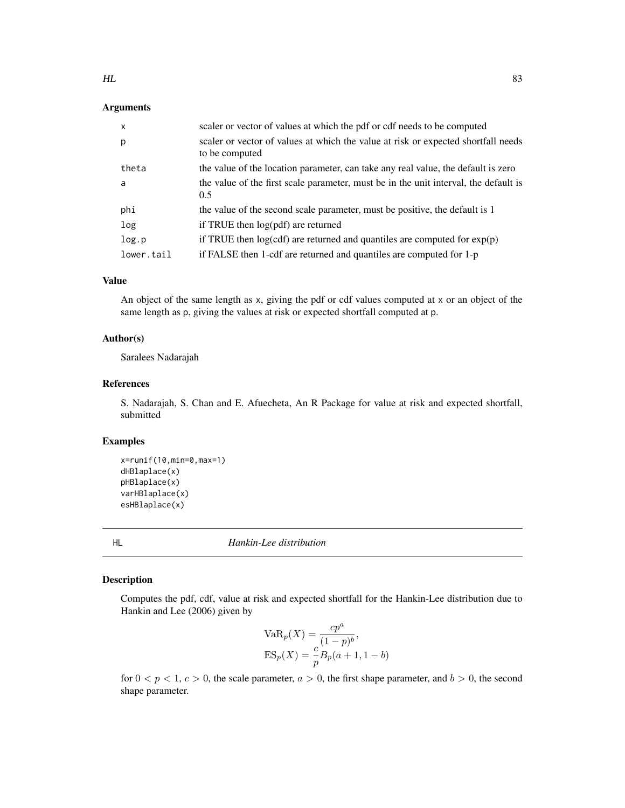## Arguments

| $\mathsf{x}$ | scaler or vector of values at which the pdf or cdf needs to be computed                             |
|--------------|-----------------------------------------------------------------------------------------------------|
| p            | scaler or vector of values at which the value at risk or expected shortfall needs<br>to be computed |
| theta        | the value of the location parameter, can take any real value, the default is zero                   |
| a            | the value of the first scale parameter, must be in the unit interval, the default is<br>0.5         |
| phi          | the value of the second scale parameter, must be positive, the default is 1                         |
| log          | if TRUE then $log(pdf)$ are returned                                                                |
| log.p        | if TRUE then $log(cdf)$ are returned and quantiles are computed for $exp(p)$                        |
| lower.tail   | if FALSE then 1-cdf are returned and quantiles are computed for 1-p                                 |

# Value

An object of the same length as x, giving the pdf or cdf values computed at x or an object of the same length as p, giving the values at risk or expected shortfall computed at p.

## Author(s)

Saralees Nadarajah

## References

S. Nadarajah, S. Chan and E. Afuecheta, An R Package for value at risk and expected shortfall, submitted

#### Examples

```
x=runif(10,min=0,max=1)
dHBlaplace(x)
pHBlaplace(x)
varHBlaplace(x)
esHBlaplace(x)
```
HL *Hankin-Lee distribution*

# Description

Computes the pdf, cdf, value at risk and expected shortfall for the Hankin-Lee distribution due to Hankin and Lee (2006) given by

VaR<sub>p</sub>(X) = 
$$
\frac{cp^a}{(1-p)^b}
$$
,  
ES<sub>p</sub>(X) =  $\frac{c}{p}B_p(a+1, 1-b)$ 

for  $0 < p < 1$ ,  $c > 0$ , the scale parameter,  $a > 0$ , the first shape parameter, and  $b > 0$ , the second shape parameter.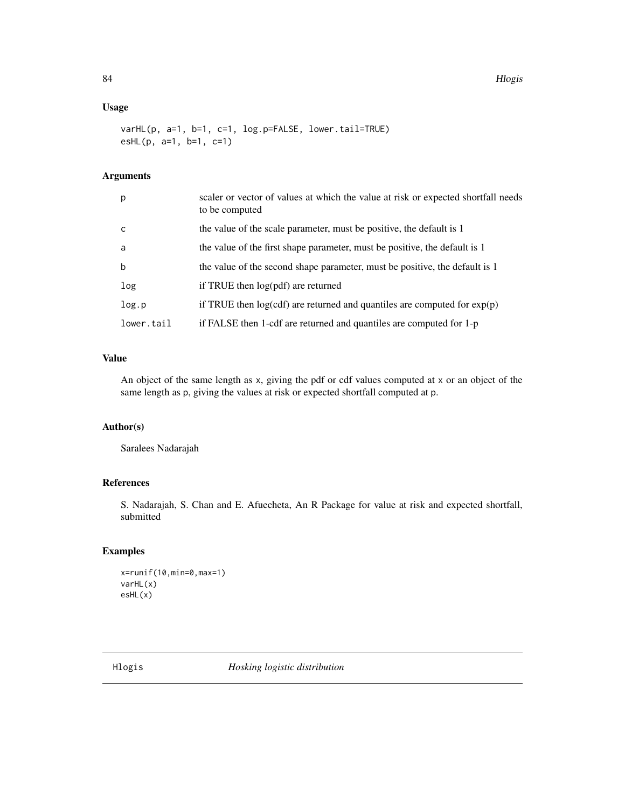## Usage

```
varHL(p, a=1, b=1, c=1, log.p=FALSE, lower.tail=TRUE)
esHL(p, a=1, b=1, c=1)
```
# Arguments

| p          | scaler or vector of values at which the value at risk or expected shortfall needs<br>to be computed |
|------------|-----------------------------------------------------------------------------------------------------|
| C          | the value of the scale parameter, must be positive, the default is 1                                |
| a          | the value of the first shape parameter, must be positive, the default is 1                          |
| b          | the value of the second shape parameter, must be positive, the default is 1                         |
| log        | if TRUE then $log(pdf)$ are returned                                                                |
| log.p      | if TRUE then $log(cdf)$ are returned and quantiles are computed for $exp(p)$                        |
| lower.tail | if FALSE then 1-cdf are returned and quantiles are computed for 1-p                                 |

# Value

An object of the same length as x, giving the pdf or cdf values computed at x or an object of the same length as p, giving the values at risk or expected shortfall computed at p.

# Author(s)

Saralees Nadarajah

# References

S. Nadarajah, S. Chan and E. Afuecheta, An R Package for value at risk and expected shortfall, submitted

## Examples

```
x=runif(10,min=0,max=1)
varHL(x)
esHL(x)
```
Hlogis *Hosking logistic distribution*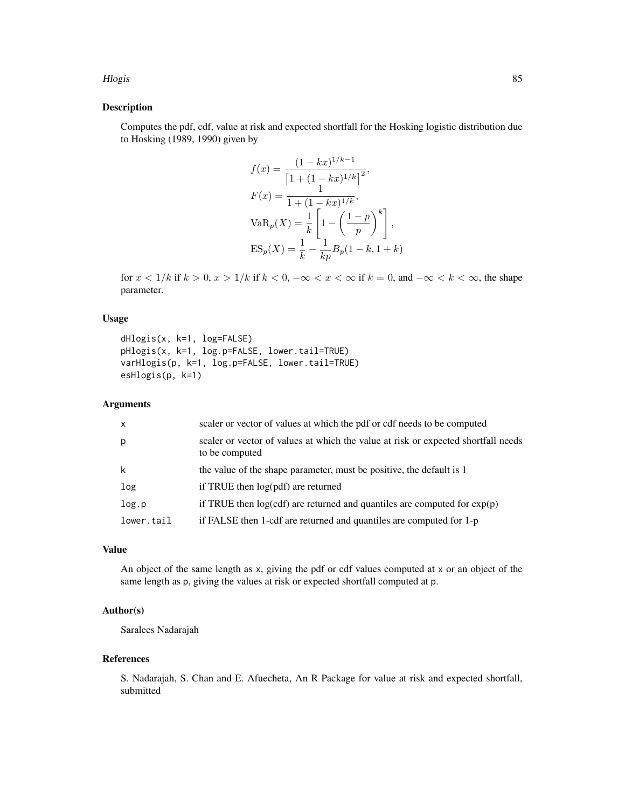## Hlogis 85

## Description

Computes the pdf, cdf, value at risk and expected shortfall for the Hosking logistic distribution due to Hosking (1989, 1990) given by

$$
f(x) = \frac{(1 - kx)^{1/k - 1}}{\left[1 + (1 - kx)^{1/k}\right]^2},
$$
  
\n
$$
F(x) = \frac{1}{1 + (1 - kx)^{1/k}},
$$
  
\n
$$
VaR_p(X) = \frac{1}{k} \left[1 - \left(\frac{1 - p}{p}\right)^k\right],
$$
  
\n
$$
ES_p(X) = \frac{1}{k} - \frac{1}{kp}B_p(1 - k, 1 + k)
$$

for  $x < 1/k$  if  $k > 0$ ,  $x > 1/k$  if  $k < 0$ ,  $-\infty < x < \infty$  if  $k = 0$ , and  $-\infty < k < \infty$ , the shape parameter.

## Usage

```
dHlogis(x, k=1, log=FALSE)
pHlogis(x, k=1, log.p=FALSE, lower.tail=TRUE)
varHlogis(p, k=1, log.p=FALSE, lower.tail=TRUE)
esHlogis(p, k=1)
```
# Arguments

| $\mathsf{x}$ | scaler or vector of values at which the pdf or cdf needs to be computed                             |
|--------------|-----------------------------------------------------------------------------------------------------|
| p            | scaler or vector of values at which the value at risk or expected shortfall needs<br>to be computed |
| k            | the value of the shape parameter, must be positive, the default is 1                                |
| log          | if TRUE then $log(pdf)$ are returned                                                                |
| log.p        | if TRUE then $log(cdf)$ are returned and quantiles are computed for $exp(p)$                        |
| lower.tail   | if FALSE then 1-cdf are returned and quantiles are computed for 1-p                                 |

# Value

An object of the same length as x, giving the pdf or cdf values computed at x or an object of the same length as p, giving the values at risk or expected shortfall computed at p.

# Author(s)

Saralees Nadarajah

## References

S. Nadarajah, S. Chan and E. Afuecheta, An R Package for value at risk and expected shortfall, submitted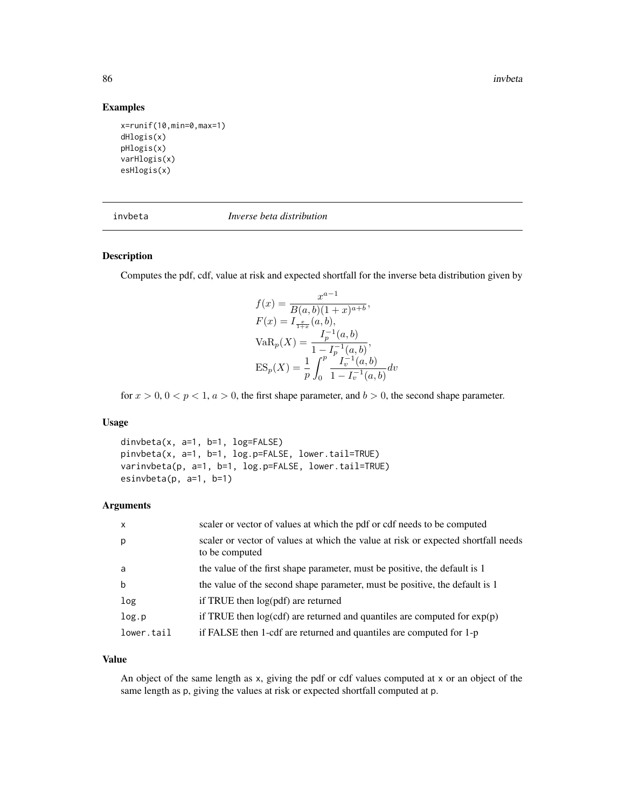86 invbeta and the set of the set of the set of the set of the set of the set of the set of the set of the set of the set of the set of the set of the set of the set of the set of the set of the set of the set of the set o

## Examples

```
x=runif(10,min=0,max=1)
dHlogis(x)
pHlogis(x)
varHlogis(x)
esHlogis(x)
```
invbeta *Inverse beta distribution*

#### Description

Computes the pdf, cdf, value at risk and expected shortfall for the inverse beta distribution given by

$$
f(x) = \frac{x^{a-1}}{B(a, b)(1+x)^{a+b}},
$$
  
\n
$$
F(x) = I_{\frac{x}{1+x}}(a, b),
$$
  
\n
$$
VaR_p(X) = \frac{I_p^{-1}(a, b)}{1 - I_p^{-1}(a, b)},
$$
  
\n
$$
ES_p(X) = \frac{1}{p} \int_0^p \frac{I_v^{-1}(a, b)}{1 - I_v^{-1}(a, b)} dv
$$

for  $x > 0$ ,  $0 < p < 1$ ,  $a > 0$ , the first shape parameter, and  $b > 0$ , the second shape parameter.

## Usage

dinvbeta(x, a=1, b=1, log=FALSE) pinvbeta(x, a=1, b=1, log.p=FALSE, lower.tail=TRUE) varinvbeta(p, a=1, b=1, log.p=FALSE, lower.tail=TRUE) esinvbeta(p, a=1, b=1)

## Arguments

| $\mathsf{x}$ | scaler or vector of values at which the pdf or cdf needs to be computed                             |
|--------------|-----------------------------------------------------------------------------------------------------|
| p            | scaler or vector of values at which the value at risk or expected shortfall needs<br>to be computed |
| a            | the value of the first shape parameter, must be positive, the default is 1                          |
| b            | the value of the second shape parameter, must be positive, the default is 1                         |
| log          | if TRUE then log(pdf) are returned                                                                  |
| log.p        | if TRUE then $log(cd)$ are returned and quantiles are computed for $exp(p)$                         |
| lower.tail   | if FALSE then 1-cdf are returned and quantiles are computed for 1-p                                 |

## Value

An object of the same length as x, giving the pdf or cdf values computed at x or an object of the same length as p, giving the values at risk or expected shortfall computed at p.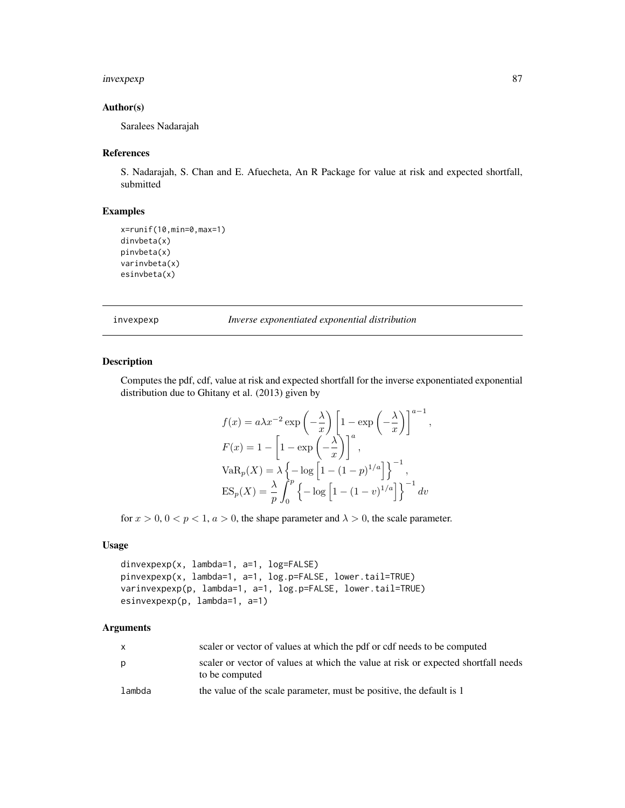# invexpexp 87

# Author(s)

Saralees Nadarajah

#### References

S. Nadarajah, S. Chan and E. Afuecheta, An R Package for value at risk and expected shortfall, submitted

# Examples

```
x=runif(10,min=0,max=1)
dinvbeta(x)
pinvbeta(x)
varinvbeta(x)
esinvbeta(x)
```
invexpexp *Inverse exponentiated exponential distribution*

## Description

Computes the pdf, cdf, value at risk and expected shortfall for the inverse exponentiated exponential distribution due to Ghitany et al. (2013) given by

$$
f(x) = a\lambda x^{-2} \exp\left(-\frac{\lambda}{x}\right) \left[1 - \exp\left(-\frac{\lambda}{x}\right)\right]^{a-1},
$$
  
\n
$$
F(x) = 1 - \left[1 - \exp\left(-\frac{\lambda}{x}\right)\right]^a,
$$
  
\n
$$
VaR_p(X) = \lambda \left\{-\log\left[1 - (1-p)^{1/a}\right]\right\}^{-1},
$$
  
\n
$$
ES_p(X) = \frac{\lambda}{p} \int_0^p \left\{-\log\left[1 - (1-v)^{1/a}\right]\right\}^{-1} dv
$$

for  $x > 0$ ,  $0 < p < 1$ ,  $a > 0$ , the shape parameter and  $\lambda > 0$ , the scale parameter.

## Usage

```
dinvexpexp(x, lambda=1, a=1, log=FALSE)
pinvexpexp(x, lambda=1, a=1, log.p=FALSE, lower.tail=TRUE)
varinvexpexp(p, lambda=1, a=1, log.p=FALSE, lower.tail=TRUE)
esinvexpexp(p, lambda=1, a=1)
```
# Arguments

|        | scaler or vector of values at which the pdf or cdf needs to be computed                             |
|--------|-----------------------------------------------------------------------------------------------------|
| D      | scaler or vector of values at which the value at risk or expected shortfall needs<br>to be computed |
| lambda | the value of the scale parameter, must be positive, the default is 1                                |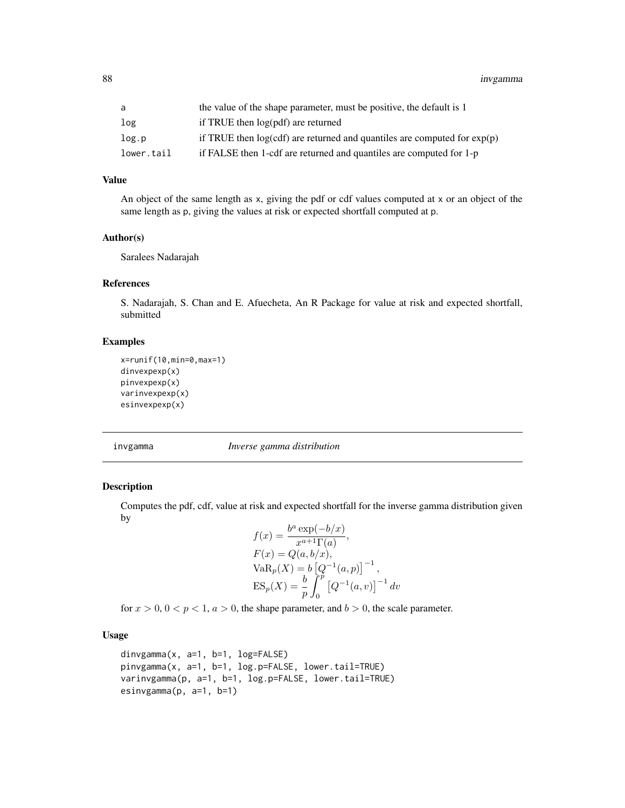88 invgamma

# Value

An object of the same length as x, giving the pdf or cdf values computed at x or an object of the same length as p, giving the values at risk or expected shortfall computed at p.

## Author(s)

Saralees Nadarajah

## References

S. Nadarajah, S. Chan and E. Afuecheta, An R Package for value at risk and expected shortfall, submitted

# Examples

```
x=runif(10,min=0,max=1)
dinvexpexp(x)
pinvexpexp(x)
varinvexpexp(x)
esinvexpexp(x)
```
invgamma *Inverse gamma distribution*

## Description

Computes the pdf, cdf, value at risk and expected shortfall for the inverse gamma distribution given by

$$
f(x) = \frac{b^{a} \exp(-b/x)}{x^{a+1} \Gamma(a)},
$$
  
\n
$$
F(x) = Q(a, b/x),
$$
  
\n
$$
VaR_{p}(X) = b [Q^{-1}(a, p)]^{-1},
$$
  
\n
$$
ES_{p}(X) = \frac{b}{p} \int_{0}^{p} [Q^{-1}(a, v)]^{-1} dv
$$

for  $x > 0$ ,  $0 < p < 1$ ,  $a > 0$ , the shape parameter, and  $b > 0$ , the scale parameter.

# Usage

```
dinvgamma(x, a=1, b=1, log=FALSE)
pinvgamma(x, a=1, b=1, log.p=FALSE, lower.tail=TRUE)
varinvgamma(p, a=1, b=1, log.p=FALSE, lower.tail=TRUE)
esinvgamma(p, a=1, b=1)
```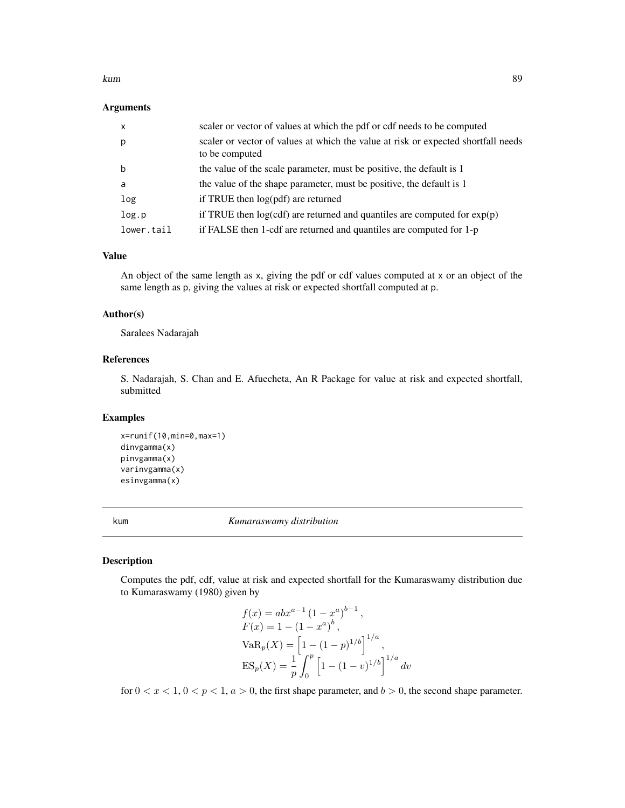#### kum 89 km states at the states of the states and the states of the states and the states of the states and the

#### Arguments

| $\mathsf{x}$ | scaler or vector of values at which the pdf or cdf needs to be computed                             |
|--------------|-----------------------------------------------------------------------------------------------------|
| p            | scaler or vector of values at which the value at risk or expected shortfall needs<br>to be computed |
| b            | the value of the scale parameter, must be positive, the default is 1                                |
| a            | the value of the shape parameter, must be positive, the default is 1                                |
| log          | if TRUE then log(pdf) are returned                                                                  |
| log.p        | if TRUE then $log(cdf)$ are returned and quantiles are computed for $exp(p)$                        |
| lower.tail   | if FALSE then 1-cdf are returned and quantiles are computed for 1-p                                 |

#### Value

An object of the same length as x, giving the pdf or cdf values computed at x or an object of the same length as p, giving the values at risk or expected shortfall computed at p.

# Author(s)

Saralees Nadarajah

# References

S. Nadarajah, S. Chan and E. Afuecheta, An R Package for value at risk and expected shortfall, submitted

## Examples

```
x=runif(10,min=0,max=1)
dinvgamma(x)
pinvgamma(x)
varinvgamma(x)
esinvgamma(x)
```
kum *Kumaraswamy distribution*

# Description

Computes the pdf, cdf, value at risk and expected shortfall for the Kumaraswamy distribution due to Kumaraswamy (1980) given by

$$
f(x) = abx^{a-1} (1 - x^a)^{b-1},
$$
  
\n
$$
F(x) = 1 - (1 - x^a)^b,
$$
  
\n
$$
VaR_p(X) = \left[1 - (1 - p)^{1/b}\right]^{1/a},
$$
  
\n
$$
ES_p(X) = \frac{1}{p} \int_0^p \left[1 - (1 - v)^{1/b}\right]^{1/a} dv
$$

for  $0 < x < 1$ ,  $0 < p < 1$ ,  $a > 0$ , the first shape parameter, and  $b > 0$ , the second shape parameter.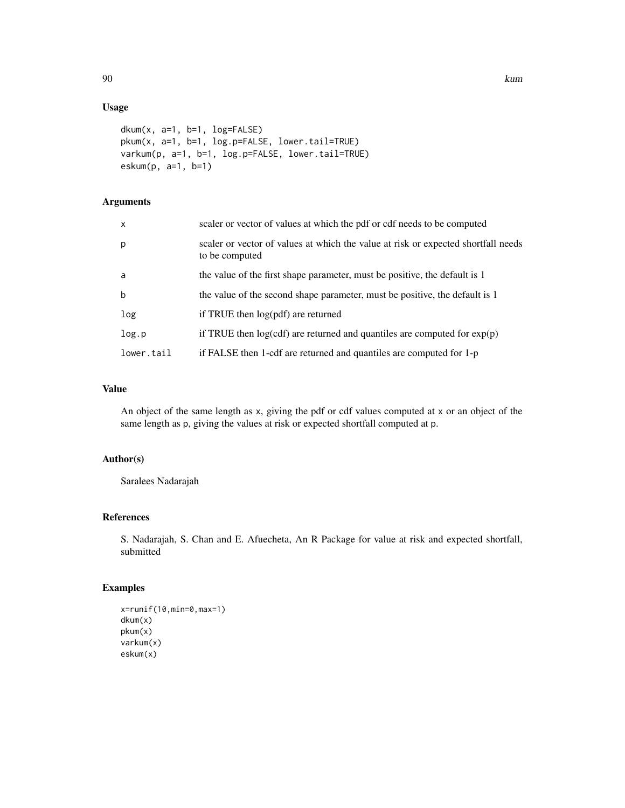# Usage

```
dkum(x, a=1, b=1, log=FALSE)
pkum(x, a=1, b=1, log.p=FALSE, lower.tail=TRUE)
varkum(p, a=1, b=1, log.p=FALSE, lower.tail=TRUE)
eskum(p, a=1, b=1)
```
# Arguments

| $\mathsf{x}$ | scaler or vector of values at which the pdf or cdf needs to be computed                             |
|--------------|-----------------------------------------------------------------------------------------------------|
| p            | scaler or vector of values at which the value at risk or expected shortfall needs<br>to be computed |
| a            | the value of the first shape parameter, must be positive, the default is 1                          |
| $\mathbf b$  | the value of the second shape parameter, must be positive, the default is 1                         |
| log          | if TRUE then $log(pdf)$ are returned                                                                |
| log.p        | if TRUE then $log(cdf)$ are returned and quantiles are computed for $exp(p)$                        |
| lower.tail   | if FALSE then 1-cdf are returned and quantiles are computed for 1-p                                 |

# Value

An object of the same length as x, giving the pdf or cdf values computed at x or an object of the same length as p, giving the values at risk or expected shortfall computed at p.

# Author(s)

Saralees Nadarajah

# References

S. Nadarajah, S. Chan and E. Afuecheta, An R Package for value at risk and expected shortfall, submitted

## Examples

```
x=runif(10,min=0,max=1)
dkum(x)
pkum(x)
varkum(x)
eskum(x)
```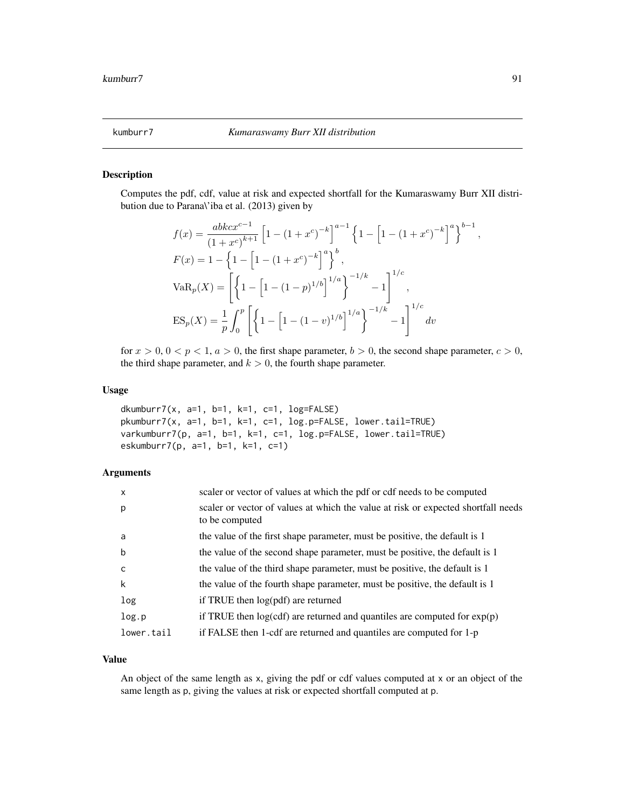#### Description

Computes the pdf, cdf, value at risk and expected shortfall for the Kumaraswamy Burr XII distribution due to Parana\'iba et al. (2013) given by

$$
f(x) = \frac{abkcx^{c-1}}{(1 + x^c)^{k+1}} \left[ 1 - (1 + x^c)^{-k} \right]^{a-1} \left\{ 1 - \left[ 1 - (1 + x^c)^{-k} \right]^a \right\}^{b-1}
$$
  
\n
$$
F(x) = 1 - \left\{ 1 - \left[ 1 - (1 + x^c)^{-k} \right]^a \right\}^b,
$$
  
\n
$$
VaR_p(X) = \left[ \left\{ 1 - \left[ 1 - (1 - p)^{1/b} \right]^{1/a} \right\}^{-1/k} - 1 \right]^{1/c},
$$
  
\n
$$
ES_p(X) = \frac{1}{p} \int_0^p \left[ \left\{ 1 - \left[ 1 - (1 - v)^{1/b} \right]^{1/a} \right\}^{-1/k} - 1 \right]^{1/c} dv
$$

for  $x > 0$ ,  $0 < p < 1$ ,  $a > 0$ , the first shape parameter,  $b > 0$ , the second shape parameter,  $c > 0$ , the third shape parameter, and  $k > 0$ , the fourth shape parameter.

#### Usage

```
dkumburr7(x, a=1, b=1, k=1, c=1, log=FALSE)
pkumburr7(x, a=1, b=1, k=1, c=1, log.p=FALSE, lower.tail=TRUE)
varkumburr7(p, a=1, b=1, k=1, c=1, log.p=FALSE, lower.tail=TRUE)
eskumburr7(p, a=1, b=1, k=1, c=1)
```
# Arguments

| $\mathsf{x}$ | scaler or vector of values at which the pdf or cdf needs to be computed                             |
|--------------|-----------------------------------------------------------------------------------------------------|
| p            | scaler or vector of values at which the value at risk or expected shortfall needs<br>to be computed |
| a            | the value of the first shape parameter, must be positive, the default is 1                          |
| b            | the value of the second shape parameter, must be positive, the default is 1                         |
| C            | the value of the third shape parameter, must be positive, the default is 1                          |
| k            | the value of the fourth shape parameter, must be positive, the default is 1                         |
| log          | if TRUE then $log(pdf)$ are returned                                                                |
| log.p        | if TRUE then $log(cd)$ are returned and quantiles are computed for $exp(p)$                         |
| lower.tail   | if FALSE then 1-cdf are returned and quantiles are computed for 1-p                                 |

## Value

An object of the same length as x, giving the pdf or cdf values computed at x or an object of the same length as p, giving the values at risk or expected shortfall computed at p.

,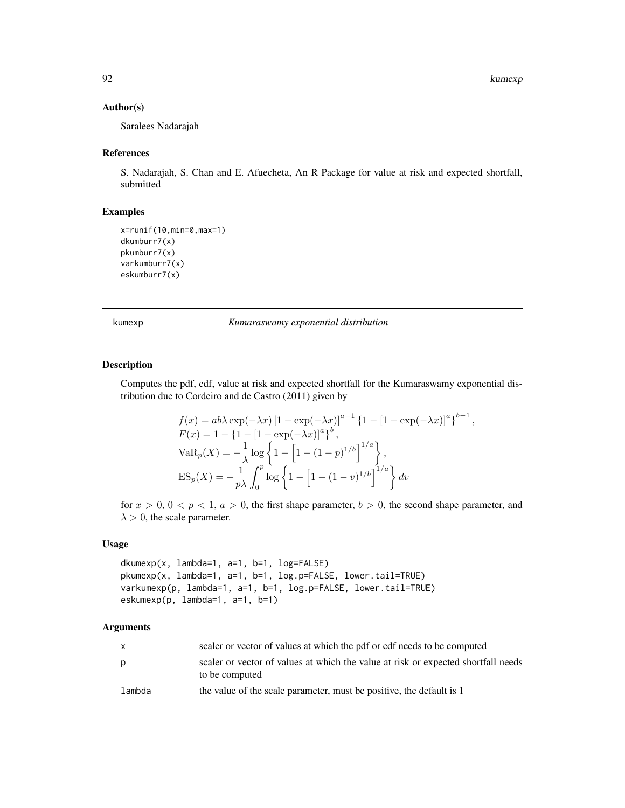,

## Author(s)

Saralees Nadarajah

## References

S. Nadarajah, S. Chan and E. Afuecheta, An R Package for value at risk and expected shortfall, submitted

#### Examples

```
x=runif(10,min=0,max=1)
dkumburr7(x)
pkumburr7(x)
varkumburr7(x)
eskumburr7(x)
```
kumexp *Kumaraswamy exponential distribution*

# Description

Computes the pdf, cdf, value at risk and expected shortfall for the Kumaraswamy exponential distribution due to Cordeiro and de Castro (2011) given by

$$
f(x) = ab\lambda \exp(-\lambda x) [1 - \exp(-\lambda x)]^{a-1} \{1 - [1 - \exp(-\lambda x)]^a\}^{b-1}
$$
  
\n
$$
F(x) = 1 - \{1 - [1 - \exp(-\lambda x)]^a\}^b,
$$
  
\n
$$
VaR_p(X) = -\frac{1}{\lambda} \log \left\{1 - [1 - (1 - p)^{1/b}]^{1/a}\right\},
$$
  
\n
$$
ES_p(X) = -\frac{1}{p\lambda} \int_0^p \log \left\{1 - [1 - (1 - v)^{1/b}]^{1/a}\right\} dv
$$

for  $x > 0$ ,  $0 < p < 1$ ,  $a > 0$ , the first shape parameter,  $b > 0$ , the second shape parameter, and  $\lambda > 0$ , the scale parameter.

## Usage

```
dkumexp(x, lambda=1, a=1, b=1, log=FALSE)
pkumexp(x, lambda=1, a=1, b=1, log.p=FALSE, lower.tail=TRUE)
varkumexp(p, lambda=1, a=1, b=1, log.p=FALSE, lower.tail=TRUE)
eskumexp(p, lambda=1, a=1, b=1)
```
## Arguments

| x      | scaler or vector of values at which the pdf or cdf needs to be computed                             |
|--------|-----------------------------------------------------------------------------------------------------|
| р      | scaler or vector of values at which the value at risk or expected shortfall needs<br>to be computed |
| lambda | the value of the scale parameter, must be positive, the default is 1                                |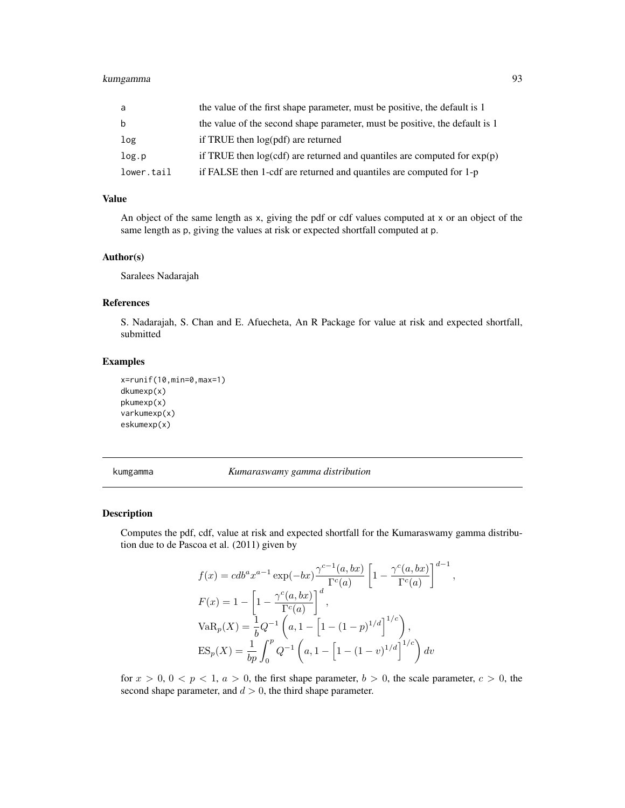# kumgamma 93

| a          | the value of the first shape parameter, must be positive, the default is 1   |
|------------|------------------------------------------------------------------------------|
| b          | the value of the second shape parameter, must be positive, the default is 1  |
| log        | if TRUE then log(pdf) are returned                                           |
| log.p      | if TRUE then $log(cdf)$ are returned and quantiles are computed for $exp(p)$ |
| lower.tail | if FALSE then 1-cdf are returned and quantiles are computed for 1-p          |

## Value

An object of the same length as x, giving the pdf or cdf values computed at x or an object of the same length as p, giving the values at risk or expected shortfall computed at p.

#### Author(s)

Saralees Nadarajah

#### References

S. Nadarajah, S. Chan and E. Afuecheta, An R Package for value at risk and expected shortfall, submitted

## Examples

```
x=runif(10,min=0,max=1)
dkumexp(x)
pkumexp(x)
varkumexp(x)
eskumexp(x)
```
kumgamma *Kumaraswamy gamma distribution*

#### Description

Computes the pdf, cdf, value at risk and expected shortfall for the Kumaraswamy gamma distribution due to de Pascoa et al. (2011) given by

$$
f(x) = cdb^{a}x^{a-1} \exp(-bx) \frac{\gamma^{c-1}(a,bx)}{\Gamma^{c}(a)} \left[1 - \frac{\gamma^{c}(a,bx)}{\Gamma^{c}(a)}\right]^{d-1}
$$

$$
F(x) = 1 - \left[1 - \frac{\gamma^{c}(a,bx)}{\Gamma^{c}(a)}\right]^{d},
$$

$$
VaR_{p}(X) = \frac{1}{b}Q^{-1}\left(a, 1 - \left[1 - (1-p)^{1/d}\right]^{1/c}\right),
$$

$$
ES_{p}(X) = \frac{1}{bp} \int_{0}^{p} Q^{-1}\left(a, 1 - \left[1 - (1-v)^{1/d}\right]^{1/c}\right) dv
$$

,

for  $x > 0$ ,  $0 < p < 1$ ,  $a > 0$ , the first shape parameter,  $b > 0$ , the scale parameter,  $c > 0$ , the second shape parameter, and  $d > 0$ , the third shape parameter.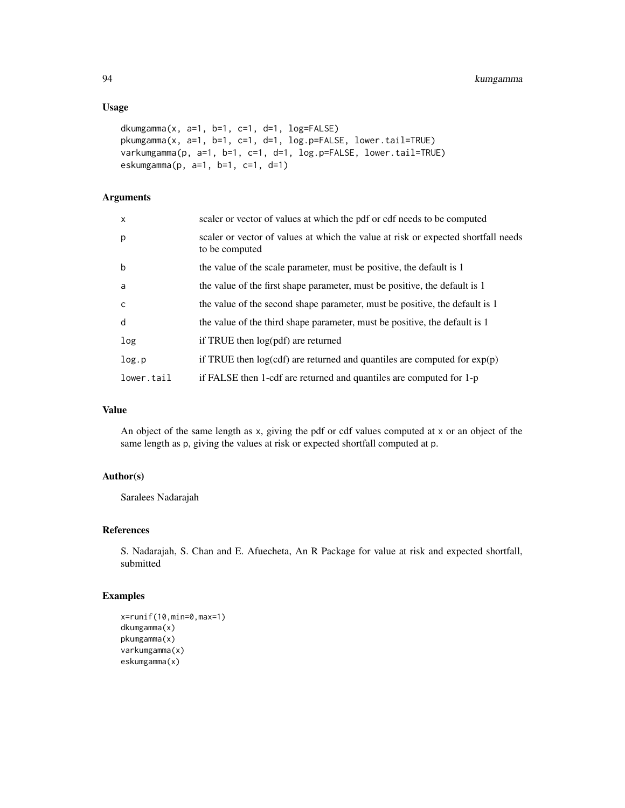## Usage

```
dkumgamma(x, a=1, b=1, c=1, d=1, log=FALSE)pkumgamma(x, a=1, b=1, c=1, d=1, log.p=FALSE, lower.tail=TRUE)
varkumgamma(p, a=1, b=1, c=1, d=1, log.p=FALSE, lower.tail=TRUE)
eskumgamma(p, a=1, b=1, c=1, d=1)
```
# Arguments

| $\mathsf{x}$ | scaler or vector of values at which the pdf or cdf needs to be computed                             |
|--------------|-----------------------------------------------------------------------------------------------------|
| p            | scaler or vector of values at which the value at risk or expected shortfall needs<br>to be computed |
| $\mathbf b$  | the value of the scale parameter, must be positive, the default is 1                                |
| a            | the value of the first shape parameter, must be positive, the default is 1                          |
| $\mathsf{C}$ | the value of the second shape parameter, must be positive, the default is 1                         |
| d            | the value of the third shape parameter, must be positive, the default is 1                          |
| log          | if TRUE then $log(pdf)$ are returned                                                                |
| log.p        | if TRUE then $log(cdf)$ are returned and quantiles are computed for $exp(p)$                        |
| lower.tail   | if FALSE then 1-cdf are returned and quantiles are computed for 1-p                                 |

# Value

An object of the same length as x, giving the pdf or cdf values computed at x or an object of the same length as p, giving the values at risk or expected shortfall computed at p.

# Author(s)

Saralees Nadarajah

## References

S. Nadarajah, S. Chan and E. Afuecheta, An R Package for value at risk and expected shortfall, submitted

## Examples

```
x=runif(10,min=0,max=1)
dkumgamma(x)
pkumgamma(x)
varkumgamma(x)
eskumgamma(x)
```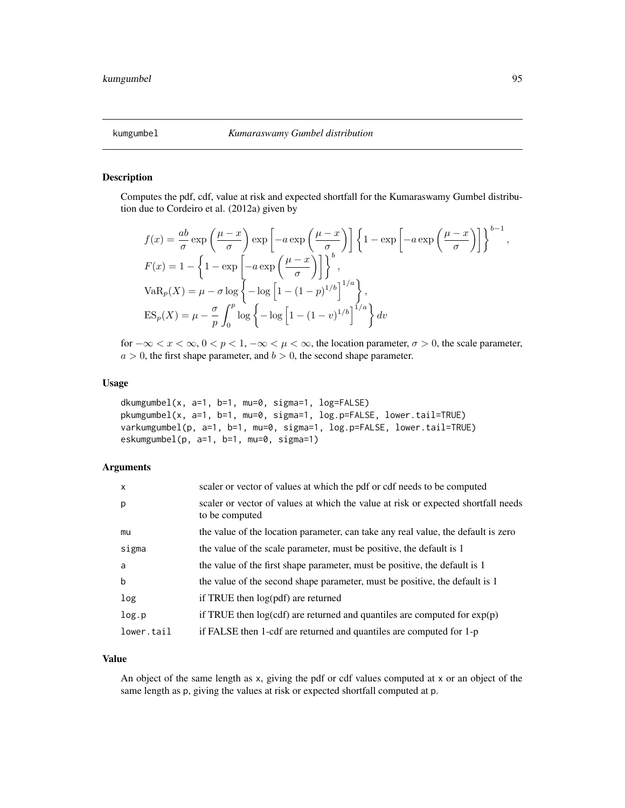#### Description

Computes the pdf, cdf, value at risk and expected shortfall for the Kumaraswamy Gumbel distribution due to Cordeiro et al. (2012a) given by

$$
f(x) = \frac{ab}{\sigma} \exp\left(\frac{\mu - x}{\sigma}\right) \exp\left[-a \exp\left(\frac{\mu - x}{\sigma}\right)\right] \left\{1 - \exp\left[-a \exp\left(\frac{\mu - x}{\sigma}\right)\right]\right\}^{b-1},
$$
  
\n
$$
F(x) = 1 - \left\{1 - \exp\left[-a \exp\left(\frac{\mu - x}{\sigma}\right)\right]\right\}^{b},
$$
  
\n
$$
VaR_p(X) = \mu - \sigma \log\left\{-\log\left[1 - (1 - p)^{1/b}\right]^{1/a}\right\},
$$
  
\n
$$
ES_p(X) = \mu - \frac{\sigma}{p} \int_0^p \log\left\{-\log\left[1 - (1 - v)^{1/b}\right]^{1/a}\right\} dv
$$

for  $-\infty < x < \infty$ ,  $0 < p < 1$ ,  $-\infty < \mu < \infty$ , the location parameter,  $\sigma > 0$ , the scale parameter,  $a > 0$ , the first shape parameter, and  $b > 0$ , the second shape parameter.

#### Usage

```
dkumgumbel(x, a=1, b=1, mu=0, sigma=1, log=FALSE)
pkumgumbel(x, a=1, b=1, mu=0, sigma=1, log.p=FALSE, lower.tail=TRUE)
varkumgumbel(p, a=1, b=1, mu=0, sigma=1, log.p=FALSE, lower.tail=TRUE)
eskumgumbel(p, a=1, b=1, mu=0, sigma=1)
```
## Arguments

| $\mathsf{x}$ | scaler or vector of values at which the pdf or cdf needs to be computed                             |
|--------------|-----------------------------------------------------------------------------------------------------|
| p            | scaler or vector of values at which the value at risk or expected shortfall needs<br>to be computed |
| mu           | the value of the location parameter, can take any real value, the default is zero                   |
| sigma        | the value of the scale parameter, must be positive, the default is 1                                |
| a            | the value of the first shape parameter, must be positive, the default is 1                          |
| $\mathbf b$  | the value of the second shape parameter, must be positive, the default is 1                         |
| log          | if TRUE then $log(pdf)$ are returned                                                                |
| log.p        | if TRUE then $log(cdf)$ are returned and quantiles are computed for $exp(p)$                        |
| lower.tail   | if FALSE then 1-cdf are returned and quantiles are computed for 1-p                                 |

#### Value

An object of the same length as x, giving the pdf or cdf values computed at x or an object of the same length as p, giving the values at risk or expected shortfall computed at p.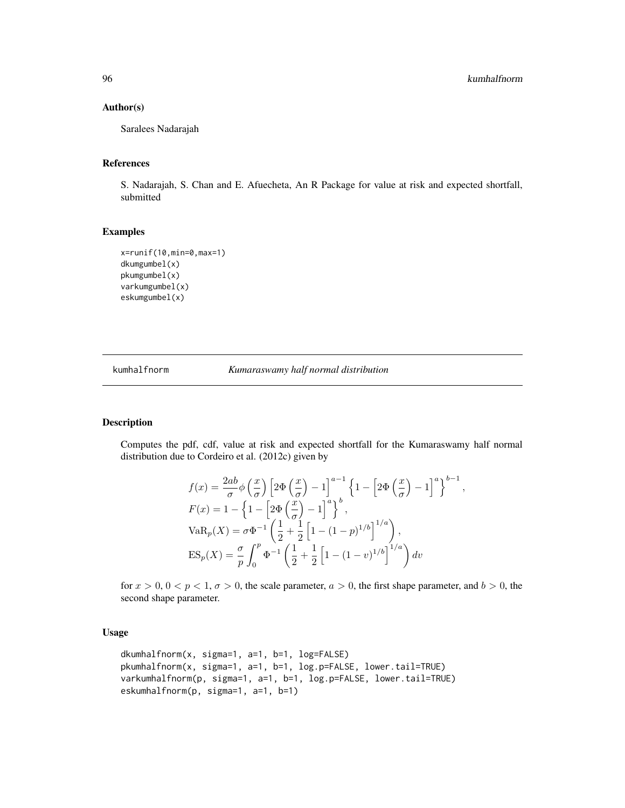#### Author(s)

Saralees Nadarajah

#### References

S. Nadarajah, S. Chan and E. Afuecheta, An R Package for value at risk and expected shortfall, submitted

## Examples

```
x=runif(10,min=0,max=1)
dkumgumbel(x)
pkumgumbel(x)
varkumgumbel(x)
eskumgumbel(x)
```
kumhalfnorm *Kumaraswamy half normal distribution*

#### Description

Computes the pdf, cdf, value at risk and expected shortfall for the Kumaraswamy half normal distribution due to Cordeiro et al. (2012c) given by

$$
f(x) = \frac{2ab}{\sigma} \phi\left(\frac{x}{\sigma}\right) \left[2\Phi\left(\frac{x}{\sigma}\right) - 1\right]^{a-1} \left\{1 - \left[2\Phi\left(\frac{x}{\sigma}\right) - 1\right]^a\right\}^{b-1},
$$
  
\n
$$
F(x) = 1 - \left\{1 - \left[2\Phi\left(\frac{x}{\sigma}\right) - 1\right]^a\right\}^b,
$$
  
\n
$$
VaR_p(X) = \sigma \Phi^{-1} \left(\frac{1}{2} + \frac{1}{2}\left[1 - (1 - p)^{1/b}\right]^{1/a}\right),
$$
  
\n
$$
ES_p(X) = \frac{\sigma}{p} \int_0^p \Phi^{-1} \left(\frac{1}{2} + \frac{1}{2}\left[1 - (1 - v)^{1/b}\right]^{1/a}\right) dv
$$

for  $x > 0$ ,  $0 < p < 1$ ,  $\sigma > 0$ , the scale parameter,  $a > 0$ , the first shape parameter, and  $b > 0$ , the second shape parameter.

#### Usage

```
dkumhalfnorm(x, sigma=1, a=1, b=1, log=FALSE)
pkumhalfnorm(x, sigma=1, a=1, b=1, log.p=FALSE, lower.tail=TRUE)
varkumhalfnorm(p, sigma=1, a=1, b=1, log.p=FALSE, lower.tail=TRUE)
eskumhalfnorm(p, sigma=1, a=1, b=1)
```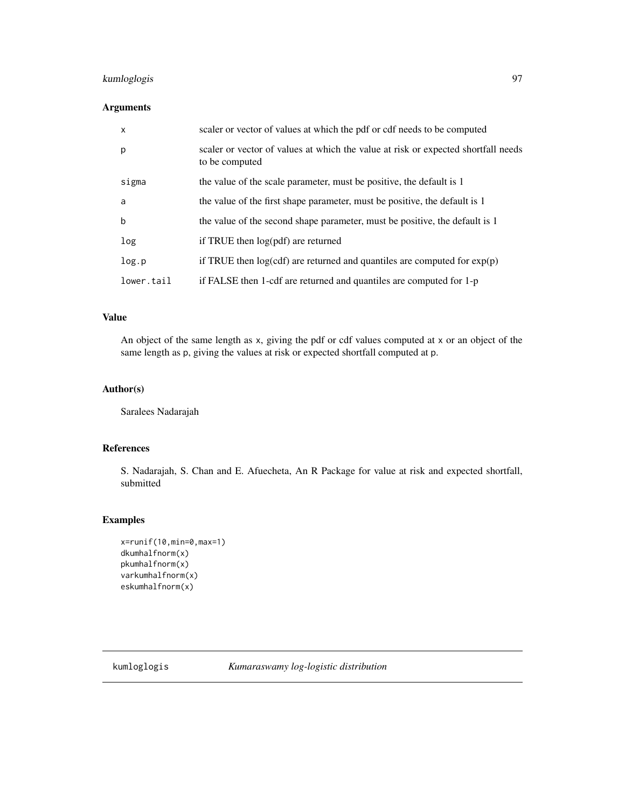# kumloglogis 97

## Arguments

| $\mathsf{x}$ | scaler or vector of values at which the pdf or cdf needs to be computed                             |
|--------------|-----------------------------------------------------------------------------------------------------|
| p            | scaler or vector of values at which the value at risk or expected shortfall needs<br>to be computed |
| sigma        | the value of the scale parameter, must be positive, the default is 1                                |
| a            | the value of the first shape parameter, must be positive, the default is 1                          |
| b            | the value of the second shape parameter, must be positive, the default is 1                         |
| log          | if TRUE then log(pdf) are returned                                                                  |
| log.p        | if TRUE then $log(cdf)$ are returned and quantiles are computed for $exp(p)$                        |
| lower.tail   | if FALSE then 1-cdf are returned and quantiles are computed for 1-p                                 |

## Value

An object of the same length as x, giving the pdf or cdf values computed at x or an object of the same length as p, giving the values at risk or expected shortfall computed at p.

# Author(s)

Saralees Nadarajah

# References

S. Nadarajah, S. Chan and E. Afuecheta, An R Package for value at risk and expected shortfall, submitted

## Examples

```
x=runif(10,min=0,max=1)
dkumhalfnorm(x)
pkumhalfnorm(x)
varkumhalfnorm(x)
eskumhalfnorm(x)
```
kumloglogis *Kumaraswamy log-logistic distribution*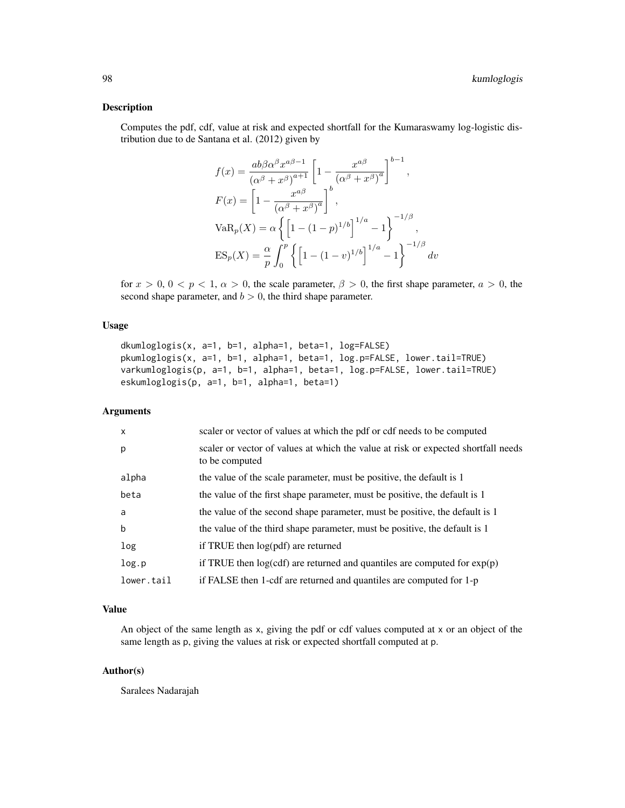## Description

Computes the pdf, cdf, value at risk and expected shortfall for the Kumaraswamy log-logistic distribution due to de Santana et al. (2012) given by

$$
f(x) = \frac{ab\beta\alpha^{\beta}x^{a\beta-1}}{(\alpha^{\beta}+x^{\beta})^{a+1}} \left[1 - \frac{x^{a\beta}}{(\alpha^{\beta}+x^{\beta})^{a}}\right]^{b-1},
$$
  
\n
$$
F(x) = \left[1 - \frac{x^{a\beta}}{(\alpha^{\beta}+x^{\beta})^{a}}\right]^{b},
$$
  
\n
$$
VaR_p(X) = \alpha \left\{\left[1 - (1-p)^{1/b}\right]^{1/a} - 1\right\}^{-1/\beta},
$$
  
\n
$$
ES_p(X) = \frac{\alpha}{p} \int_0^p \left\{\left[1 - (1-v)^{1/b}\right]^{1/a} - 1\right\}^{-1/\beta} dv
$$

for  $x > 0$ ,  $0 < p < 1$ ,  $\alpha > 0$ , the scale parameter,  $\beta > 0$ , the first shape parameter,  $a > 0$ , the second shape parameter, and  $b > 0$ , the third shape parameter.

## Usage

```
dkumloglogis(x, a=1, b=1, alpha=1, beta=1, log=FALSE)
pkumloglogis(x, a=1, b=1, alpha=1, beta=1, log.p=FALSE, lower.tail=TRUE)
varkumloglogis(p, a=1, b=1, alpha=1, beta=1, log.p=FALSE, lower.tail=TRUE)
eskumloglogis(p, a=1, b=1, alpha=1, beta=1)
```
#### Arguments

| $\mathsf{x}$ | scaler or vector of values at which the pdf or cdf needs to be computed                             |
|--------------|-----------------------------------------------------------------------------------------------------|
| p            | scaler or vector of values at which the value at risk or expected shortfall needs<br>to be computed |
| alpha        | the value of the scale parameter, must be positive, the default is 1                                |
| beta         | the value of the first shape parameter, must be positive, the default is 1                          |
| a            | the value of the second shape parameter, must be positive, the default is 1                         |
| b            | the value of the third shape parameter, must be positive, the default is 1                          |
| log          | if TRUE then log(pdf) are returned                                                                  |
| log.p        | if TRUE then $log(cdf)$ are returned and quantiles are computed for $exp(p)$                        |
| lower.tail   | if FALSE then 1-cdf are returned and quantiles are computed for 1-p                                 |

# Value

An object of the same length as x, giving the pdf or cdf values computed at x or an object of the same length as p, giving the values at risk or expected shortfall computed at p.

#### Author(s)

Saralees Nadarajah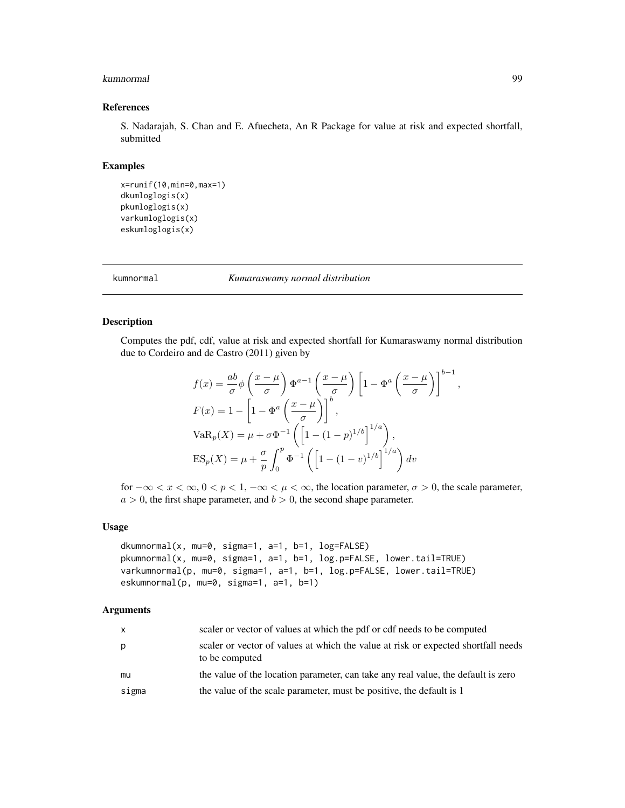#### kumnormal 99

## References

S. Nadarajah, S. Chan and E. Afuecheta, An R Package for value at risk and expected shortfall, submitted

#### Examples

```
x=runif(10,min=0,max=1)
dkumloglogis(x)
pkumloglogis(x)
varkumloglogis(x)
eskumloglogis(x)
```
kumnormal *Kumaraswamy normal distribution*

#### Description

Computes the pdf, cdf, value at risk and expected shortfall for Kumaraswamy normal distribution due to Cordeiro and de Castro (2011) given by

$$
f(x) = \frac{ab}{\sigma} \phi \left(\frac{x-\mu}{\sigma}\right) \Phi^{a-1} \left(\frac{x-\mu}{\sigma}\right) \left[1 - \Phi^a \left(\frac{x-\mu}{\sigma}\right)\right]^{b-1}
$$

$$
F(x) = 1 - \left[1 - \Phi^a \left(\frac{x-\mu}{\sigma}\right)\right]^b,
$$

$$
VaR_p(X) = \mu + \sigma \Phi^{-1} \left(\left[1 - (1-p)^{1/b}\right]^{1/a}\right),
$$

$$
ES_p(X) = \mu + \frac{\sigma}{p} \int_0^p \Phi^{-1} \left(\left[1 - (1-v)^{1/b}\right]^{1/a}\right) dv
$$

for  $-\infty < x < \infty$ ,  $0 < p < 1$ ,  $-\infty < \mu < \infty$ , the location parameter,  $\sigma > 0$ , the scale parameter,  $a > 0$ , the first shape parameter, and  $b > 0$ , the second shape parameter.

## Usage

```
dkumnormal(x, mu=0, sigma=1, a=1, b=1, log=FALSE)
pkumnormal(x, mu=0, sigma=1, a=1, b=1, log.p=FALSE, lower.tail=TRUE)
varkumnormal(p, mu=0, sigma=1, a=1, b=1, log.p=FALSE, lower.tail=TRUE)
eskumnormal(p, mu=0, sigma=1, a=1, b=1)
```
#### Arguments

| $\mathsf{x}$ | scaler or vector of values at which the pdf or cdf needs to be computed                             |
|--------------|-----------------------------------------------------------------------------------------------------|
| p            | scaler or vector of values at which the value at risk or expected shortfall needs<br>to be computed |
| mu           | the value of the location parameter, can take any real value, the default is zero                   |
| sigma        | the value of the scale parameter, must be positive, the default is 1                                |

,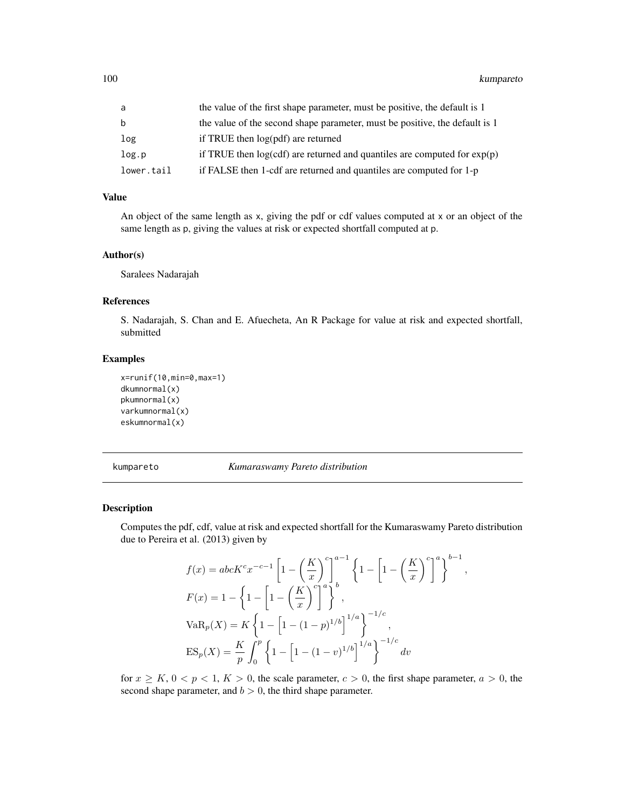| a          | the value of the first shape parameter, must be positive, the default is 1   |
|------------|------------------------------------------------------------------------------|
| b          | the value of the second shape parameter, must be positive, the default is 1  |
| log        | if TRUE then log(pdf) are returned                                           |
| log.p      | if TRUE then $log(cdf)$ are returned and quantiles are computed for $exp(p)$ |
| lower.tail | if FALSE then 1-cdf are returned and quantiles are computed for 1-p          |

# Value

An object of the same length as x, giving the pdf or cdf values computed at x or an object of the same length as p, giving the values at risk or expected shortfall computed at p.

#### Author(s)

Saralees Nadarajah

#### References

S. Nadarajah, S. Chan and E. Afuecheta, An R Package for value at risk and expected shortfall, submitted

# Examples

```
x=runif(10,min=0,max=1)
dkumnormal(x)
pkumnormal(x)
varkumnormal(x)
eskumnormal(x)
```
kumpareto *Kumaraswamy Pareto distribution*

## Description

Computes the pdf, cdf, value at risk and expected shortfall for the Kumaraswamy Pareto distribution due to Pereira et al. (2013) given by

$$
f(x) = abcK^{c}x^{-c-1} \left[ 1 - \left(\frac{K}{x}\right)^{c} \right]^{a-1} \left\{ 1 - \left[ 1 - \left(\frac{K}{x}\right)^{c} \right]^{a} \right\}^{b-1},
$$
  
\n
$$
F(x) = 1 - \left\{ 1 - \left[ 1 - \left(\frac{K}{x}\right)^{c} \right]^{a} \right\}^{b},
$$
  
\n
$$
VaR_{p}(X) = K \left\{ 1 - \left[ 1 - (1-p)^{1/b} \right]^{1/a} \right\}^{-1/c},
$$
  
\n
$$
ES_{p}(X) = \frac{K}{p} \int_{0}^{p} \left\{ 1 - \left[ 1 - (1-v)^{1/b} \right]^{1/a} \right\}^{-1/c} dv
$$

for  $x \ge K$ ,  $0 < p < 1$ ,  $K > 0$ , the scale parameter,  $c > 0$ , the first shape parameter,  $a > 0$ , the second shape parameter, and  $b > 0$ , the third shape parameter.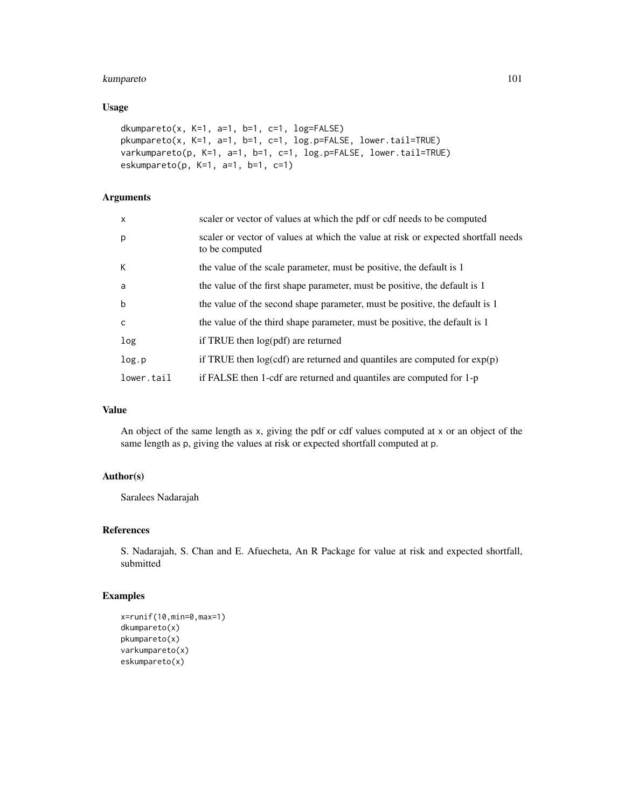# kumpareto and 101

## Usage

```
dkumpareto(x, K=1, a=1, b=1, c=1, log=FALSE)
pkumpareto(x, K=1, a=1, b=1, c=1, log.p=FALSE, lower.tail=TRUE)
varkumpareto(p, K=1, a=1, b=1, c=1, log.p=FALSE, lower.tail=TRUE)
eskumpareto(p, K=1, a=1, b=1, c=1)
```
# Arguments

| $\times$     | scaler or vector of values at which the pdf or cdf needs to be computed                             |
|--------------|-----------------------------------------------------------------------------------------------------|
| p            | scaler or vector of values at which the value at risk or expected shortfall needs<br>to be computed |
| К            | the value of the scale parameter, must be positive, the default is 1                                |
| a            | the value of the first shape parameter, must be positive, the default is 1                          |
| $\mathsf b$  | the value of the second shape parameter, must be positive, the default is 1                         |
| $\mathsf{C}$ | the value of the third shape parameter, must be positive, the default is 1                          |
| log          | if TRUE then $log(pdf)$ are returned                                                                |
| log.p        | if TRUE then $log(cdf)$ are returned and quantiles are computed for $exp(p)$                        |
| lower.tail   | if FALSE then 1-cdf are returned and quantiles are computed for 1-p                                 |

# Value

An object of the same length as x, giving the pdf or cdf values computed at x or an object of the same length as p, giving the values at risk or expected shortfall computed at p.

# Author(s)

Saralees Nadarajah

## References

S. Nadarajah, S. Chan and E. Afuecheta, An R Package for value at risk and expected shortfall, submitted

# Examples

```
x=runif(10,min=0,max=1)
dkumpareto(x)
pkumpareto(x)
varkumpareto(x)
eskumpareto(x)
```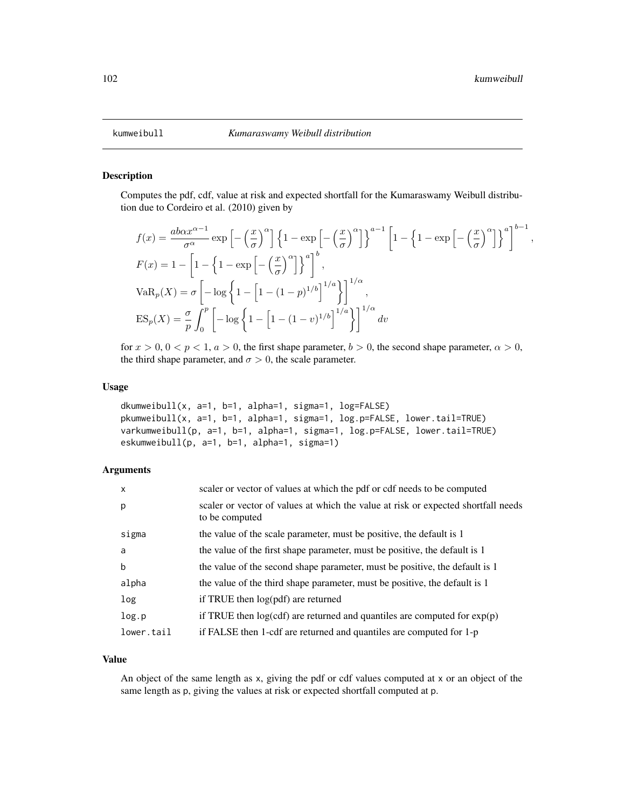,

## Description

Computes the pdf, cdf, value at risk and expected shortfall for the Kumaraswamy Weibull distribution due to Cordeiro et al. (2010) given by

$$
f(x) = \frac{ab\alpha x^{\alpha-1}}{\sigma^{\alpha}} \exp\left[-\left(\frac{x}{\sigma}\right)^{\alpha}\right] \left\{1 - \exp\left[-\left(\frac{x}{\sigma}\right)^{\alpha}\right]\right\}^{a-1} \left[1 - \left\{1 - \exp\left[-\left(\frac{x}{\sigma}\right)^{\alpha}\right]\right\}^{a}\right]^{b-1}
$$
  
\n
$$
F(x) = 1 - \left[1 - \left\{1 - \exp\left[-\left(\frac{x}{\sigma}\right)^{\alpha}\right]\right\}^{a}\right]^{b},
$$
  
\n
$$
VaR_p(X) = \sigma\left[-\log\left\{1 - \left[1 - (1-p)^{1/b}\right]^{1/a}\right\}\right]^{1/a},
$$
  
\n
$$
ES_p(X) = \frac{\sigma}{p} \int_0^p \left[-\log\left\{1 - \left[1 - (1-p)^{1/b}\right]^{1/a}\right\}\right]^{1/a} dv
$$

for  $x > 0$ ,  $0 < p < 1$ ,  $a > 0$ , the first shape parameter,  $b > 0$ , the second shape parameter,  $\alpha > 0$ , the third shape parameter, and  $\sigma > 0$ , the scale parameter.

## Usage

```
dkumweibull(x, a=1, b=1, alpha=1, sigma=1, log=FALSE)
pkumweibull(x, a=1, b=1, alpha=1, sigma=1, log.p=FALSE, lower.tail=TRUE)
varkumweibull(p, a=1, b=1, alpha=1, sigma=1, log.p=FALSE, lower.tail=TRUE)
eskumweibull(p, a=1, b=1, alpha=1, sigma=1)
```
#### Arguments

| $\mathsf{x}$ | scaler or vector of values at which the pdf or cdf needs to be computed                             |
|--------------|-----------------------------------------------------------------------------------------------------|
| p            | scaler or vector of values at which the value at risk or expected shortfall needs<br>to be computed |
| sigma        | the value of the scale parameter, must be positive, the default is 1                                |
| a            | the value of the first shape parameter, must be positive, the default is 1                          |
| b            | the value of the second shape parameter, must be positive, the default is 1                         |
| alpha        | the value of the third shape parameter, must be positive, the default is 1                          |
| log          | if TRUE then log(pdf) are returned                                                                  |
| log.p        | if TRUE then $log(cdf)$ are returned and quantiles are computed for $exp(p)$                        |
| lower.tail   | if FALSE then 1-cdf are returned and quantiles are computed for 1-p                                 |

#### Value

An object of the same length as x, giving the pdf or cdf values computed at x or an object of the same length as p, giving the values at risk or expected shortfall computed at p.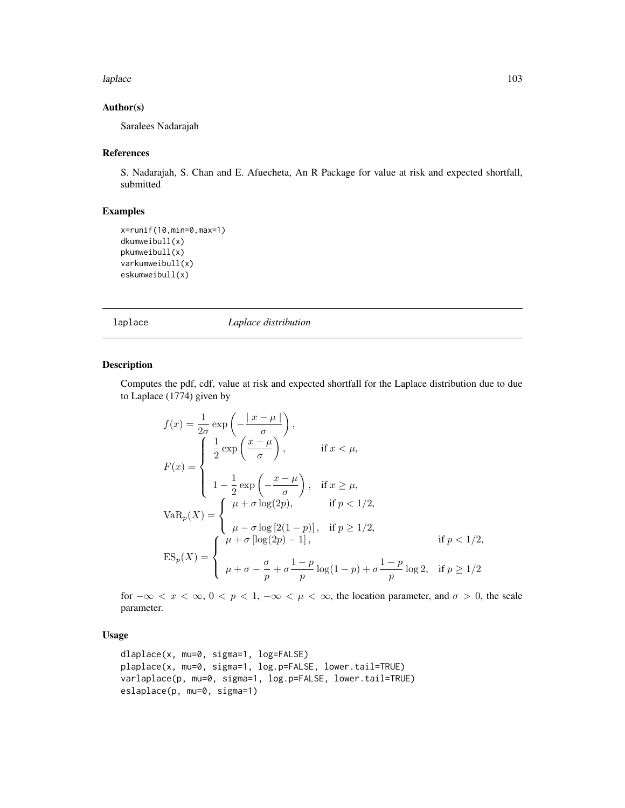#### laplace the contract of the contract of the contract of the contract of the contract of the contract of the contract of the contract of the contract of the contract of the contract of the contract of the contract of the co

# Author(s)

Saralees Nadarajah

#### References

S. Nadarajah, S. Chan and E. Afuecheta, An R Package for value at risk and expected shortfall, submitted

# Examples

```
x=runif(10,min=0,max=1)
dkumweibull(x)
pkumweibull(x)
varkumweibull(x)
eskumweibull(x)
```
laplace *Laplace distribution*

# Description

Computes the pdf, cdf, value at risk and expected shortfall for the Laplace distribution due to due to Laplace (1774) given by

$$
f(x) = \frac{1}{2\sigma} \exp\left(-\frac{|x-\mu|}{\sigma}\right),
$$
  
\n
$$
F(x) = \begin{cases} \frac{1}{2} \exp\left(\frac{x-\mu}{\sigma}\right), & \text{if } x < \mu, \\ 1 - \frac{1}{2} \exp\left(-\frac{x-\mu}{\sigma}\right), & \text{if } x \ge \mu, \end{cases}
$$
  
\n
$$
VaR_p(X) = \begin{cases} \mu + \sigma \log(2p), & \text{if } p < 1/2, \\ \mu - \sigma \log[2(1-p)], & \text{if } p \ge 1/2, \\ \mu + \sigma \log(2p) - 1], & \text{if } p < 1/2, \\ \mu + \sigma - \frac{\sigma}{p} + \sigma \frac{1-p}{p} \log(1-p) + \sigma \frac{1-p}{p} \log 2, & \text{if } p \ge 1/2 \end{cases}
$$

for  $-\infty < x < \infty$ ,  $0 < p < 1$ ,  $-\infty < \mu < \infty$ , the location parameter, and  $\sigma > 0$ , the scale parameter.

# Usage

```
dlaplace(x, mu=0, sigma=1, log=FALSE)
plaplace(x, mu=0, sigma=1, log.p=FALSE, lower.tail=TRUE)
varlaplace(p, mu=0, sigma=1, log.p=FALSE, lower.tail=TRUE)
eslaplace(p, mu=0, sigma=1)
```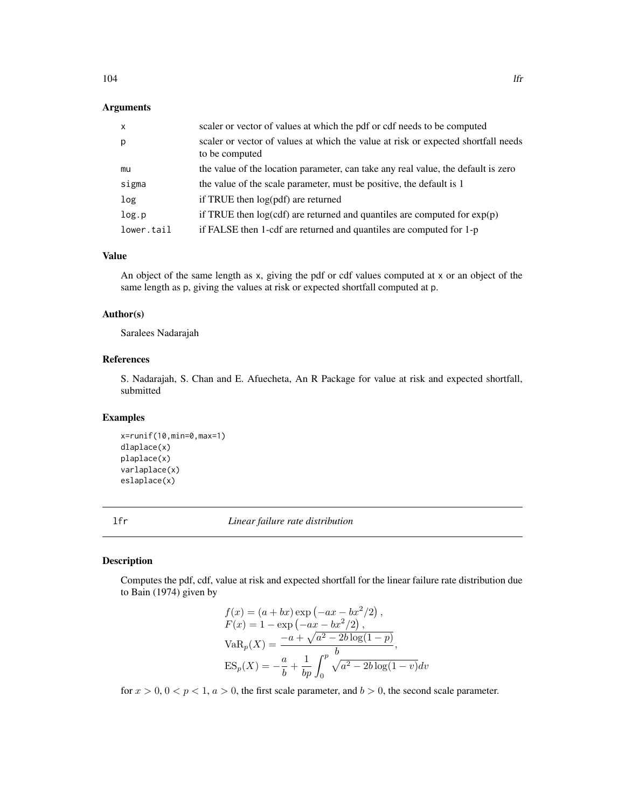# Arguments

| $\mathsf{x}$ | scaler or vector of values at which the pdf or cdf needs to be computed                             |
|--------------|-----------------------------------------------------------------------------------------------------|
| p            | scaler or vector of values at which the value at risk or expected shortfall needs<br>to be computed |
| mu           | the value of the location parameter, can take any real value, the default is zero                   |
| sigma        | the value of the scale parameter, must be positive, the default is 1                                |
| log          | if TRUE then log(pdf) are returned                                                                  |
| log.p        | if TRUE then $log(cdf)$ are returned and quantiles are computed for $exp(p)$                        |
| lower.tail   | if FALSE then 1-cdf are returned and quantiles are computed for 1-p                                 |

## Value

An object of the same length as x, giving the pdf or cdf values computed at x or an object of the same length as p, giving the values at risk or expected shortfall computed at p.

# Author(s)

Saralees Nadarajah

# References

S. Nadarajah, S. Chan and E. Afuecheta, An R Package for value at risk and expected shortfall, submitted

## Examples

x=runif(10,min=0,max=1) dlaplace(x) plaplace(x) varlaplace(x) eslaplace(x)

lfr *Linear failure rate distribution*

# Description

Computes the pdf, cdf, value at risk and expected shortfall for the linear failure rate distribution due to Bain (1974) given by

$$
f(x) = (a + bx) \exp(-ax - bx^2/2),
$$
  
\n
$$
F(x) = 1 - \exp(-ax - bx^2/2),
$$
  
\n
$$
VaR_p(X) = \frac{-a + \sqrt{a^2 - 2b \log(1 - p)}}{b},
$$
  
\n
$$
ES_p(X) = -\frac{a}{b} + \frac{1}{bp} \int_0^p \sqrt{a^2 - 2b \log(1 - v)} dv
$$

for  $x > 0$ ,  $0 < p < 1$ ,  $a > 0$ , the first scale parameter, and  $b > 0$ , the second scale parameter.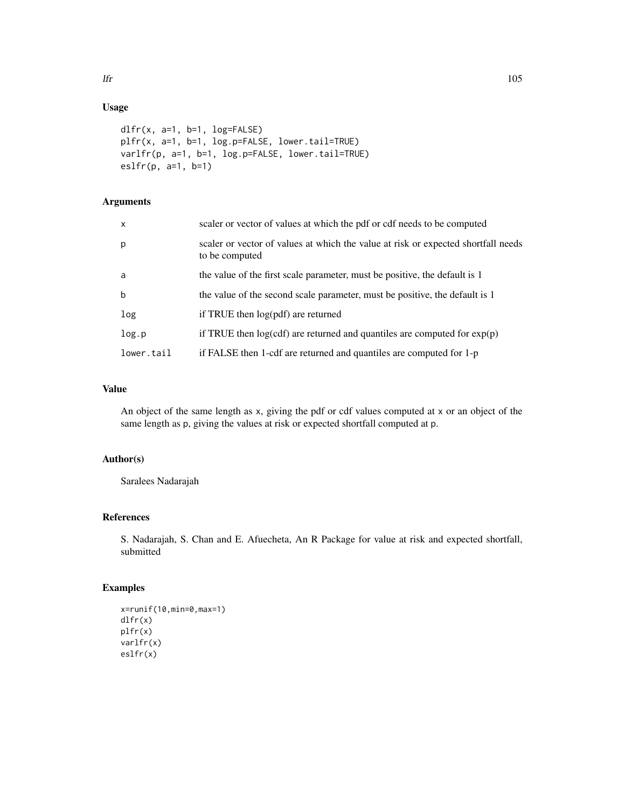# Usage

```
dlfr(x, a=1, b=1, log=FALSE)
plfr(x, a=1, b=1, log.p=FALSE, lower.tail=TRUE)
varlfr(p, a=1, b=1, log.p=FALSE, lower.tail=TRUE)
\text{eslfr}(p, a=1, b=1)
```
# Arguments

| $\mathsf{x}$ | scaler or vector of values at which the pdf or cdf needs to be computed                             |
|--------------|-----------------------------------------------------------------------------------------------------|
| p            | scaler or vector of values at which the value at risk or expected shortfall needs<br>to be computed |
| a            | the value of the first scale parameter, must be positive, the default is 1                          |
| $\mathbf b$  | the value of the second scale parameter, must be positive, the default is 1                         |
| log          | if TRUE then $log(pdf)$ are returned                                                                |
| log.p        | if TRUE then $log(cdf)$ are returned and quantiles are computed for $exp(p)$                        |
| lower.tail   | if FALSE then 1-cdf are returned and quantiles are computed for 1-p                                 |

# Value

An object of the same length as x, giving the pdf or cdf values computed at x or an object of the same length as p, giving the values at risk or expected shortfall computed at p.

# Author(s)

Saralees Nadarajah

# References

S. Nadarajah, S. Chan and E. Afuecheta, An R Package for value at risk and expected shortfall, submitted

# Examples

```
x=runif(10,min=0,max=1)
dlfr(x)
plfr(x)
varlfr(x)
eslfr(x)
```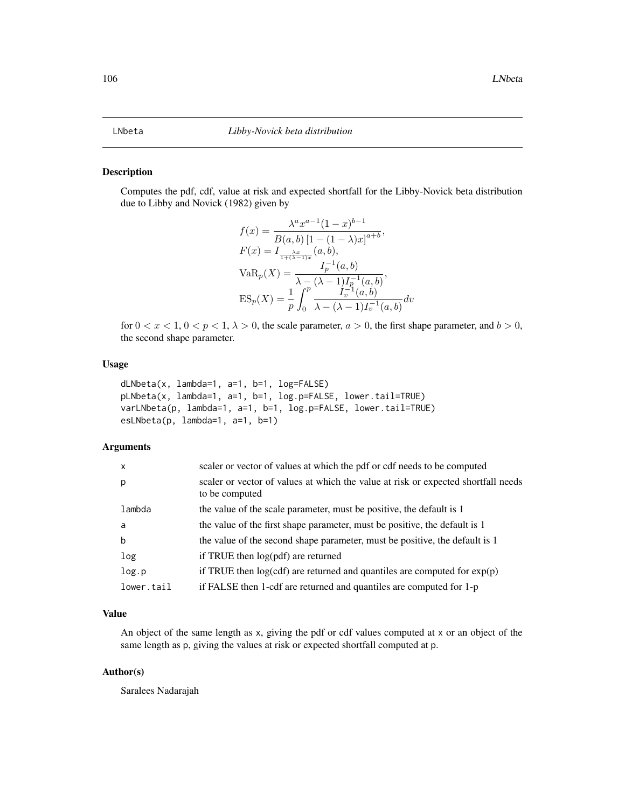#### Description

Computes the pdf, cdf, value at risk and expected shortfall for the Libby-Novick beta distribution due to Libby and Novick (1982) given by

$$
f(x) = \frac{\lambda^a x^{a-1} (1-x)^{b-1}}{B(a, b) [1 - (1 - \lambda)x]^{a+b}},
$$
  
\n
$$
F(x) = I_{\frac{\lambda x}{1 + (\lambda - 1)x}}(a, b),
$$
  
\n
$$
Var_p(X) = \frac{I_p^{-1}(a, b)}{\lambda - (\lambda - 1)I_p^{-1}(a, b)},
$$
  
\n
$$
ES_p(X) = \frac{1}{p} \int_0^p \frac{I_v^{-1}(a, b)}{\lambda - (\lambda - 1)I_v^{-1}(a, b)} dv
$$

for  $0 < x < 1$ ,  $0 < p < 1$ ,  $\lambda > 0$ , the scale parameter,  $a > 0$ , the first shape parameter, and  $b > 0$ , the second shape parameter.

## Usage

```
dLNbeta(x, lambda=1, a=1, b=1, log=FALSE)
pLNbeta(x, lambda=1, a=1, b=1, log.p=FALSE, lower.tail=TRUE)
varLNbeta(p, lambda=1, a=1, b=1, log.p=FALSE, lower.tail=TRUE)
esLNbeta(p, lambda=1, a=1, b=1)
```
## Arguments

| $\times$   | scaler or vector of values at which the pdf or cdf needs to be computed                             |
|------------|-----------------------------------------------------------------------------------------------------|
| p          | scaler or vector of values at which the value at risk or expected shortfall needs<br>to be computed |
| lambda     | the value of the scale parameter, must be positive, the default is 1                                |
| a          | the value of the first shape parameter, must be positive, the default is 1                          |
| b          | the value of the second shape parameter, must be positive, the default is 1                         |
| log        | if TRUE then $log(pdf)$ are returned                                                                |
| log.p      | if TRUE then $log(cdf)$ are returned and quantiles are computed for $exp(p)$                        |
| lower.tail | if FALSE then 1-cdf are returned and quantiles are computed for 1-p                                 |

## Value

An object of the same length as x, giving the pdf or cdf values computed at x or an object of the same length as p, giving the values at risk or expected shortfall computed at p.

#### Author(s)

Saralees Nadarajah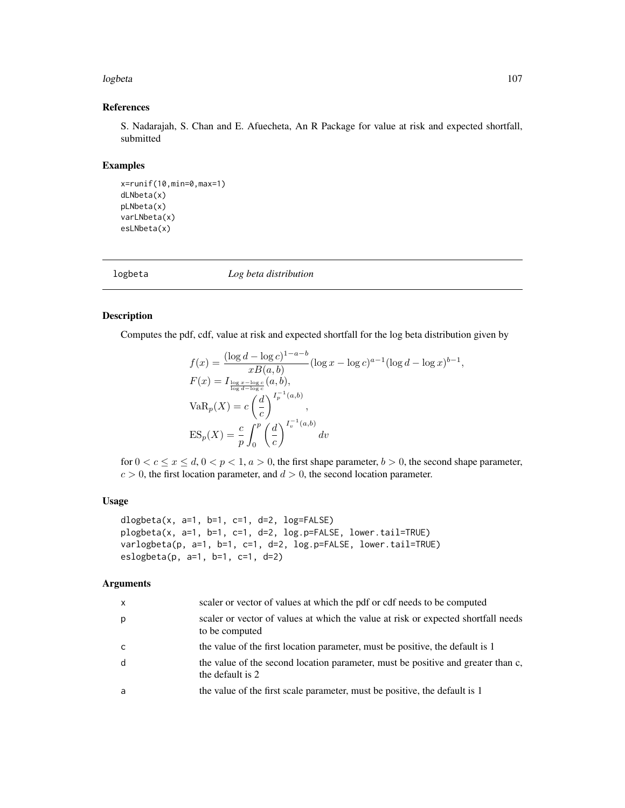#### logbeta the contract of the contract of the contract of the contract of the contract of the contract of the contract of the contract of the contract of the contract of the contract of the contract of the contract of the co

# References

S. Nadarajah, S. Chan and E. Afuecheta, An R Package for value at risk and expected shortfall, submitted

## Examples

```
x=runif(10,min=0,max=1)
dLNbeta(x)
pLNbeta(x)
varLNbeta(x)
esLNbeta(x)
```
logbeta *Log beta distribution*

## Description

Computes the pdf, cdf, value at risk and expected shortfall for the log beta distribution given by

$$
f(x) = \frac{(\log d - \log c)^{1-a-b}}{xB(a, b)} (\log x - \log c)^{a-1} (\log d - \log x)^{b-1},
$$
  
\n
$$
F(x) = I_{\frac{\log x - \log c}{\log d - \log c}}(a, b),
$$
  
\n
$$
VaR_p(X) = c\left(\frac{d}{c}\right)^{I_p^{-1}(a, b)},
$$
  
\n
$$
ES_p(X) = \frac{c}{p} \int_0^p \left(\frac{d}{c}\right)^{I_p^{-1}(a, b)} dv
$$

for  $0 < c \le x \le d$ ,  $0 < p < 1$ ,  $a > 0$ , the first shape parameter,  $b > 0$ , the second shape parameter,  $c > 0$ , the first location parameter, and  $d > 0$ , the second location parameter.

#### Usage

```
dlogbeta(x, a=1, b=1, c=1, d=2, log=FALSE)
plogbeta(x, a=1, b=1, c=1, d=2, log.p=FALSE, lower.tail=TRUE)
varlogbeta(p, a=1, b=1, c=1, d=2, log.p=FALSE, lower.tail=TRUE)
eslogbeta(p, a=1, b=1, c=1, d=2)
```
## Arguments

| X | scaler or vector of values at which the pdf or cdf needs to be computed                              |
|---|------------------------------------------------------------------------------------------------------|
| р | scaler or vector of values at which the value at risk or expected shortfall needs<br>to be computed  |
| C | the value of the first location parameter, must be positive, the default is 1                        |
| d | the value of the second location parameter, must be positive and greater than c,<br>the default is 2 |
| a | the value of the first scale parameter, must be positive, the default is 1                           |
|   |                                                                                                      |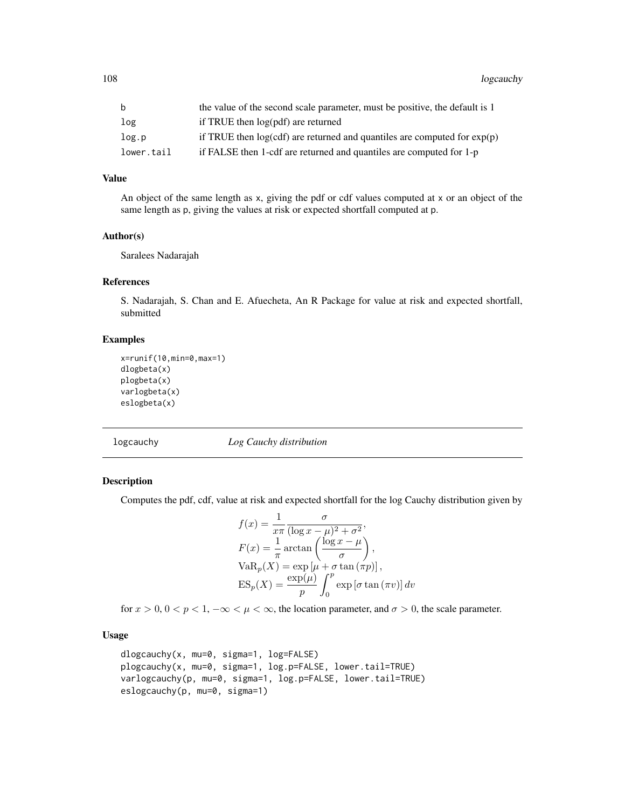| $- - -$    | $\mathbf{r}$ and $\mathbf{r}$ and $\mathbf{r}$ and $\mathbf{r}$ are recently $\mathbf{r}$ |
|------------|-------------------------------------------------------------------------------------------|
| log.p      | if TRUE then $log(cd)$ are returned and quantiles are computed for $exp(p)$               |
| lower.tail | if FALSE then 1-cdf are returned and quantiles are computed for 1-p                       |

## Value

An object of the same length as x, giving the pdf or cdf values computed at x or an object of the same length as p, giving the values at risk or expected shortfall computed at p.

#### Author(s)

Saralees Nadarajah

#### References

S. Nadarajah, S. Chan and E. Afuecheta, An R Package for value at risk and expected shortfall, submitted

## Examples

```
x=runif(10,min=0,max=1)
dlogbeta(x)
plogbeta(x)
varlogbeta(x)
eslogbeta(x)
```
logcauchy *Log Cauchy distribution*

#### Description

Computes the pdf, cdf, value at risk and expected shortfall for the log Cauchy distribution given by

$$
f(x) = \frac{1}{x\pi} \frac{\sigma}{(\log x - \mu)^2 + \sigma^2},
$$
  
\n
$$
F(x) = \frac{1}{\pi} \arctan\left(\frac{\log x - \mu}{\sigma}\right),
$$
  
\n
$$
VaR_p(X) = \exp[\mu + \sigma \tan(\pi p)],
$$
  
\n
$$
ES_p(X) = \frac{\exp(\mu)}{p} \int_0^p \exp[\sigma \tan(\pi v)] dv
$$

for  $x > 0$ ,  $0 < p < 1$ ,  $-\infty < \mu < \infty$ , the location parameter, and  $\sigma > 0$ , the scale parameter.

# Usage

```
dlogcauchy(x, mu=0, sigma=1, log=FALSE)
plogcauchy(x, mu=0, sigma=1, log.p=FALSE, lower.tail=TRUE)
varlogcauchy(p, mu=0, sigma=1, log.p=FALSE, lower.tail=TRUE)
eslogcauchy(p, mu=0, sigma=1)
```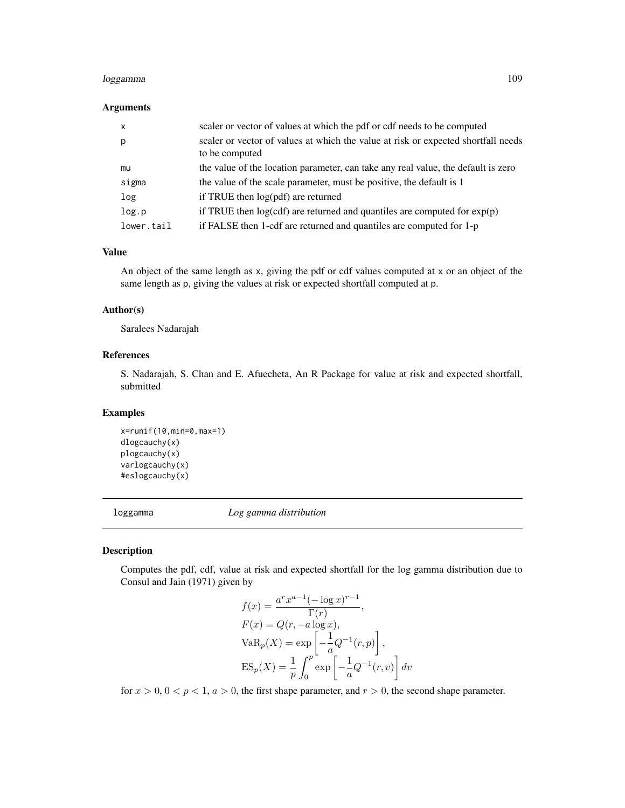# loggamma 109

## Arguments

| $\mathsf{x}$ | scaler or vector of values at which the pdf or cdf needs to be computed                             |
|--------------|-----------------------------------------------------------------------------------------------------|
| р            | scaler or vector of values at which the value at risk or expected shortfall needs<br>to be computed |
| mu           | the value of the location parameter, can take any real value, the default is zero                   |
| sigma        | the value of the scale parameter, must be positive, the default is 1                                |
| log          | if TRUE then log(pdf) are returned                                                                  |
| log.p        | if TRUE then $log(cdf)$ are returned and quantiles are computed for $exp(p)$                        |
| lower.tail   | if FALSE then 1-cdf are returned and quantiles are computed for 1-p                                 |

#### Value

An object of the same length as x, giving the pdf or cdf values computed at x or an object of the same length as p, giving the values at risk or expected shortfall computed at p.

## Author(s)

Saralees Nadarajah

## References

S. Nadarajah, S. Chan and E. Afuecheta, An R Package for value at risk and expected shortfall, submitted

# Examples

```
x=runif(10,min=0,max=1)
dlogcauchy(x)
plogcauchy(x)
varlogcauchy(x)
#eslogcauchy(x)
```
loggamma *Log gamma distribution*

# Description

Computes the pdf, cdf, value at risk and expected shortfall for the log gamma distribution due to Consul and Jain (1971) given by

$$
f(x) = \frac{a^r x^{a-1} (-\log x)^{r-1}}{\Gamma(r)},
$$
  
\n
$$
F(x) = Q(r, -a \log x),
$$
  
\n
$$
VaR_p(X) = \exp\left[-\frac{1}{a}Q^{-1}(r, p)\right],
$$
  
\n
$$
ES_p(X) = \frac{1}{p} \int_0^p \exp\left[-\frac{1}{a}Q^{-1}(r, v)\right] dv
$$

for  $x > 0$ ,  $0 < p < 1$ ,  $a > 0$ , the first shape parameter, and  $r > 0$ , the second shape parameter.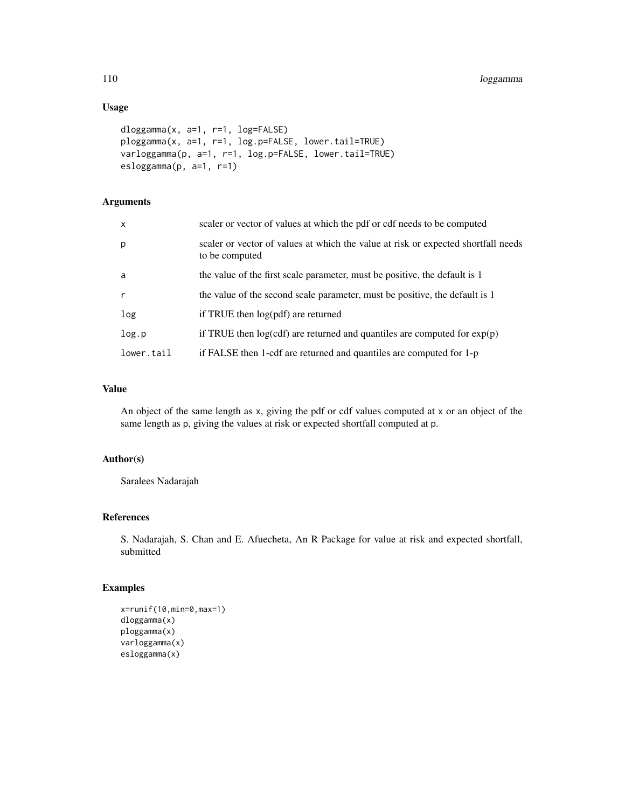# Usage

```
dloggamma(x, a=1, r=1, log=FALSE)
ploggamma(x, a=1, r=1, log.p=FALSE, lower.tail=TRUE)
varloggamma(p, a=1, r=1, log.p=FALSE, lower.tail=TRUE)
esloggamma(p, a=1, r=1)
```
# Arguments

| $\mathsf{x}$ | scaler or vector of values at which the pdf or cdf needs to be computed                             |
|--------------|-----------------------------------------------------------------------------------------------------|
| p            | scaler or vector of values at which the value at risk or expected shortfall needs<br>to be computed |
| a            | the value of the first scale parameter, must be positive, the default is 1                          |
| $\mathsf{r}$ | the value of the second scale parameter, must be positive, the default is 1                         |
| log          | if TRUE then log(pdf) are returned                                                                  |
| log.p        | if TRUE then $log(cdf)$ are returned and quantiles are computed for $exp(p)$                        |
| lower.tail   | if FALSE then 1-cdf are returned and quantiles are computed for 1-p                                 |

# Value

An object of the same length as x, giving the pdf or cdf values computed at x or an object of the same length as p, giving the values at risk or expected shortfall computed at p.

# Author(s)

Saralees Nadarajah

# References

S. Nadarajah, S. Chan and E. Afuecheta, An R Package for value at risk and expected shortfall, submitted

# Examples

```
x=runif(10,min=0,max=1)
dloggamma(x)
ploggamma(x)
varloggamma(x)
esloggamma(x)
```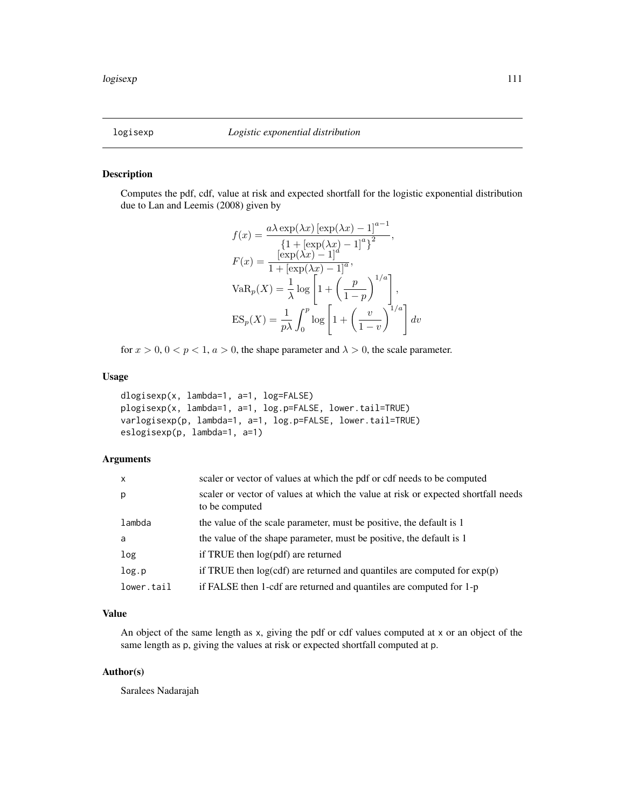## Description

Computes the pdf, cdf, value at risk and expected shortfall for the logistic exponential distribution due to Lan and Leemis (2008) given by

$$
f(x) = \frac{a\lambda \exp(\lambda x) [\exp(\lambda x) - 1]^{a-1}}{\{1 + [\exp(\lambda x) - 1]^a\}^2},
$$
  
\n
$$
F(x) = \frac{[\exp(\lambda x) - 1]^a}{1 + [\exp(\lambda x) - 1]^a},
$$
  
\n
$$
VaR_p(X) = \frac{1}{\lambda} \log \left[1 + \left(\frac{p}{1-p}\right)^{1/a}\right],
$$
  
\n
$$
ES_p(X) = \frac{1}{p\lambda} \int_0^p \log \left[1 + \left(\frac{v}{1-v}\right)^{1/a}\right] dv
$$

for  $x > 0$ ,  $0 < p < 1$ ,  $a > 0$ , the shape parameter and  $\lambda > 0$ , the scale parameter.

## Usage

```
dlogisexp(x, lambda=1, a=1, log=FALSE)
plogisexp(x, lambda=1, a=1, log.p=FALSE, lower.tail=TRUE)
varlogisexp(p, lambda=1, a=1, log.p=FALSE, lower.tail=TRUE)
eslogisexp(p, lambda=1, a=1)
```
## Arguments

| $\mathsf{x}$ | scaler or vector of values at which the pdf or cdf needs to be computed                             |
|--------------|-----------------------------------------------------------------------------------------------------|
| p            | scaler or vector of values at which the value at risk or expected shortfall needs<br>to be computed |
| lambda       | the value of the scale parameter, must be positive, the default is 1                                |
| a            | the value of the shape parameter, must be positive, the default is 1                                |
| log          | if TRUE then $log(pdf)$ are returned                                                                |
| log.p        | if TRUE then $log(cdf)$ are returned and quantiles are computed for $exp(p)$                        |
| lower.tail   | if FALSE then 1-cdf are returned and quantiles are computed for 1-p                                 |

## Value

An object of the same length as x, giving the pdf or cdf values computed at x or an object of the same length as p, giving the values at risk or expected shortfall computed at p.

#### Author(s)

Saralees Nadarajah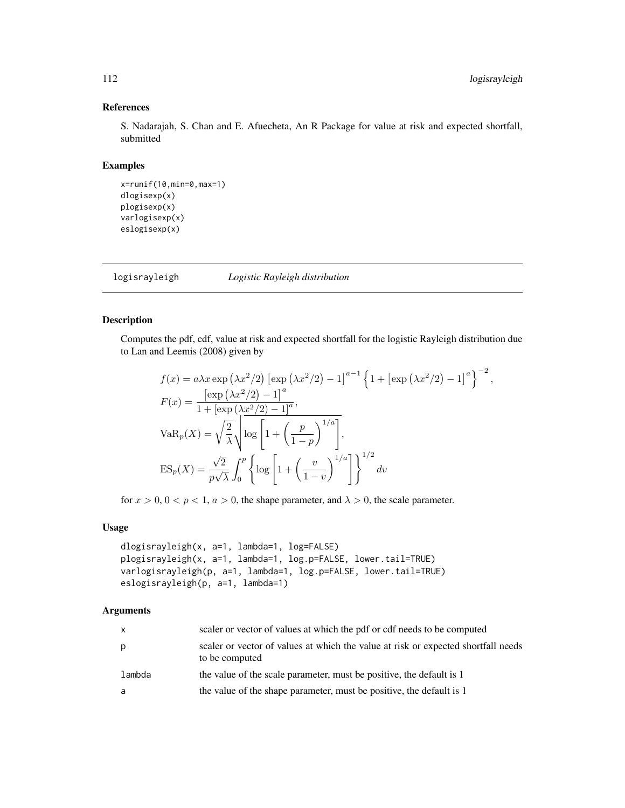# References

S. Nadarajah, S. Chan and E. Afuecheta, An R Package for value at risk and expected shortfall, submitted

## Examples

```
x=runif(10,min=0,max=1)
dlogisexp(x)
plogisexp(x)
varlogisexp(x)
eslogisexp(x)
```
logisrayleigh *Logistic Rayleigh distribution*

# Description

Computes the pdf, cdf, value at risk and expected shortfall for the logistic Rayleigh distribution due to Lan and Leemis (2008) given by

$$
f(x) = a\lambda x \exp \left(\lambda x^2/2\right) \left[\exp \left(\lambda x^2/2\right) - 1\right]^{a-1} \left\{1 + \left[\exp \left(\lambda x^2/2\right) - 1\right]^a\right\}^{-2},
$$
  
\n
$$
F(x) = \frac{\left[\exp \left(\lambda x^2/2\right) - 1\right]^a}{1 + \left[\exp \left(\lambda x^2/2\right) - 1\right]^a},
$$
  
\n
$$
VaR_p(X) = \sqrt{\frac{2}{\lambda}} \sqrt{\log \left[1 + \left(\frac{p}{1-p}\right)^{1/a}\right]},
$$
  
\n
$$
ES_p(X) = \frac{\sqrt{2}}{p\sqrt{\lambda}} \int_0^p \left\{\log \left[1 + \left(\frac{v}{1-v}\right)^{1/a}\right]\right\}^{1/2} dv
$$

for  $x > 0$ ,  $0 < p < 1$ ,  $a > 0$ , the shape parameter, and  $\lambda > 0$ , the scale parameter.

## Usage

```
dlogisrayleigh(x, a=1, lambda=1, log=FALSE)
plogisrayleigh(x, a=1, lambda=1, log.p=FALSE, lower.tail=TRUE)
varlogisrayleigh(p, a=1, lambda=1, log.p=FALSE, lower.tail=TRUE)
eslogisrayleigh(p, a=1, lambda=1)
```
#### Arguments

| $\mathsf{X}$ | scaler or vector of values at which the pdf or cdf needs to be computed                             |
|--------------|-----------------------------------------------------------------------------------------------------|
| p            | scaler or vector of values at which the value at risk or expected shortfall needs<br>to be computed |
| lambda       | the value of the scale parameter, must be positive, the default is 1                                |
| -a           | the value of the shape parameter, must be positive, the default is 1                                |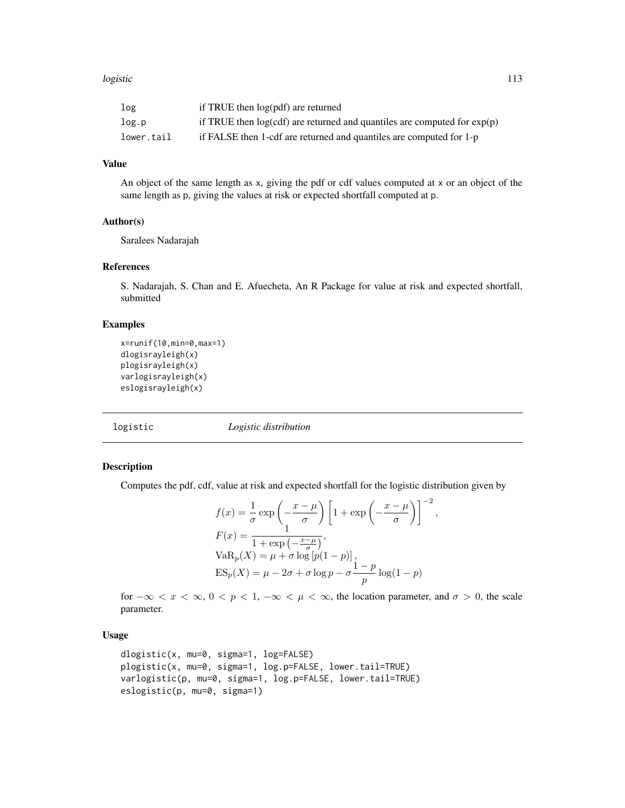#### logistic and the contract of the contract of the contract of the contract of the contract of the contract of the contract of the contract of the contract of the contract of the contract of the contract of the contract of t

| log        | if TRUE then log(pdf) are returned                                           |
|------------|------------------------------------------------------------------------------|
| log.p      | if TRUE then $log(cdf)$ are returned and quantiles are computed for $exp(p)$ |
| lower.tail | if FALSE then 1-cdf are returned and quantiles are computed for 1-p          |

# Value

An object of the same length as x, giving the pdf or cdf values computed at x or an object of the same length as p, giving the values at risk or expected shortfall computed at p.

#### Author(s)

Saralees Nadarajah

## References

S. Nadarajah, S. Chan and E. Afuecheta, An R Package for value at risk and expected shortfall, submitted

## Examples

```
x=runif(10,min=0,max=1)
dlogisrayleigh(x)
plogisrayleigh(x)
varlogisrayleigh(x)
eslogisrayleigh(x)
```
logistic *Logistic distribution*

## Description

Computes the pdf, cdf, value at risk and expected shortfall for the logistic distribution given by

$$
f(x) = \frac{1}{\sigma} \exp\left(-\frac{x-\mu}{\sigma}\right) \left[1 + \exp\left(-\frac{x-\mu}{\sigma}\right)\right]^{-2}
$$

$$
F(x) = \frac{1}{1 + \exp\left(-\frac{x-\mu}{\sigma}\right)},
$$

$$
VaR_p(X) = \mu + \sigma \log\left[p(1-p)\right],
$$

$$
ES_p(X) = \mu - 2\sigma + \sigma \log p - \sigma \frac{1-p}{p} \log(1-p)
$$

,

for  $-\infty < x < \infty$ ,  $0 < p < 1$ ,  $-\infty < \mu < \infty$ , the location parameter, and  $\sigma > 0$ , the scale parameter.

# Usage

```
dlogistic(x, mu=0, sigma=1, log=FALSE)
plogistic(x, mu=0, sigma=1, log.p=FALSE, lower.tail=TRUE)
varlogistic(p, mu=0, sigma=1, log.p=FALSE, lower.tail=TRUE)
eslogistic(p, mu=0, sigma=1)
```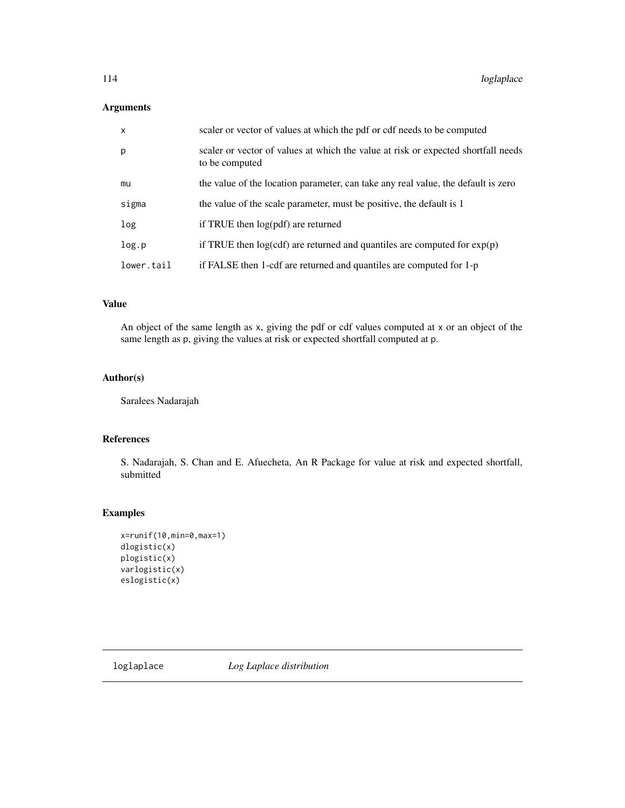# Arguments

| $\mathsf{x}$ | scaler or vector of values at which the pdf or cdf needs to be computed                             |
|--------------|-----------------------------------------------------------------------------------------------------|
| p            | scaler or vector of values at which the value at risk or expected shortfall needs<br>to be computed |
| mu           | the value of the location parameter, can take any real value, the default is zero                   |
| sigma        | the value of the scale parameter, must be positive, the default is 1                                |
| log          | if TRUE then log(pdf) are returned                                                                  |
| log.p        | if TRUE then $log(cdf)$ are returned and quantiles are computed for $exp(p)$                        |
| lower.tail   | if FALSE then 1-cdf are returned and quantiles are computed for 1-p                                 |

# Value

An object of the same length as x, giving the pdf or cdf values computed at x or an object of the same length as p, giving the values at risk or expected shortfall computed at p.

## Author(s)

Saralees Nadarajah

## References

S. Nadarajah, S. Chan and E. Afuecheta, An R Package for value at risk and expected shortfall, submitted

# Examples

```
x=runif(10,min=0,max=1)
dlogistic(x)
plogistic(x)
varlogistic(x)
eslogistic(x)
```
loglaplace *Log Laplace distribution*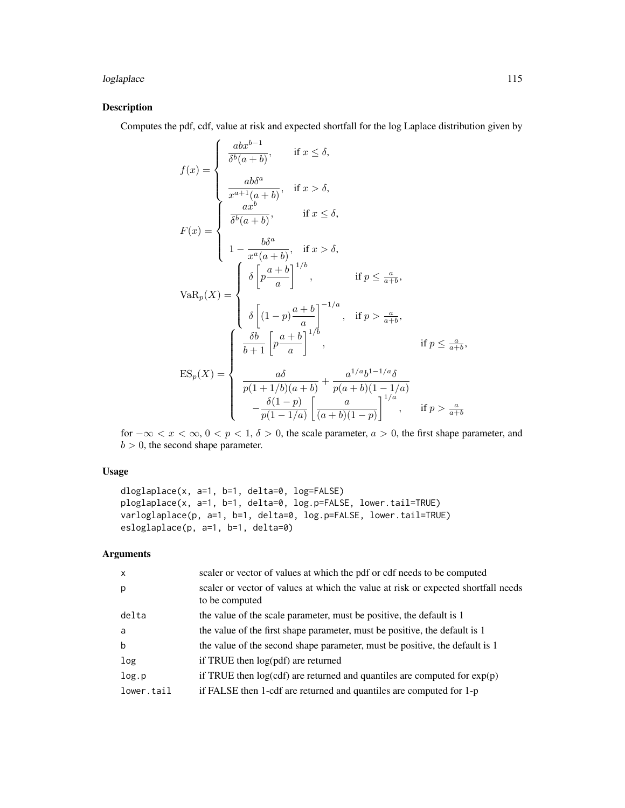# loglaplace 115

# Description

Computes the pdf, cdf, value at risk and expected shortfall for the log Laplace distribution given by

$$
f(x) = \begin{cases} \frac{abx^{b-1}}{\delta^b(a+b)}, & \text{if } x \leq \delta, \\ \frac{ab\delta^a}{x^{a+1}(a+b)}, & \text{if } x > \delta, \\ \frac{ax^b}{\delta^b(a+b)}, & \text{if } x \leq \delta, \\ 1 - \frac{b\delta^a}{x^a(a+b)}, & \text{if } x > \delta, \\ \delta \left[ p\frac{a+b}{a} \right]^{1/b}, & \text{if } p \leq \frac{a}{a+b}, \\ \delta \left[ (1-p)\frac{a+b}{a} \right]^{-1/a}, & \text{if } p > \frac{a}{a+b}, \\ \delta \left[ (1-p)\frac{a+b}{a} \right]^{-1/a}, & \text{if } p > \frac{a}{a+b}, \\ \frac{b}{b+1} \left[ p\frac{a+b}{a} \right]^{1/b}, & \text{if } p \leq \frac{a}{a+b}, \\ \frac{ab}{p(1+1/b)(a+b)} + \frac{a^{1/a}b^{1-1/a}\delta}{p(a+b)(1-1/a)} \\ -\frac{\delta(1-p)}{p(1-1/a)} \left[ \frac{a}{(a+b)(1-p)} \right]^{1/a}, & \text{if } p > \frac{a}{a+b} \end{cases}
$$

for  $-\infty < x < \infty$ ,  $0 < p < 1$ ,  $\delta > 0$ , the scale parameter,  $a > 0$ , the first shape parameter, and  $b > 0$ , the second shape parameter.

## Usage

```
dloglaplace(x, a=1, b=1, delta=0, log=FALSE)
ploglaplace(x, a=1, b=1, delta=0, log.p=FALSE, lower.tail=TRUE)
varloglaplace(p, a=1, b=1, delta=0, log.p=FALSE, lower.tail=TRUE)
esloglaplace(p, a=1, b=1, delta=0)
```
# Arguments

| $\mathsf{x}$ | scaler or vector of values at which the pdf or cdf needs to be computed                             |
|--------------|-----------------------------------------------------------------------------------------------------|
| p            | scaler or vector of values at which the value at risk or expected shortfall needs<br>to be computed |
| delta        | the value of the scale parameter, must be positive, the default is 1                                |
| a            | the value of the first shape parameter, must be positive, the default is 1                          |
| b            | the value of the second shape parameter, must be positive, the default is 1                         |
| log          | if TRUE then $log(pdf)$ are returned                                                                |
| log.p        | if TRUE then $log(cdf)$ are returned and quantiles are computed for $exp(p)$                        |
| lower.tail   | if FALSE then 1-cdf are returned and quantiles are computed for 1-p                                 |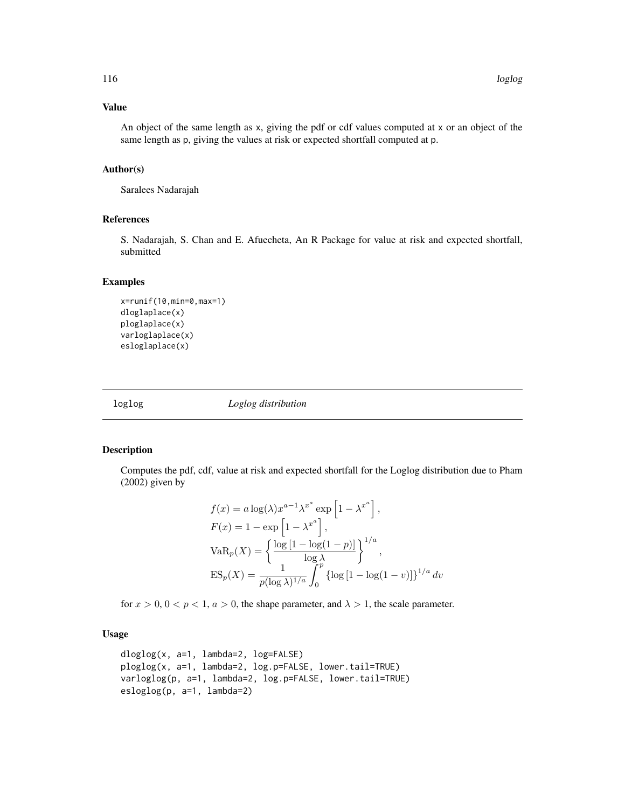#### Value

An object of the same length as x, giving the pdf or cdf values computed at x or an object of the same length as p, giving the values at risk or expected shortfall computed at p.

#### Author(s)

Saralees Nadarajah

# References

S. Nadarajah, S. Chan and E. Afuecheta, An R Package for value at risk and expected shortfall, submitted

#### Examples

```
x=runif(10,min=0,max=1)
dloglaplace(x)
ploglaplace(x)
varloglaplace(x)
esloglaplace(x)
```
loglog *Loglog distribution*

## Description

Computes the pdf, cdf, value at risk and expected shortfall for the Loglog distribution due to Pham (2002) given by

$$
f(x) = a \log(\lambda) x^{a-1} \lambda^{x^a} \exp\left[1 - \lambda^{x^a}\right],
$$
  
\n
$$
F(x) = 1 - \exp\left[1 - \lambda^{x^a}\right],
$$
  
\n
$$
VaR_p(X) = \left\{\frac{\log\left[1 - \log(1 - p)\right]}{\log \lambda}\right\}^{1/a},
$$
  
\n
$$
ES_p(X) = \frac{1}{p(\log \lambda)^{1/a}} \int_0^p \{\log\left[1 - \log(1 - v)\right]\}^{1/a} dv
$$

for  $x > 0$ ,  $0 < p < 1$ ,  $a > 0$ , the shape parameter, and  $\lambda > 1$ , the scale parameter.

## Usage

```
dloglog(x, a=1, lambda=2, log=FALSE)
ploglog(x, a=1, lambda=2, log.p=FALSE, lower.tail=TRUE)
varloglog(p, a=1, lambda=2, log.p=FALSE, lower.tail=TRUE)
esloglog(p, a=1, lambda=2)
```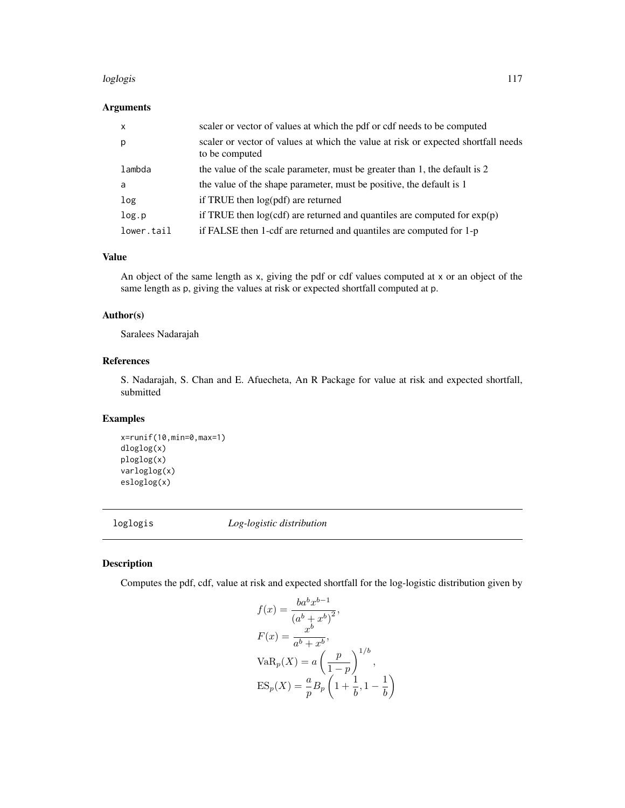#### loglogis 117

## Arguments

| $\mathsf{x}$ | scaler or vector of values at which the pdf or cdf needs to be computed                             |
|--------------|-----------------------------------------------------------------------------------------------------|
| p            | scaler or vector of values at which the value at risk or expected shortfall needs<br>to be computed |
| lambda       | the value of the scale parameter, must be greater than 1, the default is 2                          |
| a            | the value of the shape parameter, must be positive, the default is 1                                |
| log          | if TRUE then log(pdf) are returned                                                                  |
| log.p        | if TRUE then $log(cdf)$ are returned and quantiles are computed for $exp(p)$                        |
| lower.tail   | if FALSE then 1-cdf are returned and quantiles are computed for 1-p                                 |

## Value

An object of the same length as x, giving the pdf or cdf values computed at x or an object of the same length as p, giving the values at risk or expected shortfall computed at p.

# Author(s)

Saralees Nadarajah

# References

S. Nadarajah, S. Chan and E. Afuecheta, An R Package for value at risk and expected shortfall, submitted

# Examples

x=runif(10,min=0,max=1) dloglog(x) ploglog(x) varloglog(x) esloglog(x)

loglogis *Log-logistic distribution*

# Description

Computes the pdf, cdf, value at risk and expected shortfall for the log-logistic distribution given by

$$
f(x) = \frac{ba^b x^{b-1}}{(a^b + x^b)^2},
$$
  
\n
$$
F(x) = \frac{x^b}{a^b + x^b},
$$
  
\n
$$
VaR_p(X) = a\left(\frac{p}{1-p}\right)^{1/b},
$$
  
\n
$$
ES_p(X) = \frac{a}{p}B_p\left(1 + \frac{1}{b}, 1 - \frac{1}{b}\right)
$$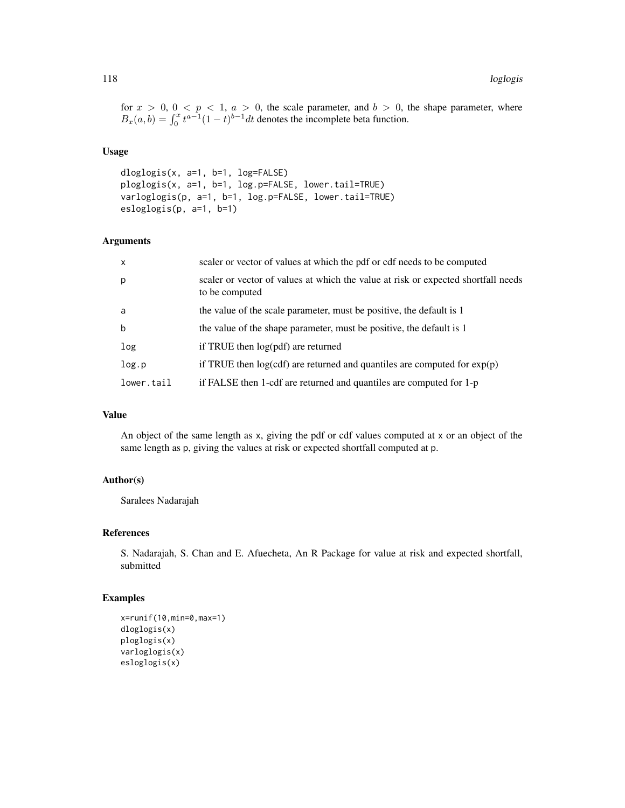for  $x > 0$ ,  $0 < p < 1$ ,  $a > 0$ , the scale parameter, and  $b > 0$ , the shape parameter, where  $B_x(a, b) = \int_0^x t^{a-1} (1-t)^{b-1} dt$  denotes the incomplete beta function.

# Usage

```
dloglogis(x, a=1, b=1, log=FALSE)
ploglogis(x, a=1, b=1, log.p=FALSE, lower.tail=TRUE)
varloglogis(p, a=1, b=1, log.p=FALSE, lower.tail=TRUE)
esloglogis(p, a=1, b=1)
```
# Arguments

| $\mathsf{X}$ | scaler or vector of values at which the pdf or cdf needs to be computed                             |
|--------------|-----------------------------------------------------------------------------------------------------|
| p            | scaler or vector of values at which the value at risk or expected shortfall needs<br>to be computed |
| a            | the value of the scale parameter, must be positive, the default is 1                                |
| b            | the value of the shape parameter, must be positive, the default is 1                                |
| log          | if TRUE then log(pdf) are returned                                                                  |
| log.p        | if TRUE then $log(cdf)$ are returned and quantiles are computed for $exp(p)$                        |
| lower.tail   | if FALSE then 1-cdf are returned and quantiles are computed for 1-p                                 |

## Value

An object of the same length as x, giving the pdf or cdf values computed at x or an object of the same length as p, giving the values at risk or expected shortfall computed at p.

# Author(s)

Saralees Nadarajah

#### References

S. Nadarajah, S. Chan and E. Afuecheta, An R Package for value at risk and expected shortfall, submitted

#### Examples

```
x=runif(10,min=0,max=1)
dloglogis(x)
ploglogis(x)
varloglogis(x)
esloglogis(x)
```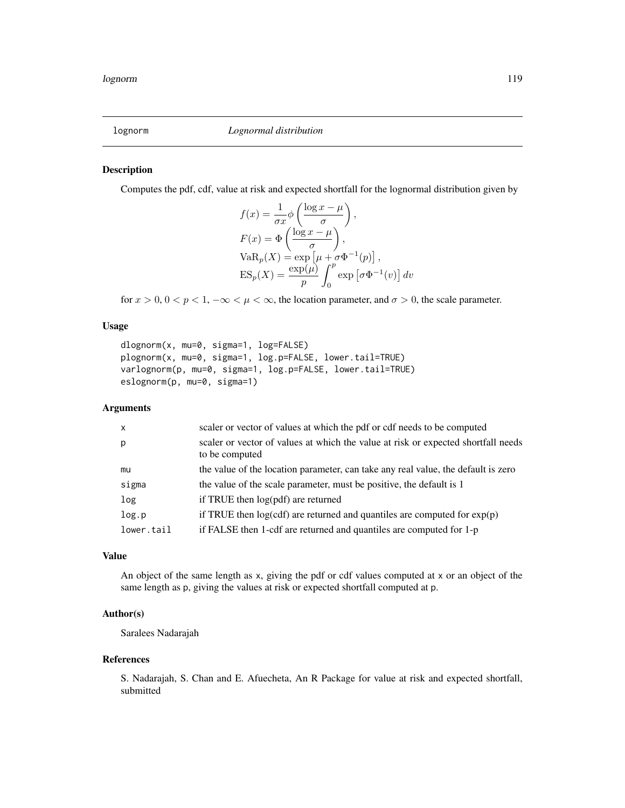#### Description

Computes the pdf, cdf, value at risk and expected shortfall for the lognormal distribution given by

$$
f(x) = \frac{1}{\sigma x} \phi \left( \frac{\log x - \mu}{\sigma} \right),
$$
  
\n
$$
F(x) = \Phi \left( \frac{\log x - \mu}{\sigma} \right),
$$
  
\n
$$
VaR_p(X) = \exp \left[ \mu + \sigma \Phi^{-1}(p) \right],
$$
  
\n
$$
ES_p(X) = \frac{\exp(\mu)}{p} \int_0^p \exp \left[ \sigma \Phi^{-1}(v) \right] dv
$$

for  $x > 0$ ,  $0 < p < 1$ ,  $-\infty < \mu < \infty$ , the location parameter, and  $\sigma > 0$ , the scale parameter.

# Usage

```
dlognorm(x, mu=0, sigma=1, log=FALSE)
plognorm(x, mu=0, sigma=1, log.p=FALSE, lower.tail=TRUE)
varlognorm(p, mu=0, sigma=1, log.p=FALSE, lower.tail=TRUE)
eslognorm(p, mu=0, sigma=1)
```
#### Arguments

| $\mathsf{x}$ | scaler or vector of values at which the pdf or cdf needs to be computed                             |
|--------------|-----------------------------------------------------------------------------------------------------|
| p            | scaler or vector of values at which the value at risk or expected shortfall needs<br>to be computed |
| mu           | the value of the location parameter, can take any real value, the default is zero                   |
| sigma        | the value of the scale parameter, must be positive, the default is 1                                |
| log          | if TRUE then $log(pdf)$ are returned                                                                |
| log.p        | if TRUE then $log(cdf)$ are returned and quantiles are computed for $exp(p)$                        |
| lower.tail   | if FALSE then 1-cdf are returned and quantiles are computed for 1-p                                 |
|              |                                                                                                     |

#### Value

An object of the same length as x, giving the pdf or cdf values computed at x or an object of the same length as p, giving the values at risk or expected shortfall computed at p.

#### Author(s)

Saralees Nadarajah

#### References

S. Nadarajah, S. Chan and E. Afuecheta, An R Package for value at risk and expected shortfall, submitted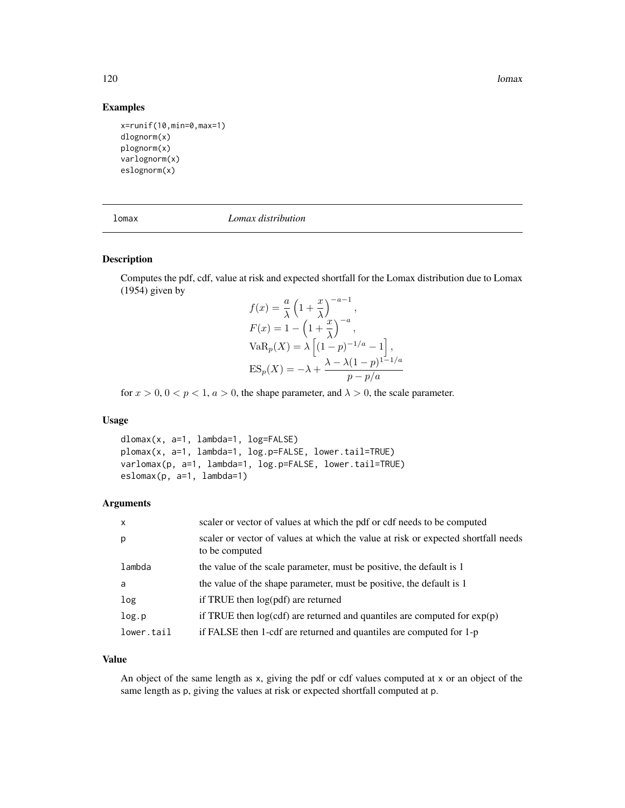120 lomax

## Examples

```
x=runif(10,min=0,max=1)
dlognorm(x)
plognorm(x)
varlognorm(x)
eslognorm(x)
```

| Шd |
|----|
|----|

lomax *Lomax distribution*

# Description

Computes the pdf, cdf, value at risk and expected shortfall for the Lomax distribution due to Lomax (1954) given by  $a=1$ 

$$
f(x) = \frac{a}{\lambda} \left( 1 + \frac{x}{\lambda} \right)^{-a-1},
$$
  
\n
$$
F(x) = 1 - \left( 1 + \frac{x}{\lambda} \right)^{-a},
$$
  
\n
$$
VaR_p(X) = \lambda \left[ (1-p)^{-1/a} - 1 \right],
$$
  
\n
$$
ES_p(X) = -\lambda + \frac{\lambda - \lambda (1-p)^{1-1/a}}{p - p/a}
$$

for  $x > 0$ ,  $0 < p < 1$ ,  $a > 0$ , the shape parameter, and  $\lambda > 0$ , the scale parameter.

# Usage

```
dlomax(x, a=1, lambda=1, log=FALSE)
plomax(x, a=1, lambda=1, log.p=FALSE, lower.tail=TRUE)
varlomax(p, a=1, lambda=1, log.p=FALSE, lower.tail=TRUE)
eslomax(p, a=1, lambda=1)
```
#### Arguments

| $\mathsf{x}$ | scaler or vector of values at which the pdf or cdf needs to be computed                             |
|--------------|-----------------------------------------------------------------------------------------------------|
| p            | scaler or vector of values at which the value at risk or expected shortfall needs<br>to be computed |
| lambda       | the value of the scale parameter, must be positive, the default is 1                                |
| a            | the value of the shape parameter, must be positive, the default is 1                                |
| log          | if TRUE then $log(pdf)$ are returned                                                                |
| log.p        | if TRUE then $log(cdf)$ are returned and quantiles are computed for $exp(p)$                        |
| lower.tail   | if FALSE then 1-cdf are returned and quantiles are computed for 1-p                                 |

## Value

An object of the same length as x, giving the pdf or cdf values computed at x or an object of the same length as p, giving the values at risk or expected shortfall computed at p.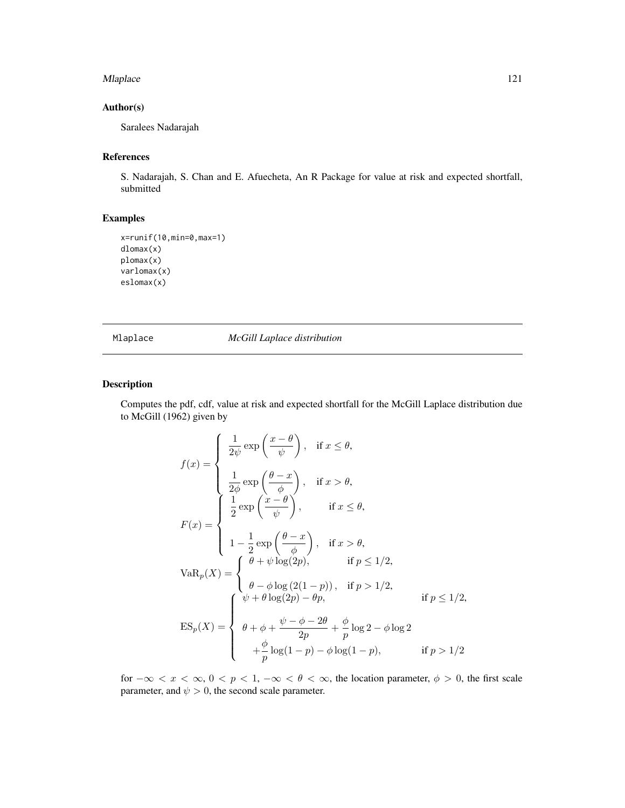#### Mlaplace 2012 121

# Author(s)

Saralees Nadarajah

# References

S. Nadarajah, S. Chan and E. Afuecheta, An R Package for value at risk and expected shortfall, submitted

# Examples

```
x=runif(10,min=0,max=1)
dlomax(x)
plomax(x)
varlomax(x)
eslomax(x)
```
Mlaplace *McGill Laplace distribution*

# Description

Computes the pdf, cdf, value at risk and expected shortfall for the McGill Laplace distribution due to McGill (1962) given by

$$
f(x) = \begin{cases} \frac{1}{2\psi} \exp\left(\frac{x-\theta}{\psi}\right), & \text{if } x \leq \theta, \\ \frac{1}{2\phi} \exp\left(\frac{\theta-x}{\phi}\right), & \text{if } x > \theta, \\ \frac{1}{2} \exp\left(\frac{x-\theta}{\psi}\right), & \text{if } x \leq \theta, \\ 1 - \frac{1}{2} \exp\left(\frac{\theta-x}{\phi}\right), & \text{if } x > \theta, \\ 1 - \frac{1}{2} \exp\left(\frac{\theta-x}{\phi}\right), & \text{if } x > \theta, \\ \theta + \psi \log(2p), & \text{if } p \leq 1/2, \\ \theta - \phi \log(2(1-p)), & \text{if } p > 1/2, \\ \psi + \theta \log(2p) - \theta p, & \text{if } p \leq 1/2, \\ \theta + \phi + \frac{\psi - \phi - 2\theta}{2p} + \frac{\phi}{p} \log 2 - \phi \log 2 \\ + \frac{\phi}{p} \log(1-p) - \phi \log(1-p), & \text{if } p > 1/2 \end{cases}
$$

for  $-\infty < x < \infty$ ,  $0 < p < 1$ ,  $-\infty < \theta < \infty$ , the location parameter,  $\phi > 0$ , the first scale parameter, and  $\psi > 0$ , the second scale parameter.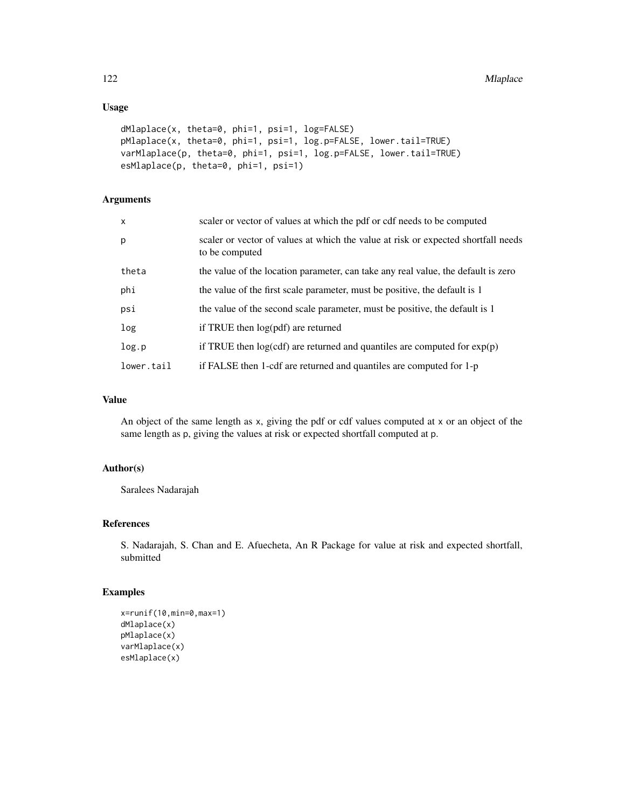# Usage

```
dMlaplace(x, theta=0, phi=1, psi=1, log=FALSE)
pMlaplace(x, theta=0, phi=1, psi=1, log.p=FALSE, lower.tail=TRUE)
varMlaplace(p, theta=0, phi=1, psi=1, log.p=FALSE, lower.tail=TRUE)
esMlaplace(p, theta=0, phi=1, psi=1)
```
## Arguments

| $\mathsf{x}$ | scaler or vector of values at which the pdf or cdf needs to be computed                             |
|--------------|-----------------------------------------------------------------------------------------------------|
| p            | scaler or vector of values at which the value at risk or expected shortfall needs<br>to be computed |
| theta        | the value of the location parameter, can take any real value, the default is zero                   |
| phi          | the value of the first scale parameter, must be positive, the default is 1                          |
| psi          | the value of the second scale parameter, must be positive, the default is 1                         |
| log          | if TRUE then $log(pdf)$ are returned                                                                |
| log.p        | if TRUE then $log(cdf)$ are returned and quantiles are computed for $exp(p)$                        |
| lower.tail   | if FALSE then 1-cdf are returned and quantiles are computed for 1-p                                 |

# Value

An object of the same length as x, giving the pdf or cdf values computed at x or an object of the same length as p, giving the values at risk or expected shortfall computed at p.

### Author(s)

Saralees Nadarajah

# References

S. Nadarajah, S. Chan and E. Afuecheta, An R Package for value at risk and expected shortfall, submitted

#### Examples

```
x=runif(10,min=0,max=1)
dMlaplace(x)
pMlaplace(x)
varMlaplace(x)
esMlaplace(x)
```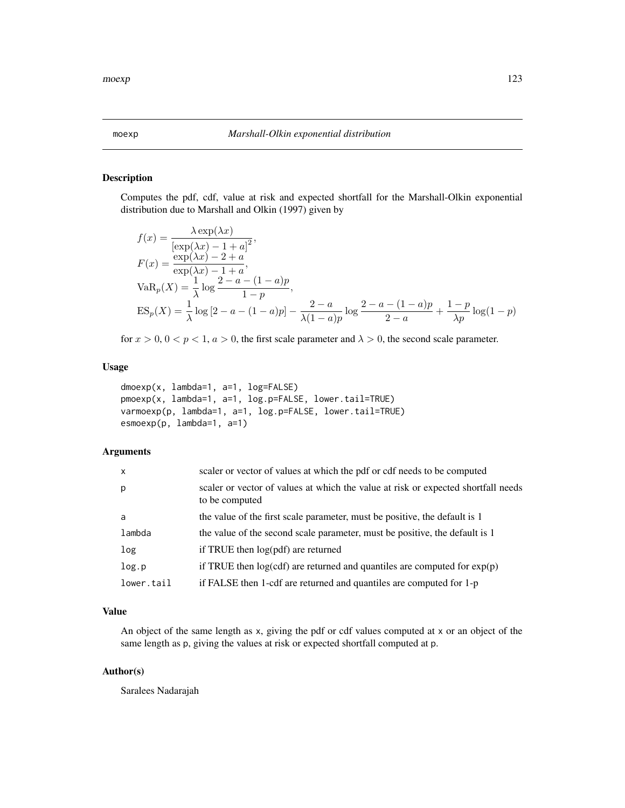#### Description

Computes the pdf, cdf, value at risk and expected shortfall for the Marshall-Olkin exponential distribution due to Marshall and Olkin (1997) given by

$$
f(x) = \frac{\lambda \exp(\lambda x)}{[\exp(\lambda x) - 1 + a]^2},
$$
  
\n
$$
F(x) = \frac{\exp(\lambda x) - 2 + a}{\exp(\lambda x) - 1 + a},
$$
  
\n
$$
VaR_p(X) = \frac{1}{\lambda} \log \frac{2 - a - (1 - a)p}{1 - p},
$$
  
\n
$$
ES_p(X) = \frac{1}{\lambda} \log [2 - a - (1 - a)p] - \frac{2 - a}{\lambda(1 - a)p} \log \frac{2 - a - (1 - a)p}{2 - a} + \frac{1 - p}{\lambda p} \log(1 - p)
$$

for  $x > 0$ ,  $0 < p < 1$ ,  $a > 0$ , the first scale parameter and  $\lambda > 0$ , the second scale parameter.

## Usage

```
dmoexp(x, lambda=1, a=1, log=FALSE)
pmoexp(x, lambda=1, a=1, log.p=FALSE, lower.tail=TRUE)
varmoexp(p, lambda=1, a=1, log.p=FALSE, lower.tail=TRUE)
esmoexp(p, lambda=1, a=1)
```
## Arguments

| $\mathsf{x}$     | scaler or vector of values at which the pdf or cdf needs to be computed                             |
|------------------|-----------------------------------------------------------------------------------------------------|
| p                | scaler or vector of values at which the value at risk or expected shortfall needs<br>to be computed |
| a                | the value of the first scale parameter, must be positive, the default is 1                          |
| lambda           | the value of the second scale parameter, must be positive, the default is 1                         |
| log <sub>1</sub> | if TRUE then log(pdf) are returned                                                                  |
| log.p            | if TRUE then $log(cd)$ are returned and quantiles are computed for $exp(p)$                         |
| lower.tail       | if FALSE then 1-cdf are returned and quantiles are computed for 1-p                                 |

# Value

An object of the same length as x, giving the pdf or cdf values computed at x or an object of the same length as p, giving the values at risk or expected shortfall computed at p.

## Author(s)

Saralees Nadarajah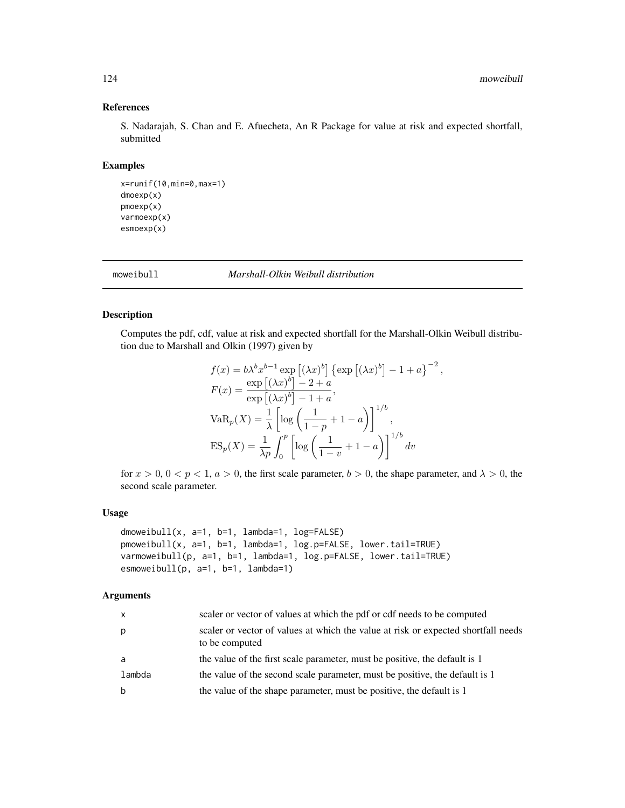# References

S. Nadarajah, S. Chan and E. Afuecheta, An R Package for value at risk and expected shortfall, submitted

# Examples

```
x=runif(10,min=0,max=1)
dmoexp(x)
pmoexp(x)
varmoexp(x)
esmoexp(x)
```
moweibull *Marshall-Olkin Weibull distribution*

# Description

Computes the pdf, cdf, value at risk and expected shortfall for the Marshall-Olkin Weibull distribution due to Marshall and Olkin (1997) given by

$$
f(x) = b\lambda^{b} x^{b-1} \exp \left[ (\lambda x)^{b} \right] \{ \exp \left[ (\lambda x)^{b} \right] - 1 + a \}^{-2},
$$
  
\n
$$
F(x) = \frac{\exp \left[ (\lambda x)^{b} \right] - 2 + a}{\exp \left[ (\lambda x)^{b} \right] - 1 + a},
$$
  
\n
$$
VaR_{p}(X) = \frac{1}{\lambda} \left[ \log \left( \frac{1}{1 - p} + 1 - a \right) \right]^{1/b},
$$
  
\n
$$
ES_{p}(X) = \frac{1}{\lambda p} \int_{0}^{p} \left[ \log \left( \frac{1}{1 - v} + 1 - a \right) \right]^{1/b} dv
$$

for  $x > 0$ ,  $0 < p < 1$ ,  $a > 0$ , the first scale parameter,  $b > 0$ , the shape parameter, and  $\lambda > 0$ , the second scale parameter.

#### Usage

```
dmoweibull(x, a=1, b=1, lambda=1, log=FALSE)
pmoweibull(x, a=1, b=1, lambda=1, log.p=FALSE, lower.tail=TRUE)
varmoweibull(p, a=1, b=1, lambda=1, log.p=FALSE, lower.tail=TRUE)
esmoweibull(p, a=1, b=1, lambda=1)
```
## Arguments

| X      | scaler or vector of values at which the pdf or cdf needs to be computed                             |
|--------|-----------------------------------------------------------------------------------------------------|
| p      | scaler or vector of values at which the value at risk or expected shortfall needs<br>to be computed |
| a      | the value of the first scale parameter, must be positive, the default is 1                          |
| lambda | the value of the second scale parameter, must be positive, the default is 1                         |
| b      | the value of the shape parameter, must be positive, the default is 1                                |
|        |                                                                                                     |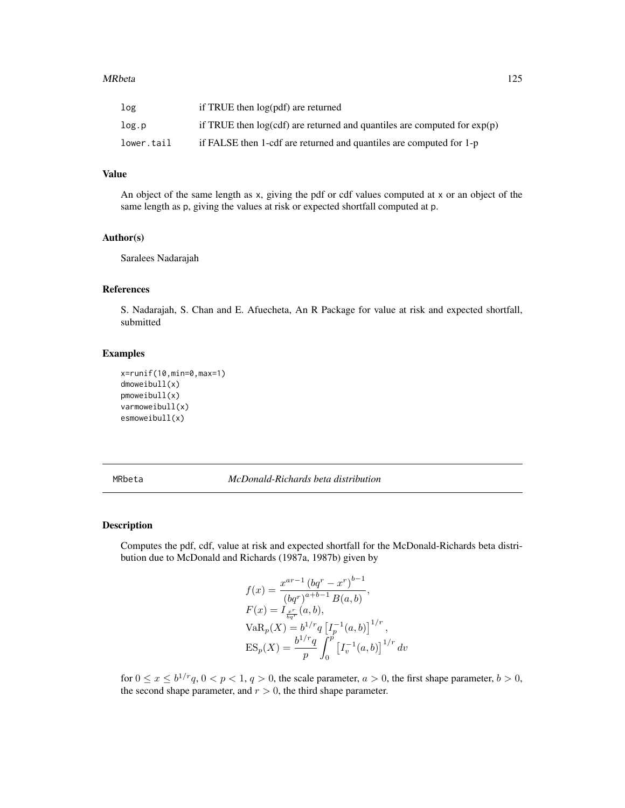#### MRbeta 2008 and 25 and 25 and 25 and 26 and 26 and 26 and 26 and 26 and 26 and 26 and 26 and 26 and 26 and 26

| log        | if TRUE then log(pdf) are returned                                           |
|------------|------------------------------------------------------------------------------|
| log.p      | if TRUE then $log(cdf)$ are returned and quantiles are computed for $exp(p)$ |
| lower.tail | if FALSE then 1-cdf are returned and quantiles are computed for 1-p          |

# Value

An object of the same length as x, giving the pdf or cdf values computed at x or an object of the same length as p, giving the values at risk or expected shortfall computed at p.

## Author(s)

Saralees Nadarajah

#### References

S. Nadarajah, S. Chan and E. Afuecheta, An R Package for value at risk and expected shortfall, submitted

# Examples

```
x=runif(10,min=0,max=1)
dmoweibull(x)
pmoweibull(x)
varmoweibull(x)
esmoweibull(x)
```
MRbeta *McDonald-Richards beta distribution*

#### Description

Computes the pdf, cdf, value at risk and expected shortfall for the McDonald-Richards beta distribution due to McDonald and Richards (1987a, 1987b) given by

$$
f(x) = \frac{x^{ar-1} (bq^r - x^r)^{b-1}}{(bq^r)^{a+b-1} B(a, b)},
$$
  
\n
$$
F(x) = I_{\frac{x^r}{bq^r}}(a, b),
$$
  
\n
$$
VaR_p(X) = b^{1/r} q [I_p^{-1}(a, b)]^{1/r},
$$
  
\n
$$
ES_p(X) = \frac{b^{1/r} q}{p} \int_0^p [I_v^{-1}(a, b)]^{1/r} dv
$$

for  $0 \le x \le b^{1/r}q$ ,  $0 < p < 1$ ,  $q > 0$ , the scale parameter,  $a > 0$ , the first shape parameter,  $b > 0$ , the second shape parameter, and  $r > 0$ , the third shape parameter.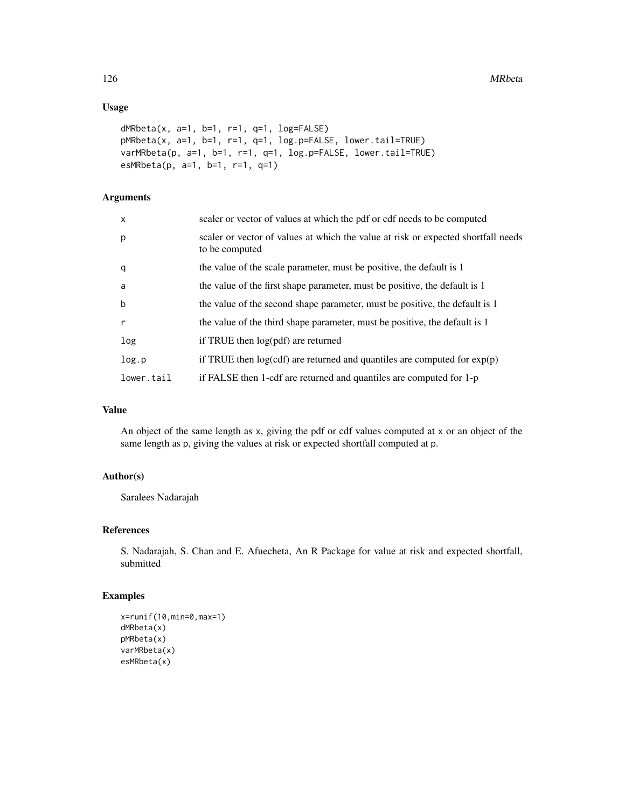# Usage

```
dMRbeta(x, a=1, b=1, r=1, q=1, log=FALSE)
pMRbeta(x, a=1, b=1, r=1, q=1, log.p=FALSE, lower.tail=TRUE)
varMRbeta(p, a=1, b=1, r=1, q=1, log.p=FALSE, lower.tail=TRUE)
esMRbeta(p, a=1, b=1, r=1, q=1)
```
# Arguments

| $\mathsf{x}$ | scaler or vector of values at which the pdf or cdf needs to be computed                             |
|--------------|-----------------------------------------------------------------------------------------------------|
| p            | scaler or vector of values at which the value at risk or expected shortfall needs<br>to be computed |
| q            | the value of the scale parameter, must be positive, the default is 1                                |
| a            | the value of the first shape parameter, must be positive, the default is 1                          |
| $\mathsf b$  | the value of the second shape parameter, must be positive, the default is 1                         |
| $\mathsf{r}$ | the value of the third shape parameter, must be positive, the default is 1                          |
| log          | if TRUE then $log(pdf)$ are returned                                                                |
| log.p        | if TRUE then $log(cdf)$ are returned and quantiles are computed for $exp(p)$                        |
| lower.tail   | if FALSE then 1-cdf are returned and quantiles are computed for 1-p                                 |

# Value

An object of the same length as x, giving the pdf or cdf values computed at x or an object of the same length as p, giving the values at risk or expected shortfall computed at p.

# Author(s)

Saralees Nadarajah

#### References

S. Nadarajah, S. Chan and E. Afuecheta, An R Package for value at risk and expected shortfall, submitted

# Examples

```
x=runif(10,min=0,max=1)
dMRbeta(x)
pMRbeta(x)
varMRbeta(x)
esMRbeta(x)
```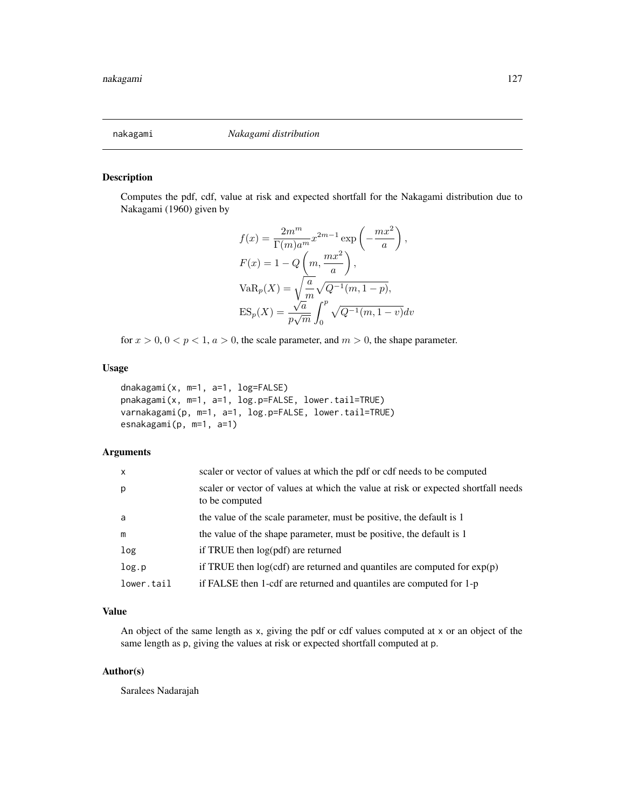#### Description

Computes the pdf, cdf, value at risk and expected shortfall for the Nakagami distribution due to Nakagami (1960) given by

$$
f(x) = \frac{2m^m}{\Gamma(m)a^m} x^{2m-1} \exp\left(-\frac{mx^2}{a}\right),
$$
  
\n
$$
F(x) = 1 - Q\left(m, \frac{mx^2}{a}\right),
$$
  
\n
$$
VaR_p(X) = \sqrt{\frac{a}{m}} \sqrt{Q^{-1}(m, 1-p)},
$$
  
\n
$$
ES_p(X) = \frac{\sqrt{a}}{p\sqrt{m}} \int_0^p \sqrt{Q^{-1}(m, 1-p)} dv
$$

for  $x > 0$ ,  $0 < p < 1$ ,  $a > 0$ , the scale parameter, and  $m > 0$ , the shape parameter.

#### Usage

dnakagami(x, m=1, a=1, log=FALSE) pnakagami(x, m=1, a=1, log.p=FALSE, lower.tail=TRUE) varnakagami(p, m=1, a=1, log.p=FALSE, lower.tail=TRUE) esnakagami(p, m=1, a=1)

#### Arguments

| $\mathsf{x}$ | scaler or vector of values at which the pdf or cdf needs to be computed                             |
|--------------|-----------------------------------------------------------------------------------------------------|
| p            | scaler or vector of values at which the value at risk or expected shortfall needs<br>to be computed |
| a            | the value of the scale parameter, must be positive, the default is 1                                |
| m            | the value of the shape parameter, must be positive, the default is 1                                |
| log          | if TRUE then log(pdf) are returned                                                                  |
| log.p        | if TRUE then $log(cdf)$ are returned and quantiles are computed for $exp(p)$                        |
| lower.tail   | if FALSE then 1-cdf are returned and quantiles are computed for 1-p                                 |

# Value

An object of the same length as x, giving the pdf or cdf values computed at x or an object of the same length as p, giving the values at risk or expected shortfall computed at p.

## Author(s)

Saralees Nadarajah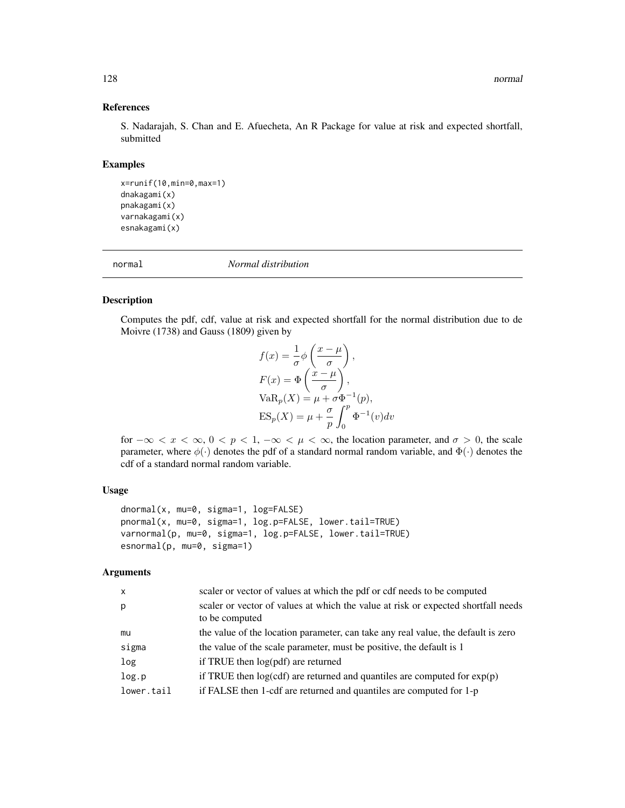# References

S. Nadarajah, S. Chan and E. Afuecheta, An R Package for value at risk and expected shortfall, submitted

## Examples

```
x=runif(10,min=0,max=1)
dnakagami(x)
pnakagami(x)
varnakagami(x)
esnakagami(x)
```
normal *Normal distribution*

#### Description

Computes the pdf, cdf, value at risk and expected shortfall for the normal distribution due to de Moivre (1738) and Gauss (1809) given by

$$
f(x) = \frac{1}{\sigma} \phi \left( \frac{x - \mu}{\sigma} \right),
$$
  
\n
$$
F(x) = \Phi \left( \frac{x - \mu}{\sigma} \right),
$$
  
\n
$$
VaR_p(X) = \mu + \sigma \Phi^{-1}(p),
$$
  
\n
$$
ES_p(X) = \mu + \frac{\sigma}{p} \int_0^p \Phi^{-1}(v) dv
$$

for  $-\infty < x < \infty$ ,  $0 < p < 1$ ,  $-\infty < \mu < \infty$ , the location parameter, and  $\sigma > 0$ , the scale parameter, where  $\phi(\cdot)$  denotes the pdf of a standard normal random variable, and  $\Phi(\cdot)$  denotes the cdf of a standard normal random variable.

#### Usage

```
dnormal(x, mu=0, sigma=1, log=FALSE)
pnormal(x, mu=0, sigma=1, log.p=FALSE, lower.tail=TRUE)
varnormal(p, mu=0, sigma=1, log.p=FALSE, lower.tail=TRUE)
esnormal(p, mu=0, sigma=1)
```
# Arguments

| $\mathsf{x}$ | scaler or vector of values at which the pdf or cdf needs to be computed                             |
|--------------|-----------------------------------------------------------------------------------------------------|
| p            | scaler or vector of values at which the value at risk or expected shortfall needs<br>to be computed |
| mu           | the value of the location parameter, can take any real value, the default is zero                   |
| sigma        | the value of the scale parameter, must be positive, the default is 1                                |
| log          | if TRUE then log(pdf) are returned                                                                  |
| log.p        | if TRUE then $log(cd)$ are returned and quantiles are computed for $exp(p)$                         |
| lower.tail   | if FALSE then 1-cdf are returned and quantiles are computed for 1-p                                 |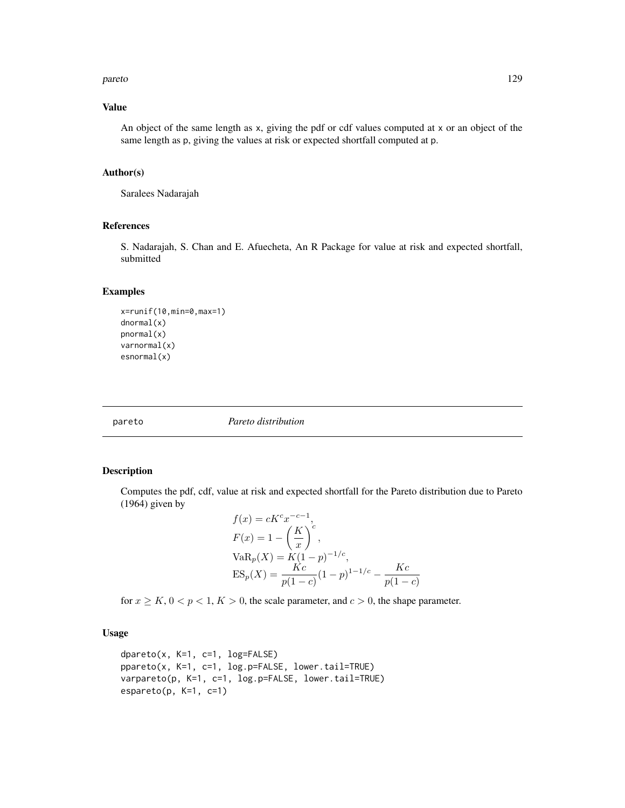#### pareto the contract of the contract of the contract of the contract of the contract of the contract of the contract of the contract of the contract of the contract of the contract of the contract of the contract of the con

## Value

An object of the same length as x, giving the pdf or cdf values computed at x or an object of the same length as p, giving the values at risk or expected shortfall computed at p.

#### Author(s)

Saralees Nadarajah

# References

S. Nadarajah, S. Chan and E. Afuecheta, An R Package for value at risk and expected shortfall, submitted

# Examples

```
x=runif(10,min=0,max=1)
dnormal(x)
pnormal(x)
varnormal(x)
esnormal(x)
```
pareto *Pareto distribution*

# Description

Computes the pdf, cdf, value at risk and expected shortfall for the Pareto distribution due to Pareto (1964) given by

$$
f(x) = cK^{c}x^{-c-1},
$$
  
\n
$$
F(x) = 1 - \left(\frac{K}{x}\right)^{c},
$$
  
\n
$$
VaR_{p}(X) = K(1-p)^{-1/c},
$$
  
\n
$$
ES_{p}(X) = \frac{Kc}{p(1-c)}(1-p)^{1-1/c} - \frac{Kc}{p(1-c)}
$$

for  $x \geq K$ ,  $0 < p < 1$ ,  $K > 0$ , the scale parameter, and  $c > 0$ , the shape parameter.

## Usage

```
dpareto(x, K=1, c=1, log=FALSE)
ppareto(x, K=1, c=1, log.p=FALSE, lower.tail=TRUE)
varpareto(p, K=1, c=1, log.p=FALSE, lower.tail=TRUE)
espareto(p, K=1, c=1)
```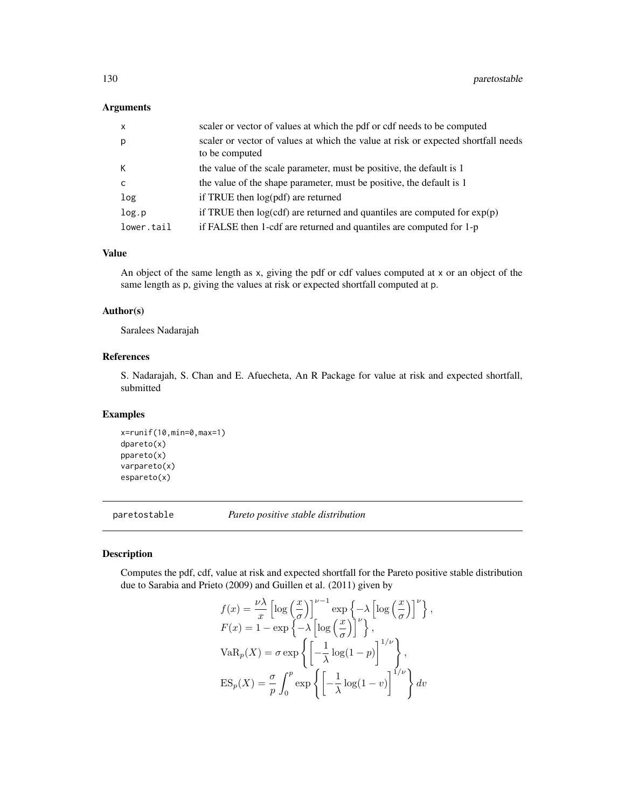## Arguments

| $\mathsf{x}$ | scaler or vector of values at which the pdf or cdf needs to be computed                             |
|--------------|-----------------------------------------------------------------------------------------------------|
| p            | scaler or vector of values at which the value at risk or expected shortfall needs<br>to be computed |
| К            | the value of the scale parameter, must be positive, the default is 1                                |
| $\mathsf{C}$ | the value of the shape parameter, must be positive, the default is 1                                |
| log          | if TRUE then $log(pdf)$ are returned                                                                |
| log.p        | if TRUE then $log(cdf)$ are returned and quantiles are computed for $exp(p)$                        |
| lower.tail   | if FALSE then 1-cdf are returned and quantiles are computed for 1-p                                 |

#### Value

An object of the same length as x, giving the pdf or cdf values computed at x or an object of the same length as p, giving the values at risk or expected shortfall computed at p.

## Author(s)

Saralees Nadarajah

## References

S. Nadarajah, S. Chan and E. Afuecheta, An R Package for value at risk and expected shortfall, submitted

# Examples

```
x=runif(10,min=0,max=1)
dpareto(x)
ppareto(x)
varpareto(x)
espareto(x)
```
paretostable *Pareto positive stable distribution*

#### Description

Computes the pdf, cdf, value at risk and expected shortfall for the Pareto positive stable distribution due to Sarabia and Prieto (2009) and Guillen et al. (2011) given by

$$
f(x) = \frac{\nu \lambda}{x} \left[ \log \left( \frac{x}{\sigma} \right) \right]^{\nu - 1} \exp \left\{ -\lambda \left[ \log \left( \frac{x}{\sigma} \right) \right]^{\nu} \right\},
$$
  
\n
$$
F(x) = 1 - \exp \left\{ -\lambda \left[ \log \left( \frac{x}{\sigma} \right) \right]^{\nu} \right\},
$$
  
\n
$$
VaR_p(X) = \sigma \exp \left\{ \left[ -\frac{1}{\lambda} \log(1 - p) \right]^{1/\nu} \right\},
$$
  
\n
$$
ES_p(X) = \frac{\sigma}{p} \int_0^p \exp \left\{ \left[ -\frac{1}{\lambda} \log(1 - v) \right]^{1/\nu} \right\} dv
$$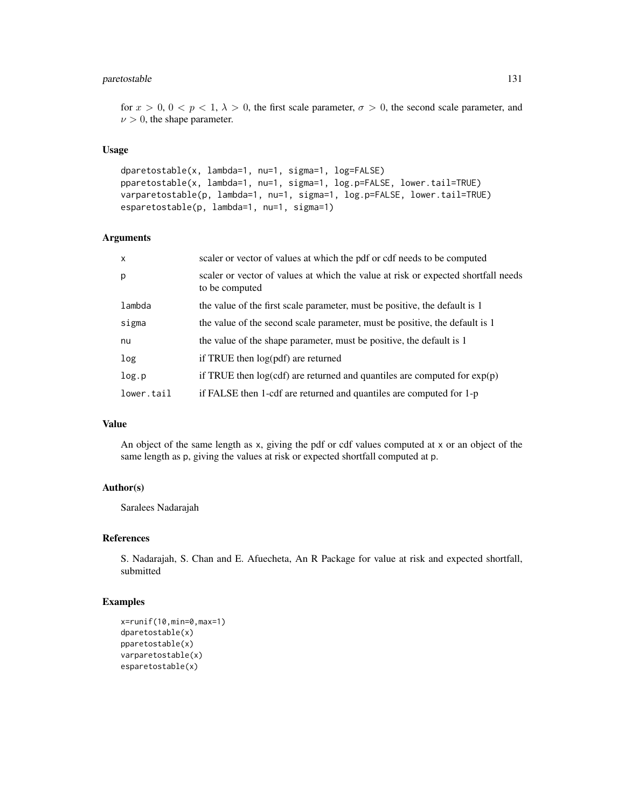## paretostable 131

for  $x > 0$ ,  $0 < p < 1$ ,  $\lambda > 0$ , the first scale parameter,  $\sigma > 0$ , the second scale parameter, and  $\nu > 0$ , the shape parameter.

#### Usage

```
dparetostable(x, lambda=1, nu=1, sigma=1, log=FALSE)
pparetostable(x, lambda=1, nu=1, sigma=1, log.p=FALSE, lower.tail=TRUE)
varparetostable(p, lambda=1, nu=1, sigma=1, log.p=FALSE, lower.tail=TRUE)
esparetostable(p, lambda=1, nu=1, sigma=1)
```
## Arguments

| $\mathsf{x}$ | scaler or vector of values at which the pdf or cdf needs to be computed                             |
|--------------|-----------------------------------------------------------------------------------------------------|
| p            | scaler or vector of values at which the value at risk or expected shortfall needs<br>to be computed |
| lambda       | the value of the first scale parameter, must be positive, the default is 1                          |
| sigma        | the value of the second scale parameter, must be positive, the default is 1                         |
| nu           | the value of the shape parameter, must be positive, the default is 1                                |
| log          | if TRUE then $log(pdf)$ are returned                                                                |
| log.p        | if TRUE then $log(cdf)$ are returned and quantiles are computed for $exp(p)$                        |
| lower.tail   | if FALSE then 1-cdf are returned and quantiles are computed for 1-p                                 |
|              |                                                                                                     |

#### Value

An object of the same length as x, giving the pdf or cdf values computed at x or an object of the same length as p, giving the values at risk or expected shortfall computed at p.

#### Author(s)

Saralees Nadarajah

## References

S. Nadarajah, S. Chan and E. Afuecheta, An R Package for value at risk and expected shortfall, submitted

# Examples

```
x=runif(10,min=0,max=1)
dparetostable(x)
pparetostable(x)
varparetostable(x)
esparetostable(x)
```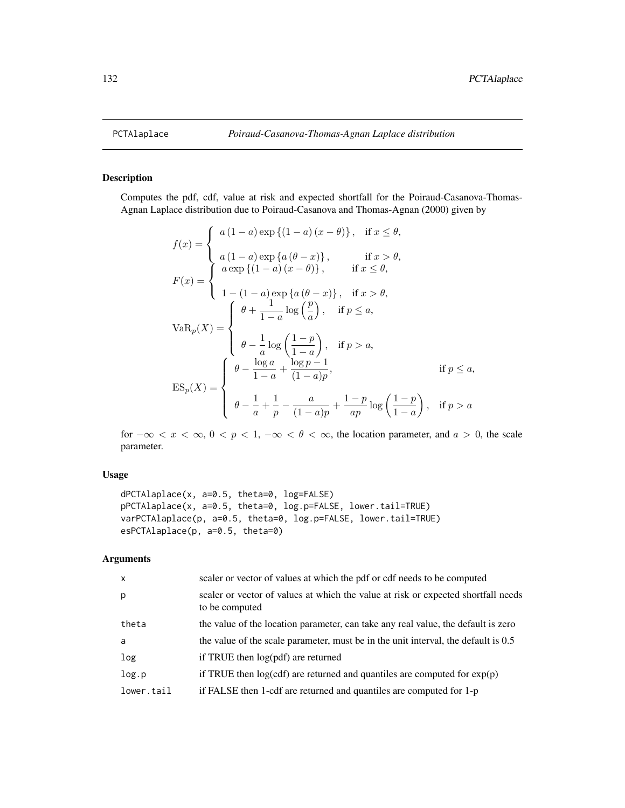# Description

Computes the pdf, cdf, value at risk and expected shortfall for the Poiraud-Casanova-Thomas-Agnan Laplace distribution due to Poiraud-Casanova and Thomas-Agnan (2000) given by

$$
f(x) = \begin{cases} a(1-a) \exp \{(1-a)(x-\theta)\}, & \text{if } x \leq \theta, \\ a(1-a) \exp \{a(\theta-x)\}, & \text{if } x > \theta, \\ a \exp \{(1-a)(x-\theta)\}, & \text{if } x \leq \theta, \end{cases}
$$

$$
F(x) = \begin{cases} a \exp \{a(\theta-x)\}, & \text{if } x > \theta, \\ 1 - (1-a) \exp \{a(\theta-x)\}, & \text{if } x > \theta, \\ \theta + \frac{1}{1-a} \log \left(\frac{p}{a}\right), & \text{if } p \leq a, \end{cases}
$$

$$
Var_{p}(X) = \begin{cases} \theta - \frac{\log a}{a} + \frac{\log p - 1}{(1-a)p}, & \text{if } p > a, \\ \theta - \frac{1}{a} + \frac{1}{p} - \frac{a}{(1-a)p} + \frac{1-p}{ap} \log \left(\frac{1-p}{1-a}\right), & \text{if } p > a \end{cases}
$$

for  $-\infty < x < \infty$ ,  $0 < p < 1$ ,  $-\infty < \theta < \infty$ , the location parameter, and  $a > 0$ , the scale parameter.

# Usage

```
dPCTAlaplace(x, a=0.5, theta=0, log=FALSE)
pPCTAlaplace(x, a=0.5, theta=0, log.p=FALSE, lower.tail=TRUE)
varPCTAlaplace(p, a=0.5, theta=0, log.p=FALSE, lower.tail=TRUE)
esPCTAlaplace(p, a=0.5, theta=0)
```
# Arguments

| scaler or vector of values at which the pdf or cdf needs to be computed                             |
|-----------------------------------------------------------------------------------------------------|
| scaler or vector of values at which the value at risk or expected shortfall needs<br>to be computed |
| the value of the location parameter, can take any real value, the default is zero                   |
| the value of the scale parameter, must be in the unit interval, the default is 0.5                  |
| if TRUE then log(pdf) are returned                                                                  |
| if TRUE then $log(cdf)$ are returned and quantiles are computed for $exp(p)$                        |
| if FALSE then 1-cdf are returned and quantiles are computed for 1-p                                 |
|                                                                                                     |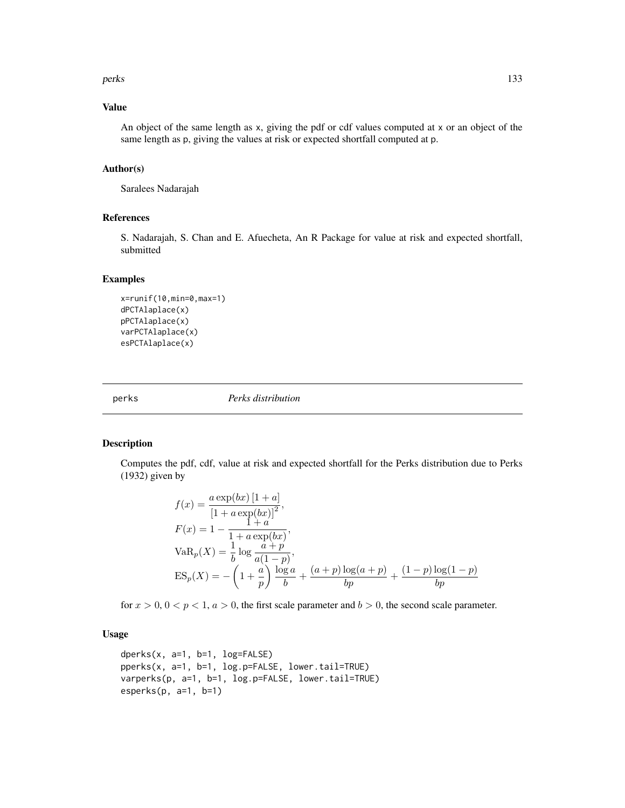#### perks 133

## Value

An object of the same length as x, giving the pdf or cdf values computed at x or an object of the same length as p, giving the values at risk or expected shortfall computed at p.

#### Author(s)

Saralees Nadarajah

#### References

S. Nadarajah, S. Chan and E. Afuecheta, An R Package for value at risk and expected shortfall, submitted

#### Examples

```
x=runif(10,min=0,max=1)
dPCTAlaplace(x)
pPCTAlaplace(x)
varPCTAlaplace(x)
esPCTAlaplace(x)
```
perks *Perks distribution*

### Description

Computes the pdf, cdf, value at risk and expected shortfall for the Perks distribution due to Perks (1932) given by

$$
f(x) = \frac{a \exp(bx) [1 + a]}{[1 + a \exp(bx)]^2},
$$
  
\n
$$
F(x) = 1 - \frac{1 + a}{1 + a \exp(bx)},
$$
  
\n
$$
VaR_p(X) = \frac{1}{b} \log \frac{a + p}{a(1 - p)},
$$
  
\n
$$
ES_p(X) = -\left(1 + \frac{a}{p}\right) \frac{\log a}{b} + \frac{(a + p) \log(a + p)}{bp} + \frac{(1 - p) \log(1 - p)}{bp}
$$

for  $x > 0$ ,  $0 < p < 1$ ,  $a > 0$ , the first scale parameter and  $b > 0$ , the second scale parameter.

## Usage

```
dperks(x, a=1, b=1, log=FALSE)
pperks(x, a=1, b=1, log.p=FALSE, lower.tail=TRUE)
varperks(p, a=1, b=1, log.p=FALSE, lower.tail=TRUE)
esperks(p, a=1, b=1)
```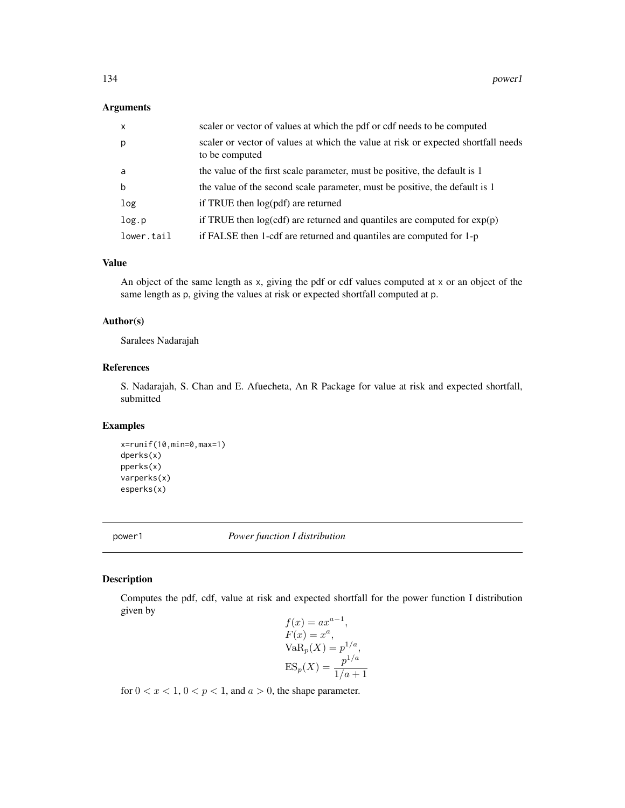## Arguments

| $\mathsf{x}$ | scaler or vector of values at which the pdf or cdf needs to be computed                             |
|--------------|-----------------------------------------------------------------------------------------------------|
| p            | scaler or vector of values at which the value at risk or expected shortfall needs<br>to be computed |
| a            | the value of the first scale parameter, must be positive, the default is 1                          |
| b            | the value of the second scale parameter, must be positive, the default is 1                         |
| log          | if TRUE then $log(pdf)$ are returned                                                                |
| log.p        | if TRUE then $log(cdf)$ are returned and quantiles are computed for $exp(p)$                        |
| lower.tail   | if FALSE then 1-cdf are returned and quantiles are computed for 1-p                                 |

#### Value

An object of the same length as x, giving the pdf or cdf values computed at x or an object of the same length as p, giving the values at risk or expected shortfall computed at p.

## Author(s)

Saralees Nadarajah

## References

S. Nadarajah, S. Chan and E. Afuecheta, An R Package for value at risk and expected shortfall, submitted

# Examples

```
x=runif(10,min=0,max=1)
dperks(x)
pperks(x)
varperks(x)
esperks(x)
```
power1 *Power function I distribution*

## Description

Computes the pdf, cdf, value at risk and expected shortfall for the power function I distribution given by

$$
f(x) = ax^{a-1},
$$
  
\n
$$
F(x) = x^{a},
$$
  
\n
$$
VaRp(X) = p1/a,
$$
  
\n
$$
ESp(X) = \frac{p1/a}{1/a + 1}
$$

for  $0 < x < 1$ ,  $0 < p < 1$ , and  $a > 0$ , the shape parameter.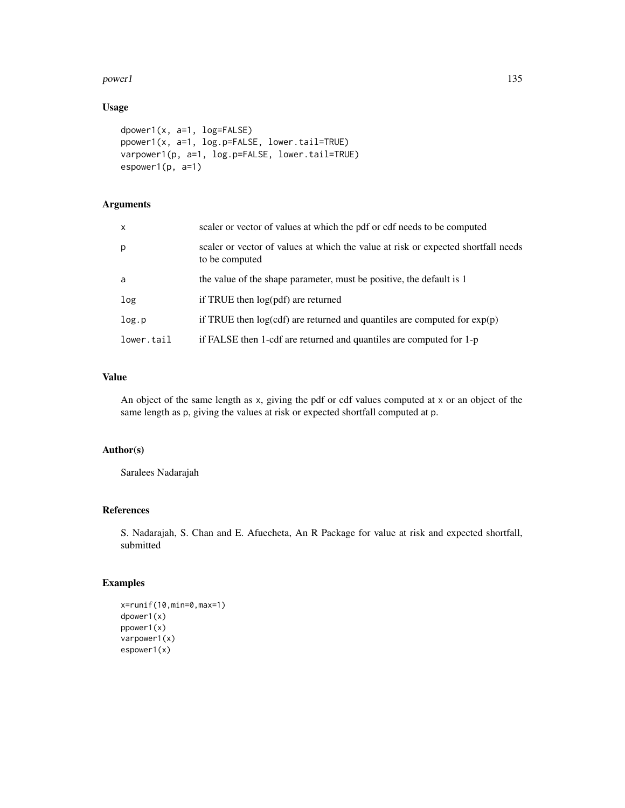#### power1 and 135

# Usage

```
dpower1(x, a=1, log=FALSE)
ppower1(x, a=1, log.p=FALSE, lower.tail=TRUE)
varpower1(p, a=1, log.p=FALSE, lower.tail=TRUE)
espower1(p, a=1)
```
# Arguments

| $\mathsf{x}$ | scaler or vector of values at which the pdf or cdf needs to be computed                             |
|--------------|-----------------------------------------------------------------------------------------------------|
| p            | scaler or vector of values at which the value at risk or expected shortfall needs<br>to be computed |
| a            | the value of the shape parameter, must be positive, the default is 1                                |
| log          | if TRUE then log(pdf) are returned                                                                  |
| log.p        | if TRUE then $log(cd)$ are returned and quantiles are computed for $exp(p)$                         |
| lower.tail   | if FALSE then 1-cdf are returned and quantiles are computed for 1-p                                 |

## Value

An object of the same length as x, giving the pdf or cdf values computed at x or an object of the same length as p, giving the values at risk or expected shortfall computed at p.

# Author(s)

Saralees Nadarajah

## References

S. Nadarajah, S. Chan and E. Afuecheta, An R Package for value at risk and expected shortfall, submitted

# Examples

```
x=runif(10,min=0,max=1)
dpower1(x)
ppower1(x)
varpower1(x)
espower1(x)
```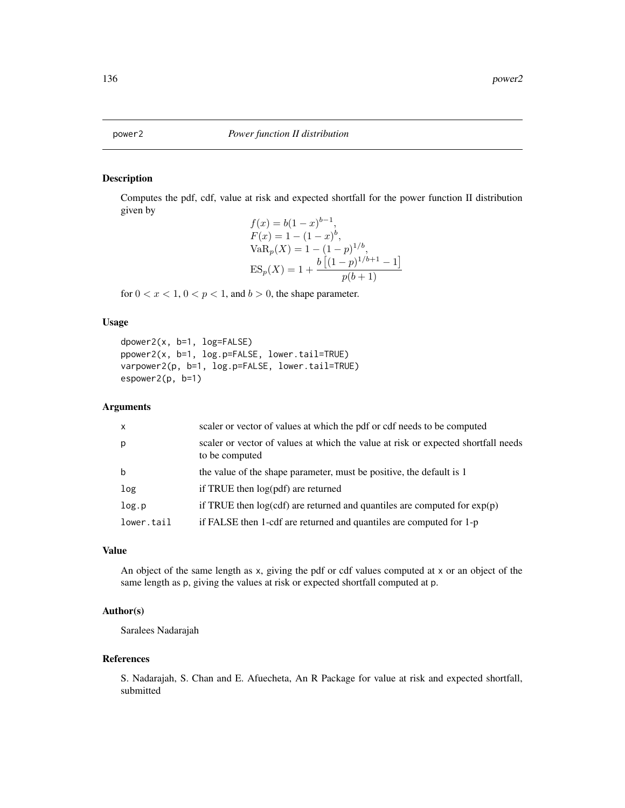#### Description

Computes the pdf, cdf, value at risk and expected shortfall for the power function II distribution given by

```
f(x) = b(1-x)^{b-1},F(x) = 1 - (1 - x)^b,\text{VaR}_p(X) = 1 - (1 - p)^{1/b},ES_p(X) = 1 + \frac{b[(1-p)^{1/b+1} - 1]}{f(k+1)}p(b+1)
```
for  $0 < x < 1$ ,  $0 < p < 1$ , and  $b > 0$ , the shape parameter.

#### Usage

```
dpower2(x, b=1, log=FALSE)
ppower2(x, b=1, log.p=FALSE, lower.tail=TRUE)
varpower2(p, b=1, log.p=FALSE, lower.tail=TRUE)
espower2(p, b=1)
```
#### Arguments

| $\mathsf{x}$ | scaler or vector of values at which the pdf or cdf needs to be computed                             |
|--------------|-----------------------------------------------------------------------------------------------------|
| p            | scaler or vector of values at which the value at risk or expected shortfall needs<br>to be computed |
| b            | the value of the shape parameter, must be positive, the default is 1                                |
| log          | if TRUE then $log(pdf)$ are returned                                                                |
| log.p        | if TRUE then $log(cd)$ are returned and quantiles are computed for $exp(p)$                         |
| lower.tail   | if FALSE then 1-cdf are returned and quantiles are computed for 1-p                                 |

# Value

An object of the same length as x, giving the pdf or cdf values computed at x or an object of the same length as p, giving the values at risk or expected shortfall computed at p.

# Author(s)

Saralees Nadarajah

#### References

S. Nadarajah, S. Chan and E. Afuecheta, An R Package for value at risk and expected shortfall, submitted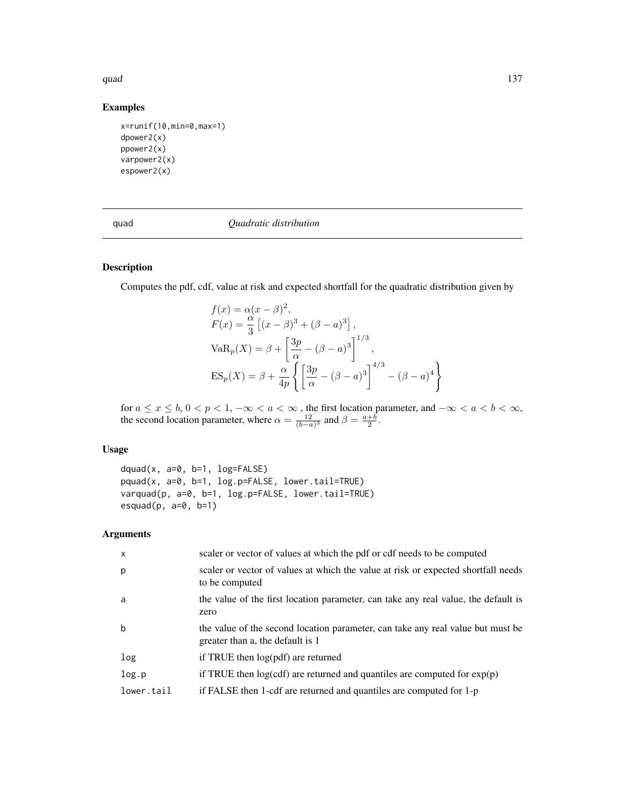#### quad  $137$

# Examples

```
x=runif(10,min=0,max=1)
dpower2(x)
ppower2(x)
varpower2(x)
espower2(x)
```
#### quad *Quadratic distribution*

# Description

Computes the pdf, cdf, value at risk and expected shortfall for the quadratic distribution given by

$$
f(x) = \alpha(x - \beta)^2,
$$
  
\n
$$
F(x) = \frac{\alpha}{3} \left[ (x - \beta)^3 + (\beta - a)^3 \right],
$$
  
\n
$$
VaR_p(X) = \beta + \left[ \frac{3p}{\alpha} - (\beta - a)^3 \right]^{1/3},
$$
  
\n
$$
ES_p(X) = \beta + \frac{\alpha}{4p} \left\{ \left[ \frac{3p}{\alpha} - (\beta - a)^3 \right]^{4/3} - (\beta - a)^4 \right\}
$$

for  $a \le x \le b$ ,  $0 < p < 1$ ,  $-\infty < a < \infty$ , the first location parameter, and  $-\infty < a < b < \infty$ , the second location parameter, where  $\alpha = \frac{12}{(b-a)^3}$  and  $\beta = \frac{a+b}{2}$ .

# Usage

dquad(x, a=0, b=1, log=FALSE) pquad(x, a=0, b=1, log.p=FALSE, lower.tail=TRUE) varquad(p, a=0, b=1, log.p=FALSE, lower.tail=TRUE) esquad $(p, a=0, b=1)$ 

## Arguments

| $\mathsf{x}$ | scaler or vector of values at which the pdf or cdf needs to be computed                                             |
|--------------|---------------------------------------------------------------------------------------------------------------------|
| p            | scaler or vector of values at which the value at risk or expected shortfall needs<br>to be computed                 |
| a            | the value of the first location parameter, can take any real value, the default is<br>zero                          |
| b            | the value of the second location parameter, can take any real value but must be<br>greater than a, the default is 1 |
| log          | if TRUE then log(pdf) are returned                                                                                  |
| log.p        | if TRUE then $log(cdf)$ are returned and quantiles are computed for $exp(p)$                                        |
| lower.tail   | if FALSE then 1-cdf are returned and quantiles are computed for 1-p                                                 |
|              |                                                                                                                     |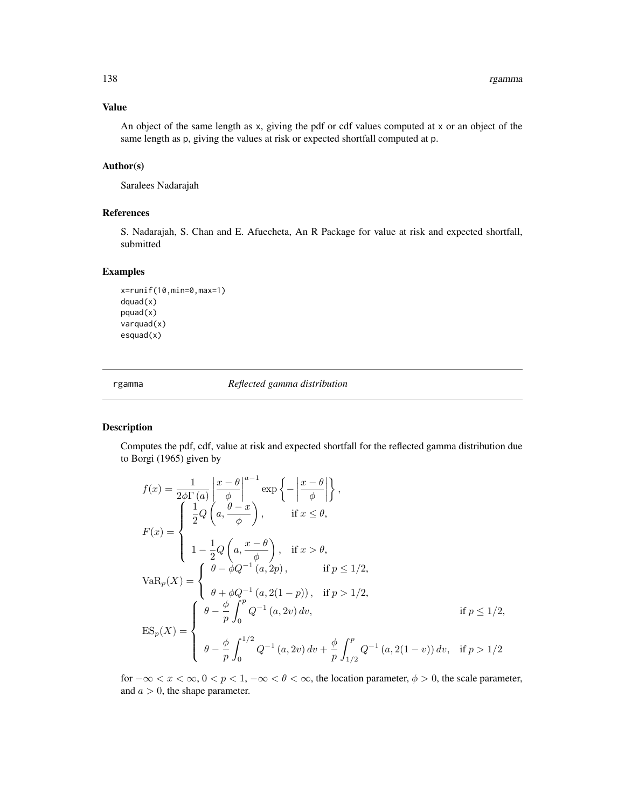## Value

An object of the same length as x, giving the pdf or cdf values computed at x or an object of the same length as p, giving the values at risk or expected shortfall computed at p.

#### Author(s)

Saralees Nadarajah

# References

S. Nadarajah, S. Chan and E. Afuecheta, An R Package for value at risk and expected shortfall, submitted

#### Examples

```
x=runif(10,min=0,max=1)
dquad(x)
pquad(x)
varquad(x)
esquad(x)
```
rgamma *Reflected gamma distribution*

# Description

Computes the pdf, cdf, value at risk and expected shortfall for the reflected gamma distribution due to Borgi (1965) given by

$$
f(x) = \frac{1}{2\phi\Gamma(a)} \left| \frac{x - \theta}{\phi} \right|^{a-1} \exp\left\{-\left| \frac{x - \theta}{\phi} \right| \right\},
$$
  
\n
$$
F(x) = \begin{cases} \frac{1}{2}Q\left(a, \frac{\theta - x}{\phi}\right), & \text{if } x \le \theta, \\ 1 - \frac{1}{2}Q\left(a, \frac{x - \theta}{\phi}\right), & \text{if } x > \theta, \\ 1 - \frac{1}{2}Q\left(a, \frac{x - \theta}{\phi}\right), & \text{if } p \le 1/2, \end{cases}
$$
  
\n
$$
VaR_p(X) = \begin{cases} \theta - \phi Q^{-1}(a, 2p), & \text{if } p > 1/2, \\ \theta + \phi Q^{-1}(a, 2(1 - p)), & \text{if } p > 1/2, \\ \theta - \frac{\phi}{p} \int_0^{p} Q^{-1}(a, 2v) dv, & \text{if } p \le 1/2, \\ \theta - \frac{\phi}{p} \int_0^{1/2} Q^{-1}(a, 2v) dv + \frac{\phi}{p} \int_{1/2}^p Q^{-1}(a, 2(1 - v)) dv, & \text{if } p > 1/2 \end{cases}
$$

for  $-\infty < x < \infty$ ,  $0 < p < 1$ ,  $-\infty < \theta < \infty$ , the location parameter,  $\phi > 0$ , the scale parameter, and  $a > 0$ , the shape parameter.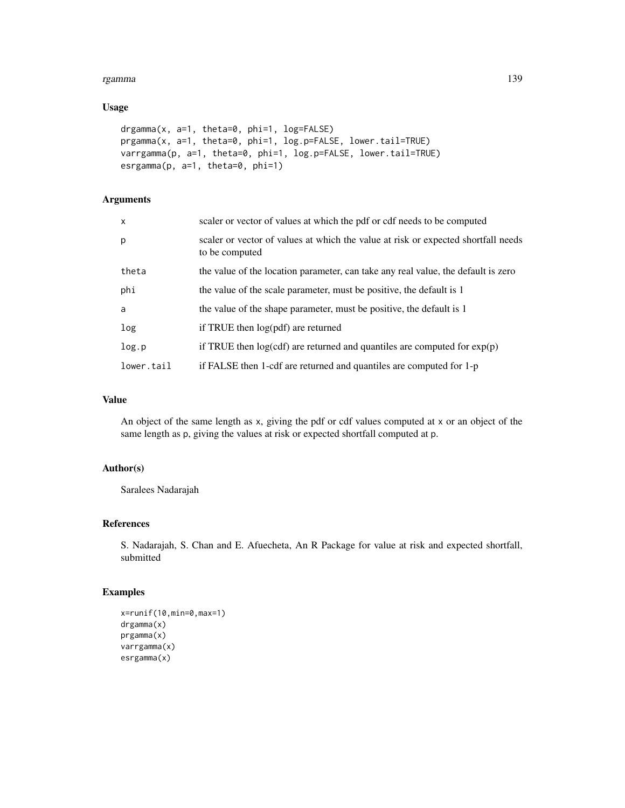#### rgamma 139

## Usage

```
drgamma(x, a=1, theta=0, phi=1, log=FALSE)
prgamma(x, a=1, theta=0, phi=1, log.p=FALSE, lower.tail=TRUE)
varrgamma(p, a=1, theta=0, phi=1, log.p=FALSE, lower.tail=TRUE)
esrgamma(p, a=1, theta=0, phi=1)
```
# Arguments

| $\mathsf{x}$ | scaler or vector of values at which the pdf or cdf needs to be computed                             |
|--------------|-----------------------------------------------------------------------------------------------------|
| p            | scaler or vector of values at which the value at risk or expected shortfall needs<br>to be computed |
| theta        | the value of the location parameter, can take any real value, the default is zero                   |
| phi          | the value of the scale parameter, must be positive, the default is 1                                |
| a            | the value of the shape parameter, must be positive, the default is 1                                |
| log          | if TRUE then $log(pdf)$ are returned                                                                |
| log.p        | if TRUE then $log(cdf)$ are returned and quantiles are computed for $exp(p)$                        |
| lower.tail   | if FALSE then 1-cdf are returned and quantiles are computed for 1-p                                 |

# Value

An object of the same length as x, giving the pdf or cdf values computed at x or an object of the same length as p, giving the values at risk or expected shortfall computed at p.

### Author(s)

Saralees Nadarajah

# References

S. Nadarajah, S. Chan and E. Afuecheta, An R Package for value at risk and expected shortfall, submitted

# Examples

```
x=runif(10,min=0,max=1)
drgamma(x)
prgamma(x)
varrgamma(x)
esrgamma(x)
```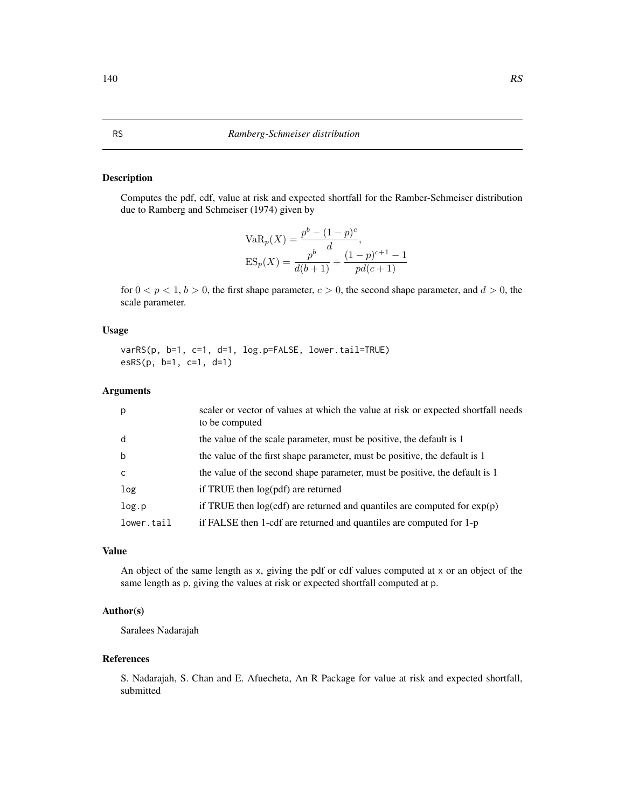#### Description

Computes the pdf, cdf, value at risk and expected shortfall for the Ramber-Schmeiser distribution due to Ramberg and Schmeiser (1974) given by

$$
VaRp(X) = \frac{pb - (1 - p)c}{d},
$$
  
\n
$$
ESp(X) = \frac{pb - (1 - p)c+1 - 1}{d(b+1)} + \frac{(1 - p)c+1 - 1}{pd(c+1)}
$$

for  $0 < p < 1$ ,  $b > 0$ , the first shape parameter,  $c > 0$ , the second shape parameter, and  $d > 0$ , the scale parameter.

## Usage

varRS(p, b=1, c=1, d=1, log.p=FALSE, lower.tail=TRUE) esRS(p, b=1, c=1, d=1)

#### Arguments

| p            | scaler or vector of values at which the value at risk or expected shortfall needs<br>to be computed |
|--------------|-----------------------------------------------------------------------------------------------------|
| d            | the value of the scale parameter, must be positive, the default is 1                                |
| $\mathbf b$  | the value of the first shape parameter, must be positive, the default is 1                          |
| $\mathsf{C}$ | the value of the second shape parameter, must be positive, the default is 1                         |
| log          | if TRUE then log(pdf) are returned                                                                  |
| log.p        | if TRUE then $log(cdf)$ are returned and quantiles are computed for $exp(p)$                        |
| lower.tail   | if FALSE then 1-cdf are returned and quantiles are computed for 1-p                                 |

#### Value

An object of the same length as x, giving the pdf or cdf values computed at x or an object of the same length as p, giving the values at risk or expected shortfall computed at p.

# Author(s)

Saralees Nadarajah

#### References

S. Nadarajah, S. Chan and E. Afuecheta, An R Package for value at risk and expected shortfall, submitted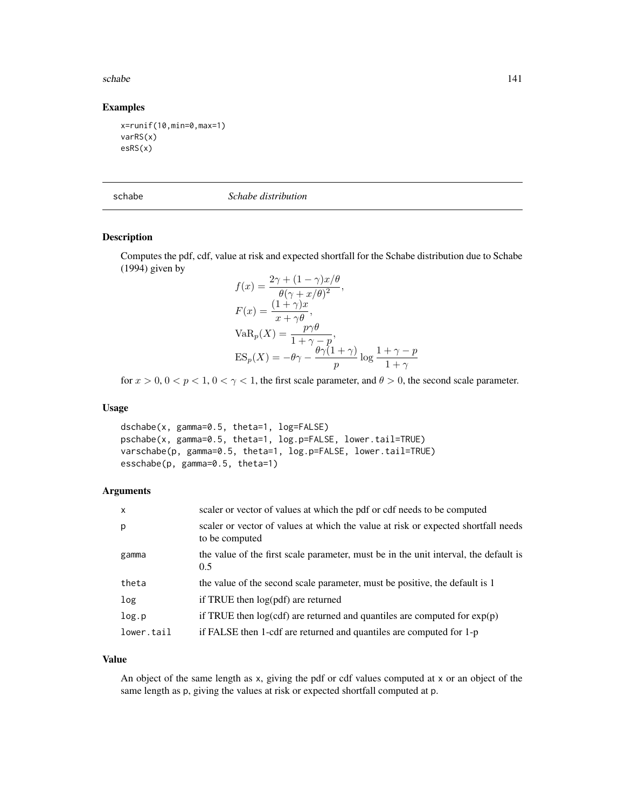#### schabe the state of the state of the state of the state of the state of the state of the state of the state of the state of the state of the state of the state of the state of the state of the state of the state of the sta

# Examples

```
x=runif(10,min=0,max=1)
varRS(x)
esRS(x)
```
schabe *Schabe distribution*

#### Description

Computes the pdf, cdf, value at risk and expected shortfall for the Schabe distribution due to Schabe (1994) given by  $f(x) = (1 - \gamma)x/\beta$ 

$$
f(x) = \frac{2\gamma + (1 - \gamma)x/\theta}{\theta(\gamma + x/\theta)^2},
$$
  
\n
$$
F(x) = \frac{(1 + \gamma)x}{x + \gamma\theta},
$$
  
\n
$$
VaR_p(X) = \frac{p\gamma\theta}{1 + \gamma - p},
$$
  
\n
$$
ES_p(X) = -\theta\gamma - \frac{\theta\gamma(1 + \gamma)}{p} \log \frac{1 + \gamma - p}{1 + \gamma}
$$

for  $x > 0$ ,  $0 < p < 1$ ,  $0 < \gamma < 1$ , the first scale parameter, and  $\theta > 0$ , the second scale parameter.

# Usage

dschabe(x, gamma=0.5, theta=1, log=FALSE) pschabe(x, gamma=0.5, theta=1, log.p=FALSE, lower.tail=TRUE) varschabe(p, gamma=0.5, theta=1, log.p=FALSE, lower.tail=TRUE) esschabe(p, gamma=0.5, theta=1)

## Arguments

| $\mathsf{x}$ | scaler or vector of values at which the pdf or cdf needs to be computed                             |
|--------------|-----------------------------------------------------------------------------------------------------|
| p            | scaler or vector of values at which the value at risk or expected shortfall needs<br>to be computed |
| gamma        | the value of the first scale parameter, must be in the unit interval, the default is<br>0.5         |
| theta        | the value of the second scale parameter, must be positive, the default is 1                         |
| log          | if TRUE then log(pdf) are returned                                                                  |
| log.p        | if TRUE then $log(cdf)$ are returned and quantiles are computed for $exp(p)$                        |
| lower.tail   | if FALSE then 1-cdf are returned and quantiles are computed for 1-p                                 |

#### Value

An object of the same length as x, giving the pdf or cdf values computed at x or an object of the same length as p, giving the values at risk or expected shortfall computed at p.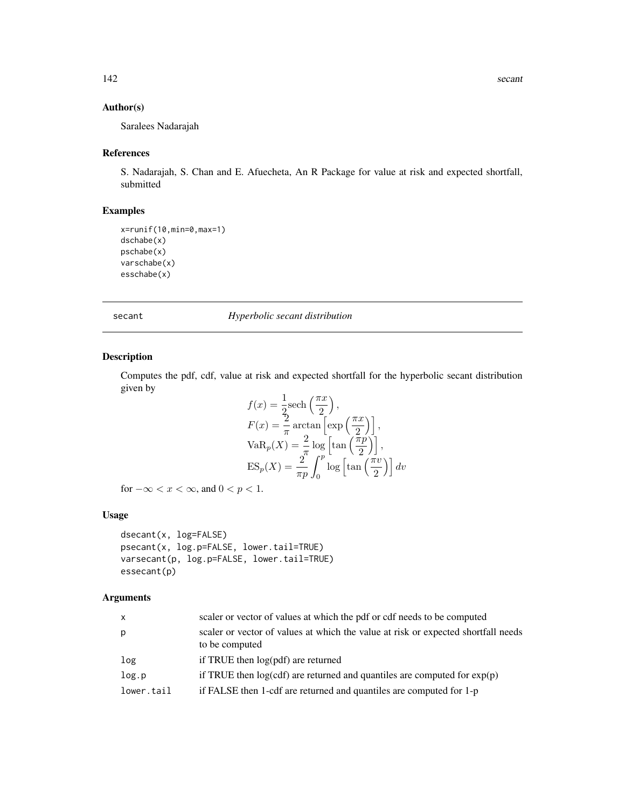# Author(s)

Saralees Nadarajah

#### References

S. Nadarajah, S. Chan and E. Afuecheta, An R Package for value at risk and expected shortfall, submitted

# Examples

```
x=runif(10,min=0,max=1)
dschabe(x)
pschabe(x)
varschabe(x)
esschabe(x)
```
secant *Hyperbolic secant distribution*

# Description

Computes the pdf, cdf, value at risk and expected shortfall for the hyperbolic secant distribution given by

$$
f(x) = \frac{1}{2}\text{sech}\left(\frac{\pi x}{2}\right),
$$
  
\n
$$
F(x) = \frac{2}{\pi}\arctan\left[\exp\left(\frac{\pi x}{2}\right)\right],
$$
  
\n
$$
\text{VaR}_p(X) = \frac{2}{\pi}\log\left[\tan\left(\frac{\pi p}{2}\right)\right],
$$
  
\n
$$
\text{ES}_p(X) = \frac{2}{\pi p}\int_0^p \log\left[\tan\left(\frac{\pi v}{2}\right)\right] dv
$$

for  $-\infty < x < \infty$ , and  $0 < p < 1$ .

# Usage

```
dsecant(x, log=FALSE)
psecant(x, log.p=FALSE, lower.tail=TRUE)
varsecant(p, log.p=FALSE, lower.tail=TRUE)
essecant(p)
```
#### Arguments

| $\mathsf{x}$ | scaler or vector of values at which the pdf or cdf needs to be computed                             |
|--------------|-----------------------------------------------------------------------------------------------------|
| p            | scaler or vector of values at which the value at risk or expected shortfall needs<br>to be computed |
| log          | if TRUE then log(pdf) are returned                                                                  |
| log.p        | if TRUE then $log(cdf)$ are returned and quantiles are computed for $exp(p)$                        |
| lower.tail   | if FALSE then 1-cdf are returned and quantiles are computed for 1-p                                 |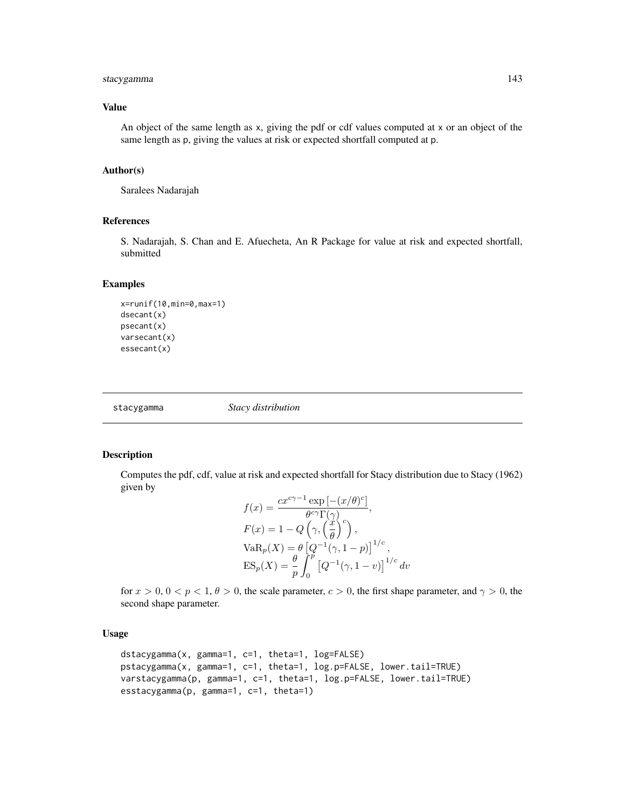# stacygamma 143

#### Value

An object of the same length as x, giving the pdf or cdf values computed at x or an object of the same length as p, giving the values at risk or expected shortfall computed at p.

#### Author(s)

Saralees Nadarajah

#### References

S. Nadarajah, S. Chan and E. Afuecheta, An R Package for value at risk and expected shortfall, submitted

#### Examples

```
x=runif(10,min=0,max=1)
dsecant(x)
psecant(x)
varsecant(x)
essecant(x)
```
stacygamma *Stacy distribution*

# Description

Computes the pdf, cdf, value at risk and expected shortfall for Stacy distribution due to Stacy (1962) given by

$$
f(x) = \frac{cx^{c\gamma - 1} \exp[-(x/\theta)^c]}{\theta^{c\gamma} \Gamma(\gamma)},
$$
  
\n
$$
F(x) = 1 - Q\left(\gamma, \left(\frac{x}{\theta}\right)^c\right),
$$
  
\n
$$
VaR_p(X) = \theta \left[Q^{-1}(\gamma, 1 - p)\right]^{1/c},
$$
  
\n
$$
ES_p(X) = \frac{\theta}{p} \int_0^p \left[Q^{-1}(\gamma, 1 - v)\right]^{1/c} dv
$$

for  $x > 0$ ,  $0 < p < 1$ ,  $\theta > 0$ , the scale parameter,  $c > 0$ , the first shape parameter, and  $\gamma > 0$ , the second shape parameter.

## Usage

```
dstacygamma(x, gamma=1, c=1, theta=1, log=FALSE)
pstacygamma(x, gamma=1, c=1, theta=1, log.p=FALSE, lower.tail=TRUE)
varstacygamma(p, gamma=1, c=1, theta=1, log.p=FALSE, lower.tail=TRUE)
esstacygamma(p, gamma=1, c=1, theta=1)
```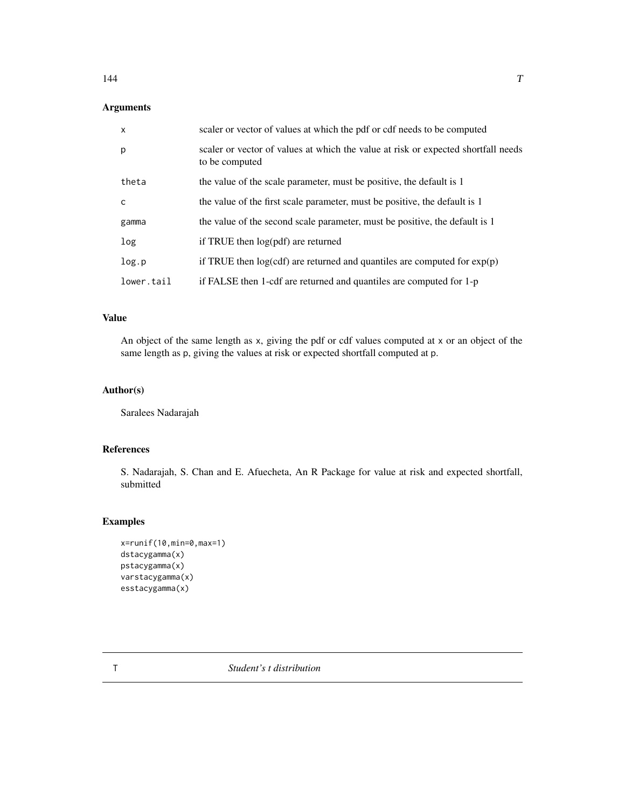# Arguments

| $\mathsf{x}$ | scaler or vector of values at which the pdf or cdf needs to be computed                             |
|--------------|-----------------------------------------------------------------------------------------------------|
| p            | scaler or vector of values at which the value at risk or expected shortfall needs<br>to be computed |
| theta        | the value of the scale parameter, must be positive, the default is 1                                |
| C            | the value of the first scale parameter, must be positive, the default is 1                          |
| gamma        | the value of the second scale parameter, must be positive, the default is 1                         |
| log          | if TRUE then log(pdf) are returned                                                                  |
| log.p        | if TRUE then $log(cdf)$ are returned and quantiles are computed for $exp(p)$                        |
| lower.tail   | if FALSE then 1-cdf are returned and quantiles are computed for 1-p                                 |

## Value

An object of the same length as x, giving the pdf or cdf values computed at x or an object of the same length as p, giving the values at risk or expected shortfall computed at p.

#### Author(s)

Saralees Nadarajah

## References

S. Nadarajah, S. Chan and E. Afuecheta, An R Package for value at risk and expected shortfall, submitted

# Examples

```
x=runif(10,min=0,max=1)
dstacygamma(x)
pstacygamma(x)
varstacygamma(x)
esstacygamma(x)
```
T *Student's t distribution*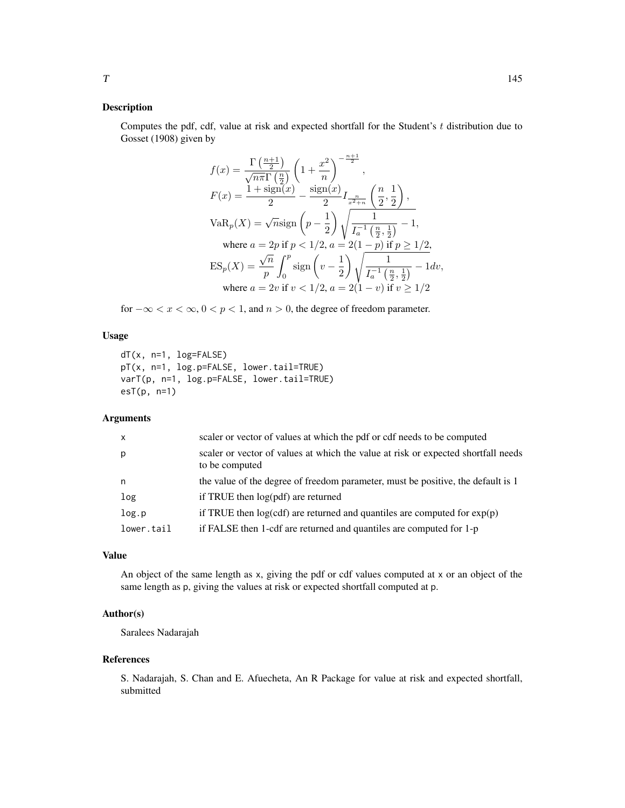#### Description

Computes the pdf, cdf, value at risk and expected shortfall for the Student's t distribution due to Gosset (1908) given by

$$
\begin{aligned} f(x) & = \frac{\Gamma\left(\frac{n+1}{2}\right)}{\sqrt{n\pi}\Gamma\left(\frac{n}{2}\right)} \left(1 + \frac{x^2}{n}\right)^{-\frac{n+1}{2}}, \\ F(x) & = \frac{1 + \text{sign}(x)}{2} - \frac{\text{sign}(x)}{2} I_{\frac{n}{x^2+n}} \left(\frac{n}{2}, \frac{1}{2}\right), \\ \text{VaR}_p(X) & = \sqrt{n}\text{sign}\left(p - \frac{1}{2}\right) \sqrt{\frac{1}{I_a^{-1}\left(\frac{n}{2}, \frac{1}{2}\right)}} - 1, \\ \text{where } a & = 2p \text{ if } p < 1/2, a = 2(1-p) \text{ if } p \ge 1/2, \\ \text{ES}_p(X) & = \frac{\sqrt{n}}{p} \int_0^p \text{sign}\left(v - \frac{1}{2}\right) \sqrt{\frac{1}{I_a^{-1}\left(\frac{n}{2}, \frac{1}{2}\right)}} - 1 dv, \\ \text{where } a & = 2v \text{ if } v < 1/2, a = 2(1-v) \text{ if } v \ge 1/2 \end{aligned}
$$

for  $-\infty < x < \infty$ ,  $0 < p < 1$ , and  $n > 0$ , the degree of freedom parameter.

#### Usage

```
dT(x, n=1, log=FALSE)
pT(x, n=1, log.p=FALSE, lower.tail=TRUE)
varT(p, n=1, log.p=FALSE, lower.tail=TRUE)
esT(p, n=1)
```
#### Arguments

| p<br>to be computed<br>the value of the degree of freedom parameter, must be positive, the default is 1<br>n<br>if TRUE then log(pdf) are returned<br>log<br>if TRUE then $log(cdf)$ are returned and quantiles are computed for $exp(p)$<br>log.p<br>if FALSE then 1-cdf are returned and quantiles are computed for 1-p<br>lower.tail | $\mathsf{x}$ | scaler or vector of values at which the pdf or cdf needs to be computed           |
|-----------------------------------------------------------------------------------------------------------------------------------------------------------------------------------------------------------------------------------------------------------------------------------------------------------------------------------------|--------------|-----------------------------------------------------------------------------------|
|                                                                                                                                                                                                                                                                                                                                         |              | scaler or vector of values at which the value at risk or expected shortfall needs |
|                                                                                                                                                                                                                                                                                                                                         |              |                                                                                   |
|                                                                                                                                                                                                                                                                                                                                         |              |                                                                                   |
|                                                                                                                                                                                                                                                                                                                                         |              |                                                                                   |
|                                                                                                                                                                                                                                                                                                                                         |              |                                                                                   |

#### Value

An object of the same length as x, giving the pdf or cdf values computed at x or an object of the same length as p, giving the values at risk or expected shortfall computed at p.

#### Author(s)

Saralees Nadarajah

#### References

S. Nadarajah, S. Chan and E. Afuecheta, An R Package for value at risk and expected shortfall, submitted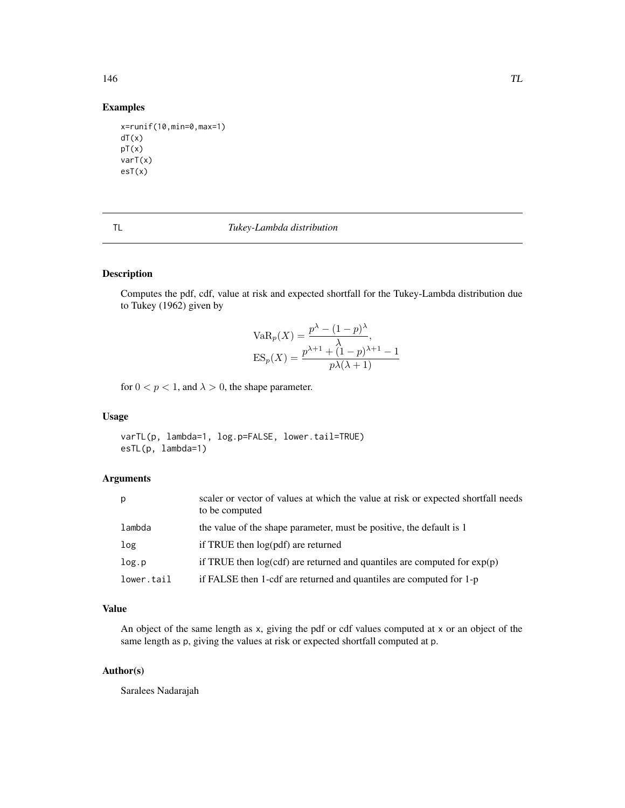#### Examples

```
x=runif(10,min=0,max=1)
dT(x)pT(x)
varT(x)
esT(x)
```

| ÷ |  |
|---|--|
|   |  |
|   |  |
|   |  |

#### TL *Tukey-Lambda distribution*

#### Description

Computes the pdf, cdf, value at risk and expected shortfall for the Tukey-Lambda distribution due to Tukey (1962) given by

VaR<sub>p</sub>(X) = 
$$
\frac{p^{\lambda} - (1 - p)^{\lambda}}{\lambda}
$$
,  
ES<sub>p</sub>(X) =  $\frac{p^{\lambda+1} + (1 - p)^{\lambda+1} - 1}{p\lambda(\lambda + 1)}$ 

for  $0 < p < 1$ , and  $\lambda > 0$ , the shape parameter.

#### Usage

varTL(p, lambda=1, log.p=FALSE, lower.tail=TRUE) esTL(p, lambda=1)

#### Arguments

| p          | scaler or vector of values at which the value at risk or expected shortfall needs<br>to be computed |
|------------|-----------------------------------------------------------------------------------------------------|
| lambda     | the value of the shape parameter, must be positive, the default is 1                                |
| Log        | if TRUE then log(pdf) are returned                                                                  |
| log.p      | if TRUE then $log(cd)$ are returned and quantiles are computed for $exp(p)$                         |
| lower.tail | if FALSE then 1-cdf are returned and quantiles are computed for 1-p                                 |

### Value

An object of the same length as x, giving the pdf or cdf values computed at x or an object of the same length as p, giving the values at risk or expected shortfall computed at p.

#### Author(s)

Saralees Nadarajah

#### <span id="page-145-0"></span>146 TL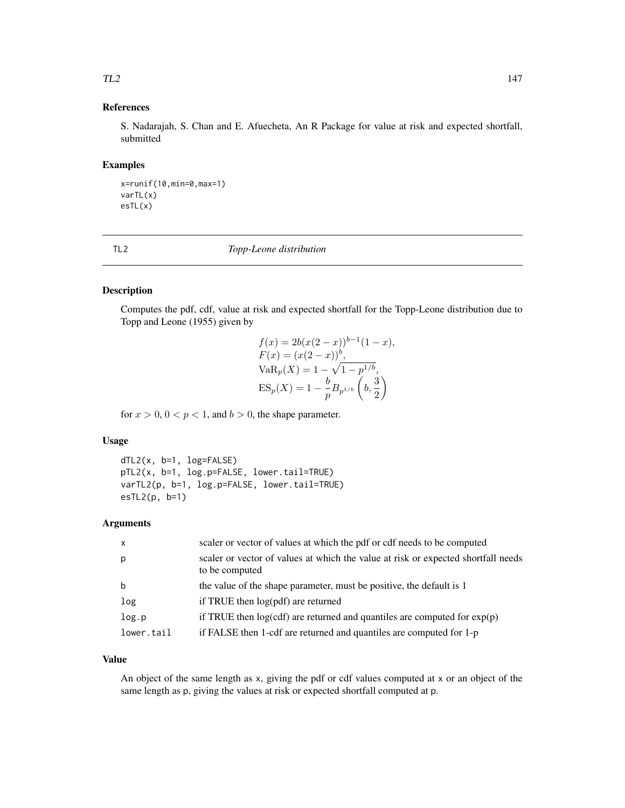## <span id="page-146-0"></span>References

S. Nadarajah, S. Chan and E. Afuecheta, An R Package for value at risk and expected shortfall, submitted

#### Examples

```
x=runif(10,min=0,max=1)
varTL(x)
esTL(x)
```
TL2 *Topp-Leone distribution*

#### Description

Computes the pdf, cdf, value at risk and expected shortfall for the Topp-Leone distribution due to Topp and Leone (1955) given by

$$
f(x) = 2b(x(2 - x))^{b-1}(1 - x),
$$
  
\n
$$
F(x) = (x(2 - x))^{b},
$$
  
\n
$$
VaR_p(X) = 1 - \sqrt{1 - p^{1/b}},
$$
  
\n
$$
ES_p(X) = 1 - \frac{b}{p}B_{p^{1/b}}\left(b, \frac{3}{2}\right)
$$

for  $x > 0$ ,  $0 < p < 1$ , and  $b > 0$ , the shape parameter.

#### Usage

```
dTL2(x, b=1, log=FALSE)
pTL2(x, b=1, log.p=FALSE, lower.tail=TRUE)
varTL2(p, b=1, log.p=FALSE, lower.tail=TRUE)
esTL2(p, b=1)
```
#### Arguments

| $\mathsf{x}$ | scaler or vector of values at which the pdf or cdf needs to be computed                             |
|--------------|-----------------------------------------------------------------------------------------------------|
| p            | scaler or vector of values at which the value at risk or expected shortfall needs<br>to be computed |
| b            | the value of the shape parameter, must be positive, the default is 1                                |
| log          | if TRUE then log(pdf) are returned                                                                  |
| log.p        | if TRUE then $log(cdf)$ are returned and quantiles are computed for $exp(p)$                        |
| lower.tail   | if FALSE then 1-cdf are returned and quantiles are computed for 1-p                                 |

#### Value

An object of the same length as x, giving the pdf or cdf values computed at x or an object of the same length as p, giving the values at risk or expected shortfall computed at p.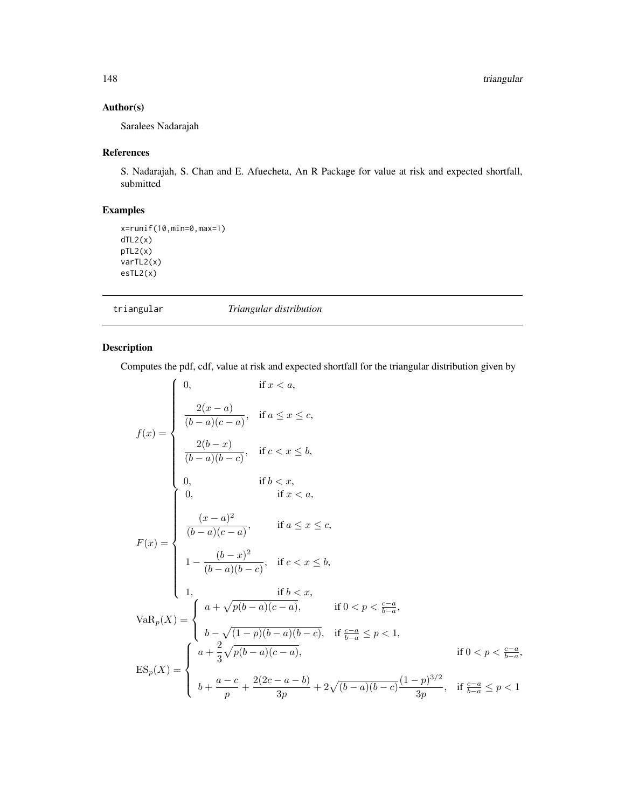### <span id="page-147-0"></span>Author(s)

Saralees Nadarajah

#### References

S. Nadarajah, S. Chan and E. Afuecheta, An R Package for value at risk and expected shortfall, submitted

#### Examples

x=runif(10,min=0,max=1)  $dTL2(x)$ pTL2(x) varTL2(x) esTL2(x)

 $\overline{\phantom{a}}$ 

|  | Triangular distribution | triangular |
|--|-------------------------|------------|
|--|-------------------------|------------|

### Description

Computes the pdf, cdf, value at risk and expected shortfall for the triangular distribution given by

$$
f(x) = \begin{cases} 0, & \text{if } x < a, \\ \frac{2(x-a)}{(b-a)(c-a)}, & \text{if } a \leq x \leq c, \\ \frac{2(b-x)}{(b-a)(b-c)}, & \text{if } c < x \leq b, \\ 0, & \text{if } b < x, \\ 0, & \text{if } x < a, \end{cases}
$$
  

$$
F(x) = \begin{cases} \frac{(x-a)^2}{(b-a)(c-a)}, & \text{if } a \leq x \leq c, \\ 1 - \frac{(b-x)^2}{(b-a)(b-c)}, & \text{if } c < x \leq b, \\ 1, & \text{if } b < x, \\ 1, & \text{if } b < x, \\ 1, & \text{if } b < x, \\ 1, & \text{if } b < x, \\ 1 - \sqrt{(b-a)(b-a)(c-a)}, & \text{if } 0 < p < \frac{c-a}{b-a}, \\ b - \sqrt{(1-p)(b-a)(b-c)}, & \text{if } \frac{c-a}{b-a} \leq p < 1, \\ b - \sqrt{(1-p)(b-a)(c-a)}, & \text{if } 0 < p < \frac{c-a}{b-a}, \\ b + \frac{a-c}{p} + \frac{2(2c-a-b)}{3p} + 2\sqrt{(b-a)(b-c)} \frac{(1-p)^{3/2}}{3p}, & \text{if } \frac{c-a}{b-a} \leq p < 1 \end{cases}
$$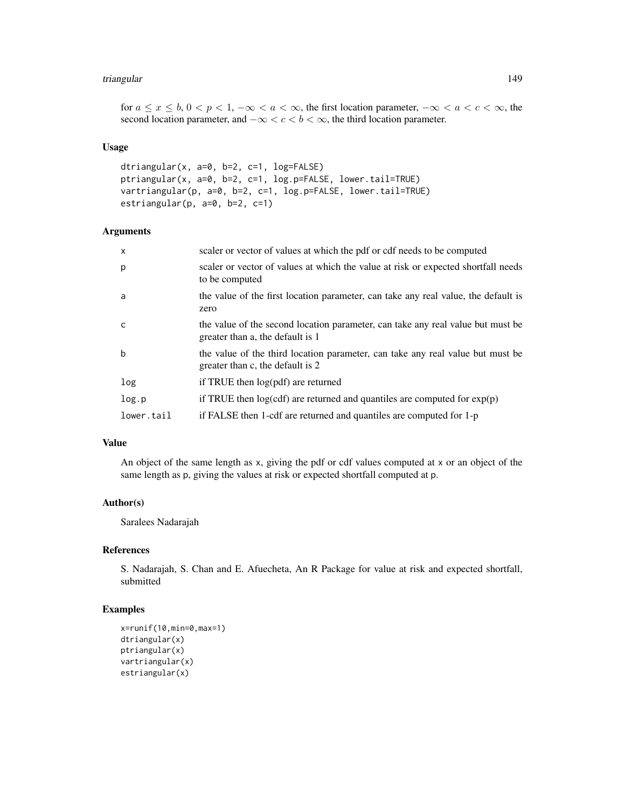#### triangular 149

for  $a \leq x \leq b$ ,  $0 < p < 1$ ,  $-\infty < a < \infty$ , the first location parameter,  $-\infty < a < c < \infty$ , the second location parameter, and  $-\infty < c < b < \infty$ , the third location parameter.

#### Usage

```
dtriangular(x, a=0, b=2, c=1, log=FALSE)
ptriangular(x, a=0, b=2, c=1, log.p=FALSE, lower.tail=TRUE)
vartriangular(p, a=0, b=2, c=1, log.p=FALSE, lower.tail=TRUE)
estriangular(p, a=0, b=2, c=1)
```
#### **Arguments**

| $\mathsf{x}$ | scaler or vector of values at which the pdf or cdf needs to be computed                                             |
|--------------|---------------------------------------------------------------------------------------------------------------------|
| p            | scaler or vector of values at which the value at risk or expected shortfall needs<br>to be computed                 |
| a            | the value of the first location parameter, can take any real value, the default is<br>zero                          |
| c.           | the value of the second location parameter, can take any real value but must be<br>greater than a, the default is 1 |
| $\mathbf b$  | the value of the third location parameter, can take any real value but must be<br>greater than c, the default is 2  |
| log          | if TRUE then log(pdf) are returned                                                                                  |
| log.p        | if TRUE then $log(cdf)$ are returned and quantiles are computed for $exp(p)$                                        |
| lower.tail   | if FALSE then 1-cdf are returned and quantiles are computed for 1-p                                                 |

#### Value

An object of the same length as x, giving the pdf or cdf values computed at x or an object of the same length as p, giving the values at risk or expected shortfall computed at p.

#### Author(s)

Saralees Nadarajah

#### References

S. Nadarajah, S. Chan and E. Afuecheta, An R Package for value at risk and expected shortfall, submitted

#### Examples

```
x=runif(10,min=0,max=1)
dtriangular(x)
ptriangular(x)
vartriangular(x)
estriangular(x)
```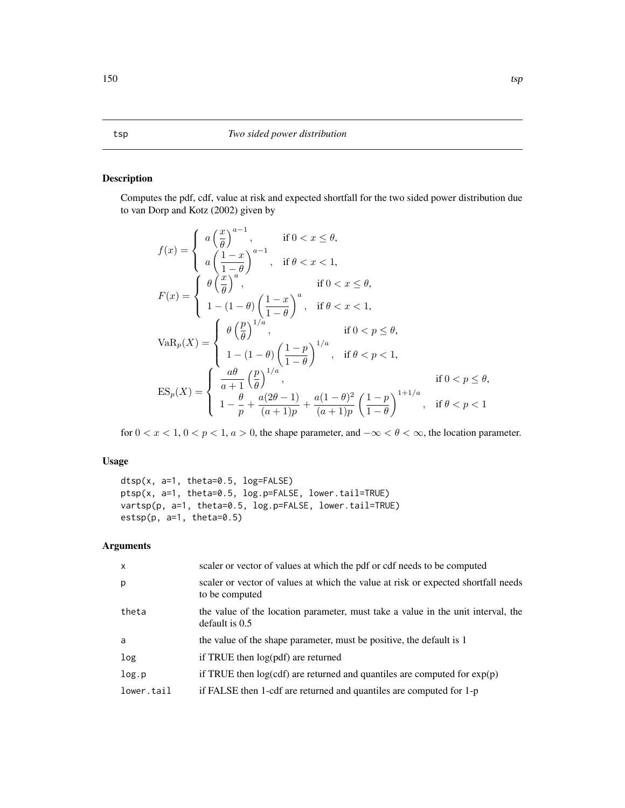#### <span id="page-149-0"></span>Description

Computes the pdf, cdf, value at risk and expected shortfall for the two sided power distribution due to van Dorp and Kotz (2002) given by

$$
f(x) = \begin{cases} a\left(\frac{x}{\theta}\right)^{a-1}, & \text{if } 0 < x \leq \theta, \\ a\left(\frac{1-x}{1-\theta}\right)^{a-1}, & \text{if } \theta < x < 1, \\ \theta\left(\frac{x}{\theta}\right)^{a}, & \text{if } 0 < x \leq \theta, \\ 1 - (1-\theta)\left(\frac{1-x}{1-\theta}\right)^{a}, & \text{if } \theta < x < 1, \end{cases}
$$
\n
$$
\text{VaR}_{p}(X) = \begin{cases} \theta\left(\frac{p}{\theta}\right)^{1/a}, & \text{if } 0 < p \leq \theta, \\ 1 - (1-\theta)\left(\frac{1-p}{1-\theta}\right)^{1/a}, & \text{if } \theta < p < 1, \\ 1 - (1-\theta)\left(\frac{1-p}{1-\theta}\right)^{1/a}, & \text{if } \theta < p < 1, \\ \frac{a\theta}{a+1}\left(\frac{p}{\theta}\right)^{1/a}, & \text{if } 0 < p \leq \theta, \\ 1 - \frac{\theta}{p} + \frac{a(2\theta-1)}{(a+1)p} + \frac{a(1-\theta)^{2}}{(a+1)p} \left(\frac{1-p}{1-\theta}\right)^{1+1/a}, & \text{if } \theta < p < 1 \end{cases}
$$

for  $0 < x < 1$ ,  $0 < p < 1$ ,  $a > 0$ , the shape parameter, and  $-\infty < \theta < \infty$ , the location parameter.

### Usage

```
dtsp(x, a=1, theta=0.5, log=FALSE)
ptsp(x, a=1, theta=0.5, log.p=FALSE, lower.tail=TRUE)
vartsp(p, a=1, theta=0.5, log.p=FALSE, lower.tail=TRUE)
estsp(p, a=1, theta=0.5)
```
### Arguments

| $\mathsf{x}$ | scaler or vector of values at which the pdf or cdf needs to be computed                              |
|--------------|------------------------------------------------------------------------------------------------------|
| p            | scaler or vector of values at which the value at risk or expected shortfall needs<br>to be computed  |
| theta        | the value of the location parameter, must take a value in the unit interval, the<br>default is $0.5$ |
| a            | the value of the shape parameter, must be positive, the default is 1                                 |
| log          | if TRUE then $log(pdf)$ are returned                                                                 |
| log.p        | if TRUE then $log(cd)$ are returned and quantiles are computed for $exp(p)$                          |
| lower.tail   | if FALSE then 1-cdf are returned and quantiles are computed for 1-p                                  |
|              |                                                                                                      |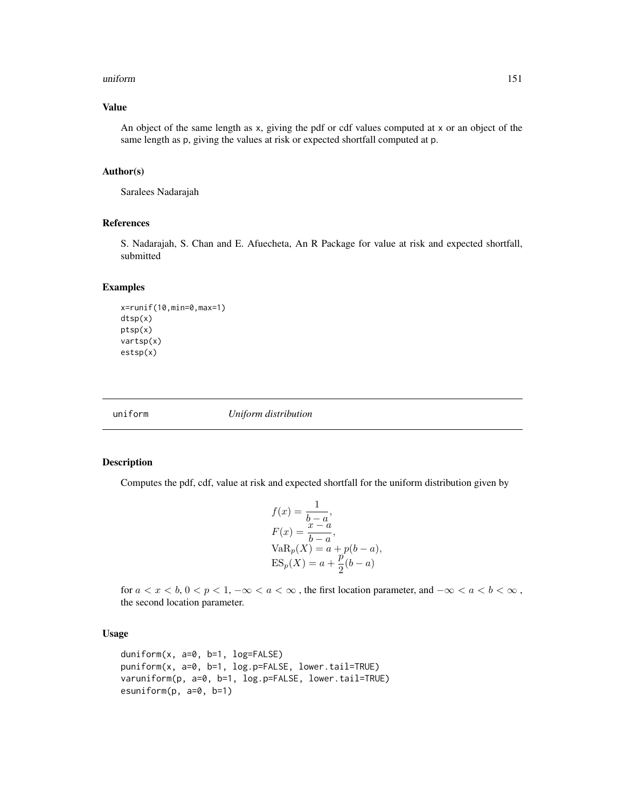#### <span id="page-150-0"></span>uniform 151

#### Value

An object of the same length as x, giving the pdf or cdf values computed at x or an object of the same length as p, giving the values at risk or expected shortfall computed at p.

#### Author(s)

Saralees Nadarajah

#### References

S. Nadarajah, S. Chan and E. Afuecheta, An R Package for value at risk and expected shortfall, submitted

#### Examples

```
x=runif(10,min=0,max=1)
dtsp(x)
ptsp(x)
vartsp(x)
estsp(x)
```
uniform *Uniform distribution*

#### Description

Computes the pdf, cdf, value at risk and expected shortfall for the uniform distribution given by

$$
f(x) = \frac{1}{b-a},
$$
  
\n
$$
F(x) = \frac{x-a}{b-a},
$$
  
\n
$$
VaRp(X) = a + p(b-a),
$$
  
\n
$$
ESp(X) = a + \frac{p}{2}(b-a)
$$

for  $a < x < b$ ,  $0 < p < 1$ ,  $-\infty < a < \infty$ , the first location parameter, and  $-\infty < a < b < \infty$ , the second location parameter.

#### Usage

```
duniform(x, a=0, b=1, log=FALSE)
puniform(x, a=0, b=1, log.p=FALSE, lower.tail=TRUE)
varuniform(p, a=0, b=1, log.p=FALSE, lower.tail=TRUE)
esuniform(p, a=0, b=1)
```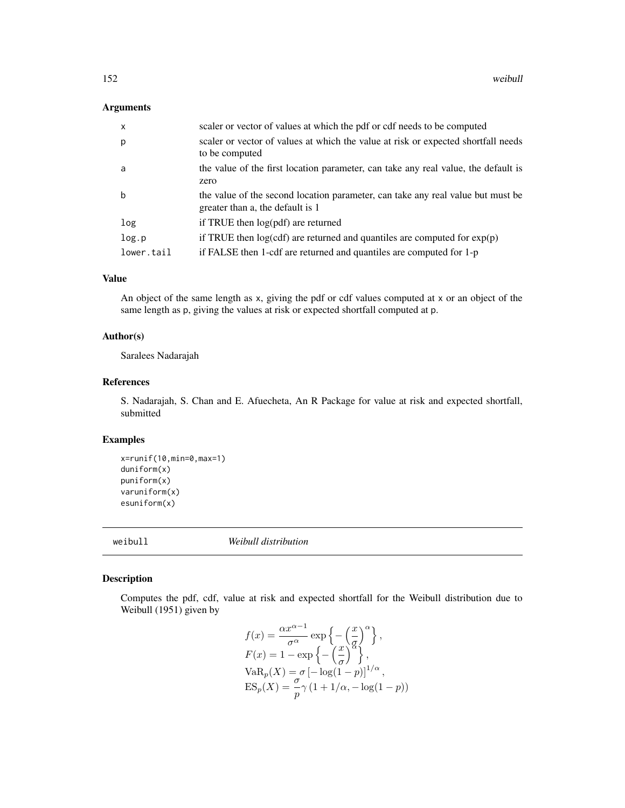#### <span id="page-151-0"></span>Arguments

| $\mathsf{x}$ | scaler or vector of values at which the pdf or cdf needs to be computed                                             |
|--------------|---------------------------------------------------------------------------------------------------------------------|
| p            | scaler or vector of values at which the value at risk or expected shortfall needs<br>to be computed                 |
| a            | the value of the first location parameter, can take any real value, the default is<br>zero                          |
| b            | the value of the second location parameter, can take any real value but must be<br>greater than a, the default is 1 |
| log          | if TRUE then log(pdf) are returned                                                                                  |
| log.p        | if TRUE then $log(cdf)$ are returned and quantiles are computed for $exp(p)$                                        |
| lower.tail   | if FALSE then 1-cdf are returned and quantiles are computed for 1-p                                                 |

#### Value

An object of the same length as x, giving the pdf or cdf values computed at x or an object of the same length as p, giving the values at risk or expected shortfall computed at p.

#### Author(s)

Saralees Nadarajah

#### References

S. Nadarajah, S. Chan and E. Afuecheta, An R Package for value at risk and expected shortfall, submitted

#### Examples

```
x=runif(10,min=0,max=1)
duniform(x)
puniform(x)
varuniform(x)
esuniform(x)
```
weibull *Weibull distribution*

#### Description

Computes the pdf, cdf, value at risk and expected shortfall for the Weibull distribution due to Weibull (1951) given by

$$
f(x) = \frac{\alpha x^{\alpha - 1}}{\sigma^{\alpha}} \exp\left\{-\left(\frac{x}{\sigma}\right)^{\alpha}\right\},
$$
  
\n
$$
F(x) = 1 - \exp\left\{-\left(\frac{x}{\sigma}\right)^{\alpha}\right\},
$$
  
\n
$$
VaR_p(X) = \sigma \left[-\log(1 - p)\right]^{1/\alpha},
$$
  
\n
$$
ES_p(X) = \frac{\sigma}{p} \gamma \left(1 + 1/\alpha, -\log(1 - p)\right)
$$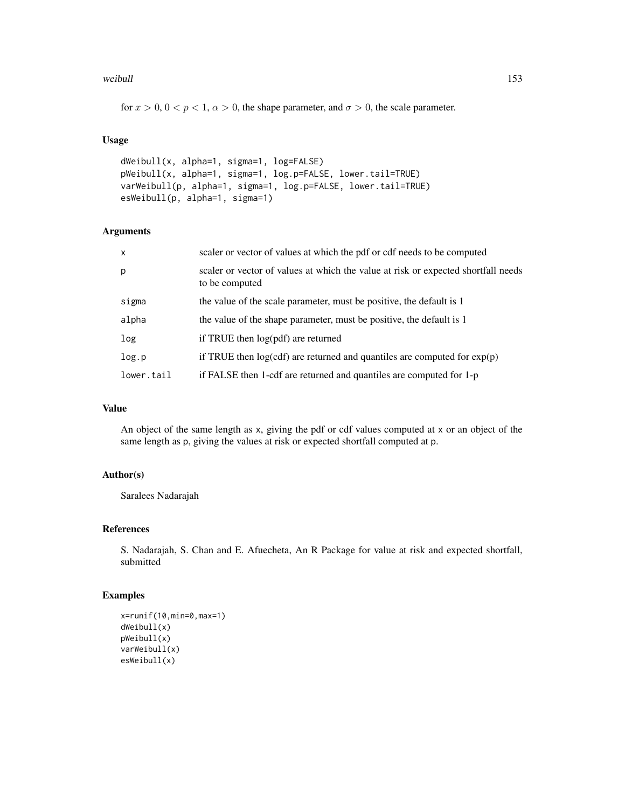#### weibull and the contract of the contract of the contract of the contract of the contract of the contract of the contract of the contract of the contract of the contract of the contract of the contract of the contract of th

for  $x > 0$ ,  $0 < p < 1$ ,  $\alpha > 0$ , the shape parameter, and  $\sigma > 0$ , the scale parameter.

#### Usage

```
dWeibull(x, alpha=1, sigma=1, log=FALSE)
pWeibull(x, alpha=1, sigma=1, log.p=FALSE, lower.tail=TRUE)
varWeibull(p, alpha=1, sigma=1, log.p=FALSE, lower.tail=TRUE)
esWeibull(p, alpha=1, sigma=1)
```
### Arguments

| $\mathsf{x}$ | scaler or vector of values at which the pdf or cdf needs to be computed                             |
|--------------|-----------------------------------------------------------------------------------------------------|
| p            | scaler or vector of values at which the value at risk or expected shortfall needs<br>to be computed |
| sigma        | the value of the scale parameter, must be positive, the default is 1                                |
| alpha        | the value of the shape parameter, must be positive, the default is 1                                |
| log          | if TRUE then log(pdf) are returned                                                                  |
| log.p        | if TRUE then $log(cdf)$ are returned and quantiles are computed for $exp(p)$                        |
| lower.tail   | if FALSE then 1-cdf are returned and quantiles are computed for 1-p                                 |

### Value

An object of the same length as x, giving the pdf or cdf values computed at x or an object of the same length as p, giving the values at risk or expected shortfall computed at p.

#### Author(s)

Saralees Nadarajah

#### References

S. Nadarajah, S. Chan and E. Afuecheta, An R Package for value at risk and expected shortfall, submitted

#### Examples

```
x=runif(10,min=0,max=1)
dWeibull(x)
pWeibull(x)
varWeibull(x)
esWeibull(x)
```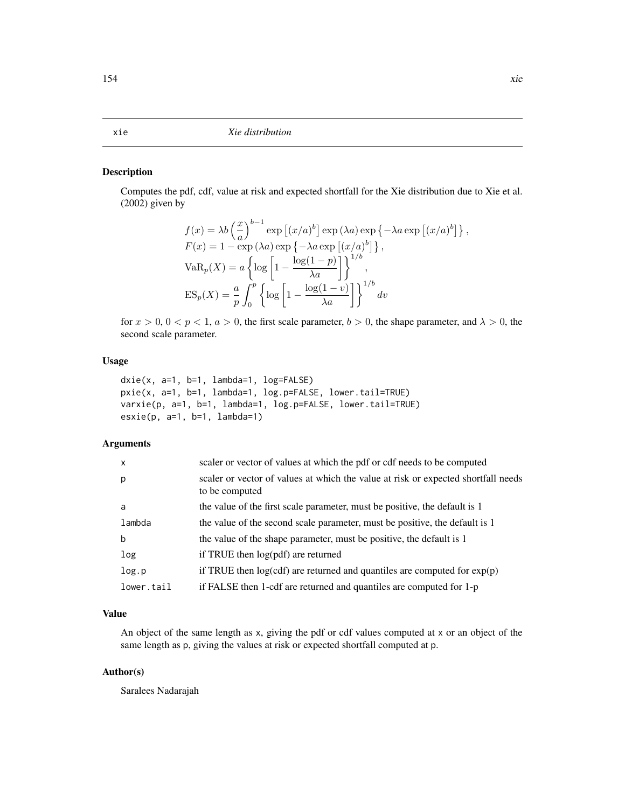#### <span id="page-153-0"></span>xie *Xie distribution*

#### Description

Computes the pdf, cdf, value at risk and expected shortfall for the Xie distribution due to Xie et al. (2002) given by

$$
f(x) = \lambda b \left(\frac{x}{a}\right)^{b-1} \exp\left[(x/a)^b\right] \exp\left(\lambda a\right) \exp\left\{-\lambda a \exp\left[(x/a)^b\right]\right\},
$$
  
\n
$$
F(x) = 1 - \exp\left(\lambda a\right) \exp\left\{-\lambda a \exp\left[(x/a)^b\right]\right\},
$$
  
\n
$$
VaR_p(X) = a \left\{\log\left[1 - \frac{\log(1-p)}{\lambda a}\right]\right\}^{1/b},
$$
  
\n
$$
ES_p(X) = \frac{a}{p} \int_0^p \left\{\log\left[1 - \frac{\log(1-v)}{\lambda a}\right]\right\}^{1/b} dv
$$

for  $x > 0$ ,  $0 < p < 1$ ,  $a > 0$ , the first scale parameter,  $b > 0$ , the shape parameter, and  $\lambda > 0$ , the second scale parameter.

#### Usage

```
dxie(x, a=1, b=1, lambda=1, log=FALSE)
pxie(x, a=1, b=1, lambda=1, log.p=FALSE, lower.tail=TRUE)
varxie(p, a=1, b=1, lambda=1, log.p=FALSE, lower.tail=TRUE)
exist(p, a=1, b=1, lambda=1)
```
#### Arguments

| $\mathsf{x}$ | scaler or vector of values at which the pdf or cdf needs to be computed                             |
|--------------|-----------------------------------------------------------------------------------------------------|
| p            | scaler or vector of values at which the value at risk or expected shortfall needs<br>to be computed |
| a            | the value of the first scale parameter, must be positive, the default is 1                          |
| lambda       | the value of the second scale parameter, must be positive, the default is 1                         |
| b            | the value of the shape parameter, must be positive, the default is 1                                |
| log          | if TRUE then $log(pdf)$ are returned                                                                |
| log.p        | if TRUE then $log(cdf)$ are returned and quantiles are computed for $exp(p)$                        |
| lower.tail   | if FALSE then 1-cdf are returned and quantiles are computed for 1-p                                 |

#### Value

An object of the same length as x, giving the pdf or cdf values computed at x or an object of the same length as p, giving the values at risk or expected shortfall computed at p.

#### Author(s)

Saralees Nadarajah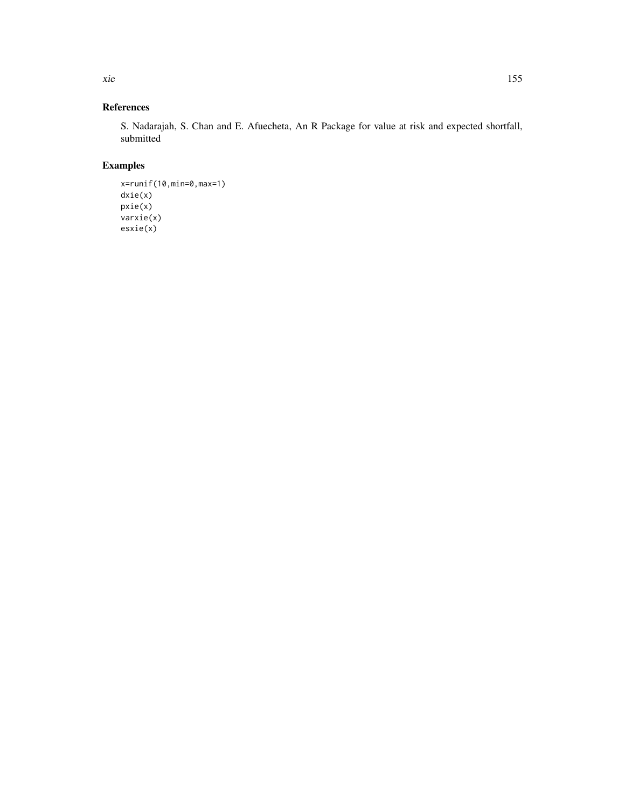References

S. Nadarajah, S. Chan and E. Afuecheta, An R Package for value at risk and expected shortfall, submitted

### Examples

```
x=runif(10,min=0,max=1)
dxie(x)
pxie(x)
varxie(x)
esxie(x)
```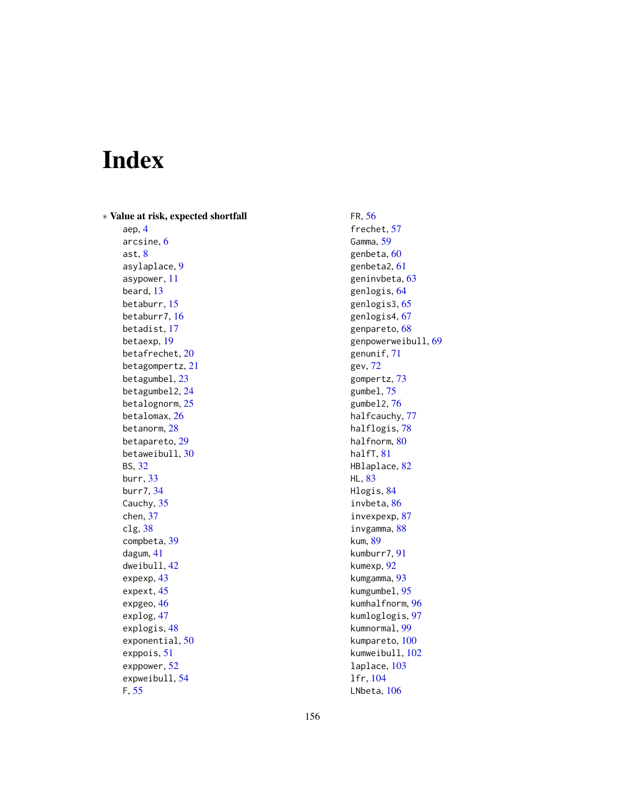# Index

∗ Value at risk, expected shortfall aep, [4](#page-3-0)

arcsine, [6](#page-5-0) ast, [8](#page-7-0) asylaplace, [9](#page-8-0) asypower, [11](#page-10-0) beard, [13](#page-12-0) betaburr, [15](#page-14-0) betaburr7, [16](#page-15-0) betadist, [17](#page-16-0) betaexp, [19](#page-18-0) betafrechet, [20](#page-19-0) betagompertz, [21](#page-20-0) betagumbel, [23](#page-22-0) betagumbel2, [24](#page-23-0) betalognorm, [25](#page-24-0) betalomax, [26](#page-25-0) betanorm, [28](#page-27-0) betapareto, [29](#page-28-0) betaweibull, [30](#page-29-0) BS, [32](#page-31-0) burr, [33](#page-32-0) burr7, [34](#page-33-0) Cauchy, [35](#page-34-0) chen, [37](#page-36-0) clg, [38](#page-37-0) compbeta, [39](#page-38-0) dagum, [41](#page-40-0) dweibull, [42](#page-41-0) expexp, [43](#page-42-0) expext, [45](#page-44-0) expgeo, [46](#page-45-0) explog, [47](#page-46-0) explogis, [48](#page-47-0) exponential, [50](#page-49-0) exppois, [51](#page-50-0) exppower, [52](#page-51-0) expweibull, [54](#page-53-0) F, [55](#page-54-0)

FR, [56](#page-55-0) frechet, [57](#page-56-0) Gamma, [59](#page-58-0) genbeta, [60](#page-59-0) genbeta2, [61](#page-60-0) geninvbeta, [63](#page-62-0) genlogis, [64](#page-63-0) genlogis3, [65](#page-64-0) genlogis4, [67](#page-66-0) genpareto, [68](#page-67-0) genpowerweibull, [69](#page-68-0) genunif, [71](#page-70-0) gev, [72](#page-71-0) gompertz, [73](#page-72-0) gumbel, [75](#page-74-0) gumbel2, [76](#page-75-0) halfcauchy, [77](#page-76-0) halflogis, [78](#page-77-0) halfnorm, [80](#page-79-0) halfT, [81](#page-80-0) HBlaplace, [82](#page-81-0) HL, [83](#page-82-0) Hlogis, [84](#page-83-0) invbeta, [86](#page-85-0) invexpexp, [87](#page-86-0) invgamma, [88](#page-87-0) kum, [89](#page-88-0) kumburr7, [91](#page-90-0) kumexp, [92](#page-91-0) kumgamma, [93](#page-92-0) kumgumbel, [95](#page-94-0) kumhalfnorm, [96](#page-95-0) kumloglogis, [97](#page-96-0) kumnormal, [99](#page-98-0) kumpareto, [100](#page-99-0) kumweibull, [102](#page-101-0) laplace, [103](#page-102-0) lfr, [104](#page-103-0) LNbeta, [106](#page-105-0)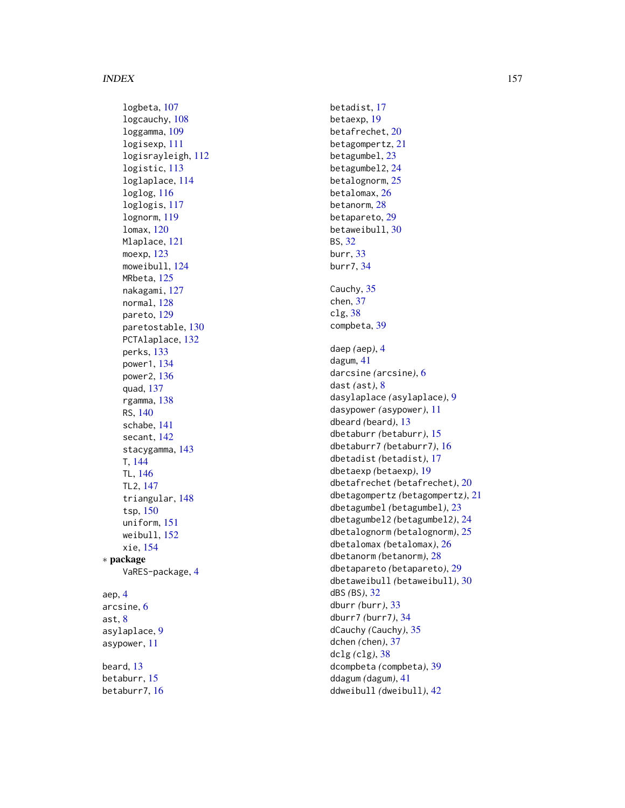logbeta , [107](#page-106-0) logcauchy , [108](#page-107-0) loggamma , [109](#page-108-0) logisexp , [111](#page-110-0) logisrayleigh , [112](#page-111-0) logistic , [113](#page-112-0) loglaplace , [114](#page-113-0) loglog , [116](#page-115-0) loglogis , [117](#page-116-0) lognorm , [119](#page-118-0) lomax , [120](#page-119-0) Mlaplace , [121](#page-120-0) moexp , [123](#page-122-0) moweibull , [124](#page-123-0) MRbeta , [125](#page-124-0) nakagami , [127](#page-126-0) normal, [128](#page-127-0) pareto , [129](#page-128-0) paretostable , [130](#page-129-0) PCTAlaplace, [132](#page-131-0) perks , [133](#page-132-0) power1 , [134](#page-133-0) power2 , [136](#page-135-0) quad , [137](#page-136-0) rgamma , [138](#page-137-0) RS , [140](#page-139-0) schabe , [141](#page-140-0) secant, [142](#page-141-0) stacygamma, [143](#page-142-0) T , [144](#page-143-0) TL , [146](#page-145-0) TL2 , [147](#page-146-0) triangular , [148](#page-147-0) tsp , [150](#page-149-0) uniform , [151](#page-150-0) weibull , [152](#page-151-0) xie , [154](#page-153-0) ∗ package VaRES-package , [4](#page-3-0) aep , [4](#page-3-0) arcsine , [6](#page-5-0) ast , [8](#page-7-0) asylaplace , [9](#page-8-0) asypower , [11](#page-10-0) beard , [13](#page-12-0) betaburr , [15](#page-14-0)

betaburr7 , [16](#page-15-0)

betadist , [17](#page-16-0) betaexp , [19](#page-18-0) betafrechet , [20](#page-19-0) betagompertz , [21](#page-20-0) betagumbel , [23](#page-22-0) betagumbel2, [24](#page-23-0) betalognorm, [25](#page-24-0) betalomax , [26](#page-25-0) betanorm , [28](#page-27-0) betapareto , [29](#page-28-0) betaweibull , [30](#page-29-0) BS , [32](#page-31-0) burr , [33](#page-32-0) burr7 , [34](#page-33-0) Cauchy, [35](#page-34-0) chen , [37](#page-36-0) clg , [38](#page-37-0) compbeta , [39](#page-38-0) daep *(*aep *)* , [4](#page-3-0) dagum , [41](#page-40-0) darcsine *(*arcsine *)* , [6](#page-5-0) dast *(*ast *)* , [8](#page-7-0) dasylaplace *(*asylaplace *)* , [9](#page-8-0) dasypower *(*asypower *)* , [11](#page-10-0) dbeard *(*beard *)* , [13](#page-12-0) dbetaburr *(*betaburr *)* , [15](#page-14-0) dbetaburr7 *(*betaburr7 *)* , [16](#page-15-0) dbetadist *(*betadist *)* , [17](#page-16-0) dbetaexp *(*betaexp *)* , [19](#page-18-0) dbetafrechet *(*betafrechet *)* , [20](#page-19-0) dbetagompertz *(*betagompertz *)* , [21](#page-20-0) dbetagumbel *(*betagumbel *)* , [23](#page-22-0) dbetagumbel2 *(*betagumbel2 *)* , [24](#page-23-0) dbetalognorm *(*betalognorm *)* , [25](#page-24-0) dbetalomax *(*betalomax *)* , [26](#page-25-0) dbetanorm *(*betanorm *)* , [28](#page-27-0) dbetapareto *(*betapareto *)* , [29](#page-28-0) dbetaweibull *(*betaweibull *)* , [30](#page-29-0) dBS *(*BS *)* , [32](#page-31-0) dburr *(*burr *)* , [33](#page-32-0) dburr7 *(*burr7 *)* , [34](#page-33-0) dCauchy *(*Cauchy *)* , [35](#page-34-0) dchen *(*chen *)* , [37](#page-36-0) dclg *(*clg *)* , [38](#page-37-0) dcompbeta *(*compbeta *)* , [39](#page-38-0) ddagum *(*dagum *)* , [41](#page-40-0) ddweibull *(*dweibull *)* , [42](#page-41-0)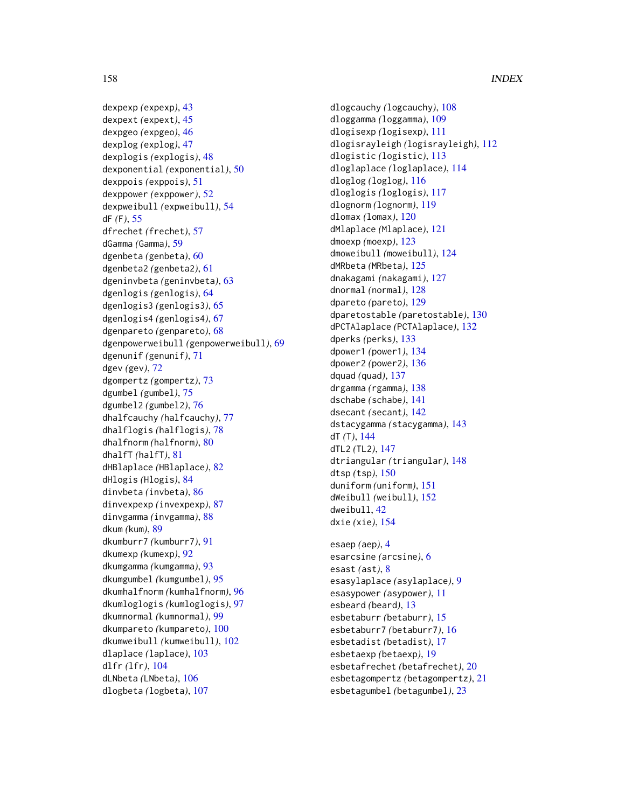dexpexp *(*expexp*)*, [43](#page-42-0) dexpext *(*expext*)*, [45](#page-44-0) dexpgeo *(*expgeo*)*, [46](#page-45-0) dexplog *(*explog*)*, [47](#page-46-0) dexplogis *(*explogis*)*, [48](#page-47-0) dexponential *(*exponential*)*, [50](#page-49-0) dexppois *(*exppois*)*, [51](#page-50-0) dexppower *(*exppower*)*, [52](#page-51-0) dexpweibull *(*expweibull*)*, [54](#page-53-0) dF *(*F*)*, [55](#page-54-0) dfrechet *(*frechet*)*, [57](#page-56-0) dGamma *(*Gamma*)*, [59](#page-58-0) dgenbeta *(*genbeta*)*, [60](#page-59-0) dgenbeta2 *(*genbeta2*)*, [61](#page-60-0) dgeninvbeta *(*geninvbeta*)*, [63](#page-62-0) dgenlogis *(*genlogis*)*, [64](#page-63-0) dgenlogis3 *(*genlogis3*)*, [65](#page-64-0) dgenlogis4 *(*genlogis4*)*, [67](#page-66-0) dgenpareto *(*genpareto*)*, [68](#page-67-0) dgenpowerweibull *(*genpowerweibull*)*, [69](#page-68-0) dgenunif *(*genunif*)*, [71](#page-70-0) dgev *(*gev*)*, [72](#page-71-0) dgompertz *(*gompertz*)*, [73](#page-72-0) dgumbel *(*gumbel*)*, [75](#page-74-0) dgumbel2 *(*gumbel2*)*, [76](#page-75-0) dhalfcauchy *(*halfcauchy*)*, [77](#page-76-0) dhalflogis *(*halflogis*)*, [78](#page-77-0) dhalfnorm *(*halfnorm*)*, [80](#page-79-0) dhalfT *(*halfT*)*, [81](#page-80-0) dHBlaplace *(*HBlaplace*)*, [82](#page-81-0) dHlogis *(*Hlogis*)*, [84](#page-83-0) dinvbeta *(*invbeta*)*, [86](#page-85-0) dinvexpexp *(*invexpexp*)*, [87](#page-86-0) dinvgamma *(*invgamma*)*, [88](#page-87-0) dkum *(*kum*)*, [89](#page-88-0) dkumburr7 *(*kumburr7*)*, [91](#page-90-0) dkumexp *(*kumexp*)*, [92](#page-91-0) dkumgamma *(*kumgamma*)*, [93](#page-92-0) dkumgumbel *(*kumgumbel*)*, [95](#page-94-0) dkumhalfnorm *(*kumhalfnorm*)*, [96](#page-95-0) dkumloglogis *(*kumloglogis*)*, [97](#page-96-0) dkumnormal *(*kumnormal*)*, [99](#page-98-0) dkumpareto *(*kumpareto*)*, [100](#page-99-0) dkumweibull *(*kumweibull*)*, [102](#page-101-0) dlaplace *(*laplace*)*, [103](#page-102-0) dlfr *(*lfr*)*, [104](#page-103-0) dLNbeta *(*LNbeta*)*, [106](#page-105-0) dlogbeta *(*logbeta*)*, [107](#page-106-0)

dlogcauchy *(*logcauchy*)*, [108](#page-107-0) dloggamma *(*loggamma*)*, [109](#page-108-0) dlogisexp *(*logisexp*)*, [111](#page-110-0) dlogisrayleigh *(*logisrayleigh*)*, [112](#page-111-0) dlogistic *(*logistic*)*, [113](#page-112-0) dloglaplace *(*loglaplace*)*, [114](#page-113-0) dloglog *(*loglog*)*, [116](#page-115-0) dloglogis *(*loglogis*)*, [117](#page-116-0) dlognorm *(*lognorm*)*, [119](#page-118-0) dlomax *(*lomax*)*, [120](#page-119-0) dMlaplace *(*Mlaplace*)*, [121](#page-120-0) dmoexp *(*moexp*)*, [123](#page-122-0) dmoweibull *(*moweibull*)*, [124](#page-123-0) dMRbeta *(*MRbeta*)*, [125](#page-124-0) dnakagami *(*nakagami*)*, [127](#page-126-0) dnormal *(*normal*)*, [128](#page-127-0) dpareto *(*pareto*)*, [129](#page-128-0) dparetostable *(*paretostable*)*, [130](#page-129-0) dPCTAlaplace *(*PCTAlaplace*)*, [132](#page-131-0) dperks *(*perks*)*, [133](#page-132-0) dpower1 *(*power1*)*, [134](#page-133-0) dpower2 *(*power2*)*, [136](#page-135-0) dquad *(*quad*)*, [137](#page-136-0) drgamma *(*rgamma*)*, [138](#page-137-0) dschabe *(*schabe*)*, [141](#page-140-0) dsecant *(*secant*)*, [142](#page-141-0) dstacygamma *(*stacygamma*)*, [143](#page-142-0) dT *(*T*)*, [144](#page-143-0) dTL2 *(*TL2*)*, [147](#page-146-0) dtriangular *(*triangular*)*, [148](#page-147-0) dtsp *(*tsp*)*, [150](#page-149-0) duniform *(*uniform*)*, [151](#page-150-0) dWeibull *(*weibull*)*, [152](#page-151-0) dweibull, [42](#page-41-0) dxie *(*xie*)*, [154](#page-153-0) esaep *(*aep*)*, [4](#page-3-0) esarcsine *(*arcsine*)*, [6](#page-5-0) esast *(*ast*)*, [8](#page-7-0) esasylaplace *(*asylaplace*)*, [9](#page-8-0)

esasypower *(*asypower*)*, [11](#page-10-0) esbeard *(*beard*)*, [13](#page-12-0) esbetaburr *(*betaburr*)*, [15](#page-14-0) esbetaburr7 *(*betaburr7*)*, [16](#page-15-0) esbetadist *(*betadist*)*, [17](#page-16-0) esbetaexp *(*betaexp*)*, [19](#page-18-0) esbetafrechet *(*betafrechet*)*, [20](#page-19-0) esbetagompertz *(*betagompertz*)*, [21](#page-20-0) esbetagumbel *(*betagumbel*)*, [23](#page-22-0)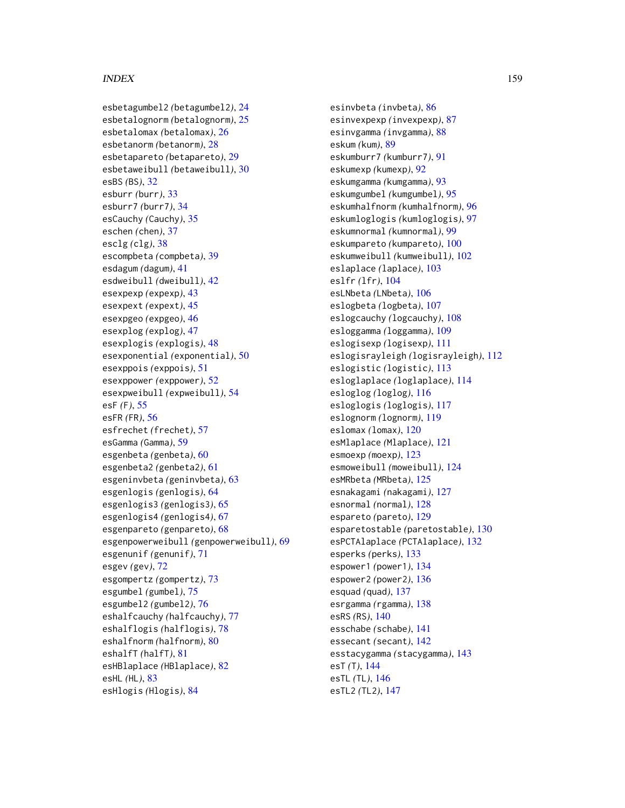esbetagumbel2 *(*betagumbel2*)*, [24](#page-23-0) esbetalognorm *(*betalognorm*)*, [25](#page-24-0) esbetalomax *(*betalomax*)*, [26](#page-25-0) esbetanorm *(*betanorm*)*, [28](#page-27-0) esbetapareto *(*betapareto*)*, [29](#page-28-0) esbetaweibull *(*betaweibull*)*, [30](#page-29-0) esBS *(*BS*)*, [32](#page-31-0) esburr *(*burr*)*, [33](#page-32-0) esburr7 *(*burr7*)*, [34](#page-33-0) esCauchy *(*Cauchy*)*, [35](#page-34-0) eschen *(*chen*)*, [37](#page-36-0) esclg *(*clg*)*, [38](#page-37-0) escompbeta *(*compbeta*)*, [39](#page-38-0) esdagum *(*dagum*)*, [41](#page-40-0) esdweibull *(*dweibull*)*, [42](#page-41-0) esexpexp *(*expexp*)*, [43](#page-42-0) esexpext *(*expext*)*, [45](#page-44-0) esexpgeo *(*expgeo*)*, [46](#page-45-0) esexplog *(*explog*)*, [47](#page-46-0) esexplogis *(*explogis*)*, [48](#page-47-0) esexponential *(*exponential*)*, [50](#page-49-0) esexppois *(*exppois*)*, [51](#page-50-0) esexppower *(*exppower*)*, [52](#page-51-0) esexpweibull *(*expweibull*)*, [54](#page-53-0) esF *(*F*)*, [55](#page-54-0) esFR *(*FR*)*, [56](#page-55-0) esfrechet *(*frechet*)*, [57](#page-56-0) esGamma *(*Gamma*)*, [59](#page-58-0) esgenbeta *(*genbeta*)*, [60](#page-59-0) esgenbeta2 *(*genbeta2*)*, [61](#page-60-0) esgeninvbeta *(*geninvbeta*)*, [63](#page-62-0) esgenlogis *(*genlogis*)*, [64](#page-63-0) esgenlogis3 *(*genlogis3*)*, [65](#page-64-0) esgenlogis4 *(*genlogis4*)*, [67](#page-66-0) esgenpareto *(*genpareto*)*, [68](#page-67-0) esgenpowerweibull *(*genpowerweibull*)*, [69](#page-68-0) esgenunif *(*genunif*)*, [71](#page-70-0) esgev *(*gev*)*, [72](#page-71-0) esgompertz *(*gompertz*)*, [73](#page-72-0) esgumbel *(*gumbel*)*, [75](#page-74-0) esgumbel2 *(*gumbel2*)*, [76](#page-75-0) eshalfcauchy *(*halfcauchy*)*, [77](#page-76-0) eshalflogis *(*halflogis*)*, [78](#page-77-0) eshalfnorm *(*halfnorm*)*, [80](#page-79-0) eshalfT *(*halfT*)*, [81](#page-80-0) esHBlaplace *(*HBlaplace*)*, [82](#page-81-0) esHL *(*HL*)*, [83](#page-82-0) esHlogis *(*Hlogis*)*, [84](#page-83-0)

esinvbeta *(*invbeta*)*, [86](#page-85-0) esinvexpexp *(*invexpexp*)*, [87](#page-86-0) esinvgamma *(*invgamma*)*, [88](#page-87-0) eskum *(*kum*)*, [89](#page-88-0) eskumburr7 *(*kumburr7*)*, [91](#page-90-0) eskumexp *(*kumexp*)*, [92](#page-91-0) eskumgamma *(*kumgamma*)*, [93](#page-92-0) eskumgumbel *(*kumgumbel*)*, [95](#page-94-0) eskumhalfnorm *(*kumhalfnorm*)*, [96](#page-95-0) eskumloglogis *(*kumloglogis*)*, [97](#page-96-0) eskumnormal *(*kumnormal*)*, [99](#page-98-0) eskumpareto *(*kumpareto*)*, [100](#page-99-0) eskumweibull *(*kumweibull*)*, [102](#page-101-0) eslaplace *(*laplace*)*, [103](#page-102-0) eslfr *(*lfr*)*, [104](#page-103-0) esLNbeta *(*LNbeta*)*, [106](#page-105-0) eslogbeta *(*logbeta*)*, [107](#page-106-0) eslogcauchy *(*logcauchy*)*, [108](#page-107-0) esloggamma *(*loggamma*)*, [109](#page-108-0) eslogisexp *(*logisexp*)*, [111](#page-110-0) eslogisrayleigh *(*logisrayleigh*)*, [112](#page-111-0) eslogistic *(*logistic*)*, [113](#page-112-0) esloglaplace *(*loglaplace*)*, [114](#page-113-0) esloglog *(*loglog*)*, [116](#page-115-0) esloglogis *(*loglogis*)*, [117](#page-116-0) eslognorm *(*lognorm*)*, [119](#page-118-0) eslomax *(*lomax*)*, [120](#page-119-0) esMlaplace *(*Mlaplace*)*, [121](#page-120-0) esmoexp *(*moexp*)*, [123](#page-122-0) esmoweibull *(*moweibull*)*, [124](#page-123-0) esMRbeta *(*MRbeta*)*, [125](#page-124-0) esnakagami *(*nakagami*)*, [127](#page-126-0) esnormal *(*normal*)*, [128](#page-127-0) espareto *(*pareto*)*, [129](#page-128-0) esparetostable *(*paretostable*)*, [130](#page-129-0) esPCTAlaplace *(*PCTAlaplace*)*, [132](#page-131-0) esperks *(*perks*)*, [133](#page-132-0) espower1 *(*power1*)*, [134](#page-133-0) espower2 *(*power2*)*, [136](#page-135-0) esquad *(*quad*)*, [137](#page-136-0) esrgamma *(*rgamma*)*, [138](#page-137-0) esRS *(*RS*)*, [140](#page-139-0) esschabe *(*schabe*)*, [141](#page-140-0) essecant *(*secant*)*, [142](#page-141-0) esstacygamma *(*stacygamma*)*, [143](#page-142-0) esT *(*T*)*, [144](#page-143-0) esTL *(*TL*)*, [146](#page-145-0) esTL2 *(*TL2*)*, [147](#page-146-0)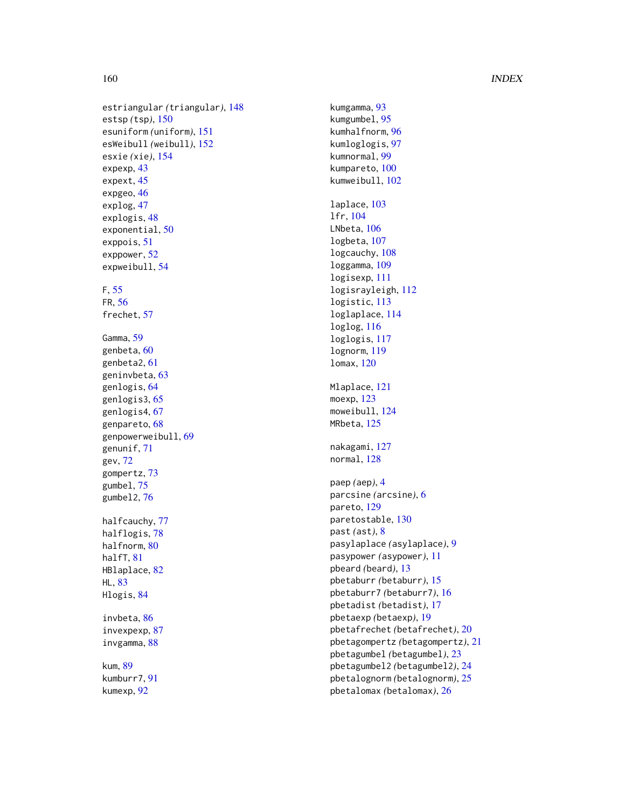```
estriangular
(triangular
)
, 148
estsp
(tsp
)
, 150
esuniform
(uniform
)
, 151
esWeibull
(weibull
)
, 152
esxie
(xie
)
, 154
expexp
, 43
expext
, 45
46
explog
, 47
explogis
, 48
exponential
, 50
exppois
, 51
exppower
, 52
expweibull
, 54
F
, 55
FR
, 56
frechet
, 57
Gamma
, 59
genbeta
, 60
genbeta2
, 61
geninvbeta
, 63
genlogis
, 64
genlogis3
, 65
genlogis4
, 67
genpareto
, 68
genpowerweibull
, 69
genunif
, 71
gev
, 72
gompertz
, 73
gumbel
, 75
gumbel2
, 76
77
78
80
81
82
HL
, 83
84
```
invbeta , [86](#page-85-0) invexpexp , [87](#page-86-0) invgamma , [88](#page-87-0)

kum , [89](#page-88-0) kumburr7 , [91](#page-90-0) kumexp , [92](#page-91-0)

kumgamma , [93](#page-92-0) kumgumbel , [95](#page-94-0) kumhalfnorm , [96](#page-95-0) kumloglogis , [97](#page-96-0) kumnormal , [99](#page-98-0) kumpareto , [100](#page-99-0) kumweibull , [102](#page-101-0) laplace , [103](#page-102-0) lfr , [104](#page-103-0) LNbeta, [106](#page-105-0) logbeta , [107](#page-106-0) logcauchy , [108](#page-107-0) loggamma , [109](#page-108-0) logisexp , [111](#page-110-0) logisrayleigh , [112](#page-111-0) logistic , [113](#page-112-0) loglaplace , [114](#page-113-0) loglog , [116](#page-115-0) loglogis , [117](#page-116-0) lognorm , [119](#page-118-0) lomax , [120](#page-119-0) Mlaplace , [121](#page-120-0) moexp , [123](#page-122-0) moweibull, [124](#page-123-0) MRbeta, [125](#page-124-0) nakagami, [127](#page-126-0) normal, [128](#page-127-0) paep *(*aep *)* , [4](#page-3-0) parcsine *(*arcsine *)* , [6](#page-5-0) pareto, [129](#page-128-0) paretostable , [130](#page-129-0) past *(*ast *)* , [8](#page-7-0) pasylaplace *(*asylaplace *)* , [9](#page-8-0) pasypower *(*asypower *)* , [11](#page-10-0) pbeard *(*beard *)* , [13](#page-12-0) pbetaburr *(*betaburr *)* , [15](#page-14-0) pbetaburr7 *(*betaburr7 *)* , [16](#page-15-0) pbetadist *(*betadist *)* , [17](#page-16-0) pbetaexp *(*betaexp *)* , [19](#page-18-0) pbetafrechet *(*betafrechet *)* , [20](#page-19-0) pbetagompertz *(*betagompertz *)* , [21](#page-20-0) pbetagumbel *(*betagumbel *)* , [23](#page-22-0) pbetagumbel2 *(*betagumbel2 *)* , [24](#page-23-0) pbetalognorm *(*betalognorm *)* , [25](#page-24-0) pbetalomax *(*betalomax *)* , [26](#page-25-0)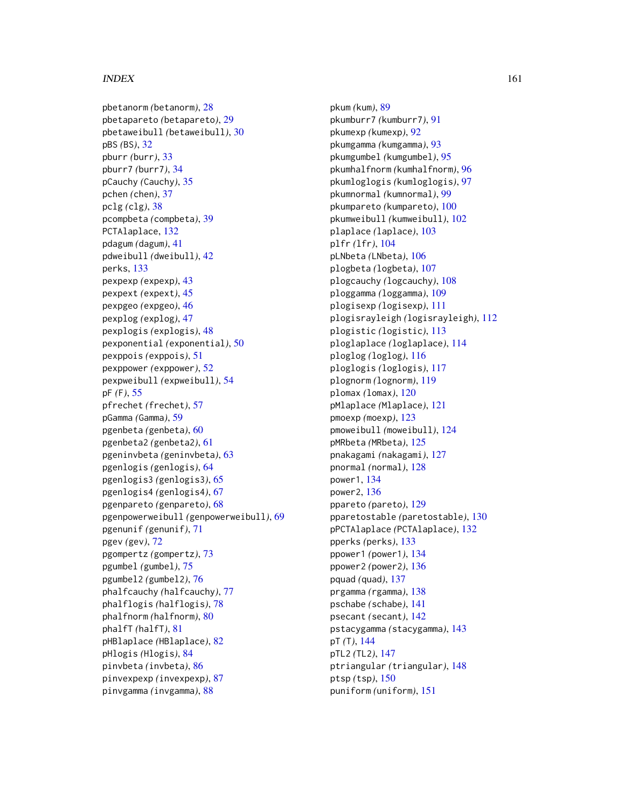pbetanorm *(*betanorm*)*, [28](#page-27-0) pbetapareto *(*betapareto*)*, [29](#page-28-0) pbetaweibull *(*betaweibull*)*, [30](#page-29-0) pBS *(*BS*)*, [32](#page-31-0) pburr *(*burr*)*, [33](#page-32-0) pburr7 *(*burr7*)*, [34](#page-33-0) pCauchy *(*Cauchy*)*, [35](#page-34-0) pchen *(*chen*)*, [37](#page-36-0) pclg *(*clg*)*, [38](#page-37-0) pcompbeta *(*compbeta*)*, [39](#page-38-0) PCTAlaplace, [132](#page-131-0) pdagum *(*dagum*)*, [41](#page-40-0) pdweibull *(*dweibull*)*, [42](#page-41-0) perks, [133](#page-132-0) pexpexp *(*expexp*)*, [43](#page-42-0) pexpext *(*expext*)*, [45](#page-44-0) pexpgeo *(*expgeo*)*, [46](#page-45-0) pexplog *(*explog*)*, [47](#page-46-0) pexplogis *(*explogis*)*, [48](#page-47-0) pexponential *(*exponential*)*, [50](#page-49-0) pexppois *(*exppois*)*, [51](#page-50-0) pexppower *(*exppower*)*, [52](#page-51-0) pexpweibull *(*expweibull*)*, [54](#page-53-0) pF *(*F*)*, [55](#page-54-0) pfrechet *(*frechet*)*, [57](#page-56-0) pGamma *(*Gamma*)*, [59](#page-58-0) pgenbeta *(*genbeta*)*, [60](#page-59-0) pgenbeta2 *(*genbeta2*)*, [61](#page-60-0) pgeninvbeta *(*geninvbeta*)*, [63](#page-62-0) pgenlogis *(*genlogis*)*, [64](#page-63-0) pgenlogis3 *(*genlogis3*)*, [65](#page-64-0) pgenlogis4 *(*genlogis4*)*, [67](#page-66-0) pgenpareto *(*genpareto*)*, [68](#page-67-0) pgenpowerweibull *(*genpowerweibull*)*, [69](#page-68-0) pgenunif *(*genunif*)*, [71](#page-70-0) pgev *(*gev*)*, [72](#page-71-0) pgompertz *(*gompertz*)*, [73](#page-72-0) pgumbel *(*gumbel*)*, [75](#page-74-0) pgumbel2 *(*gumbel2*)*, [76](#page-75-0) phalfcauchy *(*halfcauchy*)*, [77](#page-76-0) phalflogis *(*halflogis*)*, [78](#page-77-0) phalfnorm *(*halfnorm*)*, [80](#page-79-0) phalfT *(*halfT*)*, [81](#page-80-0) pHBlaplace *(*HBlaplace*)*, [82](#page-81-0) pHlogis *(*Hlogis*)*, [84](#page-83-0) pinvbeta *(*invbeta*)*, [86](#page-85-0) pinvexpexp *(*invexpexp*)*, [87](#page-86-0) pinvgamma *(*invgamma*)*, [88](#page-87-0)

pkum *(*kum*)*, [89](#page-88-0) pkumburr7 *(*kumburr7*)*, [91](#page-90-0) pkumexp *(*kumexp*)*, [92](#page-91-0) pkumgamma *(*kumgamma*)*, [93](#page-92-0) pkumgumbel *(*kumgumbel*)*, [95](#page-94-0) pkumhalfnorm *(*kumhalfnorm*)*, [96](#page-95-0) pkumloglogis *(*kumloglogis*)*, [97](#page-96-0) pkumnormal *(*kumnormal*)*, [99](#page-98-0) pkumpareto *(*kumpareto*)*, [100](#page-99-0) pkumweibull *(*kumweibull*)*, [102](#page-101-0) plaplace *(*laplace*)*, [103](#page-102-0) plfr *(*lfr*)*, [104](#page-103-0) pLNbeta *(*LNbeta*)*, [106](#page-105-0) plogbeta *(*logbeta*)*, [107](#page-106-0) plogcauchy *(*logcauchy*)*, [108](#page-107-0) ploggamma *(*loggamma*)*, [109](#page-108-0) plogisexp *(*logisexp*)*, [111](#page-110-0) plogisrayleigh *(*logisrayleigh*)*, [112](#page-111-0) plogistic *(*logistic*)*, [113](#page-112-0) ploglaplace *(*loglaplace*)*, [114](#page-113-0) ploglog *(*loglog*)*, [116](#page-115-0) ploglogis *(*loglogis*)*, [117](#page-116-0) plognorm *(*lognorm*)*, [119](#page-118-0) plomax *(*lomax*)*, [120](#page-119-0) pMlaplace *(*Mlaplace*)*, [121](#page-120-0) pmoexp *(*moexp*)*, [123](#page-122-0) pmoweibull *(*moweibull*)*, [124](#page-123-0) pMRbeta *(*MRbeta*)*, [125](#page-124-0) pnakagami *(*nakagami*)*, [127](#page-126-0) pnormal *(*normal*)*, [128](#page-127-0) power1, [134](#page-133-0) power2, [136](#page-135-0) ppareto *(*pareto*)*, [129](#page-128-0) pparetostable *(*paretostable*)*, [130](#page-129-0) pPCTAlaplace *(*PCTAlaplace*)*, [132](#page-131-0) pperks *(*perks*)*, [133](#page-132-0) ppower1 *(*power1*)*, [134](#page-133-0) ppower2 *(*power2*)*, [136](#page-135-0) pquad *(*quad*)*, [137](#page-136-0) prgamma *(*rgamma*)*, [138](#page-137-0) pschabe *(*schabe*)*, [141](#page-140-0) psecant *(*secant*)*, [142](#page-141-0) pstacygamma *(*stacygamma*)*, [143](#page-142-0) pT *(*T*)*, [144](#page-143-0) pTL2 *(*TL2*)*, [147](#page-146-0) ptriangular *(*triangular*)*, [148](#page-147-0) ptsp *(*tsp*)*, [150](#page-149-0) puniform *(*uniform*)*, [151](#page-150-0)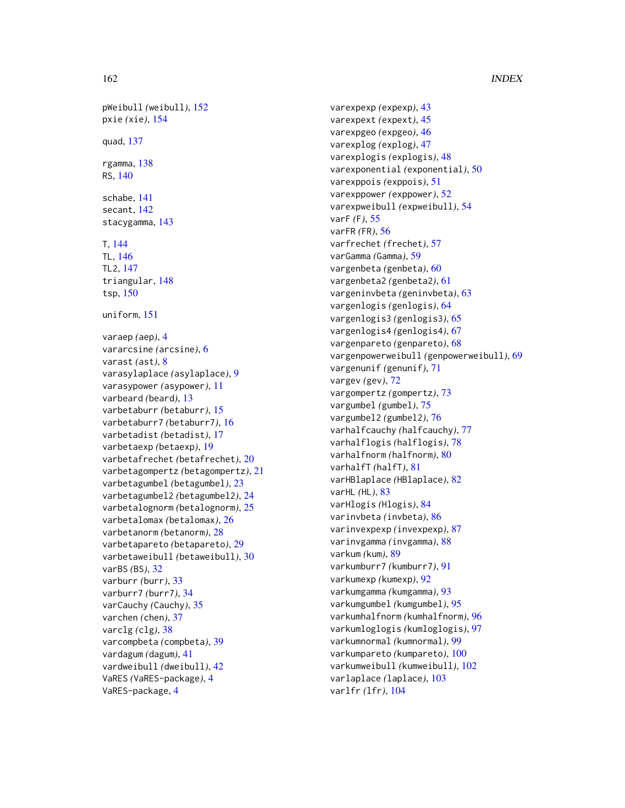pWeibull *(*weibull*)*, [152](#page-151-0) pxie *(*xie*)*, [154](#page-153-0) quad, [137](#page-136-0) rgamma, [138](#page-137-0) RS, [140](#page-139-0) schabe, [141](#page-140-0) secant, [142](#page-141-0) stacygamma, [143](#page-142-0) T, [144](#page-143-0) TL, [146](#page-145-0) TL2, [147](#page-146-0) triangular, [148](#page-147-0) tsp, [150](#page-149-0) uniform, [151](#page-150-0) varaep *(*aep*)*, [4](#page-3-0) vararcsine *(*arcsine*)*, [6](#page-5-0) varast *(*ast*)*, [8](#page-7-0) varasylaplace *(*asylaplace*)*, [9](#page-8-0) varasypower *(*asypower*)*, [11](#page-10-0) varbeard *(*beard*)*, [13](#page-12-0) varbetaburr *(*betaburr*)*, [15](#page-14-0) varbetaburr7 *(*betaburr7*)*, [16](#page-15-0) varbetadist *(*betadist*)*, [17](#page-16-0) varbetaexp *(*betaexp*)*, [19](#page-18-0) varbetafrechet *(*betafrechet*)*, [20](#page-19-0) varbetagompertz *(*betagompertz*)*, [21](#page-20-0) varbetagumbel *(*betagumbel*)*, [23](#page-22-0) varbetagumbel2 *(*betagumbel2*)*, [24](#page-23-0) varbetalognorm *(*betalognorm*)*, [25](#page-24-0) varbetalomax *(*betalomax*)*, [26](#page-25-0) varbetanorm *(*betanorm*)*, [28](#page-27-0) varbetapareto *(*betapareto*)*, [29](#page-28-0) varbetaweibull *(*betaweibull*)*, [30](#page-29-0) varBS *(*BS*)*, [32](#page-31-0) varburr *(*burr*)*, [33](#page-32-0) varburr7 *(*burr7*)*, [34](#page-33-0) varCauchy *(*Cauchy*)*, [35](#page-34-0) varchen *(*chen*)*, [37](#page-36-0) varclg *(*clg*)*, [38](#page-37-0) varcompbeta *(*compbeta*)*, [39](#page-38-0) vardagum *(*dagum*)*, [41](#page-40-0) vardweibull *(*dweibull*)*, [42](#page-41-0) VaRES *(*VaRES-package*)*, [4](#page-3-0) VaRES-package, [4](#page-3-0)

varexpexp *(*expexp*)*, [43](#page-42-0) varexpext *(*expext*)*, [45](#page-44-0) varexpgeo *(*expgeo*)*, [46](#page-45-0) varexplog *(*explog*)*, [47](#page-46-0) varexplogis *(*explogis*)*, [48](#page-47-0) varexponential *(*exponential*)*, [50](#page-49-0) varexppois *(*exppois*)*, [51](#page-50-0) varexppower *(*exppower*)*, [52](#page-51-0) varexpweibull *(*expweibull*)*, [54](#page-53-0) varF *(*F*)*, [55](#page-54-0) varFR *(*FR*)*, [56](#page-55-0) varfrechet *(*frechet*)*, [57](#page-56-0) varGamma *(*Gamma*)*, [59](#page-58-0) vargenbeta *(*genbeta*)*, [60](#page-59-0) vargenbeta2 *(*genbeta2*)*, [61](#page-60-0) vargeninvbeta *(*geninvbeta*)*, [63](#page-62-0) vargenlogis *(*genlogis*)*, [64](#page-63-0) vargenlogis3 *(*genlogis3*)*, [65](#page-64-0) vargenlogis4 *(*genlogis4*)*, [67](#page-66-0) vargenpareto *(*genpareto*)*, [68](#page-67-0) vargenpowerweibull *(*genpowerweibull*)*, [69](#page-68-0) vargenunif *(*genunif*)*, [71](#page-70-0) vargev *(*gev*)*, [72](#page-71-0) vargompertz *(*gompertz*)*, [73](#page-72-0) vargumbel *(*gumbel*)*, [75](#page-74-0) vargumbel2 *(*gumbel2*)*, [76](#page-75-0) varhalfcauchy *(*halfcauchy*)*, [77](#page-76-0) varhalflogis *(*halflogis*)*, [78](#page-77-0) varhalfnorm *(*halfnorm*)*, [80](#page-79-0) varhalfT *(*halfT*)*, [81](#page-80-0) varHBlaplace *(*HBlaplace*)*, [82](#page-81-0) varHL *(*HL*)*, [83](#page-82-0) varHlogis *(*Hlogis*)*, [84](#page-83-0) varinvbeta *(*invbeta*)*, [86](#page-85-0) varinvexpexp *(*invexpexp*)*, [87](#page-86-0) varinvgamma *(*invgamma*)*, [88](#page-87-0) varkum *(*kum*)*, [89](#page-88-0) varkumburr7 *(*kumburr7*)*, [91](#page-90-0) varkumexp *(*kumexp*)*, [92](#page-91-0) varkumgamma *(*kumgamma*)*, [93](#page-92-0) varkumgumbel *(*kumgumbel*)*, [95](#page-94-0) varkumhalfnorm *(*kumhalfnorm*)*, [96](#page-95-0) varkumloglogis *(*kumloglogis*)*, [97](#page-96-0) varkumnormal *(*kumnormal*)*, [99](#page-98-0) varkumpareto *(*kumpareto*)*, [100](#page-99-0) varkumweibull *(*kumweibull*)*, [102](#page-101-0) varlaplace *(*laplace*)*, [103](#page-102-0) varlfr *(*lfr*)*, [104](#page-103-0)